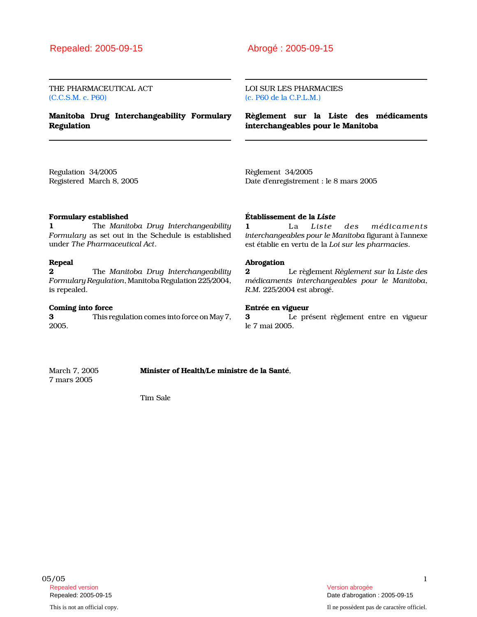THE PHARMACEUTICAL ACT (C.C.S.M. c. P60)

Manitoba Drug Interchangeability Formulary Regulation

LOI SUR LES PHARMACIES (c. P60 de la C.P.L.M.)

Règlement sur la Liste des médicaments interchangeables pour le Manitoba

Regulation 34/2005 Registered March 8, 2005 Règlement 34/2005 Date d'enregistrement : le 8 mars 2005

# Formulary established

1 The Manitoba Drug Interchangeability Formulary as set out in the Schedule is established under The Pharmaceutical Act.

#### Repeal

**2** The Manitoba Drug Interchangeability Formulary Regulation, Manitoba Regulation 225/2004, is repealed.

#### Coming into force

3 This regulation comes into force on May 7, 2005.

## Établissement de la Liste

1 La Liste des médicaments interchangeables pour le Manitoba figurant à l'annexe est établie en vertu de la Loi sur les pharmacies.

## Abrogation

2 Le règlement Règlement sur la Liste des médicaments interchangeables pour le Manitoba, R.M. 225/2004 est abrogé.

## Entrée en vigueur

3 Le présent règlement entre en vigueur le 7 mai 2005.

7 mars 2005

March 7, 2005 **Minister of Health/Le ministre de la Santé**,

Tim Sale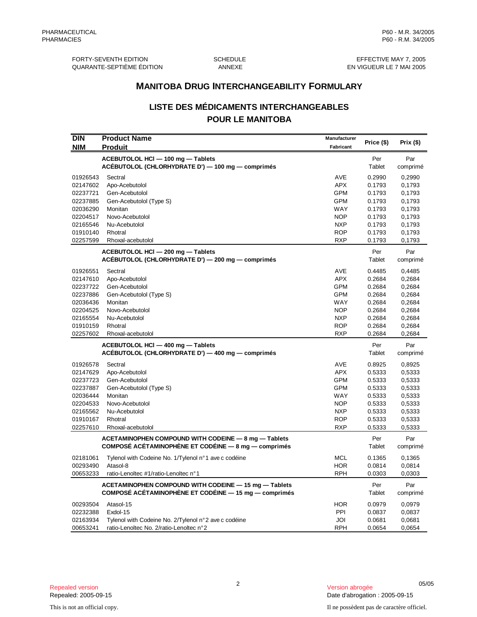FORTY-SEVENTH EDITION SCHEDULE EFFECTIVE MAY 7, 2005 QUARANTE-SEPTIÈME ÉDITION

# **LISTE DES MÉDICAMENTS INTERCHANGEABLES POUR LE MANITOBA**

| <b>MANITOBA DRUG INTERCHANGEABILITY FORMULARY</b> |                                                                                                              |                           |                  |                  |
|---------------------------------------------------|--------------------------------------------------------------------------------------------------------------|---------------------------|------------------|------------------|
|                                                   | <b>LISTE DES MÉDICAMENTS INTERCHANGEABLES</b>                                                                |                           |                  |                  |
|                                                   | <b>POUR LE MANITOBA</b>                                                                                      |                           |                  |                  |
| <b>DIN</b><br><b>NIM</b>                          | <b>Product Name</b><br><b>Produit</b>                                                                        | Manufacturer<br>Fabricant | Price (\$)       | Prix $($)$       |
|                                                   | ACEBUTOLOL HCI - 100 mg - Tablets                                                                            |                           | Per              | Par              |
|                                                   | ACÉBUTOLOL (CHLORHYDRATE D') - 100 mg - comprimés                                                            |                           | Tablet           | comprimé         |
| 01926543                                          | Sectral                                                                                                      | <b>AVE</b>                | 0.2990           | 0,2990           |
| 02147602                                          | Apo-Acebutolol                                                                                               | <b>APX</b>                | 0.1793           | 0,1793           |
| 02237721                                          | Gen-Acebutolol                                                                                               | <b>GPM</b>                | 0.1793           | 0,1793           |
| 02237885                                          | Gen-Acebutolol (Type S)                                                                                      | <b>GPM</b>                | 0.1793           | 0,1793           |
| 02036290                                          | Monitan                                                                                                      | WAY                       | 0.1793           | 0,1793           |
| 02204517                                          | Novo-Acebutolol                                                                                              | <b>NOP</b>                | 0.1793           | 0,1793           |
| 02165546                                          | Nu-Acebutolol                                                                                                | <b>NXP</b>                | 0.1793           | 0,1793           |
| 01910140                                          | Rhotral                                                                                                      | <b>ROP</b>                | 0.1793           | 0,1793           |
| 02257599                                          | Rhoxal-acebutolol                                                                                            | RXP                       | 0.1793           | 0,1793           |
|                                                   | ACEBUTOLOL HCI - 200 mg - Tablets<br>ACÉBUTOLOL (CHLORHYDRATE D') - 200 mg - comprimés                       |                           | Per<br>Tablet    | Par<br>comprimé  |
|                                                   |                                                                                                              |                           |                  |                  |
| 01926551                                          | Sectral                                                                                                      | <b>AVE</b>                | 0.4485           | 0,4485           |
| 02147610<br>02237722                              | Apo-Acebutolol                                                                                               | <b>APX</b><br><b>GPM</b>  | 0.2684<br>0.2684 | 0,2684           |
| 02237886                                          | Gen-Acebutolol<br>Gen-Acebutolol (Type S)                                                                    | <b>GPM</b>                | 0.2684           | 0,2684<br>0,2684 |
| 02036436                                          | Monitan                                                                                                      | WAY                       | 0.2684           | 0,2684           |
| 02204525                                          | Novo-Acebutolol                                                                                              | <b>NOP</b>                | 0.2684           | 0,2684           |
| 02165554                                          | Nu-Acebutolol                                                                                                | <b>NXP</b>                | 0.2684           | 0,2684           |
| 01910159                                          | Rhotral                                                                                                      | <b>ROP</b>                | 0.2684           | 0,2684           |
| 02257602                                          | Rhoxal-acebutolol                                                                                            | <b>RXP</b>                | 0.2684           | 0,2684           |
|                                                   | ACEBUTOLOL HCI - 400 mg - Tablets                                                                            |                           | Per              | Par              |
|                                                   | ACÉBUTOLOL (CHLORHYDRATE D') - 400 mg - comprimés                                                            |                           | Tablet           | comprimé         |
| 01926578                                          | Sectral                                                                                                      | <b>AVE</b>                | 0.8925           | 0,8925           |
| 02147629                                          | Apo-Acebutolol                                                                                               | <b>APX</b>                | 0.5333           | 0,5333           |
| 02237723                                          | Gen-Acebutolol                                                                                               | GPM                       | 0.5333           | 0,5333           |
| 02237887                                          | Gen-Acebutolol (Type S)                                                                                      | <b>GPM</b>                | 0.5333           | 0,5333           |
| 02036444                                          | Monitan                                                                                                      | WAY                       | 0.5333           | 0,5333           |
| 02204533                                          | Novo-Acebutolol                                                                                              | <b>NOP</b>                | 0.5333           | 0,5333           |
| 02165562                                          | Nu-Acebutolol                                                                                                | <b>NXP</b>                | 0.5333           | 0,5333           |
| 01910167                                          | Rhotral                                                                                                      | <b>ROP</b>                | 0.5333           | 0,5333           |
| 02257610                                          | Rhoxal-acebutolol                                                                                            | RXP                       | 0.5333           | 0,5333           |
|                                                   | ACETAMINOPHEN COMPOUND WITH CODEINE - 8 mg - Tablets<br>COMPOSÉ ACÉTAMINOPHÈNE ET CODÉINE - 8 mg - comprimés |                           | Per<br>Tablet    | Par<br>comprimé  |
| 02181061                                          | Tylenol with Codeine No. 1/Tylenol n°1 ave c codéine                                                         | <b>MCL</b>                | 0.1365           | 0,1365           |
| 00293490                                          | Atasol-8                                                                                                     | <b>HOR</b>                | 0.0814           | 0,0814           |
| 00653233                                          | ratio-Lenoltec #1/ratio-Lenoltec n°1                                                                         | <b>RPH</b>                | 0.0303           | 0,0303           |
|                                                   | ACETAMINOPHEN COMPOUND WITH CODEINE - 15 mg - Tablets                                                        |                           | Per              | Par              |
|                                                   | COMPOSÉ ACÉTAMINOPHÈNE ET CODÉINE - 15 mg - comprimés                                                        |                           | Tablet           | comprimé         |
| 00293504                                          | Atasol-15                                                                                                    | <b>HOR</b>                | 0.0979           | 0,0979           |
| 02232388                                          | Exdol-15                                                                                                     | PPI                       | 0.0837           | 0,0837           |
| 02163934                                          | Tylenol with Codeine No. 2/Tylenol n°2 ave c codéine                                                         | JOI                       | 0.0681           | 0,0681           |
| 00653241                                          | ratio-Lenoltec No. 2/ratio-Lenoltec n°2                                                                      | <b>RPH</b>                | 0.0654           | 0,0654           |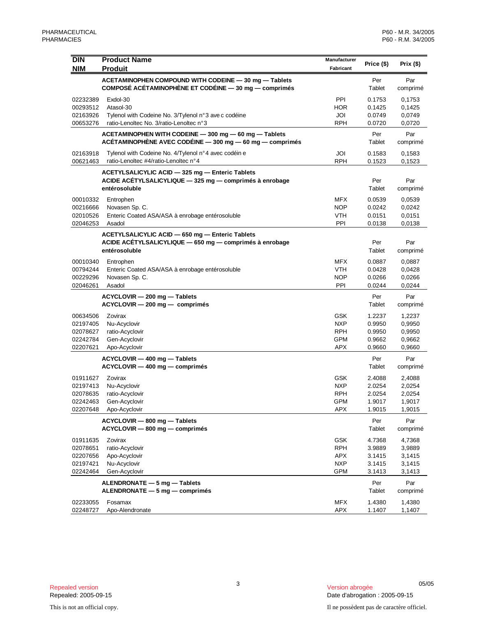| <b>DIN</b><br><b>NIM</b>                                 | <b>Product Name</b><br><b>Produit</b>                                                                                       | Manufacturer<br>Fabricant                                   | Price (\$)                                     | Prix $($)$                                     |
|----------------------------------------------------------|-----------------------------------------------------------------------------------------------------------------------------|-------------------------------------------------------------|------------------------------------------------|------------------------------------------------|
|                                                          | ACETAMINOPHEN COMPOUND WITH CODEINE - 30 mg - Tablets<br>COMPOSÉ ACÉTAMINOPHÈNE ET CODÉINE - 30 mg - comprimés              |                                                             | Per<br>Tablet                                  | Par<br>comprimé                                |
| 02232389<br>00293512<br>02163926<br>00653276             | Exdol-30<br>Atasol-30<br>Tylenol with Codeine No. 3/Tylenol n°3 ave c codéine<br>ratio-Lenoltec No. 3/ratio-Lenoltec n°3    | PPI<br><b>HOR</b><br>JOI<br><b>RPH</b>                      | 0.1753<br>0.1425<br>0.0749<br>0.0720           | 0,1753<br>0,1425<br>0,0749<br>0,0720           |
|                                                          | ACETAMINOPHEN WITH CODEINE - 300 mg - 60 mg - Tablets<br>ACÉTAMINOPHÈNE AVEC CODÉINE - 300 mg - 60 mg - comprimés           |                                                             | Per<br>Tablet                                  | Par<br>comprimé                                |
| 02163918<br>00621463                                     | Tylenol with Codeine No. 4/Tylenol n°4 avec codéin e<br>ratio-Lenoltec #4/ratio-Lenoltec n°4                                | JOI<br><b>RPH</b>                                           | 0.1583<br>0.1523                               | 0,1583<br>0,1523                               |
|                                                          | ACETYLSALICYLIC ACID - 325 mg - Enteric Tablets<br>ACIDE ACÉTYLSALICYLIQUE - 325 mg - comprimés à enrobage<br>entérosoluble |                                                             | Per<br>Tablet                                  | Par<br>comprimé                                |
| 00010332<br>00216666<br>02010526<br>02046253             | Entrophen<br>Novasen Sp. C.<br>Enteric Coated ASA/ASA à enrobage entérosoluble<br>Asadol                                    | <b>MFX</b><br><b>NOP</b><br><b>VTH</b><br>PPI               | 0.0539<br>0.0242<br>0.0151<br>0.0138           | 0,0539<br>0,0242<br>0,0151<br>0,0138           |
|                                                          | ACETYLSALICYLIC ACID - 650 mg - Enteric Tablets<br>ACIDE ACÉTYLSALICYLIQUE - 650 mg - comprimés à enrobage<br>entérosoluble |                                                             | Per<br>Tablet                                  | Par<br>comprimé                                |
| 00010340<br>00794244<br>00229296<br>02046261             | Entrophen<br>Enteric Coated ASA/ASA à enrobage entérosoluble<br>Novasen Sp. C.<br>Asadol                                    | <b>MFX</b><br><b>VTH</b><br><b>NOP</b><br>PPI               | 0.0887<br>0.0428<br>0.0266<br>0.0244           | 0,0887<br>0,0428<br>0,0266<br>0,0244           |
|                                                          | ACYCLOVIR - 200 mg - Tablets<br>$ACYCLOVIR - 200 mg - comprimés$                                                            |                                                             | Per<br>Tablet                                  | Par<br>comprimé                                |
| 00634506<br>02197405<br>02078627<br>02242784<br>02207621 | Zovirax<br>Nu-Acyclovir<br>ratio-Acyclovir<br>Gen-Acyclovir<br>Apo-Acyclovir                                                | GSK<br><b>NXP</b><br><b>RPH</b><br><b>GPM</b><br>APX        | 1.2237<br>0.9950<br>0.9950<br>0.9662<br>0.9660 | 1,2237<br>0,9950<br>0,9950<br>0,9662<br>0,9660 |
|                                                          | ACYCLOVIR - 400 mg - Tablets<br>ACYCLOVIR - 400 mg - comprimés                                                              |                                                             | Per<br>Tablet                                  | Par<br>comprimé                                |
| 01911627<br>02197413<br>02078635<br>02242463<br>02207648 | Zovirax<br>Nu-Acyclovir<br>ratio-Acyclovir<br>Gen-Acyclovir<br>Apo-Acyclovir                                                | GSK<br><b>NXP</b><br><b>RPH</b><br><b>GPM</b><br><b>APX</b> | 2.4088<br>2.0254<br>2.0254<br>1.9017<br>1.9015 | 2,4088<br>2,0254<br>2,0254<br>1,9017<br>1,9015 |
|                                                          | ACYCLOVIR - 800 mg - Tablets<br>ACYCLOVIR - 800 mg - comprimés                                                              |                                                             | Per<br>Tablet                                  | Par<br>comprimé                                |
| 01911635<br>02078651<br>02207656<br>02197421<br>02242464 | Zovirax<br>ratio-Acyclovir<br>Apo-Acyclovir<br>Nu-Acyclovir<br>Gen-Acyclovir                                                | <b>GSK</b><br><b>RPH</b><br><b>APX</b><br><b>NXP</b><br>GPM | 4.7368<br>3.9889<br>3.1415<br>3.1415<br>3.1413 | 4,7368<br>3,9889<br>3,1415<br>3,1415<br>3,1413 |
|                                                          | $ALENDRONATE - 5 mg - Tables$<br>ALENDRONATE - 5 mg - comprimés                                                             |                                                             | Per<br>Tablet                                  | Par<br>comprimé                                |
| 02233055<br>02248727                                     | Fosamax<br>Apo-Alendronate                                                                                                  | <b>MFX</b><br><b>APX</b>                                    | 1.4380<br>1.1407                               | 1,4380<br>1,1407                               |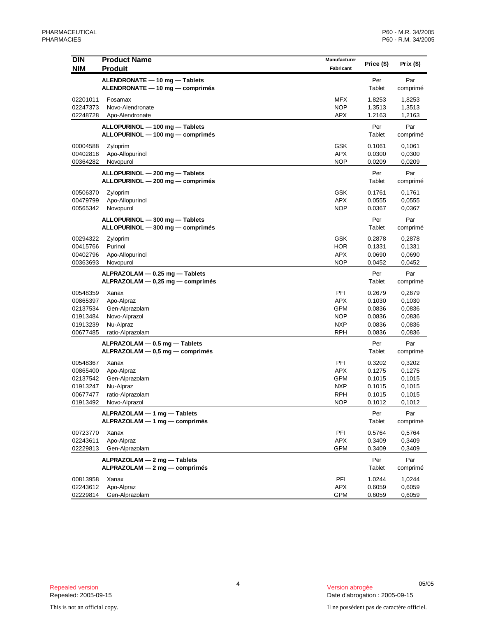| <b>DIN</b><br><b>NIM</b> | <b>Product Name</b><br><b>Produit</b>                              | Manufacturer<br>Fabricant | Price (\$)       | Prix (\$)        |
|--------------------------|--------------------------------------------------------------------|---------------------------|------------------|------------------|
|                          |                                                                    |                           |                  | Par              |
|                          | ALENDRONATE - 10 mg - Tablets<br>ALENDRONATE - 10 mg - comprimés   |                           | Per<br>Tablet    | comprimé         |
| 02201011                 | Fosamax                                                            | <b>MFX</b>                | 1.8253           | 1,8253           |
| 02247373                 | Novo-Alendronate                                                   | <b>NOP</b>                | 1.3513           | 1,3513           |
| 02248728                 | Apo-Alendronate                                                    | <b>APX</b>                | 1.2163           | 1,2163           |
|                          | ALLOPURINOL - 100 mg - Tablets                                     |                           | Per              | Par              |
|                          | ALLOPURINOL - 100 mg - comprimés                                   |                           | Tablet           | comprimé         |
| 00004588                 | Zyloprim                                                           | <b>GSK</b>                | 0.1061           | 0,1061           |
| 00402818                 | Apo-Allopurinol                                                    | <b>APX</b>                | 0.0300           | 0,0300           |
| 00364282                 | Novopurol                                                          | <b>NOP</b>                | 0.0209           | 0,0209           |
|                          | ALLOPURINOL - 200 mg - Tablets                                     |                           | Per              | Par              |
|                          | ALLOPURINOL - 200 mg - comprimés                                   |                           | Tablet           | comprimé         |
| 00506370                 | Zyloprim                                                           | <b>GSK</b>                | 0.1761           | 0,1761           |
| 00479799                 | Apo-Allopurinol                                                    | <b>APX</b>                | 0.0555           | 0,0555           |
| 00565342                 | Novopurol                                                          | <b>NOP</b>                | 0.0367           | 0,0367           |
|                          | ALLOPURINOL - 300 mg - Tablets                                     |                           | Per              | Par              |
|                          | ALLOPURINOL - 300 mg - comprimés                                   |                           | Tablet           | comprimé         |
| 00294322                 | Zyloprim                                                           | <b>GSK</b>                | 0.2878           | 0,2878           |
| 00415766<br>00402796     | Purinol                                                            | <b>HOR</b><br><b>APX</b>  | 0.1331           | 0,1331<br>0,0690 |
| 00363693                 | Apo-Allopurinol<br>Novopurol                                       | <b>NOP</b>                | 0.0690<br>0.0452 | 0,0452           |
|                          |                                                                    |                           |                  |                  |
|                          | ALPRAZOLAM - 0.25 mg - Tablets<br>ALPRAZOLAM - 0,25 mg - comprimés |                           | Per<br>Tablet    | Par<br>comprimé  |
| 00548359                 | Xanax                                                              | PFI                       | 0.2679           | 0,2679           |
| 00865397                 | Apo-Alpraz                                                         | <b>APX</b>                | 0.1030           | 0,1030           |
| 02137534                 | Gen-Alprazolam                                                     | <b>GPM</b>                | 0.0836           | 0,0836           |
| 01913484                 | Novo-Alprazol                                                      | <b>NOP</b>                | 0.0836           | 0,0836           |
| 01913239                 | Nu-Alpraz                                                          | <b>NXP</b>                | 0.0836           | 0,0836           |
| 00677485                 | ratio-Alprazolam                                                   | <b>RPH</b>                | 0.0836           | 0,0836           |
|                          | ALPRAZOLAM - 0.5 mg - Tablets                                      |                           | Per              | Par              |
|                          | ALPRAZOLAM - 0,5 mg - comprimés                                    |                           | Tablet           | comprimé         |
| 00548367                 | Xanax                                                              | PFI                       | 0.3202           | 0,3202           |
| 00865400                 | Apo-Alpraz                                                         | <b>APX</b>                | 0.1275           | 0,1275           |
| 02137542                 | Gen-Alprazolam                                                     | <b>GPM</b>                | 0.1015           | 0,1015           |
| 01913247<br>00677477     | Nu-Alpraz                                                          | <b>NXP</b><br><b>RPH</b>  | 0.1015<br>0.1015 | 0,1015           |
| 01913492                 | ratio-Alprazolam<br>Novo-Alprazol                                  | <b>NOP</b>                | 0.1012           | 0,1015<br>0,1012 |
|                          | ALPRAZOLAM - 1 mg - Tablets                                        |                           | Per              | Par              |
|                          | ALPRAZOLAM - 1 mg - comprimés                                      |                           | Tablet           | comprimé         |
| 00723770                 | Xanax                                                              | PFI                       | 0.5764           | 0,5764           |
| 02243611                 | Apo-Alpraz                                                         | <b>APX</b>                | 0.3409           | 0,3409           |
| 02229813                 | Gen-Alprazolam                                                     | GPM                       | 0.3409           | 0,3409           |
|                          | ALPRAZOLAM - 2 mg - Tablets                                        |                           | Per              | Par              |
|                          | ALPRAZOLAM - 2 mg - comprimés                                      |                           | Tablet           | comprimé         |
| 00813958                 | Xanax                                                              | PFI                       | 1.0244           | 1,0244           |
| 02243612                 | Apo-Alpraz                                                         | <b>APX</b>                | 0.6059           | 0,6059           |
| 02229814                 | Gen-Alprazolam                                                     | <b>GPM</b>                | 0.6059           | 0,6059           |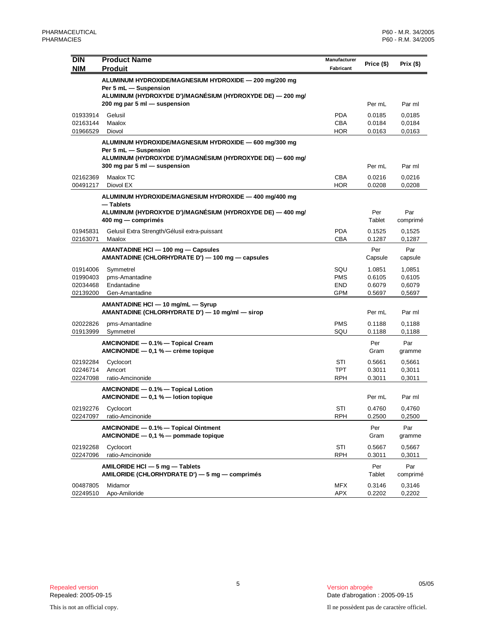| <b>DIN</b><br><b>NIM</b>                     | <b>Product Name</b><br><b>Produit</b>                                                         | Manufacturer<br>Fabricant              | Price (\$)                           | Prix (\$)                            |
|----------------------------------------------|-----------------------------------------------------------------------------------------------|----------------------------------------|--------------------------------------|--------------------------------------|
|                                              | ALUMINUM HYDROXIDE/MAGNESIUM HYDROXIDE - 200 mg/200 mg<br>Per 5 mL - Suspension               |                                        |                                      |                                      |
|                                              | ALUMINUM (HYDROXYDE D')/MAGNÉSIUM (HYDROXYDE DE) - 200 mg/<br>200 mg par 5 ml - suspension    |                                        | Per mL                               | Par ml                               |
| 01933914<br>02163144                         | Gelusil<br>Maalox                                                                             | <b>PDA</b><br><b>CBA</b>               | 0.0185<br>0.0184                     | 0,0185<br>0,0184                     |
| 01966529                                     | Diovol<br>ALUMINUM HYDROXIDE/MAGNESIUM HYDROXIDE - 600 mg/300 mg                              | HOR                                    | 0.0163                               | 0,0163                               |
|                                              | Per 5 mL - Suspension<br>ALUMINUM (HYDROXYDE D')/MAGNÉSIUM (HYDROXYDE DE) — 600 mg/           |                                        |                                      |                                      |
| 02162369                                     | 300 mg par 5 ml - suspension<br>Maalox TC                                                     | <b>CBA</b>                             | Per mL<br>0.0216                     | Par ml<br>0,0216                     |
| 00491217                                     | Diovol EX<br>ALUMINUM HYDROXIDE/MAGNESIUM HYDROXIDE - 400 mg/400 mg                           | HOR                                    | 0.0208                               | 0,0208                               |
|                                              | — Tablets<br>ALUMINUM (HYDROXYDE D')/MAGNÉSIUM (HYDROXYDE DE) — 400 mg/<br>400 mg — comprimés |                                        | Per<br>Tablet                        | Par<br>comprimé                      |
| 01945831<br>02163071                         | Gelusil Extra Strength/Gélusil extra-puissant<br>Maalox                                       | <b>PDA</b><br><b>CBA</b>               | 0.1525<br>0.1287                     | 0,1525<br>0,1287                     |
|                                              | AMANTADINE HCI - 100 mg - Capsules<br>AMANTADINE (CHLORHYDRATE D') — 100 mg — capsules        |                                        | Per<br>Capsule                       | Par<br>capsule                       |
| 01914006<br>01990403<br>02034468<br>02139200 | Symmetrel<br>pms-Amantadine<br>Endantadine<br>Gen-Amantadine                                  | SQU<br><b>PMS</b><br><b>END</b><br>GPM | 1.0851<br>0.6105<br>0.6079<br>0.5697 | 1,0851<br>0,6105<br>0,6079<br>0,5697 |
|                                              | AMANTADINE HCI - 10 mg/mL - Syrup<br>AMANTADINE (CHLORHYDRATE D') - 10 mg/ml - sirop          |                                        | Per mL                               | Par ml                               |
| 02022826<br>01913999                         | pms-Amantadine<br>Symmetrel                                                                   | <b>PMS</b><br>SQU                      | 0.1188<br>0.1188                     | 0,1188<br>0,1188                     |
|                                              | AMCINONIDE - 0.1% - Topical Cream<br>AMCINONIDE $-$ 0,1 % $-$ crème topique                   |                                        | Per<br>Gram                          | Par<br>gramme                        |
| 02192284<br>02246714<br>02247098             | Cyclocort<br>Amcort<br>ratio-Amcinonide                                                       | STI<br><b>TPT</b><br><b>RPH</b>        | 0.5661<br>0.3011<br>0.3011           | 0,5661<br>0,3011<br>0,3011           |
|                                              | AMCINONIDE - 0.1% - Topical Lotion<br>AMCINONIDE $-$ 0,1 % $-$ lotion topique                 |                                        | Per mL                               | Par ml                               |
| 02192276<br>02247097                         | Cyclocort<br>ratio-Amcinonide                                                                 | STI<br><b>RPH</b>                      | 0.4760<br>0.2500                     | 0,4760<br>0,2500                     |
|                                              | AMCINONIDE - 0.1% - Topical Ointment<br>AMCINONIDE - 0,1 % - pommade topique                  |                                        | Per<br>Gram                          | Par<br>gramme                        |
| 02192268<br>02247096                         | Cyclocort<br>ratio-Amcinonide                                                                 | STI<br><b>RPH</b>                      | 0.5667<br>0.3011                     | 0,5667<br>0,3011                     |
|                                              | AMILORIDE HCI - 5 mg - Tablets<br>AMILORIDE (CHLORHYDRATE D') - 5 mg - comprimés              |                                        | Per<br>Tablet                        | Par<br>comprimé                      |
| 00487805<br>02249510                         | Midamor<br>Apo-Amiloride                                                                      | MFX<br>APX                             | 0.3146<br>0.2202                     | 0,3146<br>0,2202                     |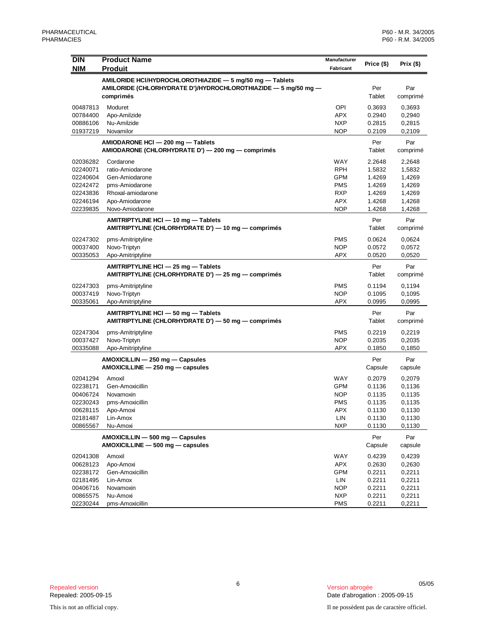| <b>DIN</b><br><b>NIM</b> | <b>Product Name</b><br><b>Produit</b>                                                      | Manufacturer<br>Fabricant | Price (\$)       | Prix $(\$)$      |
|--------------------------|--------------------------------------------------------------------------------------------|---------------------------|------------------|------------------|
|                          | AMILORIDE HCI/HYDROCHLOROTHIAZIDE - 5 mg/50 mg - Tablets                                   |                           |                  |                  |
|                          | AMILORIDE (CHLORHYDRATE D')/HYDROCHLOROTHIAZIDE - 5 mg/50 mg -                             |                           | Per              | Par              |
|                          | comprimés                                                                                  |                           | Tablet           | comprimé         |
| 00487813                 | Moduret                                                                                    | OPI                       | 0.3693           | 0,3693           |
| 00784400                 | Apo-Amilzide                                                                               | <b>APX</b>                | 0.2940           | 0,2940           |
| 00886106                 | Nu-Amilzide                                                                                | <b>NXP</b>                | 0.2815           | 0,2815           |
| 01937219                 | Novamilor                                                                                  | <b>NOP</b>                | 0.2109           | 0,2109           |
|                          | AMIODARONE HCI - 200 mg - Tablets                                                          |                           | Per              | Par              |
|                          | AMIODARONE (CHLORHYDRATE D') — 200 mg — comprimés                                          |                           | Tablet           | comprimé         |
| 02036282                 | Cordarone                                                                                  | <b>WAY</b>                | 2.2648           | 2,2648           |
| 02240071                 | ratio-Amiodarone                                                                           | <b>RPH</b>                | 1.5832           | 1,5832           |
| 02240604                 | Gen-Amiodarone                                                                             | <b>GPM</b>                | 1.4269           | 1,4269           |
| 02242472                 | pms-Amiodarone                                                                             | <b>PMS</b>                | 1.4269           | 1,4269           |
| 02243836<br>02246194     | Rhoxal-amiodarone<br>Apo-Amiodarone                                                        | <b>RXP</b><br><b>APX</b>  | 1.4269<br>1.4268 | 1,4269<br>1,4268 |
| 02239835                 | Novo-Amiodarone                                                                            | <b>NOP</b>                | 1.4268           | 1,4268           |
|                          |                                                                                            |                           |                  |                  |
|                          | AMITRIPTYLINE HCI - 10 mg - Tablets<br>AMITRIPTYLINE (CHLORHYDRATE D') - 10 mg - comprimés |                           | Per<br>Tablet    | Par<br>comprimé  |
|                          |                                                                                            |                           |                  |                  |
| 02247302<br>00037400     | pms-Amitriptyline<br>Novo-Triptyn                                                          | <b>PMS</b><br><b>NOP</b>  | 0.0624<br>0.0572 | 0,0624<br>0,0572 |
| 00335053                 | Apo-Amitriptyline                                                                          | APX                       | 0.0520           | 0,0520           |
|                          |                                                                                            |                           | Per              | Par              |
|                          | AMITRIPTYLINE HCI - 25 mg - Tablets<br>AMITRIPTYLINE (CHLORHYDRATE D') - 25 mg - comprimés |                           | Tablet           | comprimé         |
|                          |                                                                                            |                           |                  |                  |
| 02247303                 | pms-Amitriptyline<br>Novo-Triptyn                                                          | <b>PMS</b><br><b>NOP</b>  | 0.1194           | 0,1194           |
| 00037419<br>00335061     | Apo-Amitriptyline                                                                          | <b>APX</b>                | 0.1095<br>0.0995 | 0,1095<br>0,0995 |
|                          |                                                                                            |                           |                  |                  |
|                          | AMITRIPTYLINE HCI - 50 mg - Tablets<br>AMITRIPTYLINE (CHLORHYDRATE D') - 50 mg - comprimés |                           | Per<br>Tablet    | Par<br>comprimé  |
|                          |                                                                                            |                           |                  |                  |
| 02247304<br>00037427     | pms-Amitriptyline                                                                          | <b>PMS</b><br><b>NOP</b>  | 0.2219<br>0.2035 | 0,2219           |
| 00335088                 | Novo-Triptyn<br>Apo-Amitriptyline                                                          | <b>APX</b>                | 0.1850           | 0,2035<br>0,1850 |
|                          |                                                                                            |                           |                  |                  |
|                          | AMOXICILLIN - 250 mg - Capsules<br>AMOXICILLINE - 250 mg - capsules                        |                           | Per<br>Capsule   | Par<br>capsule   |
|                          |                                                                                            |                           |                  |                  |
| 02041294                 | Amoxil                                                                                     | <b>WAY</b>                | 0.2079           | 0,2079           |
| 02238171<br>00406724     | Gen-Amoxicillin<br>Novamoxin                                                               | GPM<br><b>NOP</b>         | 0.1136<br>0.1135 | 0,1136<br>0,1135 |
| 02230243                 | pms-Amoxicillin                                                                            | <b>PMS</b>                | 0.1135           | 0,1135           |
| 00628115                 | Apo-Amoxi                                                                                  | APX                       | 0.1130           | 0,1130           |
| 02181487                 | Lin-Amox                                                                                   | LIN                       | 0.1130           | 0,1130           |
| 00865567                 | Nu-Amoxi                                                                                   | <b>NXP</b>                | 0.1130           | 0,1130           |
|                          | AMOXICILLIN - 500 mg - Capsules                                                            |                           | Per              | Par              |
|                          | AMOXICILLINE - 500 mg - capsules                                                           |                           | Capsule          | capsule          |
| 02041308                 | Amoxil                                                                                     | WAY                       | 0.4239           | 0,4239           |
| 00628123                 | Apo-Amoxi                                                                                  | <b>APX</b>                | 0.2630           | 0,2630           |
| 02238172                 | Gen-Amoxicillin                                                                            | <b>GPM</b>                | 0.2211           | 0,2211           |
| 02181495                 | Lin-Amox                                                                                   | LIN                       | 0.2211           | 0,2211           |
| 00406716                 | Novamoxin                                                                                  | <b>NOP</b>                | 0.2211           | 0,2211           |
| 00865575<br>02230244     | Nu-Amoxi<br>pms-Amoxicillin                                                                | <b>NXP</b><br><b>PMS</b>  | 0.2211           | 0,2211           |
|                          |                                                                                            |                           | 0.2211           | 0,2211           |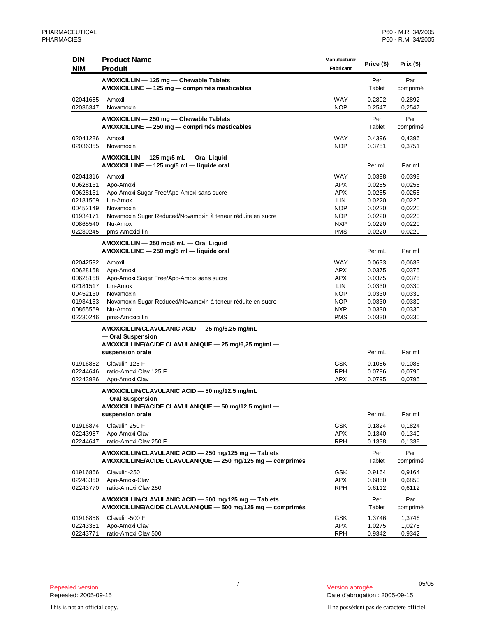| <b>DIN</b><br><b>NIM</b> | <b>Product Name</b><br><b>Produit</b>                                                                                | Manufacturer<br>Fabricant | Price (\$)       | Prix (\$)        |
|--------------------------|----------------------------------------------------------------------------------------------------------------------|---------------------------|------------------|------------------|
|                          | AMOXICILLIN - 125 mg - Chewable Tablets<br>AMOXICILLINE - 125 mg - comprimés masticables                             |                           | Per<br>Tablet    | Par<br>comprimé  |
| 02041685<br>02036347     | Amoxil<br>Novamoxin                                                                                                  | <b>WAY</b><br><b>NOP</b>  | 0.2892<br>0.2547 | 0,2892<br>0,2547 |
|                          | AMOXICILLIN - 250 mg - Chewable Tablets<br>AMOXICILLINE - 250 mg - comprimés masticables                             |                           | Per<br>Tablet    | Par<br>comprimé  |
| 02041286<br>02036355     | Amoxil<br>Novamoxin                                                                                                  | WAY<br><b>NOP</b>         | 0.4396<br>0.3751 | 0,4396<br>0,3751 |
|                          | AMOXICILLIN - 125 mg/5 mL - Oral Liquid<br>AMOXICILLINE - 125 mg/5 ml - liquide oral                                 |                           | Per mL           | Par ml           |
|                          |                                                                                                                      |                           |                  |                  |
| 02041316                 | Amoxil                                                                                                               | <b>WAY</b>                | 0.0398           | 0,0398           |
| 00628131<br>00628131     | Apo-Amoxi<br>Apo-Amoxi Sugar Free/Apo-Amoxi sans sucre                                                               | <b>APX</b><br><b>APX</b>  | 0.0255<br>0.0255 | 0,0255<br>0,0255 |
| 02181509                 | Lin-Amox                                                                                                             | LIN                       | 0.0220           | 0,0220           |
| 00452149                 | Novamoxin                                                                                                            | <b>NOP</b>                | 0.0220           | 0,0220           |
| 01934171                 | Novamoxin Sugar Reduced/Novamoxin à teneur réduite en sucre                                                          | <b>NOP</b>                | 0.0220           | 0,0220           |
| 00865540                 | Nu-Amoxi                                                                                                             | <b>NXP</b>                | 0.0220           | 0,0220           |
| 02230245                 | pms-Amoxicillin                                                                                                      | <b>PMS</b>                | 0.0220           | 0,0220           |
|                          | AMOXICILLIN - 250 mg/5 mL - Oral Liquid<br>AMOXICILLINE - 250 mg/5 ml - liquide oral                                 |                           | Per mL           | Par ml           |
|                          |                                                                                                                      |                           |                  |                  |
| 02042592<br>00628158     | Amoxil<br>Apo-Amoxi                                                                                                  | <b>WAY</b><br><b>APX</b>  | 0.0633<br>0.0375 | 0,0633<br>0,0375 |
| 00628158                 | Apo-Amoxi Sugar Free/Apo-Amoxi sans sucre                                                                            | APX                       | 0.0375           | 0,0375           |
| 02181517                 | Lin-Amox                                                                                                             | LIN                       | 0.0330           | 0,0330           |
| 00452130                 | Novamoxin                                                                                                            | <b>NOP</b>                | 0.0330           | 0,0330           |
| 01934163                 | Novamoxin Sugar Reduced/Novamoxin à teneur réduite en sucre                                                          | <b>NOP</b>                | 0.0330           | 0,0330           |
| 00865559                 | Nu-Amoxi                                                                                                             | <b>NXP</b>                | 0.0330           | 0,0330           |
| 02230246                 | pms-Amoxicillin                                                                                                      | <b>PMS</b>                | 0.0330           | 0,0330           |
|                          | AMOXICILLIN/CLAVULANIC ACID — 25 mg/6.25 mg/mL                                                                       |                           |                  |                  |
|                          | - Oral Suspension                                                                                                    |                           |                  |                  |
|                          | AMOXICILLINE/ACIDE CLAVULANIQUE - 25 mg/6,25 mg/ml -                                                                 |                           |                  |                  |
|                          | suspension orale                                                                                                     |                           | Per mL           | Par ml           |
| 01916882                 | Clavulin 125 F                                                                                                       | <b>GSK</b>                | 0.1086           | 0,1086           |
| 02244646                 | ratio-Amoxi Clav 125 F                                                                                               | <b>RPH</b>                | 0.0796           | 0,0796           |
| 02243986                 | Apo-Amoxi Clav                                                                                                       | APX                       | 0.0795           | 0,0795           |
|                          | AMOXICILLIN/CLAVULANIC ACID - 50 mg/12.5 mg/mL                                                                       |                           |                  |                  |
|                          | - Oral Suspension                                                                                                    |                           |                  |                  |
|                          | AMOXICILLINE/ACIDE CLAVULANIQUE — 50 mg/12,5 mg/ml —<br>suspension orale                                             |                           | Per mL           | Par ml           |
| 01916874                 | Clavulin 250 F                                                                                                       | <b>GSK</b>                | 0.1824           | 0,1824           |
| 02243987                 | Apo-Amoxi Clav                                                                                                       | <b>APX</b>                | 0.1340           | 0,1340           |
| 02244647                 | ratio-Amoxi Clav 250 F                                                                                               | <b>RPH</b>                | 0.1338           | 0,1338           |
|                          | AMOXICILLIN/CLAVULANIC ACID - 250 mg/125 mg - Tablets<br>AMOXICILLINE/ACIDE CLAVULANIQUE - 250 mg/125 mg - comprimés |                           | Per<br>Tablet    | Par<br>comprimé  |
| 01916866                 | Clavulin-250                                                                                                         | <b>GSK</b>                | 0.9164           | 0,9164           |
| 02243350                 | Apo-Amoxi-Clav                                                                                                       | <b>APX</b>                | 0.6850           | 0,6850           |
| 02243770                 | ratio-Amoxi Clav 250                                                                                                 | <b>RPH</b>                | 0.6112           | 0,6112           |
|                          | AMOXICILLIN/CLAVULANIC ACID - 500 mg/125 mg - Tablets                                                                |                           |                  |                  |
|                          | AMOXICILLINE/ACIDE CLAVULANIQUE — 500 mg/125 mg — comprimés                                                          |                           | Per<br>Tablet    | Par<br>comprimé  |
|                          |                                                                                                                      |                           |                  |                  |
| 01916858                 | Clavulin-500 F                                                                                                       | <b>GSK</b>                | 1.3746           | 1,3746           |
| 02243351<br>02243771     | Apo-Amoxi Clav<br>ratio-Amoxi Clav 500                                                                               | <b>APX</b><br><b>RPH</b>  | 1.0275<br>0.9342 | 1,0275<br>0,9342 |
|                          |                                                                                                                      |                           |                  |                  |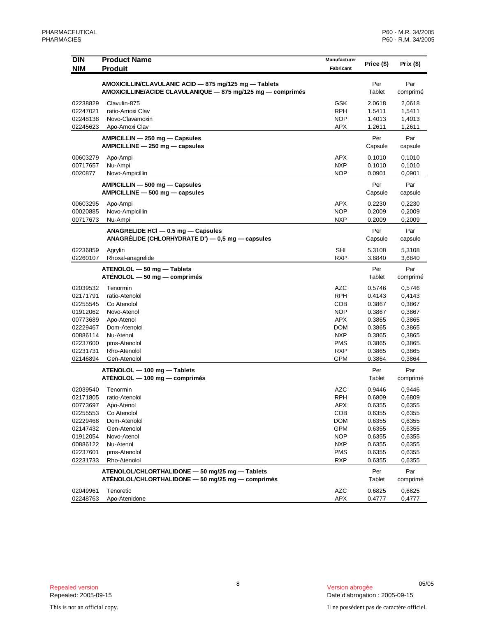| <b>DIN</b><br><b>NIM</b> | <b>Product Name</b><br><b>Produit</b>                                                                                | Manufacturer<br>Fabricant | Price (\$)       | Prix (\$)        |
|--------------------------|----------------------------------------------------------------------------------------------------------------------|---------------------------|------------------|------------------|
|                          |                                                                                                                      |                           |                  |                  |
|                          | AMOXICILLIN/CLAVULANIC ACID - 875 mg/125 mg - Tablets<br>AMOXICILLINE/ACIDE CLAVULANIQUE - 875 mg/125 mg - comprimés |                           | Per<br>Tablet    | Par<br>comprimé  |
| 02238829                 | Clavulin-875                                                                                                         | GSK                       | 2.0618           | 2,0618           |
| 02247021                 | ratio-Amoxi Clav                                                                                                     | <b>RPH</b>                | 1.5411           | 1,5411           |
| 02248138                 | Novo-Clavamoxin                                                                                                      | <b>NOP</b>                | 1.4013           | 1,4013           |
| 02245623                 | Apo-Amoxi Clav                                                                                                       | APX                       | 1.2611           | 1,2611           |
|                          | AMPICILLIN - 250 mg - Capsules<br>AMPICILLINE - 250 mg - capsules                                                    |                           | Per<br>Capsule   | Par<br>capsule   |
| 00603279                 | Apo-Ampi                                                                                                             | <b>APX</b>                | 0.1010           | 0,1010           |
| 00717657                 | Nu-Ampi                                                                                                              | <b>NXP</b>                | 0.1010           | 0,1010           |
| 0020877                  | Novo-Ampicillin                                                                                                      | <b>NOP</b>                | 0.0901           | 0,0901           |
|                          | AMPICILLIN - 500 mg - Capsules                                                                                       |                           | Per              | Par              |
|                          | AMPICILLINE - 500 mg - capsules                                                                                      |                           | Capsule          | capsule          |
| 00603295                 | Apo-Ampi                                                                                                             | APX                       | 0.2230           | 0,2230           |
| 00020885                 | Novo-Ampicillin                                                                                                      | <b>NOP</b>                | 0.2009           | 0,2009           |
| 00717673                 | Nu-Ampi                                                                                                              | <b>NXP</b>                | 0.2009           | 0,2009           |
|                          | ANAGRELIDE HCI - 0.5 mg - Capsules                                                                                   |                           | Per              | Par              |
|                          | ANAGRÉLIDE (CHLORHYDRATE D') — 0,5 mg — capsules                                                                     |                           | Capsule          | capsule          |
|                          |                                                                                                                      |                           |                  |                  |
| 02236859<br>02260107     | Agrylin<br>Rhoxal-anagrelide                                                                                         | SHI<br><b>RXP</b>         | 5.3108<br>3.6840 | 5,3108<br>3,6840 |
|                          |                                                                                                                      |                           |                  |                  |
|                          | ATENOLOL - 50 mg - Tablets<br>ATENOLOL - 50 mg - comprimés                                                           |                           | Per<br>Tablet    | Par<br>comprimé  |
| 02039532                 | Tenormin                                                                                                             | AZC                       | 0.5746           | 0,5746           |
| 02171791                 | ratio-Atenolol                                                                                                       | <b>RPH</b>                | 0.4143           | 0,4143           |
| 02255545                 | Co Atenolol                                                                                                          | COB                       | 0.3867           | 0,3867           |
| 01912062                 | Novo-Atenol                                                                                                          | <b>NOP</b>                | 0.3867           | 0,3867           |
| 00773689                 | Apo-Atenol                                                                                                           | APX                       | 0.3865           | 0,3865           |
| 02229467                 | Dom-Atenolol<br>Nu-Atenol                                                                                            | <b>DOM</b><br><b>NXP</b>  | 0.3865           | 0,3865           |
| 00886114<br>02237600     | pms-Atenolol                                                                                                         | <b>PMS</b>                | 0.3865<br>0.3865 | 0,3865<br>0,3865 |
| 02231731                 | Rho-Atenolol                                                                                                         | RXP                       | 0.3865           | 0,3865           |
| 02146894                 | Gen-Atenolol                                                                                                         | GPM                       | 0.3864           | 0,3864           |
|                          |                                                                                                                      |                           |                  |                  |
|                          | ATENOLOL - 100 mg - Tablets<br>ATENOLOL - 100 mg - comprimés                                                         |                           | Per<br>Tablet    | Par<br>comprimé  |
| 02039540                 | Tenormin                                                                                                             | AZC                       | 0.9446           | 0,9446           |
| 02171805                 | ratio-Atenolol                                                                                                       | RPH                       | 0.6809           | 0,6809           |
| 00773697                 | Apo-Atenol                                                                                                           | APX                       | 0.6355           | 0,6355           |
| 02255553                 | Co Atenolol                                                                                                          | COB                       | 0.6355           | 0,6355           |
| 02229468                 | Dom-Atenolol                                                                                                         | <b>DOM</b>                | 0.6355           | 0,6355           |
| 02147432                 | Gen-Atenolol                                                                                                         | <b>GPM</b>                | 0.6355           | 0,6355           |
| 01912054<br>00886122     | Novo-Atenol<br>Nu-Atenol                                                                                             | <b>NOP</b><br>NXP         | 0.6355<br>0.6355 | 0,6355<br>0,6355 |
| 02237601                 | pms-Atenolol                                                                                                         | <b>PMS</b>                | 0.6355           | 0,6355           |
| 02231733                 | Rho-Atenolol                                                                                                         | RXP                       | 0.6355           | 0,6355           |
|                          |                                                                                                                      |                           |                  |                  |
|                          | ATENOLOL/CHLORTHALIDONE - 50 mg/25 mg - Tablets<br>ATÉNOLOL/CHLORTHALIDONE - 50 mg/25 mg - comprimés                 |                           | Per<br>Tablet    | Par<br>comprimé  |
| 02049961                 | Tenoretic                                                                                                            | AZC                       | 0.6825           | 0,6825           |
| 02248763                 | Apo-Atenidone                                                                                                        | <b>APX</b>                | 0.4777           | 0,4777           |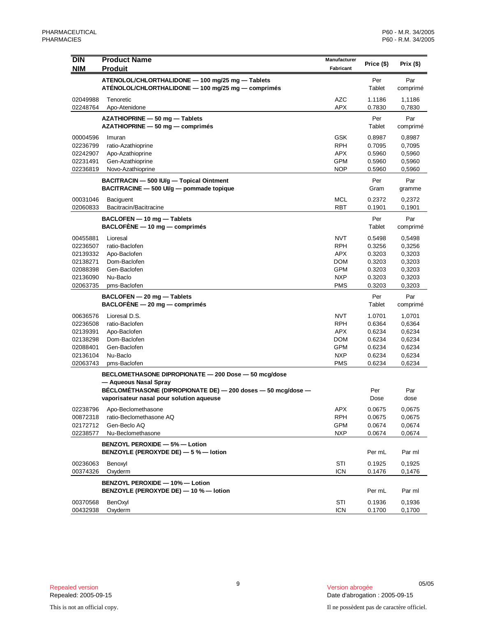| <b>DIN</b>           | <b>Product Name</b>                                                     | Manufacturer             | Price (\$)       | Prix $($ \$)     |
|----------------------|-------------------------------------------------------------------------|--------------------------|------------------|------------------|
| <b>NIM</b>           | <b>Produit</b>                                                          | Fabricant                |                  |                  |
|                      | ATENOLOL/CHLORTHALIDONE - 100 mg/25 mg - Tablets                        |                          | Per              | Par              |
|                      | ATÉNOLOL/CHLORTHALIDONE - 100 mg/25 mg - comprimés                      |                          | Tablet           | comprimé         |
| 02049988             | Tenoretic                                                               | <b>AZC</b>               | 1.1186           | 1,1186           |
| 02248764             | Apo-Atenidone                                                           | <b>APX</b>               | 0.7830           | 0,7830           |
|                      | AZATHIOPRINE - 50 mg - Tablets                                          |                          | Per<br>Tablet    | Par              |
|                      | AZATHIOPRINE - 50 mg - comprimés                                        |                          |                  | comprimé         |
| 00004596<br>02236799 | Imuran                                                                  | <b>GSK</b>               | 0.8987           | 0,8987           |
| 02242907             | ratio-Azathioprine<br>Apo-Azathioprine                                  | <b>RPH</b><br><b>APX</b> | 0.7095<br>0.5960 | 0,7095<br>0,5960 |
| 02231491             | Gen-Azathioprine                                                        | <b>GPM</b>               | 0.5960           | 0,5960           |
| 02236819             | Novo-Azathioprine                                                       | <b>NOP</b>               | 0.5960           | 0,5960           |
|                      | BACITRACIN - 500 IU/g - Topical Ointment                                |                          | Per              | Par              |
|                      | BACITRACINE - 500 UI/g - pommade topique                                |                          | Gram             | gramme           |
| 00031046             | <b>Baciguent</b>                                                        | MCL                      | 0.2372           | 0,2372           |
| 02060833             | Bacitracin/Bacitracine                                                  | <b>RBT</b>               | 0.1901           | 0,1901           |
|                      | BACLOFEN - 10 mg - Tablets                                              |                          | Per              | Par              |
|                      | $BACLOFÈNE - 10 mg - comprimés$                                         |                          | Tablet           | comprimé         |
| 00455881             | Lioresal                                                                | <b>NVT</b>               | 0.5498           | 0,5498           |
| 02236507             | ratio-Baclofen                                                          | <b>RPH</b>               | 0.3256           | 0,3256           |
| 02139332             | Apo-Baclofen                                                            | <b>APX</b>               | 0.3203           | 0,3203           |
| 02138271             | Dom-Baclofen                                                            | <b>DOM</b>               | 0.3203           | 0,3203           |
| 02088398             | Gen-Baclofen                                                            | <b>GPM</b>               | 0.3203           | 0,3203           |
| 02136090             | Nu-Baclo                                                                | <b>NXP</b>               | 0.3203           | 0,3203           |
| 02063735             | pms-Baclofen                                                            | <b>PMS</b>               | 0.3203           | 0,3203           |
|                      | BACLOFEN - 20 mg - Tablets                                              |                          | Per              | Par              |
|                      | $BACLOFÈNE - 20 mg - comprimés$                                         |                          | Tablet           | comprimé         |
| 00636576             | Lioresal D.S.                                                           | <b>NVT</b>               | 1.0701           | 1,0701           |
| 02236508             | ratio-Baclofen                                                          | <b>RPH</b>               | 0.6364           | 0,6364           |
| 02139391             | Apo-Baclofen                                                            | <b>APX</b>               | 0.6234           | 0,6234           |
| 02138298<br>02088401 | Dom-Baclofen<br>Gen-Baclofen                                            | <b>DOM</b><br><b>GPM</b> | 0.6234<br>0.6234 | 0,6234<br>0,6234 |
| 02136104             | Nu-Baclo                                                                | <b>NXP</b>               | 0.6234           | 0,6234           |
| 02063743             | pms-Baclofen                                                            | <b>PMS</b>               | 0.6234           | 0,6234           |
|                      | BECLOMETHASONE DIPROPIONATE - 200 Dose - 50 mcg/dose                    |                          |                  |                  |
|                      | - Aqueous Nasal Spray                                                   |                          |                  |                  |
|                      | BÉCLOMÉTHASONE (DIPROPIONATE DE) — 200 doses — 50 mcg/dose —            |                          | Per              | Par              |
|                      | vaporisateur nasal pour solution aqueuse                                |                          | Dose             | dose             |
| 02238796             | Apo-Beclomethasone                                                      | <b>APX</b>               | 0.0675           | 0,0675           |
| 00872318             | ratio-Beclomethasone AQ                                                 | <b>RPH</b>               | 0.0675           | 0,0675           |
| 02172712             | Gen-Beclo AQ                                                            | GPM                      | 0.0674           | 0,0674           |
| 02238577             | Nu-Beclomethasone                                                       | <b>NXP</b>               | 0.0674           | 0,0674           |
|                      | BENZOYL PEROXIDE - 5% - Lotion<br>BENZOYLE (PEROXYDE DE) - 5 % - lotion |                          | Per mL           | Par ml           |
| 00236063             | Benoxyl                                                                 | STI                      | 0.1925           | 0,1925           |
| 00374326             | Oxyderm                                                                 | <b>ICN</b>               | 0.1476           | 0,1476           |
|                      | BENZOYL PEROXIDE - 10% - Lotion                                         |                          |                  |                  |
|                      | BENZOYLE (PEROXYDE DE) - 10 % - lotion                                  |                          | Per mL           | Par ml           |
| 00370568             | BenOxyl                                                                 | STI                      | 0.1936           | 0,1936           |
| 00432938             | Oxyderm                                                                 | <b>ICN</b>               | 0.1700           | 0,1700           |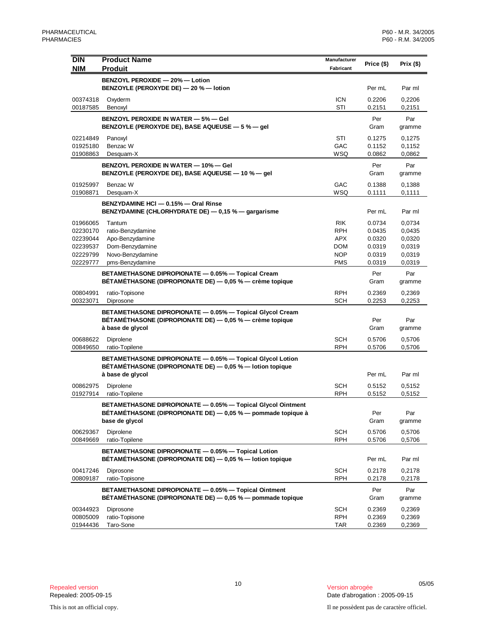| <b>DIN</b> | <b>Product Name</b>                                                            | Manufacturer | Price (\$) | Prix $($ \$) |
|------------|--------------------------------------------------------------------------------|--------------|------------|--------------|
| <b>NIM</b> | <b>Produit</b>                                                                 | Fabricant    |            |              |
|            | BENZOYL PEROXIDE - 20% - Lotion                                                |              |            |              |
|            | BENZOYLE (PEROXYDE DE) - 20 % - lotion                                         |              | Per mL     | Par ml       |
| 00374318   | Oxyderm                                                                        | <b>ICN</b>   | 0.2206     | 0,2206       |
| 00187585   | Benoxyl                                                                        | STI          | 0.2151     | 0,2151       |
|            | <b>BENZOYL PEROXIDE IN WATER - 5% - GeI</b>                                    |              | Per        | Par          |
|            | BENZOYLE (PEROXYDE DE), BASE AQUEUSE - 5 % - gel                               |              | Gram       | gramme       |
| 02214849   | Panoxyl                                                                        | STI          | 0.1275     | 0,1275       |
| 01925180   | Benzac W                                                                       | GAC          | 0.1152     | 0,1152       |
| 01908863   | Desquam-X                                                                      | WSQ          | 0.0862     | 0,0862       |
|            | <b>BENZOYL PEROXIDE IN WATER - 10% - Gel</b>                                   |              | Per        | Par          |
|            | BENZOYLE (PEROXYDE DE), BASE AQUEUSE - 10 % - gel                              |              | Gram       | gramme       |
| 01925997   | Benzac W                                                                       | GAC          | 0.1388     | 0,1388       |
| 01908871   | Desquam-X                                                                      | WSQ          | 0.1111     | 0,1111       |
|            | BENZYDAMINE HCI - 0.15% - Oral Rinse                                           |              |            |              |
|            | BENZYDAMINE (CHLORHYDRATE DE) — 0,15 % — gargarisme                            |              | Per mL     | Par ml       |
| 01966065   | Tantum                                                                         | <b>RIK</b>   | 0.0734     | 0,0734       |
| 02230170   | ratio-Benzydamine                                                              | <b>RPH</b>   | 0.0435     | 0,0435       |
| 02239044   | Apo-Benzydamine                                                                | <b>APX</b>   | 0.0320     | 0,0320       |
| 02239537   | Dom-Benzydamine                                                                | <b>DOM</b>   | 0.0319     | 0,0319       |
| 02229799   | Novo-Benzydamine                                                               | <b>NOP</b>   | 0.0319     | 0,0319       |
| 02229777   | pms-Benzydamine                                                                | <b>PMS</b>   | 0.0319     | 0,0319       |
|            | BETAMETHASONE DIPROPIONATE - 0.05% - Topical Cream                             |              | Per        | Par          |
|            | BÉTAMÉTHASONE (DIPROPIONATE DE) — 0,05 % — crème topique                       |              | Gram       | gramme       |
| 00804991   | ratio-Topisone                                                                 | <b>RPH</b>   | 0.2369     | 0,2369       |
| 00323071   | Diprosone                                                                      | <b>SCH</b>   | 0.2253     | 0,2253       |
|            | BETAMETHASONE DIPROPIONATE - 0.05% - Topical Glycol Cream                      |              |            |              |
|            | BÉTAMÉTHASONE (DIPROPIONATE DE) — 0,05 % — crème topique                       |              | Per        | Par          |
|            | à base de glycol                                                               |              | Gram       | gramme       |
| 00688622   | Diprolene                                                                      | <b>SCH</b>   | 0.5706     | 0,5706       |
| 00849650   | ratio-Topilene                                                                 | <b>RPH</b>   | 0.5706     | 0,5706       |
|            | BETAMETHASONE DIPROPIONATE - 0.05% - Topical Glycol Lotion                     |              |            |              |
|            | BÉTAMÉTHASONE (DIPROPIONATE DE) - 0,05 % - lotion topique                      |              |            |              |
|            | à base de glycol                                                               |              | Per mL     | Par ml       |
| 00862975   | Diprolene                                                                      | <b>SCH</b>   | 0.5152     | 0,5152       |
| 01927914   | ratio-Topilene                                                                 | <b>RPH</b>   | 0.5152     | 0,5152       |
|            | BETAMETHASONE DIPROPIONATE - 0.05% - Topical Glycol Ointment                   |              |            |              |
|            | BÉTAMÉTHASONE (DIPROPIONATE DE) — 0.05 % — pommade topique à<br>base de glycol |              | Per        | Par          |
|            |                                                                                |              | Gram       | gramme       |
| 00629367   | Diprolene                                                                      | <b>SCH</b>   | 0.5706     | 0,5706       |
| 00849669   | ratio-Topilene                                                                 | <b>RPH</b>   | 0.5706     | 0,5706       |
|            | BETAMETHASONE DIPROPIONATE - 0.05% - Topical Lotion                            |              |            |              |
|            | BÉTAMÉTHASONE (DIPROPIONATE DE) - 0,05 % - lotion topique                      |              | Per mL     | Par ml       |
| 00417246   | Diprosone                                                                      | <b>SCH</b>   | 0.2178     | 0,2178       |
| 00809187   | ratio-Topisone                                                                 | <b>RPH</b>   | 0.2178     | 0,2178       |
|            | BETAMETHASONE DIPROPIONATE - 0.05% - Topical Ointment                          |              | Per        | Par          |
|            | BÉTAMÉTHASONE (DIPROPIONATE DE) — 0,05 % — pommade topique                     |              | Gram       | gramme       |
| 00344923   | Diprosone                                                                      | <b>SCH</b>   | 0.2369     | 0,2369       |
| 00805009   | ratio-Topisone                                                                 | <b>RPH</b>   | 0.2369     | 0,2369       |
| 01944436   | Taro-Sone                                                                      | TAR          | 0.2369     | 0,2369       |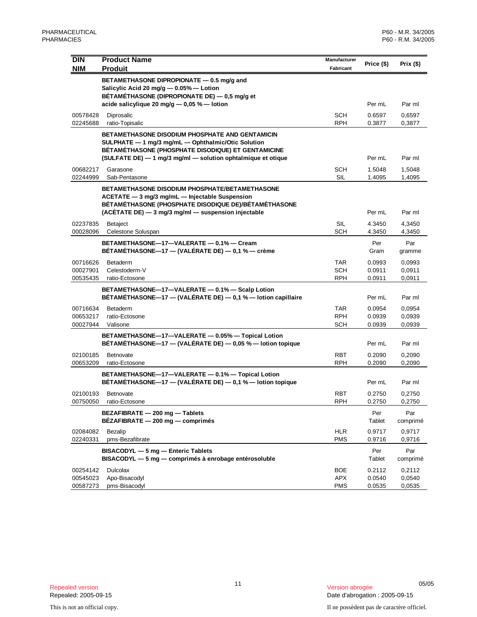| <b>DIN</b><br><b>NIM</b>         | <b>Product Name</b><br><b>Produit</b>                                                                                                                                                                                              | Manufacturer<br>Fabricant              | Price (\$)                 | Prix (\$)                  |
|----------------------------------|------------------------------------------------------------------------------------------------------------------------------------------------------------------------------------------------------------------------------------|----------------------------------------|----------------------------|----------------------------|
|                                  | BETAMETHASONE DIPROPIONATE - 0.5 mg/g and<br>Salicylic Acid 20 mg/g - 0.05% - Lotion<br>BÉTAMÉTHASONE (DIPROPIONATE DE) - 0,5 mg/g et                                                                                              |                                        |                            |                            |
|                                  | acide salicylique 20 mg/g $-$ 0.05 % $-$ lotion                                                                                                                                                                                    |                                        | Per mL                     | Par ml                     |
| 00578428<br>02245688             | Diprosalic<br>ratio-Topisalic                                                                                                                                                                                                      | <b>SCH</b><br><b>RPH</b>               | 0.6597<br>0.3877           | 0,6597<br>0,3877           |
|                                  | <b>BETAMETHASONE DISODIUM PHOSPHATE AND GENTAMICIN</b><br>SULPHATE - 1 mg/3 mg/mL - Ophthalmic/Otic Solution<br>BÉTAMÉTHASONE (PHOSPHATE DISODIQUE) ET GENTAMICINE<br>(SULFATE DE) - 1 mg/3 mg/ml - solution ophtalmique et otique |                                        | Per mL                     | Par ml                     |
| 00682217<br>02244999             | Garasone<br>Sab-Pentasone                                                                                                                                                                                                          | <b>SCH</b><br><b>SIL</b>               | 1.5048<br>1.4095           | 1,5048<br>1,4095           |
|                                  | <b>BETAMETHASONE DISODIUM PHOSPHATE/BETAMETHASONE</b><br>ACETATE - 3 mg/3 mg/mL - Injectable Suspension<br>BÉTAMÉTHASONE (PHOSPHATE DISODIQUE DE)/BÉTAMÉTHASONE<br>$(ACÉTATE DE) - 3 mg/3 mg/ml - suspension injection$            |                                        | Per mL                     | Par ml                     |
| 02237835<br>00028096             | Betaject<br>Celestone Soluspan                                                                                                                                                                                                     | <b>SIL</b><br><b>SCH</b>               | 4.3450<br>4.3450           | 4.3450<br>4,3450           |
|                                  | BETAMETHASONE-17-VALERATE - 0.1% - Cream<br>BÉTAMÉTHASONE—17 — (VALÉRATE DE) — 0,1 % — crème                                                                                                                                       |                                        | Per<br>Gram                | Par<br>gramme              |
| 00716626<br>00027901<br>00535435 | Betaderm<br>Celestoderm-V<br>ratio-Ectosone                                                                                                                                                                                        | <b>TAR</b><br>SCH<br><b>RPH</b>        | 0.0993<br>0.0911<br>0.0911 | 0,0993<br>0,0911<br>0,0911 |
|                                  | BETAMETHASONE-17-VALERATE - 0.1% - Scalp Lotion<br>BÉTAMÉTHASONE-17 - (VALÉRATE DE) - 0,1 % - lotion capillaire                                                                                                                    |                                        | Per mL                     | Par ml                     |
| 00716634<br>00653217<br>00027944 | Betaderm<br>ratio-Ectosone<br>Valisone                                                                                                                                                                                             | <b>TAR</b><br><b>RPH</b><br><b>SCH</b> | 0.0954<br>0.0939<br>0.0939 | 0,0954<br>0,0939<br>0,0939 |
|                                  | BETAMETHASONE-17-VALERATE - 0.05% - Topical Lotion<br>BÉTAMÉTHASONE—17 — (VALÉRATE DE) — 0,05 % — lotion topique                                                                                                                   |                                        | Per mL                     | Par ml                     |
| 02100185<br>00653209             | Betnovate<br>ratio-Ectosone                                                                                                                                                                                                        | <b>RBT</b><br><b>RPH</b>               | 0.2090<br>0.2090           | 0,2090<br>0,2090           |
|                                  | BETAMETHASONE-17-VALERATE - 0.1% - Topical Lotion<br>BÉTAMÉTHASONE—17 — (VALÉRATE DE) — 0,1 % — lotion topique                                                                                                                     |                                        | Per mL                     | Par ml                     |
| 02100193<br>00750050             | <b>Betnovate</b><br>ratio-Ectosone                                                                                                                                                                                                 | RBT<br><b>RPH</b>                      | 0.2750<br>0.2750           | 0,2750<br>0,2750           |
|                                  | BEZAFIBRATE - 200 mg - Tablets<br>BEZAFIBRATE - 200 mg - comprimés                                                                                                                                                                 |                                        | Per<br>Tablet              | Par<br>comprimé            |
| 02084082<br>02240331             | Bezalip<br>pms-Bezafibrate                                                                                                                                                                                                         | <b>HLR</b><br><b>PMS</b>               | 0.9717<br>0.9716           | 0,9717<br>0,9716           |
|                                  | BISACODYL - 5 mg - Enteric Tablets<br>BISACODYL - 5 mg - comprimés à enrobage entérosoluble                                                                                                                                        |                                        | Per<br>Tablet              | Par<br>comprimé            |
| 00254142<br>00545023<br>00587273 | <b>Dulcolax</b><br>Apo-Bisacodyl<br>pms-Bisacodyl                                                                                                                                                                                  | <b>BOE</b><br>APX<br><b>PMS</b>        | 0.2112<br>0.0540<br>0.0535 | 0,2112<br>0,0540<br>0,0535 |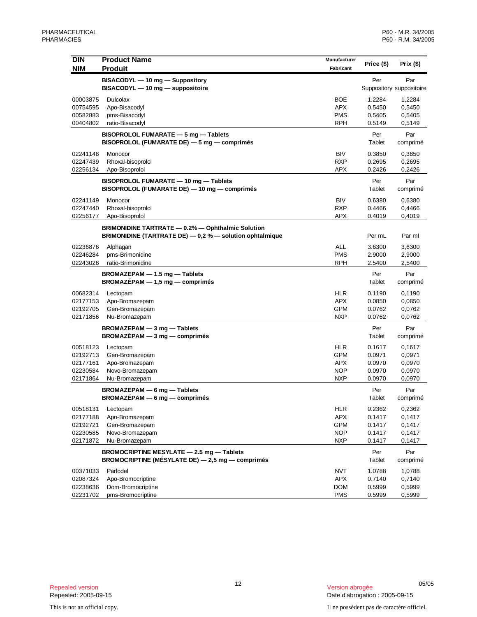| <b>DIN</b> | <b>Product Name</b>                                                                                           | Manufacturer | Price (\$)    | Prix $($)$               |
|------------|---------------------------------------------------------------------------------------------------------------|--------------|---------------|--------------------------|
| <b>NIM</b> | <b>Produit</b>                                                                                                | Fabricant    |               |                          |
|            | BISACODYL - 10 mg - Suppository                                                                               |              | Per           | Par                      |
|            | BISACODYL - 10 mg - suppositoire                                                                              |              |               | Suppository suppositoire |
| 00003875   | Dulcolax                                                                                                      | BOE          | 1.2284        | 1,2284                   |
| 00754595   | Apo-Bisacodyl                                                                                                 | <b>APX</b>   | 0.5450        | 0,5450                   |
| 00582883   | pms-Bisacodyl                                                                                                 | <b>PMS</b>   | 0.5405        | 0,5405                   |
| 00404802   | ratio-Bisacodyl                                                                                               | RPH          | 0.5149        | 0,5149                   |
|            | BISOPROLOL FUMARATE - 5 mg - Tablets<br>BISOPROLOL (FUMARATE DE) - 5 mg - comprimés                           |              | Per<br>Tablet | Par<br>comprimé          |
| 02241148   | Monocor                                                                                                       | BIV          | 0.3850        | 0,3850                   |
| 02247439   | Rhoxal-bisoprolol                                                                                             | <b>RXP</b>   | 0.2695        | 0,2695                   |
| 02256134   | Apo-Bisoprolol                                                                                                | APX          | 0.2426        | 0,2426                   |
|            | BISOPROLOL FUMARATE - 10 mg - Tablets<br>BISOPROLOL (FUMARATE DE) - 10 mg - comprimés                         |              | Per<br>Tablet | Par<br>comprimé          |
| 02241149   | Monocor                                                                                                       | BIV          | 0.6380        | 0,6380                   |
| 02247440   | Rhoxal-bisoprolol                                                                                             | RXP          | 0.4466        | 0,4466                   |
| 02256177   | Apo-Bisoprolol                                                                                                | <b>APX</b>   | 0.4019        | 0,4019                   |
|            |                                                                                                               |              |               |                          |
|            | BRIMONIDINE TARTRATE - 0.2% - Ophthalmic Solution<br>BRIMONIDINE (TARTRATE DE) - 0,2 % - solution ophtalmique |              | Per mL        | Par ml                   |
| 02236876   | Alphagan                                                                                                      | <b>ALL</b>   | 3.6300        | 3,6300                   |
| 02246284   | pms-Brimonidine                                                                                               | <b>PMS</b>   | 2.9000        | 2,9000                   |
| 02243026   | ratio-Brimonidine                                                                                             | <b>RPH</b>   | 2.5400        | 2,5400                   |
|            | BROMAZEPAM - 1.5 mg - Tablets<br>$BROMAZÉPAM - 1,5 mg - comprimés$                                            |              | Per<br>Tablet | Par<br>comprimé          |
| 00682314   | Lectopam                                                                                                      | <b>HLR</b>   | 0.1190        | 0,1190                   |
| 02177153   | Apo-Bromazepam                                                                                                | APX          | 0.0850        | 0,0850                   |
| 02192705   | Gen-Bromazepam                                                                                                | <b>GPM</b>   | 0.0762        | 0,0762                   |
| 02171856   | Nu-Bromazepam                                                                                                 | <b>NXP</b>   | 0.0762        | 0,0762                   |
|            | BROMAZEPAM - 3 mg - Tablets<br>$BROMAZEPAM - 3 mg - comprimés$                                                |              | Per<br>Tablet | Par<br>comprimé          |
| 00518123   | Lectopam                                                                                                      | <b>HLR</b>   | 0.1617        | 0,1617                   |
| 02192713   | Gen-Bromazepam                                                                                                | GPM          | 0.0971        | 0,0971                   |
| 02177161   | Apo-Bromazepam                                                                                                | <b>APX</b>   | 0.0970        | 0,0970                   |
| 02230584   | Novo-Bromazepam                                                                                               | <b>NOP</b>   | 0.0970        | 0,0970                   |
| 02171864   | Nu-Bromazepam                                                                                                 | <b>NXP</b>   | 0.0970        | 0,0970                   |
|            | BROMAZEPAM - 6 mg - Tablets<br>$BROMAZÉPAM - 6 mg - comprimés$                                                |              | Per<br>Tablet | Par<br>comprimé          |
| 00518131   | Lectopam                                                                                                      | <b>HLR</b>   | 0.2362        | 0,2362                   |
| 02177188   | Apo-Bromazepam                                                                                                | <b>APX</b>   | 0.1417        | 0,1417                   |
| 02192721   | Gen-Bromazepam                                                                                                | <b>GPM</b>   | 0.1417        | 0,1417                   |
| 02230585   | Novo-Bromazepam                                                                                               | <b>NOP</b>   | 0.1417        | 0,1417                   |
| 02171872   | Nu-Bromazepam                                                                                                 | <b>NXP</b>   | 0.1417        | 0,1417                   |
|            | BROMOCRIPTINE MESYLATE - 2.5 mg - Tablets<br><b>BROMOCRIPTINE (MÉSYLATE DE)</b> $-$ 2,5 mg $-$ comprimés      |              | Per<br>Tablet | Par<br>comprimé          |
| 00371033   | Parlodel                                                                                                      | <b>NVT</b>   | 1.0788        | 1,0788                   |
| 02087324   | Apo-Bromocriptine                                                                                             | APX          | 0.7140        | 0,7140                   |
| 02238636   | Dom-Bromocriptine                                                                                             | <b>DOM</b>   | 0.5999        | 0,5999                   |
| 02231702   | pms-Bromocriptine                                                                                             | <b>PMS</b>   | 0.5999        | 0,5999                   |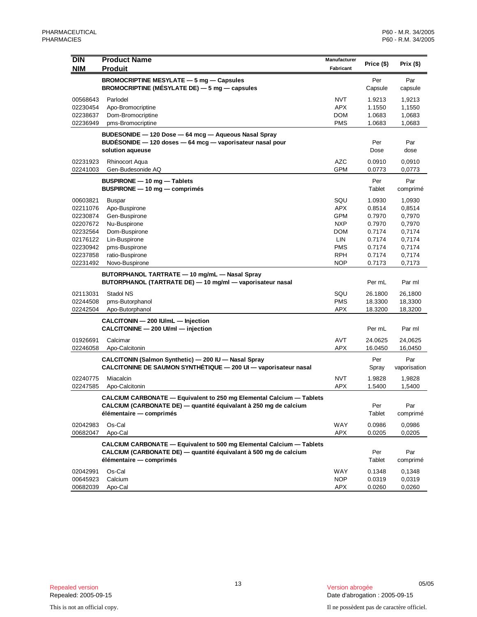| <b>DIN</b>           | <b>Product Name</b>                                                                                                     | Manufacturer      | Price (\$)       | Prix (\$)           |
|----------------------|-------------------------------------------------------------------------------------------------------------------------|-------------------|------------------|---------------------|
| <b>NIM</b>           | <b>Produit</b>                                                                                                          | Fabricant         |                  |                     |
|                      | BROMOCRIPTINE MESYLATE - 5 mg - Capsules<br>BROMOCRIPTINE (MÉSYLATE DE) $-5$ mg $-$ capsules                            |                   | Per<br>Capsule   | Par<br>capsule      |
| 00568643             | Parlodel                                                                                                                | <b>NVT</b>        | 1.9213           | 1,9213              |
| 02230454             | Apo-Bromocriptine                                                                                                       | <b>APX</b>        | 1.1550           | 1,1550              |
| 02238637             | Dom-Bromocriptine                                                                                                       | <b>DOM</b>        | 1.0683           | 1,0683              |
| 02236949             | pms-Bromocriptine                                                                                                       | <b>PMS</b>        | 1.0683           | 1,0683              |
|                      | BUDESONIDE - 120 Dose - 64 mcg - Aqueous Nasal Spray                                                                    |                   |                  |                     |
|                      | BUDÉSONIDE - 120 doses - 64 mcg - vaporisateur nasal pour                                                               |                   | Per              | Par                 |
|                      | solution aqueuse                                                                                                        |                   | Dose             | dose                |
| 02231923             | <b>Rhinocort Aqua</b>                                                                                                   | <b>AZC</b>        | 0.0910           | 0.0910              |
| 02241003             | Gen-Budesonide AQ                                                                                                       | <b>GPM</b>        | 0.0773           | 0,0773              |
|                      | BUSPIRONE - 10 mg - Tablets                                                                                             |                   | Per              | Par                 |
|                      | $BUSPIRONE - 10 mg - comprimés$                                                                                         |                   | Tablet           | comprimé            |
| 00603821             | <b>Buspar</b>                                                                                                           | SQU               | 1.0930           | 1,0930              |
| 02211076             | Apo-Buspirone                                                                                                           | <b>APX</b>        | 0.8514           | 0.8514              |
| 02230874             | Gen-Buspirone                                                                                                           | <b>GPM</b>        | 0.7970           | 0,7970              |
| 02207672             | Nu-Buspirone                                                                                                            | <b>NXP</b>        | 0.7970           | 0,7970              |
| 02232564             | Dom-Buspirone                                                                                                           | <b>DOM</b>        | 0.7174           | 0,7174              |
| 02176122             | Lin-Buspirone                                                                                                           | <b>LIN</b>        | 0.7174           | 0,7174              |
| 02230942             | pms-Buspirone                                                                                                           | <b>PMS</b>        | 0.7174           | 0,7174              |
| 02237858             | ratio-Buspirone                                                                                                         | <b>RPH</b>        | 0.7174           | 0,7174              |
| 02231492             | Novo-Buspirone                                                                                                          | <b>NOP</b>        | 0.7173           | 0,7173              |
|                      | BUTORPHANOL TARTRATE - 10 mg/mL - Nasal Spray<br>BUTORPHANOL (TARTRATE DE) - 10 mg/ml - vaporisateur nasal              |                   | Per mL           | Par ml              |
| 02113031             | Stadol NS                                                                                                               | SQU               | 26.1800          | 26,1800             |
| 02244508             | pms-Butorphanol                                                                                                         | <b>PMS</b>        | 18.3300          | 18,3300             |
| 02242504             | Apo-Butorphanol                                                                                                         | <b>APX</b>        | 18.3200          | 18,3200             |
|                      | CALCITONIN - 200 IU/mL - Injection                                                                                      |                   |                  |                     |
|                      | CALCITONINE - 200 UI/ml - injection                                                                                     |                   | Per mL           | Par ml              |
| 01926691             | Calcimar                                                                                                                | <b>AVT</b>        | 24.0625          | 24,0625             |
| 02246058             | Apo-Calcitonin                                                                                                          | APX               | 16.0450          | 16,0450             |
|                      | CALCITONIN (Salmon Synthetic) - 200 IU - Nasal Spray<br>CALCITONINE DE SAUMON SYNTHÉTIQUE - 200 UI - vaporisateur nasal |                   | Per<br>Spray     | Par<br>vaporisation |
|                      |                                                                                                                         |                   |                  |                     |
| 02240775<br>02247585 | Miacalcin<br>Apo-Calcitonin                                                                                             | <b>NVT</b><br>APX | 1.9828<br>1.5400 | 1,9828<br>1,5400    |
|                      | <b>CALCIUM CARBONATE - Equivalent to 250 mg Elemental Calcium - Tablets</b>                                             |                   |                  |                     |
|                      | CALCIUM (CARBONATE DE) — quantité équivalant à 250 mg de calcium                                                        |                   | Per              | Par                 |
|                      | élémentaire — comprimés                                                                                                 |                   | Tablet           | comprimé            |
| 02042983             | Os-Cal                                                                                                                  | <b>WAY</b>        | 0.0986           | 0,0986              |
| 00682047             | Apo-Cal                                                                                                                 | <b>APX</b>        | 0.0205           | 0,0205              |
|                      | <b>CALCIUM CARBONATE - Equivalent to 500 mg Elemental Calcium - Tablets</b>                                             |                   |                  |                     |
|                      | CALCIUM (CARBONATE DE) — quantité équivalant à 500 mg de calcium                                                        |                   | Per              | Par                 |
|                      | élémentaire — comprimés                                                                                                 |                   | Tablet           | comprimé            |
| 02042991             | Os-Cal                                                                                                                  | WAY               | 0.1348           | 0,1348              |
| 00645923             | Calcium                                                                                                                 | <b>NOP</b>        | 0.0319           | 0,0319              |
| 00682039             | Apo-Cal                                                                                                                 | APX               | 0.0260           | 0,0260              |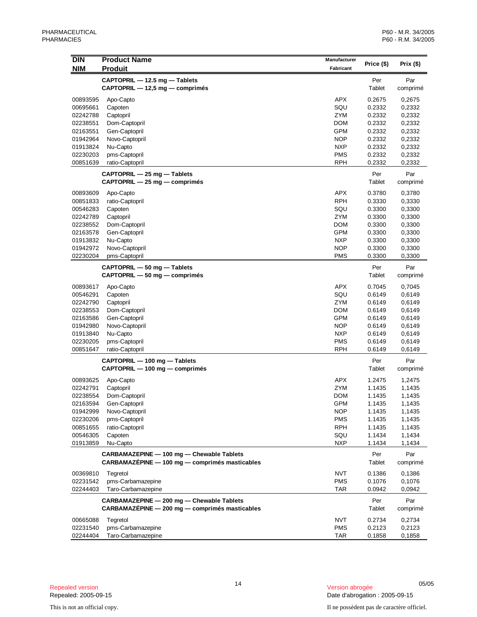| Price (\$)<br><b>NIM</b><br><b>Produit</b><br>Fabricant<br>CAPTOPRIL - 12.5 mg - Tablets<br>Per<br>Par<br>CAPTOPRIL - 12,5 mg - comprimés<br>Tablet<br>comprimé<br><b>APX</b><br>00893595<br>0.2675<br>0,2675<br>Apo-Capto<br>SQU<br>0.2332<br>00695661<br>Capoten<br>0,2332<br>02242788<br>Captopril<br>ZYM<br>0.2332<br>0,2332<br>0.2332<br>02238551<br>Dom-Captopril<br>DOM<br>0,2332<br><b>GPM</b><br>02163551<br>Gen-Captopril<br>0.2332<br>0,2332<br><b>NOP</b><br>01942964<br>Novo-Captopril<br>0.2332<br>0,2332<br>Nu-Capto<br>0.2332<br>01913824<br><b>NXP</b><br>0,2332<br><b>PMS</b><br>02230203<br>pms-Captopril<br>0.2332<br>0,2332<br><b>RPH</b><br>00851639<br>ratio-Captopril<br>0.2332<br>0,2332<br>CAPTOPRIL - 25 mg - Tablets<br>Per<br>Par<br>CAPTOPRIL - 25 mg - comprimés<br>Tablet<br>comprimé<br><b>APX</b><br>00893609<br>0.3780<br>0,3780<br>Apo-Capto<br><b>RPH</b><br>00851833<br>ratio-Captopril<br>0.3330<br>0,3330<br>SQU<br>00546283<br>Capoten<br>0.3300<br>0,3300<br><b>ZYM</b><br>02242789<br>Captopril<br>0.3300<br>0,3300<br>DOM<br>02238552<br>Dom-Captopril<br>0.3300<br>0,3300<br><b>GPM</b><br>02163578<br>Gen-Captopril<br>0.3300<br>0,3300<br>Nu-Capto<br><b>NXP</b><br>01913832<br>0.3300<br>0,3300<br><b>NOP</b><br>01942972<br>Novo-Captopril<br>0.3300<br>0,3300<br>02230204<br><b>PMS</b><br>0.3300<br>0,3300<br>pms-Captopril<br>CAPTOPRIL - 50 mg - Tablets<br>Per<br>Par<br>CAPTOPRIL - 50 mg - comprimés<br>Tablet<br>comprimé<br><b>APX</b><br>00893617<br>Apo-Capto<br>0.7045<br>0,7045<br>SQU<br>00546291<br>Capoten<br>0.6149<br>0,6149<br><b>ZYM</b><br>02242790<br>Captopril<br>0.6149<br>0,6149<br>02238553<br>Dom-Captopril<br>DOM<br>0.6149<br>0,6149<br><b>GPM</b><br>02163586<br>Gen-Captopril<br>0.6149<br>0,6149<br>01942980<br>Novo-Captopril<br><b>NOP</b><br>0,6149<br>0.6149<br>Nu-Capto<br>01913840<br><b>NXP</b><br>0.6149<br>0,6149<br><b>PMS</b><br>02230205<br>pms-Captopril<br>0.6149<br>0,6149<br><b>RPH</b><br>00851647<br>ratio-Captopril<br>0.6149<br>0,6149<br>CAPTOPRIL - 100 mg - Tablets<br>Per<br>Par<br>CAPTOPRIL - 100 mg - comprimés<br>Tablet<br>comprimé<br><b>APX</b><br>00893625<br>Apo-Capto<br>1.2475<br>1,2475<br><b>ZYM</b><br>02242791<br>Captopril<br>1.1435<br>1,1435<br>02238554<br>Dom-Captopril<br>DOM<br>1.1435<br>1,1435<br>02163594<br>Gen-Captopril<br><b>GPM</b><br>1.1435<br>1,1435<br><b>NOP</b><br>01942999<br>Novo-Captopril<br>1.1435<br>1,1435<br><b>PMS</b><br>02230206<br>pms-Captopril<br>1.1435<br>1,1435<br><b>RPH</b><br>00851655<br>ratio-Captopril<br>1.1435<br>1,1435<br>SQU<br>00546305<br>Capoten<br>1.1434<br>1,1434<br>01913859<br><b>NXP</b><br>Nu-Capto<br>1.1434<br>1,1434<br>CARBAMAZEPINE - 100 mg - Chewable Tablets<br>Per<br>Par<br>CARBAMAZÉPINE - 100 mg - comprimés masticables<br>Tablet<br>comprimé<br><b>NVT</b><br>Tegretol<br>0.1386<br>00369810<br>0,1386<br>pms-Carbamazepine<br><b>PMS</b><br>02231542<br>0.1076<br>0,1076<br>02244403<br>Taro-Carbamazepine<br>TAR<br>0.0942<br>0,0942<br>CARBAMAZEPINE - 200 mg - Chewable Tablets<br>Per<br>Par<br>CARBAMAZÉPINE - 200 mg - comprimés masticables<br>Tablet<br>comprimé<br><b>NVT</b><br>00665088<br>Tegretol<br>0.2734<br>0,2734<br>pms-Carbamazepine<br><b>PMS</b><br>02231540<br>0.2123<br>0,2123 | <b>DIN</b> | <b>Product Name</b> | Manufacturer |        |           |
|---------------------------------------------------------------------------------------------------------------------------------------------------------------------------------------------------------------------------------------------------------------------------------------------------------------------------------------------------------------------------------------------------------------------------------------------------------------------------------------------------------------------------------------------------------------------------------------------------------------------------------------------------------------------------------------------------------------------------------------------------------------------------------------------------------------------------------------------------------------------------------------------------------------------------------------------------------------------------------------------------------------------------------------------------------------------------------------------------------------------------------------------------------------------------------------------------------------------------------------------------------------------------------------------------------------------------------------------------------------------------------------------------------------------------------------------------------------------------------------------------------------------------------------------------------------------------------------------------------------------------------------------------------------------------------------------------------------------------------------------------------------------------------------------------------------------------------------------------------------------------------------------------------------------------------------------------------------------------------------------------------------------------------------------------------------------------------------------------------------------------------------------------------------------------------------------------------------------------------------------------------------------------------------------------------------------------------------------------------------------------------------------------------------------------------------------------------------------------------------------------------------------------------------------------------------------------------------------------------------------------------------------------------------------------------------------------------------------------------------------------------------------------------------------------------------------------------------------------------------------------------------------------------------------------------------------------------------------------------------------------------------------------------------------------------------------------------------------------------------------------------------------------------------------------------------------------------------------------------------------------------------------------------------------------------|------------|---------------------|--------------|--------|-----------|
|                                                                                                                                                                                                                                                                                                                                                                                                                                                                                                                                                                                                                                                                                                                                                                                                                                                                                                                                                                                                                                                                                                                                                                                                                                                                                                                                                                                                                                                                                                                                                                                                                                                                                                                                                                                                                                                                                                                                                                                                                                                                                                                                                                                                                                                                                                                                                                                                                                                                                                                                                                                                                                                                                                                                                                                                                                                                                                                                                                                                                                                                                                                                                                                                                                                                                                         |            |                     |              |        | Prix (\$) |
|                                                                                                                                                                                                                                                                                                                                                                                                                                                                                                                                                                                                                                                                                                                                                                                                                                                                                                                                                                                                                                                                                                                                                                                                                                                                                                                                                                                                                                                                                                                                                                                                                                                                                                                                                                                                                                                                                                                                                                                                                                                                                                                                                                                                                                                                                                                                                                                                                                                                                                                                                                                                                                                                                                                                                                                                                                                                                                                                                                                                                                                                                                                                                                                                                                                                                                         |            |                     |              |        |           |
|                                                                                                                                                                                                                                                                                                                                                                                                                                                                                                                                                                                                                                                                                                                                                                                                                                                                                                                                                                                                                                                                                                                                                                                                                                                                                                                                                                                                                                                                                                                                                                                                                                                                                                                                                                                                                                                                                                                                                                                                                                                                                                                                                                                                                                                                                                                                                                                                                                                                                                                                                                                                                                                                                                                                                                                                                                                                                                                                                                                                                                                                                                                                                                                                                                                                                                         |            |                     |              |        |           |
|                                                                                                                                                                                                                                                                                                                                                                                                                                                                                                                                                                                                                                                                                                                                                                                                                                                                                                                                                                                                                                                                                                                                                                                                                                                                                                                                                                                                                                                                                                                                                                                                                                                                                                                                                                                                                                                                                                                                                                                                                                                                                                                                                                                                                                                                                                                                                                                                                                                                                                                                                                                                                                                                                                                                                                                                                                                                                                                                                                                                                                                                                                                                                                                                                                                                                                         |            |                     |              |        |           |
|                                                                                                                                                                                                                                                                                                                                                                                                                                                                                                                                                                                                                                                                                                                                                                                                                                                                                                                                                                                                                                                                                                                                                                                                                                                                                                                                                                                                                                                                                                                                                                                                                                                                                                                                                                                                                                                                                                                                                                                                                                                                                                                                                                                                                                                                                                                                                                                                                                                                                                                                                                                                                                                                                                                                                                                                                                                                                                                                                                                                                                                                                                                                                                                                                                                                                                         |            |                     |              |        |           |
|                                                                                                                                                                                                                                                                                                                                                                                                                                                                                                                                                                                                                                                                                                                                                                                                                                                                                                                                                                                                                                                                                                                                                                                                                                                                                                                                                                                                                                                                                                                                                                                                                                                                                                                                                                                                                                                                                                                                                                                                                                                                                                                                                                                                                                                                                                                                                                                                                                                                                                                                                                                                                                                                                                                                                                                                                                                                                                                                                                                                                                                                                                                                                                                                                                                                                                         |            |                     |              |        |           |
|                                                                                                                                                                                                                                                                                                                                                                                                                                                                                                                                                                                                                                                                                                                                                                                                                                                                                                                                                                                                                                                                                                                                                                                                                                                                                                                                                                                                                                                                                                                                                                                                                                                                                                                                                                                                                                                                                                                                                                                                                                                                                                                                                                                                                                                                                                                                                                                                                                                                                                                                                                                                                                                                                                                                                                                                                                                                                                                                                                                                                                                                                                                                                                                                                                                                                                         |            |                     |              |        |           |
|                                                                                                                                                                                                                                                                                                                                                                                                                                                                                                                                                                                                                                                                                                                                                                                                                                                                                                                                                                                                                                                                                                                                                                                                                                                                                                                                                                                                                                                                                                                                                                                                                                                                                                                                                                                                                                                                                                                                                                                                                                                                                                                                                                                                                                                                                                                                                                                                                                                                                                                                                                                                                                                                                                                                                                                                                                                                                                                                                                                                                                                                                                                                                                                                                                                                                                         |            |                     |              |        |           |
|                                                                                                                                                                                                                                                                                                                                                                                                                                                                                                                                                                                                                                                                                                                                                                                                                                                                                                                                                                                                                                                                                                                                                                                                                                                                                                                                                                                                                                                                                                                                                                                                                                                                                                                                                                                                                                                                                                                                                                                                                                                                                                                                                                                                                                                                                                                                                                                                                                                                                                                                                                                                                                                                                                                                                                                                                                                                                                                                                                                                                                                                                                                                                                                                                                                                                                         |            |                     |              |        |           |
|                                                                                                                                                                                                                                                                                                                                                                                                                                                                                                                                                                                                                                                                                                                                                                                                                                                                                                                                                                                                                                                                                                                                                                                                                                                                                                                                                                                                                                                                                                                                                                                                                                                                                                                                                                                                                                                                                                                                                                                                                                                                                                                                                                                                                                                                                                                                                                                                                                                                                                                                                                                                                                                                                                                                                                                                                                                                                                                                                                                                                                                                                                                                                                                                                                                                                                         |            |                     |              |        |           |
|                                                                                                                                                                                                                                                                                                                                                                                                                                                                                                                                                                                                                                                                                                                                                                                                                                                                                                                                                                                                                                                                                                                                                                                                                                                                                                                                                                                                                                                                                                                                                                                                                                                                                                                                                                                                                                                                                                                                                                                                                                                                                                                                                                                                                                                                                                                                                                                                                                                                                                                                                                                                                                                                                                                                                                                                                                                                                                                                                                                                                                                                                                                                                                                                                                                                                                         |            |                     |              |        |           |
|                                                                                                                                                                                                                                                                                                                                                                                                                                                                                                                                                                                                                                                                                                                                                                                                                                                                                                                                                                                                                                                                                                                                                                                                                                                                                                                                                                                                                                                                                                                                                                                                                                                                                                                                                                                                                                                                                                                                                                                                                                                                                                                                                                                                                                                                                                                                                                                                                                                                                                                                                                                                                                                                                                                                                                                                                                                                                                                                                                                                                                                                                                                                                                                                                                                                                                         |            |                     |              |        |           |
|                                                                                                                                                                                                                                                                                                                                                                                                                                                                                                                                                                                                                                                                                                                                                                                                                                                                                                                                                                                                                                                                                                                                                                                                                                                                                                                                                                                                                                                                                                                                                                                                                                                                                                                                                                                                                                                                                                                                                                                                                                                                                                                                                                                                                                                                                                                                                                                                                                                                                                                                                                                                                                                                                                                                                                                                                                                                                                                                                                                                                                                                                                                                                                                                                                                                                                         |            |                     |              |        |           |
|                                                                                                                                                                                                                                                                                                                                                                                                                                                                                                                                                                                                                                                                                                                                                                                                                                                                                                                                                                                                                                                                                                                                                                                                                                                                                                                                                                                                                                                                                                                                                                                                                                                                                                                                                                                                                                                                                                                                                                                                                                                                                                                                                                                                                                                                                                                                                                                                                                                                                                                                                                                                                                                                                                                                                                                                                                                                                                                                                                                                                                                                                                                                                                                                                                                                                                         |            |                     |              |        |           |
|                                                                                                                                                                                                                                                                                                                                                                                                                                                                                                                                                                                                                                                                                                                                                                                                                                                                                                                                                                                                                                                                                                                                                                                                                                                                                                                                                                                                                                                                                                                                                                                                                                                                                                                                                                                                                                                                                                                                                                                                                                                                                                                                                                                                                                                                                                                                                                                                                                                                                                                                                                                                                                                                                                                                                                                                                                                                                                                                                                                                                                                                                                                                                                                                                                                                                                         |            |                     |              |        |           |
|                                                                                                                                                                                                                                                                                                                                                                                                                                                                                                                                                                                                                                                                                                                                                                                                                                                                                                                                                                                                                                                                                                                                                                                                                                                                                                                                                                                                                                                                                                                                                                                                                                                                                                                                                                                                                                                                                                                                                                                                                                                                                                                                                                                                                                                                                                                                                                                                                                                                                                                                                                                                                                                                                                                                                                                                                                                                                                                                                                                                                                                                                                                                                                                                                                                                                                         |            |                     |              |        |           |
|                                                                                                                                                                                                                                                                                                                                                                                                                                                                                                                                                                                                                                                                                                                                                                                                                                                                                                                                                                                                                                                                                                                                                                                                                                                                                                                                                                                                                                                                                                                                                                                                                                                                                                                                                                                                                                                                                                                                                                                                                                                                                                                                                                                                                                                                                                                                                                                                                                                                                                                                                                                                                                                                                                                                                                                                                                                                                                                                                                                                                                                                                                                                                                                                                                                                                                         |            |                     |              |        |           |
|                                                                                                                                                                                                                                                                                                                                                                                                                                                                                                                                                                                                                                                                                                                                                                                                                                                                                                                                                                                                                                                                                                                                                                                                                                                                                                                                                                                                                                                                                                                                                                                                                                                                                                                                                                                                                                                                                                                                                                                                                                                                                                                                                                                                                                                                                                                                                                                                                                                                                                                                                                                                                                                                                                                                                                                                                                                                                                                                                                                                                                                                                                                                                                                                                                                                                                         |            |                     |              |        |           |
|                                                                                                                                                                                                                                                                                                                                                                                                                                                                                                                                                                                                                                                                                                                                                                                                                                                                                                                                                                                                                                                                                                                                                                                                                                                                                                                                                                                                                                                                                                                                                                                                                                                                                                                                                                                                                                                                                                                                                                                                                                                                                                                                                                                                                                                                                                                                                                                                                                                                                                                                                                                                                                                                                                                                                                                                                                                                                                                                                                                                                                                                                                                                                                                                                                                                                                         |            |                     |              |        |           |
|                                                                                                                                                                                                                                                                                                                                                                                                                                                                                                                                                                                                                                                                                                                                                                                                                                                                                                                                                                                                                                                                                                                                                                                                                                                                                                                                                                                                                                                                                                                                                                                                                                                                                                                                                                                                                                                                                                                                                                                                                                                                                                                                                                                                                                                                                                                                                                                                                                                                                                                                                                                                                                                                                                                                                                                                                                                                                                                                                                                                                                                                                                                                                                                                                                                                                                         |            |                     |              |        |           |
|                                                                                                                                                                                                                                                                                                                                                                                                                                                                                                                                                                                                                                                                                                                                                                                                                                                                                                                                                                                                                                                                                                                                                                                                                                                                                                                                                                                                                                                                                                                                                                                                                                                                                                                                                                                                                                                                                                                                                                                                                                                                                                                                                                                                                                                                                                                                                                                                                                                                                                                                                                                                                                                                                                                                                                                                                                                                                                                                                                                                                                                                                                                                                                                                                                                                                                         |            |                     |              |        |           |
|                                                                                                                                                                                                                                                                                                                                                                                                                                                                                                                                                                                                                                                                                                                                                                                                                                                                                                                                                                                                                                                                                                                                                                                                                                                                                                                                                                                                                                                                                                                                                                                                                                                                                                                                                                                                                                                                                                                                                                                                                                                                                                                                                                                                                                                                                                                                                                                                                                                                                                                                                                                                                                                                                                                                                                                                                                                                                                                                                                                                                                                                                                                                                                                                                                                                                                         |            |                     |              |        |           |
|                                                                                                                                                                                                                                                                                                                                                                                                                                                                                                                                                                                                                                                                                                                                                                                                                                                                                                                                                                                                                                                                                                                                                                                                                                                                                                                                                                                                                                                                                                                                                                                                                                                                                                                                                                                                                                                                                                                                                                                                                                                                                                                                                                                                                                                                                                                                                                                                                                                                                                                                                                                                                                                                                                                                                                                                                                                                                                                                                                                                                                                                                                                                                                                                                                                                                                         |            |                     |              |        |           |
|                                                                                                                                                                                                                                                                                                                                                                                                                                                                                                                                                                                                                                                                                                                                                                                                                                                                                                                                                                                                                                                                                                                                                                                                                                                                                                                                                                                                                                                                                                                                                                                                                                                                                                                                                                                                                                                                                                                                                                                                                                                                                                                                                                                                                                                                                                                                                                                                                                                                                                                                                                                                                                                                                                                                                                                                                                                                                                                                                                                                                                                                                                                                                                                                                                                                                                         |            |                     |              |        |           |
|                                                                                                                                                                                                                                                                                                                                                                                                                                                                                                                                                                                                                                                                                                                                                                                                                                                                                                                                                                                                                                                                                                                                                                                                                                                                                                                                                                                                                                                                                                                                                                                                                                                                                                                                                                                                                                                                                                                                                                                                                                                                                                                                                                                                                                                                                                                                                                                                                                                                                                                                                                                                                                                                                                                                                                                                                                                                                                                                                                                                                                                                                                                                                                                                                                                                                                         |            |                     |              |        |           |
|                                                                                                                                                                                                                                                                                                                                                                                                                                                                                                                                                                                                                                                                                                                                                                                                                                                                                                                                                                                                                                                                                                                                                                                                                                                                                                                                                                                                                                                                                                                                                                                                                                                                                                                                                                                                                                                                                                                                                                                                                                                                                                                                                                                                                                                                                                                                                                                                                                                                                                                                                                                                                                                                                                                                                                                                                                                                                                                                                                                                                                                                                                                                                                                                                                                                                                         |            |                     |              |        |           |
|                                                                                                                                                                                                                                                                                                                                                                                                                                                                                                                                                                                                                                                                                                                                                                                                                                                                                                                                                                                                                                                                                                                                                                                                                                                                                                                                                                                                                                                                                                                                                                                                                                                                                                                                                                                                                                                                                                                                                                                                                                                                                                                                                                                                                                                                                                                                                                                                                                                                                                                                                                                                                                                                                                                                                                                                                                                                                                                                                                                                                                                                                                                                                                                                                                                                                                         |            |                     |              |        |           |
|                                                                                                                                                                                                                                                                                                                                                                                                                                                                                                                                                                                                                                                                                                                                                                                                                                                                                                                                                                                                                                                                                                                                                                                                                                                                                                                                                                                                                                                                                                                                                                                                                                                                                                                                                                                                                                                                                                                                                                                                                                                                                                                                                                                                                                                                                                                                                                                                                                                                                                                                                                                                                                                                                                                                                                                                                                                                                                                                                                                                                                                                                                                                                                                                                                                                                                         |            |                     |              |        |           |
|                                                                                                                                                                                                                                                                                                                                                                                                                                                                                                                                                                                                                                                                                                                                                                                                                                                                                                                                                                                                                                                                                                                                                                                                                                                                                                                                                                                                                                                                                                                                                                                                                                                                                                                                                                                                                                                                                                                                                                                                                                                                                                                                                                                                                                                                                                                                                                                                                                                                                                                                                                                                                                                                                                                                                                                                                                                                                                                                                                                                                                                                                                                                                                                                                                                                                                         |            |                     |              |        |           |
|                                                                                                                                                                                                                                                                                                                                                                                                                                                                                                                                                                                                                                                                                                                                                                                                                                                                                                                                                                                                                                                                                                                                                                                                                                                                                                                                                                                                                                                                                                                                                                                                                                                                                                                                                                                                                                                                                                                                                                                                                                                                                                                                                                                                                                                                                                                                                                                                                                                                                                                                                                                                                                                                                                                                                                                                                                                                                                                                                                                                                                                                                                                                                                                                                                                                                                         |            |                     |              |        |           |
|                                                                                                                                                                                                                                                                                                                                                                                                                                                                                                                                                                                                                                                                                                                                                                                                                                                                                                                                                                                                                                                                                                                                                                                                                                                                                                                                                                                                                                                                                                                                                                                                                                                                                                                                                                                                                                                                                                                                                                                                                                                                                                                                                                                                                                                                                                                                                                                                                                                                                                                                                                                                                                                                                                                                                                                                                                                                                                                                                                                                                                                                                                                                                                                                                                                                                                         |            |                     |              |        |           |
|                                                                                                                                                                                                                                                                                                                                                                                                                                                                                                                                                                                                                                                                                                                                                                                                                                                                                                                                                                                                                                                                                                                                                                                                                                                                                                                                                                                                                                                                                                                                                                                                                                                                                                                                                                                                                                                                                                                                                                                                                                                                                                                                                                                                                                                                                                                                                                                                                                                                                                                                                                                                                                                                                                                                                                                                                                                                                                                                                                                                                                                                                                                                                                                                                                                                                                         |            |                     |              |        |           |
|                                                                                                                                                                                                                                                                                                                                                                                                                                                                                                                                                                                                                                                                                                                                                                                                                                                                                                                                                                                                                                                                                                                                                                                                                                                                                                                                                                                                                                                                                                                                                                                                                                                                                                                                                                                                                                                                                                                                                                                                                                                                                                                                                                                                                                                                                                                                                                                                                                                                                                                                                                                                                                                                                                                                                                                                                                                                                                                                                                                                                                                                                                                                                                                                                                                                                                         |            |                     |              |        |           |
|                                                                                                                                                                                                                                                                                                                                                                                                                                                                                                                                                                                                                                                                                                                                                                                                                                                                                                                                                                                                                                                                                                                                                                                                                                                                                                                                                                                                                                                                                                                                                                                                                                                                                                                                                                                                                                                                                                                                                                                                                                                                                                                                                                                                                                                                                                                                                                                                                                                                                                                                                                                                                                                                                                                                                                                                                                                                                                                                                                                                                                                                                                                                                                                                                                                                                                         |            |                     |              |        |           |
|                                                                                                                                                                                                                                                                                                                                                                                                                                                                                                                                                                                                                                                                                                                                                                                                                                                                                                                                                                                                                                                                                                                                                                                                                                                                                                                                                                                                                                                                                                                                                                                                                                                                                                                                                                                                                                                                                                                                                                                                                                                                                                                                                                                                                                                                                                                                                                                                                                                                                                                                                                                                                                                                                                                                                                                                                                                                                                                                                                                                                                                                                                                                                                                                                                                                                                         |            |                     |              |        |           |
|                                                                                                                                                                                                                                                                                                                                                                                                                                                                                                                                                                                                                                                                                                                                                                                                                                                                                                                                                                                                                                                                                                                                                                                                                                                                                                                                                                                                                                                                                                                                                                                                                                                                                                                                                                                                                                                                                                                                                                                                                                                                                                                                                                                                                                                                                                                                                                                                                                                                                                                                                                                                                                                                                                                                                                                                                                                                                                                                                                                                                                                                                                                                                                                                                                                                                                         |            |                     |              |        |           |
|                                                                                                                                                                                                                                                                                                                                                                                                                                                                                                                                                                                                                                                                                                                                                                                                                                                                                                                                                                                                                                                                                                                                                                                                                                                                                                                                                                                                                                                                                                                                                                                                                                                                                                                                                                                                                                                                                                                                                                                                                                                                                                                                                                                                                                                                                                                                                                                                                                                                                                                                                                                                                                                                                                                                                                                                                                                                                                                                                                                                                                                                                                                                                                                                                                                                                                         |            |                     |              |        |           |
|                                                                                                                                                                                                                                                                                                                                                                                                                                                                                                                                                                                                                                                                                                                                                                                                                                                                                                                                                                                                                                                                                                                                                                                                                                                                                                                                                                                                                                                                                                                                                                                                                                                                                                                                                                                                                                                                                                                                                                                                                                                                                                                                                                                                                                                                                                                                                                                                                                                                                                                                                                                                                                                                                                                                                                                                                                                                                                                                                                                                                                                                                                                                                                                                                                                                                                         |            |                     |              |        |           |
|                                                                                                                                                                                                                                                                                                                                                                                                                                                                                                                                                                                                                                                                                                                                                                                                                                                                                                                                                                                                                                                                                                                                                                                                                                                                                                                                                                                                                                                                                                                                                                                                                                                                                                                                                                                                                                                                                                                                                                                                                                                                                                                                                                                                                                                                                                                                                                                                                                                                                                                                                                                                                                                                                                                                                                                                                                                                                                                                                                                                                                                                                                                                                                                                                                                                                                         |            |                     |              |        |           |
|                                                                                                                                                                                                                                                                                                                                                                                                                                                                                                                                                                                                                                                                                                                                                                                                                                                                                                                                                                                                                                                                                                                                                                                                                                                                                                                                                                                                                                                                                                                                                                                                                                                                                                                                                                                                                                                                                                                                                                                                                                                                                                                                                                                                                                                                                                                                                                                                                                                                                                                                                                                                                                                                                                                                                                                                                                                                                                                                                                                                                                                                                                                                                                                                                                                                                                         |            |                     |              |        |           |
|                                                                                                                                                                                                                                                                                                                                                                                                                                                                                                                                                                                                                                                                                                                                                                                                                                                                                                                                                                                                                                                                                                                                                                                                                                                                                                                                                                                                                                                                                                                                                                                                                                                                                                                                                                                                                                                                                                                                                                                                                                                                                                                                                                                                                                                                                                                                                                                                                                                                                                                                                                                                                                                                                                                                                                                                                                                                                                                                                                                                                                                                                                                                                                                                                                                                                                         |            |                     |              |        |           |
|                                                                                                                                                                                                                                                                                                                                                                                                                                                                                                                                                                                                                                                                                                                                                                                                                                                                                                                                                                                                                                                                                                                                                                                                                                                                                                                                                                                                                                                                                                                                                                                                                                                                                                                                                                                                                                                                                                                                                                                                                                                                                                                                                                                                                                                                                                                                                                                                                                                                                                                                                                                                                                                                                                                                                                                                                                                                                                                                                                                                                                                                                                                                                                                                                                                                                                         |            |                     |              |        |           |
|                                                                                                                                                                                                                                                                                                                                                                                                                                                                                                                                                                                                                                                                                                                                                                                                                                                                                                                                                                                                                                                                                                                                                                                                                                                                                                                                                                                                                                                                                                                                                                                                                                                                                                                                                                                                                                                                                                                                                                                                                                                                                                                                                                                                                                                                                                                                                                                                                                                                                                                                                                                                                                                                                                                                                                                                                                                                                                                                                                                                                                                                                                                                                                                                                                                                                                         |            |                     |              |        |           |
|                                                                                                                                                                                                                                                                                                                                                                                                                                                                                                                                                                                                                                                                                                                                                                                                                                                                                                                                                                                                                                                                                                                                                                                                                                                                                                                                                                                                                                                                                                                                                                                                                                                                                                                                                                                                                                                                                                                                                                                                                                                                                                                                                                                                                                                                                                                                                                                                                                                                                                                                                                                                                                                                                                                                                                                                                                                                                                                                                                                                                                                                                                                                                                                                                                                                                                         |            |                     |              |        |           |
|                                                                                                                                                                                                                                                                                                                                                                                                                                                                                                                                                                                                                                                                                                                                                                                                                                                                                                                                                                                                                                                                                                                                                                                                                                                                                                                                                                                                                                                                                                                                                                                                                                                                                                                                                                                                                                                                                                                                                                                                                                                                                                                                                                                                                                                                                                                                                                                                                                                                                                                                                                                                                                                                                                                                                                                                                                                                                                                                                                                                                                                                                                                                                                                                                                                                                                         |            |                     |              |        |           |
|                                                                                                                                                                                                                                                                                                                                                                                                                                                                                                                                                                                                                                                                                                                                                                                                                                                                                                                                                                                                                                                                                                                                                                                                                                                                                                                                                                                                                                                                                                                                                                                                                                                                                                                                                                                                                                                                                                                                                                                                                                                                                                                                                                                                                                                                                                                                                                                                                                                                                                                                                                                                                                                                                                                                                                                                                                                                                                                                                                                                                                                                                                                                                                                                                                                                                                         |            |                     |              |        |           |
|                                                                                                                                                                                                                                                                                                                                                                                                                                                                                                                                                                                                                                                                                                                                                                                                                                                                                                                                                                                                                                                                                                                                                                                                                                                                                                                                                                                                                                                                                                                                                                                                                                                                                                                                                                                                                                                                                                                                                                                                                                                                                                                                                                                                                                                                                                                                                                                                                                                                                                                                                                                                                                                                                                                                                                                                                                                                                                                                                                                                                                                                                                                                                                                                                                                                                                         |            |                     |              |        |           |
|                                                                                                                                                                                                                                                                                                                                                                                                                                                                                                                                                                                                                                                                                                                                                                                                                                                                                                                                                                                                                                                                                                                                                                                                                                                                                                                                                                                                                                                                                                                                                                                                                                                                                                                                                                                                                                                                                                                                                                                                                                                                                                                                                                                                                                                                                                                                                                                                                                                                                                                                                                                                                                                                                                                                                                                                                                                                                                                                                                                                                                                                                                                                                                                                                                                                                                         |            |                     |              |        |           |
|                                                                                                                                                                                                                                                                                                                                                                                                                                                                                                                                                                                                                                                                                                                                                                                                                                                                                                                                                                                                                                                                                                                                                                                                                                                                                                                                                                                                                                                                                                                                                                                                                                                                                                                                                                                                                                                                                                                                                                                                                                                                                                                                                                                                                                                                                                                                                                                                                                                                                                                                                                                                                                                                                                                                                                                                                                                                                                                                                                                                                                                                                                                                                                                                                                                                                                         |            |                     |              |        |           |
|                                                                                                                                                                                                                                                                                                                                                                                                                                                                                                                                                                                                                                                                                                                                                                                                                                                                                                                                                                                                                                                                                                                                                                                                                                                                                                                                                                                                                                                                                                                                                                                                                                                                                                                                                                                                                                                                                                                                                                                                                                                                                                                                                                                                                                                                                                                                                                                                                                                                                                                                                                                                                                                                                                                                                                                                                                                                                                                                                                                                                                                                                                                                                                                                                                                                                                         |            |                     |              |        |           |
|                                                                                                                                                                                                                                                                                                                                                                                                                                                                                                                                                                                                                                                                                                                                                                                                                                                                                                                                                                                                                                                                                                                                                                                                                                                                                                                                                                                                                                                                                                                                                                                                                                                                                                                                                                                                                                                                                                                                                                                                                                                                                                                                                                                                                                                                                                                                                                                                                                                                                                                                                                                                                                                                                                                                                                                                                                                                                                                                                                                                                                                                                                                                                                                                                                                                                                         |            |                     |              |        |           |
|                                                                                                                                                                                                                                                                                                                                                                                                                                                                                                                                                                                                                                                                                                                                                                                                                                                                                                                                                                                                                                                                                                                                                                                                                                                                                                                                                                                                                                                                                                                                                                                                                                                                                                                                                                                                                                                                                                                                                                                                                                                                                                                                                                                                                                                                                                                                                                                                                                                                                                                                                                                                                                                                                                                                                                                                                                                                                                                                                                                                                                                                                                                                                                                                                                                                                                         |            |                     |              |        |           |
|                                                                                                                                                                                                                                                                                                                                                                                                                                                                                                                                                                                                                                                                                                                                                                                                                                                                                                                                                                                                                                                                                                                                                                                                                                                                                                                                                                                                                                                                                                                                                                                                                                                                                                                                                                                                                                                                                                                                                                                                                                                                                                                                                                                                                                                                                                                                                                                                                                                                                                                                                                                                                                                                                                                                                                                                                                                                                                                                                                                                                                                                                                                                                                                                                                                                                                         |            |                     |              |        |           |
|                                                                                                                                                                                                                                                                                                                                                                                                                                                                                                                                                                                                                                                                                                                                                                                                                                                                                                                                                                                                                                                                                                                                                                                                                                                                                                                                                                                                                                                                                                                                                                                                                                                                                                                                                                                                                                                                                                                                                                                                                                                                                                                                                                                                                                                                                                                                                                                                                                                                                                                                                                                                                                                                                                                                                                                                                                                                                                                                                                                                                                                                                                                                                                                                                                                                                                         |            |                     |              |        |           |
|                                                                                                                                                                                                                                                                                                                                                                                                                                                                                                                                                                                                                                                                                                                                                                                                                                                                                                                                                                                                                                                                                                                                                                                                                                                                                                                                                                                                                                                                                                                                                                                                                                                                                                                                                                                                                                                                                                                                                                                                                                                                                                                                                                                                                                                                                                                                                                                                                                                                                                                                                                                                                                                                                                                                                                                                                                                                                                                                                                                                                                                                                                                                                                                                                                                                                                         |            |                     |              |        |           |
|                                                                                                                                                                                                                                                                                                                                                                                                                                                                                                                                                                                                                                                                                                                                                                                                                                                                                                                                                                                                                                                                                                                                                                                                                                                                                                                                                                                                                                                                                                                                                                                                                                                                                                                                                                                                                                                                                                                                                                                                                                                                                                                                                                                                                                                                                                                                                                                                                                                                                                                                                                                                                                                                                                                                                                                                                                                                                                                                                                                                                                                                                                                                                                                                                                                                                                         |            |                     |              |        |           |
|                                                                                                                                                                                                                                                                                                                                                                                                                                                                                                                                                                                                                                                                                                                                                                                                                                                                                                                                                                                                                                                                                                                                                                                                                                                                                                                                                                                                                                                                                                                                                                                                                                                                                                                                                                                                                                                                                                                                                                                                                                                                                                                                                                                                                                                                                                                                                                                                                                                                                                                                                                                                                                                                                                                                                                                                                                                                                                                                                                                                                                                                                                                                                                                                                                                                                                         |            |                     |              |        |           |
|                                                                                                                                                                                                                                                                                                                                                                                                                                                                                                                                                                                                                                                                                                                                                                                                                                                                                                                                                                                                                                                                                                                                                                                                                                                                                                                                                                                                                                                                                                                                                                                                                                                                                                                                                                                                                                                                                                                                                                                                                                                                                                                                                                                                                                                                                                                                                                                                                                                                                                                                                                                                                                                                                                                                                                                                                                                                                                                                                                                                                                                                                                                                                                                                                                                                                                         |            |                     |              |        |           |
|                                                                                                                                                                                                                                                                                                                                                                                                                                                                                                                                                                                                                                                                                                                                                                                                                                                                                                                                                                                                                                                                                                                                                                                                                                                                                                                                                                                                                                                                                                                                                                                                                                                                                                                                                                                                                                                                                                                                                                                                                                                                                                                                                                                                                                                                                                                                                                                                                                                                                                                                                                                                                                                                                                                                                                                                                                                                                                                                                                                                                                                                                                                                                                                                                                                                                                         |            |                     |              |        |           |
|                                                                                                                                                                                                                                                                                                                                                                                                                                                                                                                                                                                                                                                                                                                                                                                                                                                                                                                                                                                                                                                                                                                                                                                                                                                                                                                                                                                                                                                                                                                                                                                                                                                                                                                                                                                                                                                                                                                                                                                                                                                                                                                                                                                                                                                                                                                                                                                                                                                                                                                                                                                                                                                                                                                                                                                                                                                                                                                                                                                                                                                                                                                                                                                                                                                                                                         | 02244404   | Taro-Carbamazepine  | <b>TAR</b>   | 0.1858 | 0,1858    |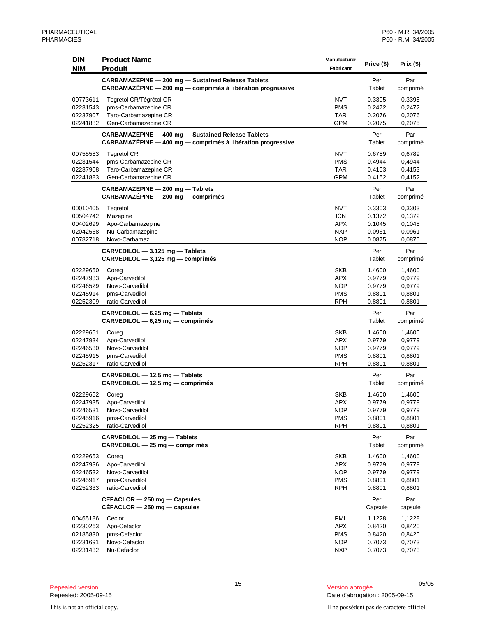| <b>DIN</b>           | <b>Product Name</b>                                                                                               | <b>Manufacturer</b>      |                  |                  |
|----------------------|-------------------------------------------------------------------------------------------------------------------|--------------------------|------------------|------------------|
| <b>NIM</b>           | <b>Produit</b>                                                                                                    | Fabricant                | Price (\$)       | Prix (\$)        |
|                      | CARBAMAZEPINE - 200 mg - Sustained Release Tablets<br>CARBAMAZEPINE - 200 mg - comprimés à libération progressive |                          | Per<br>Tablet    | Par<br>comprimé  |
| 00773611             | Tegretol CR/Tégrétol CR                                                                                           | <b>NVT</b>               | 0.3395           | 0,3395           |
| 02231543             | pms-Carbamazepine CR                                                                                              | <b>PMS</b>               | 0.2472           | 0,2472           |
| 02237907             | Taro-Carbamazepine CR                                                                                             | TAR                      | 0.2076           | 0,2076           |
| 02241882             | Gen-Carbamazepine CR                                                                                              | GPM                      | 0.2075           | 0,2075           |
|                      | CARBAMAZEPINE - 400 mg - Sustained Release Tablets<br>CARBAMAZÉPINE - 400 mg - comprimés à libération progressive |                          | Per<br>Tablet    | Par<br>comprimé  |
| 00755583             | <b>Tegretol CR</b>                                                                                                | <b>NVT</b>               | 0.6789           | 0,6789           |
| 02231544             | pms-Carbamazepine CR                                                                                              | <b>PMS</b>               | 0.4944           | 0,4944           |
| 02237908             | Taro-Carbamazepine CR                                                                                             | TAR                      | 0.4153           | 0,4153           |
| 02241883             | Gen-Carbamazepine CR                                                                                              | <b>GPM</b>               | 0.4152           | 0,4152           |
|                      | CARBAMAZEPINE - 200 mg - Tablets<br>CARBAMAZEPINE - 200 mg - comprimés                                            |                          | Per<br>Tablet    | Par<br>comprimé  |
| 00010405             | Tegretol                                                                                                          | <b>NVT</b>               | 0.3303           | 0,3303           |
| 00504742             | Mazepine                                                                                                          | <b>ICN</b>               | 0.1372           | 0,1372           |
| 00402699             | Apo-Carbamazepine                                                                                                 | <b>APX</b>               | 0.1045           | 0,1045           |
| 02042568<br>00782718 | Nu-Carbamazepine<br>Novo-Carbamaz                                                                                 | <b>NXP</b><br><b>NOP</b> | 0.0961<br>0.0875 | 0,0961<br>0,0875 |
|                      |                                                                                                                   |                          |                  |                  |
|                      | CARVEDILOL - 3.125 mg - Tablets<br>CARVEDILOL - 3,125 mg - comprimés                                              |                          | Per<br>Tablet    | Par<br>comprimé  |
| 02229650             | Coreg                                                                                                             | <b>SKB</b>               | 1.4600           | 1,4600           |
| 02247933             | Apo-Carvedilol                                                                                                    | <b>APX</b>               | 0.9779           | 0,9779           |
| 02246529             | Novo-Carvedilol                                                                                                   | <b>NOP</b>               | 0.9779           | 0,9779           |
| 02245914<br>02252309 | pms-Carvedilol<br>ratio-Carvedilol                                                                                | <b>PMS</b><br><b>RPH</b> | 0.8801<br>0.8801 | 0,8801<br>0,8801 |
|                      | $CARVEDILOL - 6.25 mg - Tables$                                                                                   |                          | Per              | Par              |
|                      | $CARVEDILOL - 6,25 mg - comprimés$                                                                                |                          | Tablet           | comprimé         |
| 02229651             | Coreg                                                                                                             | <b>SKB</b>               | 1.4600           | 1,4600           |
| 02247934             | Apo-Carvedilol                                                                                                    | <b>APX</b>               | 0.9779           | 0,9779           |
| 02246530<br>02245915 | Novo-Carvedilol<br>pms-Carvedilol                                                                                 | <b>NOP</b><br><b>PMS</b> | 0.9779<br>0.8801 | 0,9779<br>0,8801 |
| 02252317             | ratio-Carvedilol                                                                                                  | <b>RPH</b>               | 0.8801           | 0,8801           |
|                      | CARVEDILOL - 12.5 mg - Tablets                                                                                    |                          | Per              | Par              |
|                      | CARVEDILOL - 12,5 mg - comprimés                                                                                  |                          | Tablet           | comprimé         |
| 02229652             | Coreg                                                                                                             | SKB                      | 1.4600           | 1,4600           |
| 02247935             | Apo-Carvedilol                                                                                                    | <b>APX</b>               | 0.9779           | 0,9779           |
| 02246531<br>02245916 | Novo-Carvedilol<br>pms-Carvedilol                                                                                 | <b>NOP</b><br><b>PMS</b> | 0.9779<br>0.8801 | 0,9779<br>0,8801 |
| 02252325             | ratio-Carvedilol                                                                                                  | <b>RPH</b>               | 0.8801           | 0,8801           |
|                      | CARVEDILOL - 25 mg - Tablets                                                                                      |                          | Per              | Par              |
|                      | $CARVEDILOL - 25 mg - comprimés$                                                                                  |                          | Tablet           | comprimé         |
| 02229653             | Coreg                                                                                                             | <b>SKB</b>               | 1.4600           | 1,4600           |
| 02247936             | Apo-Carvedilol<br>Novo-Carvedilol                                                                                 | <b>APX</b><br><b>NOP</b> | 0.9779           | 0,9779           |
| 02246532<br>02245917 | pms-Carvedilol                                                                                                    | <b>PMS</b>               | 0.9779<br>0.8801 | 0,9779<br>0,8801 |
| 02252333             | ratio-Carvedilol                                                                                                  | <b>RPH</b>               | 0.8801           | 0,8801           |
|                      | CEFACLOR - 250 mg - Capsules                                                                                      |                          | Per              | Par              |
|                      | $CEFACLOR - 250$ mg - capsules                                                                                    |                          | Capsule          | capsule          |
| 00465186             | Ceclor                                                                                                            | <b>PML</b>               | 1.1228           | 1,1228           |
| 02230263             | Apo-Cefaclor                                                                                                      | <b>APX</b>               | 0.8420           | 0,8420           |
| 02185830<br>02231691 | pms-Cefaclor<br>Novo-Cefaclor                                                                                     | <b>PMS</b><br><b>NOP</b> | 0.8420<br>0.7073 | 0,8420<br>0,7073 |
| 02231432             | Nu-Cefaclor                                                                                                       | <b>NXP</b>               | 0.7073           | 0,7073           |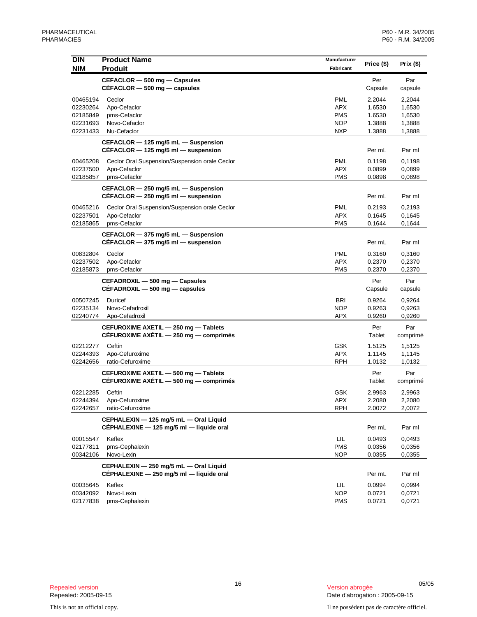| <b>DIN</b> | <b>Product Name</b>                                                                | Manufacturer |                |                 |
|------------|------------------------------------------------------------------------------------|--------------|----------------|-----------------|
| <b>NIM</b> | <b>Produit</b>                                                                     | Fabricant    | Price (\$)     | Prix (\$)       |
|            | CEFACLOR - 500 mg - Capsules                                                       |              | Per            | Par             |
|            | $CÉFACLOR - 500 mg - capsules$                                                     |              | Capsule        | capsule         |
| 00465194   | Ceclor                                                                             | <b>PML</b>   | 2.2044         | 2,2044          |
| 02230264   | Apo-Cefaclor                                                                       | <b>APX</b>   | 1.6530         | 1,6530          |
| 02185849   | pms-Cefaclor                                                                       | <b>PMS</b>   | 1.6530         | 1,6530          |
| 02231693   | Novo-Cefaclor                                                                      | <b>NOP</b>   | 1.3888         | 1,3888          |
| 02231433   | Nu-Cefaclor                                                                        | <b>NXP</b>   | 1.3888         | 1,3888          |
|            | CEFACLOR - 125 mg/5 mL - Suspension<br>$CÉFACLOR - 125$ mg/5 ml - suspension       |              | Per mL         | Par ml          |
| 00465208   | Ceclor Oral Suspension/Suspension orale Ceclor                                     | <b>PML</b>   | 0.1198         | 0.1198          |
| 02237500   | Apo-Cefaclor                                                                       | <b>APX</b>   | 0.0899         | 0,0899          |
| 02185857   | pms-Cefaclor                                                                       | <b>PMS</b>   | 0.0898         | 0,0898          |
|            | CEFACLOR - 250 mg/5 mL - Suspension                                                |              |                |                 |
|            | CÉFACLOR $-$ 250 mg/5 ml $-$ suspension                                            |              | Per mL         | Par ml          |
| 00465216   | Ceclor Oral Suspension/Suspension orale Ceclor                                     | <b>PML</b>   | 0.2193         | 0,2193          |
| 02237501   | Apo-Cefaclor                                                                       | <b>APX</b>   | 0.1645         | 0,1645          |
| 02185865   | pms-Cefaclor                                                                       | <b>PMS</b>   | 0.1644         | 0,1644          |
|            | CEFACLOR - 375 mg/5 mL - Suspension                                                |              |                |                 |
|            | CEFACLOR $-$ 375 mg/5 ml $-$ suspension                                            |              | Per mL         | Par ml          |
| 00832804   | Ceclor                                                                             | <b>PML</b>   | 0.3160         | 0,3160          |
| 02237502   | Apo-Cefaclor                                                                       | <b>APX</b>   | 0.2370         | 0,2370          |
| 02185873   | pms-Cefaclor                                                                       | <b>PMS</b>   | 0.2370         | 0,2370          |
|            | CEFADROXIL - 500 mg - Capsules<br>CEFADROXIL - 500 mg - capsules                   |              | Per<br>Capsule | Par<br>capsule  |
| 00507245   | Duricef                                                                            | <b>BRI</b>   | 0.9264         | 0,9264          |
| 02235134   | Novo-Cefadroxil                                                                    | <b>NOP</b>   | 0.9263         | 0,9263          |
| 02240774   | Apo-Cefadroxil                                                                     | <b>APX</b>   | 0.9260         | 0,9260          |
|            | CEFUROXIME AXETIL - 250 mg - Tablets<br>CÉFUROXIME AXÉTIL - 250 mg - comprimés     |              | Per<br>Tablet  | Par<br>comprimé |
| 02212277   | Ceftin                                                                             | <b>GSK</b>   | 1.5125         | 1,5125          |
| 02244393   | Apo-Cefuroxime                                                                     | <b>APX</b>   | 1.1145         | 1,1145          |
| 02242656   | ratio-Cefuroxime                                                                   | <b>RPH</b>   | 1.0132         | 1,0132          |
|            | CEFUROXIME AXETIL - 500 mg - Tablets<br>CÉFUROXIME AXÉTIL - 500 mg - comprimés     |              | Per<br>Tablet  | Par<br>comprimé |
| 02212285   | Ceftin                                                                             | <b>GSK</b>   | 2.9963         | 2,9963          |
| 02244394   | Apo-Cefuroxime                                                                     | APX          | 2.2080         | 2,2080          |
| 02242657   | ratio-Cefuroxime                                                                   | <b>RPH</b>   | 2.0072         | 2,0072          |
|            | CEPHALEXIN - 125 mg/5 mL - Oral Liquid                                             |              |                |                 |
|            | CÉPHALEXINE - 125 mg/5 ml - liquide oral                                           |              | Per mL         | Par ml          |
| 00015547   | Keflex                                                                             | LIL          | 0.0493         | 0,0493          |
| 02177811   | pms-Cephalexin                                                                     | <b>PMS</b>   | 0.0356         | 0,0356          |
| 00342106   | Novo-Lexin                                                                         | NOP          | 0.0355         | 0,0355          |
|            | CEPHALEXIN - 250 mg/5 mL - Oral Liquid<br>CÉPHALEXINE - 250 mg/5 ml - liquide oral |              | Per mL         | Par ml          |
| 00035645   | Keflex                                                                             | LIL          | 0.0994         | 0,0994          |
| 00342092   | Novo-Lexin                                                                         | <b>NOP</b>   | 0.0721         | 0,0721          |
| 02177838   | pms-Cephalexin                                                                     | <b>PMS</b>   | 0.0721         | 0,0721          |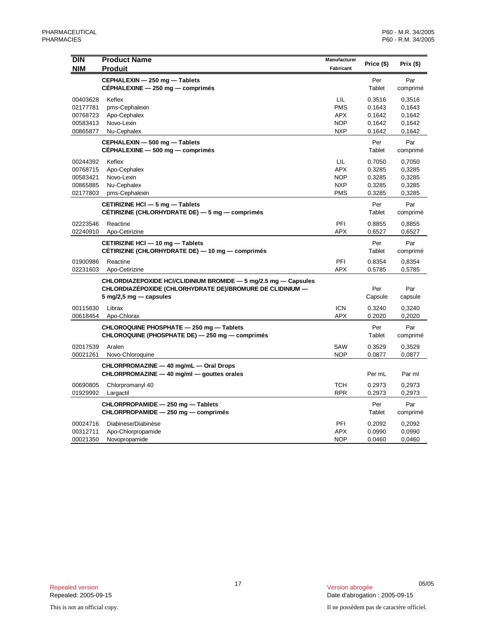| DIN<br><b>NIM</b>                                        | <b>Product Name</b><br><b>Produit</b>                                                                                                                                     | Manufacturer<br>Fabricant                                   | Price (\$)                                     | Prix $($ \$)                                   |
|----------------------------------------------------------|---------------------------------------------------------------------------------------------------------------------------------------------------------------------------|-------------------------------------------------------------|------------------------------------------------|------------------------------------------------|
|                                                          | CEPHALEXIN - 250 mg - Tablets<br>CEPHALEXINE - 250 mg - comprimés                                                                                                         |                                                             | Per<br>Tablet                                  | Par<br>comprimé                                |
| 00403628<br>02177781<br>00768723<br>00583413<br>00865877 | Keflex<br>pms-Cephalexin<br>Apo-Cephalex<br>Novo-Lexin<br>Nu-Cephalex                                                                                                     | LIL<br><b>PMS</b><br><b>APX</b><br><b>NOP</b><br><b>NXP</b> | 0.3516<br>0.1643<br>0.1642<br>0.1642<br>0.1642 | 0,3516<br>0,1643<br>0,1642<br>0,1642<br>0,1642 |
|                                                          | CEPHALEXIN - 500 mg - Tablets<br>CEPHALEXINE - 500 mg - comprimés                                                                                                         |                                                             | Per<br>Tablet                                  | Par<br>comprimé                                |
| 00244392<br>00768715<br>00583421<br>00865885<br>02177803 | Keflex<br>Apo-Cephalex<br>Novo-Lexin<br>Nu-Cephalex<br>pms-Cephalexin                                                                                                     | LIL<br><b>APX</b><br><b>NOP</b><br><b>NXP</b><br><b>PMS</b> | 0.7050<br>0.3285<br>0.3285<br>0.3285<br>0.3285 | 0,7050<br>0,3285<br>0,3285<br>0,3285<br>0,3285 |
|                                                          | CETIRIZINE HCI - 5 mg - Tablets<br>CÉTIRIZINE (CHLORHYDRATE DE) — 5 mg — comprimés                                                                                        |                                                             | Per<br>Tablet                                  | Par<br>comprimé                                |
| 02223546<br>02240910                                     | Reactine<br>Apo-Cetirizine                                                                                                                                                | PFI<br><b>APX</b>                                           | 0.8855<br>0.6527                               | 0,8855<br>0,6527                               |
|                                                          | CETIRIZINE HCI - 10 mg - Tablets<br>CÉTIRIZINE (CHLORHYDRATE DE) — 10 mg — comprimés                                                                                      |                                                             | Per<br>Tablet                                  | Par<br>comprimé                                |
| 01900986<br>02231603                                     | Reactine<br>Apo-Cetirizine                                                                                                                                                | PFI<br><b>APX</b>                                           | 0.8354<br>0.5785                               | 0,8354<br>0,5785                               |
|                                                          | CHLORDIAZEPOXIDE HCI/CLIDINIUM BROMIDE - 5 mg/2.5 mg - Capsules<br>CHLORDIAZÉPOXIDE (CHLORHYDRATE DE)/BROMURE DE CLIDINIUM —<br>$5 \text{ mg}/2, 5 \text{ mg}$ - capsules |                                                             | Per<br>Capsule                                 | Par<br>capsule                                 |
| 00115630<br>00618454                                     | Librax<br>Apo-Chlorax                                                                                                                                                     | <b>ICN</b><br><b>APX</b>                                    | 0.3240<br>0.2020                               | 0,3240<br>0,2020                               |
|                                                          | CHLOROQUINE PHOSPHATE - 250 mg - Tablets<br>CHLOROQUINE (PHOSPHATE DE) - 250 mg - comprimés                                                                               |                                                             | Per<br>Tablet                                  | Par<br>comprimé                                |
| 02017539<br>00021261                                     | Aralen<br>Novo-Chloroquine                                                                                                                                                | SAW<br><b>NOP</b>                                           | 0.3529<br>0.0877                               | 0,3529<br>0,0877                               |
|                                                          | CHLORPROMAZINE - 40 mg/mL - Oral Drops<br>CHLORPROMAZINE - 40 mg/ml - gouttes orales                                                                                      |                                                             | Per mL                                         | Par ml                                         |
| 00690805<br>01929992                                     | Chlorpromanyl 40<br>Largactil                                                                                                                                             | <b>TCH</b><br><b>RPR</b>                                    | 0.2973<br>0.2973                               | 0,2973<br>0,2973                               |
|                                                          | CHLORPROPAMIDE - 250 mg - Tablets<br>CHLORPROPAMIDE - 250 mg - comprimés                                                                                                  |                                                             | Per<br>Tablet                                  | Par<br>comprimé                                |
| 00024716<br>00312711<br>00021350                         | Diabinese/Diabinèse<br>Apo-Chlorpropamide<br>Novopropamide                                                                                                                | PFI<br><b>APX</b><br><b>NOP</b>                             | 0.2092<br>0.0990<br>0.0460                     | 0,2092<br>0,0990<br>0,0460                     |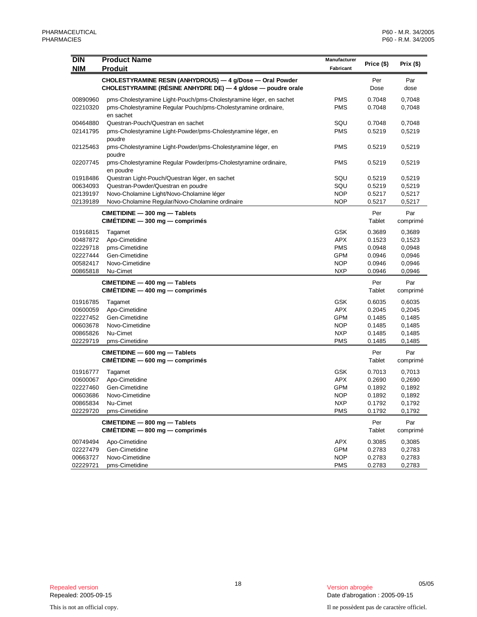| DIN        | <b>Product Name</b>                                                                                                       | Manufacturer |               |                 |
|------------|---------------------------------------------------------------------------------------------------------------------------|--------------|---------------|-----------------|
| <b>NIM</b> | <b>Produit</b>                                                                                                            | Fabricant    | Price (\$)    | Prix(\$)        |
|            |                                                                                                                           |              |               |                 |
|            | CHOLESTYRAMINE RESIN (ANHYDROUS) - 4 g/Dose - Oral Powder<br>CHOLESTYRAMINE (RÉSINE ANHYDRE DE) — 4 g/dose — poudre orale |              | Per<br>Dose   | Par<br>dose     |
| 00890960   | pms-Cholestyramine Light-Pouch/pms-Cholestyramine léger, en sachet                                                        | <b>PMS</b>   | 0.7048        | 0,7048          |
| 02210320   | pms-Cholestyramine Regular Pouch/pms-Cholestyramine ordinaire,<br>en sachet                                               | <b>PMS</b>   | 0.7048        | 0,7048          |
| 00464880   | Questran-Pouch/Questran en sachet                                                                                         | SQU          | 0.7048        | 0,7048          |
| 02141795   | pms-Cholestyramine Light-Powder/pms-Cholestyramine léger, en<br>poudre                                                    | <b>PMS</b>   | 0.5219        | 0,5219          |
| 02125463   | pms-Cholestyramine Light-Powder/pms-Cholestyramine léger, en<br>poudre                                                    | <b>PMS</b>   | 0.5219        | 0,5219          |
| 02207745   | pms-Cholestyramine Regular Powder/pms-Cholestyramine ordinaire,<br>en poudre                                              | <b>PMS</b>   | 0.5219        | 0,5219          |
| 01918486   | Questran Light-Pouch/Questran léger, en sachet                                                                            | SQU          | 0.5219        | 0,5219          |
| 00634093   | Questran-Powder/Questran en poudre                                                                                        | SQU          | 0.5219        | 0,5219          |
| 02139197   | Novo-Cholamine Light/Novo-Cholamine léger                                                                                 | <b>NOP</b>   | 0.5217        | 0,5217          |
| 02139189   | Novo-Cholamine Regular/Novo-Cholamine ordinaire                                                                           | <b>NOP</b>   | 0.5217        | 0,5217          |
|            | CIMETIDINE - 300 mg - Tablets                                                                                             |              | Per           | Par             |
|            | $CIMÉTIDINE - 300 mg - comprimés$                                                                                         |              | Tablet        | comprimé        |
| 01916815   | Tagamet                                                                                                                   | <b>GSK</b>   | 0.3689        | 0,3689          |
| 00487872   | Apo-Cimetidine                                                                                                            | <b>APX</b>   | 0.1523        | 0,1523          |
| 02229718   | pms-Cimetidine                                                                                                            | <b>PMS</b>   | 0.0948        | 0,0948          |
| 02227444   | Gen-Cimetidine                                                                                                            | <b>GPM</b>   | 0.0946        | 0,0946          |
| 00582417   | Novo-Cimetidine                                                                                                           | <b>NOP</b>   | 0.0946        | 0,0946          |
| 00865818   | Nu-Cimet                                                                                                                  | <b>NXP</b>   | 0.0946        | 0,0946          |
|            | CIMETIDINE - 400 mg - Tablets                                                                                             |              | Per           | Par             |
|            | $CIMÉTIDINE - 400 mg - comprimés$                                                                                         |              | Tablet        | comprimé        |
| 01916785   | Tagamet                                                                                                                   | <b>GSK</b>   | 0.6035        | 0,6035          |
| 00600059   | Apo-Cimetidine                                                                                                            | <b>APX</b>   | 0.2045        | 0,2045          |
| 02227452   | Gen-Cimetidine                                                                                                            | <b>GPM</b>   | 0.1485        | 0,1485          |
| 00603678   | Novo-Cimetidine                                                                                                           | <b>NOP</b>   | 0.1485        | 0,1485          |
| 00865826   | Nu-Cimet                                                                                                                  | <b>NXP</b>   | 0.1485        | 0,1485          |
| 02229719   | pms-Cimetidine                                                                                                            | <b>PMS</b>   | 0.1485        | 0,1485          |
|            | CIMETIDINE - 600 mg - Tablets<br>$CIMÉTIDINE - 600 mg - comprimés$                                                        |              | Per<br>Tablet | Par<br>comprimé |
| 01916777   | Tagamet                                                                                                                   | <b>GSK</b>   | 0.7013        | 0,7013          |
| 00600067   | Apo-Cimetidine                                                                                                            | <b>APX</b>   | 0.2690        | 0,2690          |
| 02227460   | Gen-Cimetidine                                                                                                            | <b>GPM</b>   | 0.1892        | 0,1892          |
| 00603686   | Novo-Cimetidine                                                                                                           | <b>NOP</b>   | 0.1892        | 0,1892          |
| 00865834   | Nu-Cimet                                                                                                                  | <b>NXP</b>   | 0.1792        | 0,1792          |
| 02229720   | pms-Cimetidine                                                                                                            | <b>PMS</b>   | 0.1792        | 0,1792          |
|            | CIMETIDINE - 800 mg - Tablets<br>CIMÉTIDINE - 800 mg - comprimés                                                          |              | Per<br>Tablet | Par<br>comprimé |
| 00749494   | Apo-Cimetidine                                                                                                            | <b>APX</b>   | 0.3085        | 0,3085          |
| 02227479   | Gen-Cimetidine                                                                                                            | <b>GPM</b>   | 0.2783        | 0,2783          |
| 00663727   | Novo-Cimetidine                                                                                                           | <b>NOP</b>   | 0.2783        | 0,2783          |
| 02229721   | pms-Cimetidine                                                                                                            | <b>PMS</b>   | 0.2783        | 0,2783          |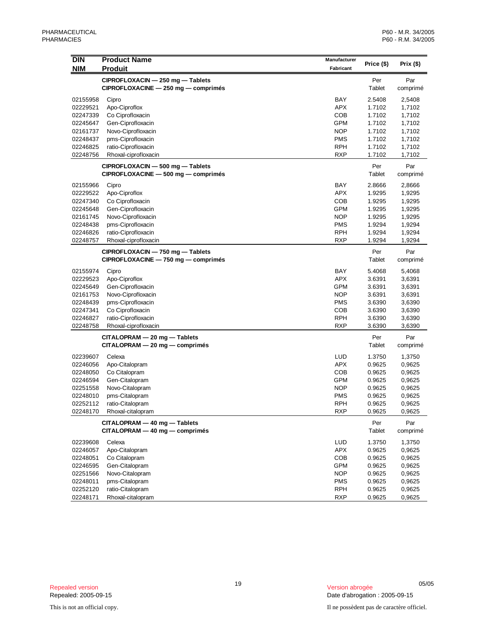| <b>DIN</b> | <b>Product Name</b>                 | Manufacturer |            |           |
|------------|-------------------------------------|--------------|------------|-----------|
| <b>NIM</b> | <b>Produit</b>                      | Fabricant    | Price (\$) | Prix (\$) |
|            |                                     |              |            |           |
|            | CIPROFLOXACIN - 250 mg - Tablets    |              | Per        | Par       |
|            | CIPROFLOXACINE - 250 mg - comprimés |              | Tablet     | comprimé  |
| 02155958   | Cipro                               | BAY          | 2.5408     | 2,5408    |
| 02229521   | Apo-Ciproflox                       | <b>APX</b>   | 1.7102     | 1,7102    |
| 02247339   | Co Ciprofloxacin                    | <b>COB</b>   | 1.7102     | 1,7102    |
| 02245647   | Gen-Ciprofloxacin                   | <b>GPM</b>   | 1.7102     | 1,7102    |
| 02161737   | Novo-Ciprofloxacin                  | <b>NOP</b>   | 1.7102     | 1,7102    |
| 02248437   | pms-Ciprofloxacin                   | <b>PMS</b>   | 1.7102     | 1,7102    |
| 02246825   | ratio-Ciprofloxacin                 | <b>RPH</b>   | 1.7102     | 1,7102    |
| 02248756   | Rhoxal-ciprofloxacin                | <b>RXP</b>   | 1.7102     | 1,7102    |
|            | CIPROFLOXACIN - 500 mg - Tablets    |              | Per        | Par       |
|            | CIPROFLOXACINE - 500 mg - comprimés |              | Tablet     | comprimé  |
| 02155966   | Cipro                               | BAY          | 2.8666     | 2,8666    |
| 02229522   | Apo-Ciproflox                       | <b>APX</b>   | 1.9295     | 1,9295    |
| 02247340   | Co Ciprofloxacin                    | <b>COB</b>   | 1.9295     | 1,9295    |
| 02245648   | Gen-Ciprofloxacin                   | GPM          | 1.9295     | 1,9295    |
| 02161745   | Novo-Ciprofloxacin                  | <b>NOP</b>   | 1.9295     | 1,9295    |
| 02248438   | pms-Ciprofloxacin                   | <b>PMS</b>   | 1.9294     | 1,9294    |
| 02246826   | ratio-Ciprofloxacin                 | <b>RPH</b>   | 1.9294     | 1,9294    |
| 02248757   | Rhoxal-ciprofloxacin                | <b>RXP</b>   | 1.9294     | 1,9294    |
|            | CIPROFLOXACIN - 750 mg - Tablets    |              | Per        | Par       |
|            | CIPROFLOXACINE - 750 mg - comprimés |              | Tablet     | comprimé  |
|            |                                     |              |            |           |
| 02155974   | Cipro                               | BAY          | 5.4068     | 5,4068    |
| 02229523   | Apo-Ciproflox                       | <b>APX</b>   | 3.6391     | 3,6391    |
| 02245649   | Gen-Ciprofloxacin                   | <b>GPM</b>   | 3.6391     | 3,6391    |
| 02161753   | Novo-Ciprofloxacin                  | <b>NOP</b>   | 3.6391     | 3,6391    |
| 02248439   | pms-Ciprofloxacin                   | <b>PMS</b>   | 3.6390     | 3,6390    |
| 02247341   | Co Ciprofloxacin                    | COB          | 3.6390     | 3,6390    |
| 02246827   | ratio-Ciprofloxacin                 | <b>RPH</b>   | 3.6390     | 3,6390    |
| 02248758   | Rhoxal-ciprofloxacin                | <b>RXP</b>   | 3.6390     | 3,6390    |
|            | CITALOPRAM - 20 mg - Tablets        |              | Per        | Par       |
|            | $CITALOPRAM - 20 mg - comprimés$    |              | Tablet     | comprimé  |
| 02239607   | Celexa                              | <b>LUD</b>   | 1.3750     | 1,3750    |
| 02246056   | Apo-Citalopram                      | <b>APX</b>   | 0.9625     | 0,9625    |
| 02248050   | Co Citalopram                       | COB          | 0.9625     | 0,9625    |
| 02246594   | Gen-Citalopram                      | <b>GPM</b>   | 0.9625     | 0,9625    |
| 02251558   | Novo-Citalopram                     | <b>NOP</b>   | 0.9625     | 0,9625    |
| 02248010   | pms-Citalopram                      | <b>PMS</b>   | 0.9625     | 0,9625    |
| 02252112   | ratio-Citalopram                    | <b>RPH</b>   | 0.9625     | 0,9625    |
| 02248170   | Rhoxal-citalopram                   | <b>RXP</b>   | 0.9625     | 0,9625    |
|            | CITALOPRAM - 40 mg - Tablets        |              | Per        | Par       |
|            | $CITALOPRAM - 40 mg - comprimés$    |              | Tablet     | comprimé  |
| 02239608   | Celexa                              | LUD          | 1.3750     | 1,3750    |
| 02246057   | Apo-Citalopram                      | <b>APX</b>   | 0.9625     | 0,9625    |
| 02248051   | Co Citalopram                       | COB          | 0.9625     | 0,9625    |
| 02246595   | Gen-Citalopram                      | <b>GPM</b>   | 0.9625     | 0,9625    |
| 02251566   | Novo-Citalopram                     | <b>NOP</b>   | 0.9625     | 0,9625    |
| 02248011   | pms-Citalopram                      | <b>PMS</b>   | 0.9625     | 0,9625    |
| 02252120   | ratio-Citalopram                    | <b>RPH</b>   | 0.9625     | 0,9625    |
| 02248171   | Rhoxal-citalopram                   | <b>RXP</b>   | 0.9625     | 0,9625    |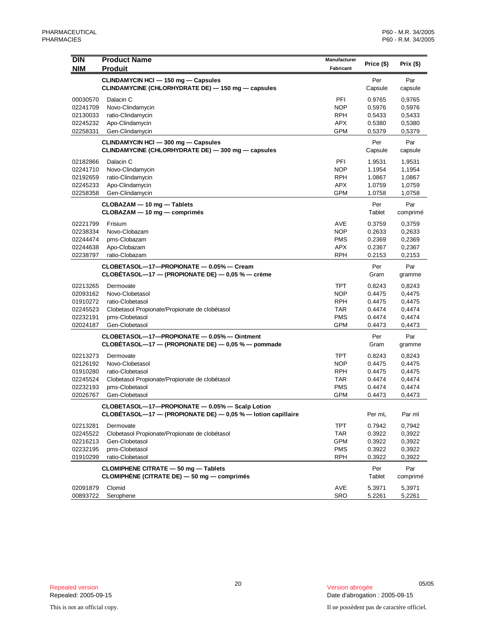| <b>DIN</b> | <b>Product Name</b>                                          | Manufacturer | Price (\$) | Prix(\$) |
|------------|--------------------------------------------------------------|--------------|------------|----------|
| <b>NIM</b> | <b>Produit</b>                                               | Fabricant    |            |          |
|            | CLINDAMYCIN HCI - 150 mg - Capsules                          |              | Per        | Par      |
|            | CLINDAMYCINE (CHLORHYDRATE DE) — 150 mg — capsules           |              | Capsule    | capsule  |
| 00030570   | Dalacin C                                                    | PFI          | 0.9765     | 0,9765   |
| 02241709   | Novo-Clindamycin                                             | <b>NOP</b>   | 0.5976     | 0,5976   |
| 02130033   | ratio-Clindamycin                                            | RPH          | 0.5433     | 0,5433   |
| 02245232   | Apo-Clindamycin                                              | <b>APX</b>   | 0.5380     | 0,5380   |
| 02258331   | Gen-Clindamycin                                              | <b>GPM</b>   | 0.5379     | 0,5379   |
|            | CLINDAMYCIN HCI - 300 mg - Capsules                          |              | Per        | Par      |
|            | CLINDAMYCINE (CHLORHYDRATE DE) - 300 mg - capsules           |              | Capsule    | capsule  |
| 02182866   | Dalacin C                                                    | PFI          | 1.9531     | 1,9531   |
| 02241710   | Novo-Clindamycin                                             | <b>NOP</b>   | 1.1954     | 1,1954   |
| 02192659   | ratio-Clindamycin                                            | RPH          | 1.0867     | 1,0867   |
| 02245233   | Apo-Clindamycin                                              | <b>APX</b>   | 1.0759     | 1,0759   |
| 02258358   | Gen-Clindamycin                                              | <b>GPM</b>   | 1.0758     | 1,0758   |
|            | CLOBAZAM - 10 mg - Tablets                                   |              | Per        | Par      |
|            | CLOBAZAM - 10 mg - comprimés                                 |              | Tablet     | comprimé |
| 02221799   | Frisium                                                      | <b>AVE</b>   | 0.3759     | 0,3759   |
| 02238334   | Novo-Clobazam                                                | <b>NOP</b>   | 0.2633     | 0,2633   |
| 02244474   | pms-Clobazam                                                 | PMS          | 0.2369     | 0,2369   |
| 02244638   | Apo-Clobazam                                                 | APX          | 0.2367     | 0,2367   |
| 02238797   | ratio-Clobazam                                               | <b>RPH</b>   | 0.2153     | 0,2153   |
|            | CLOBETASOL-17-PROPIONATE - 0.05% - Cream                     |              | Per        | Par      |
|            | CLOBETASOL—17 — (PROPIONATE DE) — $0.05$ % — crème           |              | Gram       | gramme   |
| 02213265   | Dermovate                                                    | <b>TPT</b>   | 0.8243     | 0,8243   |
| 02093162   | Novo-Clobetasol                                              | <b>NOP</b>   | 0.4475     | 0,4475   |
| 01910272   | ratio-Clobetasol                                             | <b>RPH</b>   | 0.4475     | 0,4475   |
| 02245523   | Clobetasol Propionate/Propionate de clobétasol               | TAR          | 0.4474     | 0,4474   |
| 02232191   | pms-Clobetasol                                               | <b>PMS</b>   | 0.4474     | 0,4474   |
| 02024187   | Gen-Clobetasol                                               | <b>GPM</b>   | 0.4473     | 0,4473   |
|            | CLOBETASOL-17-PROPIONATE - 0.05% - Ointment                  |              | Per        | Par      |
|            | CLOBÉTASOL-17 - (PROPIONATE DE) - 0,05 % - pommade           |              | Gram       | gramme   |
| 02213273   | Dermovate                                                    | <b>TPT</b>   | 0.8243     | 0,8243   |
| 02126192   | Novo-Clobetasol                                              | <b>NOP</b>   | 0.4475     | 0,4475   |
| 01910280   | ratio-Clobetasol                                             | RPH          | 0.4475     | 0,4475   |
| 02245524   | Clobetasol Propionate/Propionate de clobétasol               | TAR          | 0.4474     | 0,4474   |
| 02232193   | pms-Clobetasol                                               | PMS          | 0.4474     | 0,4474   |
| 02026767   | Gen-Clobetasol                                               | <b>GPM</b>   | 0.4473     | 0,4473   |
|            | CLOBETASOL-17-PROPIONATE - 0.05% - Scalp Lotion              |              |            |          |
|            | CLOBÉTASOL-17 - (PROPIONATE DE) - 0,05 % - lotion capillaire |              | Per mL     | Par ml   |
| 02213281   | Dermovate                                                    | <b>TPT</b>   | 0.7942     | 0,7942   |
| 02245522   | Clobetasol Propionate/Propionate de clobétasol               | <b>TAR</b>   | 0.3922     | 0,3922   |
| 02216213   | Gen-Clobetasol                                               | <b>GPM</b>   | 0.3922     | 0,3922   |
| 02232195   | pms-Clobetasol                                               | PMS          | 0.3922     | 0,3922   |
| 01910299   | ratio-Clobetasol                                             | RPH          | 0.3922     | 0,3922   |
|            | <b>CLOMIPHENE CITRATE - 50 mg - Tablets</b>                  |              | Per        | Par      |
|            | CLOMIPHÈNE (CITRATE DE) - 50 mg - comprimés                  |              | Tablet     | comprimé |
| 02091879   | Clomid                                                       | AVE          | 5.3971     | 5,3971   |
| 00893722   | Serophene                                                    | <b>SRO</b>   | 5.2261     | 5,2261   |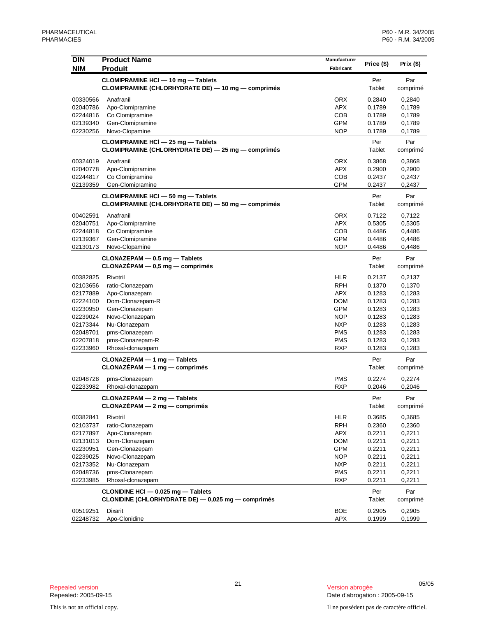| <b>DIN</b><br><b>NIM</b> | <b>Product Name</b><br><b>Produit</b>                                                           | Manufacturer<br>Fabricant | Price (\$)       | Prix (\$)        |
|--------------------------|-------------------------------------------------------------------------------------------------|---------------------------|------------------|------------------|
|                          | CLOMIPRAMINE HCI - 10 mg - Tablets                                                              |                           | Per              | Par              |
|                          | CLOMIPRAMINE (CHLORHYDRATE DE) - 10 mg - comprimés                                              |                           | Tablet           | comprimé         |
| 00330566                 | Anafranil                                                                                       | <b>ORX</b>                | 0.2840           | 0,2840           |
| 02040786                 | Apo-Clomipramine                                                                                | <b>APX</b>                | 0.1789           | 0,1789           |
| 02244816                 | Co Clomipramine                                                                                 | <b>COB</b>                | 0.1789           | 0,1789           |
| 02139340                 | Gen-Clomipramine                                                                                | <b>GPM</b>                | 0.1789           | 0,1789           |
| 02230256                 | Novo-Clopamine                                                                                  | NOP                       | 0.1789           | 0,1789           |
|                          | CLOMIPRAMINE HCI - 25 mg - Tablets<br>CLOMIPRAMINE (CHLORHYDRATE DE) - 25 mg - comprimés        |                           | Per<br>Tablet    | Par<br>comprimé  |
| 00324019                 | Anafranil                                                                                       | <b>ORX</b>                | 0.3868           | 0,3868           |
| 02040778                 | Apo-Clomipramine                                                                                | <b>APX</b>                | 0.2900           | 0,2900           |
| 02244817                 | Co Clomipramine                                                                                 | COB                       | 0.2437           | 0,2437           |
| 02139359                 | Gen-Clomipramine                                                                                | <b>GPM</b>                | 0.2437           | 0,2437           |
|                          | <b>CLOMIPRAMINE HCI - 50 mg - Tablets</b><br>CLOMIPRAMINE (CHLORHYDRATE DE) - 50 mg - comprimés |                           | Per<br>Tablet    | Par<br>comprimé  |
| 00402591                 | Anafranil                                                                                       | <b>ORX</b>                | 0.7122           | 0,7122           |
| 02040751                 | Apo-Clomipramine                                                                                | <b>APX</b>                | 0.5305           | 0,5305           |
| 02244818                 | Co Clomipramine                                                                                 | COB                       | 0.4486           | 0,4486           |
| 02139367                 | Gen-Clomipramine                                                                                | <b>GPM</b>                | 0.4486           | 0,4486           |
| 02130173                 | Novo-Clopamine                                                                                  | <b>NOP</b>                | 0.4486           | 0,4486           |
|                          | CLONAZEPAM - 0.5 mg - Tablets<br>$CLONAZÉPAM - 0.5 mg - comprimés$                              |                           | Per<br>Tablet    | Par<br>comprimé  |
| 00382825                 | Rivotril                                                                                        | <b>HLR</b>                | 0.2137           | 0,2137           |
| 02103656                 | ratio-Clonazepam                                                                                | <b>RPH</b>                | 0.1370           | 0,1370           |
| 02177889                 | Apo-Clonazepam                                                                                  | <b>APX</b>                | 0.1283           | 0,1283           |
| 02224100                 | Dom-Clonazepam-R                                                                                | <b>DOM</b>                | 0.1283           | 0,1283           |
| 02230950                 | Gen-Clonazepam                                                                                  | <b>GPM</b>                | 0.1283           | 0,1283           |
| 02239024                 | Novo-Clonazepam                                                                                 | NOP                       | 0.1283           | 0,1283           |
| 02173344                 | Nu-Clonazepam                                                                                   | <b>NXP</b>                | 0.1283           | 0,1283           |
| 02048701                 | pms-Clonazepam                                                                                  | <b>PMS</b><br><b>PMS</b>  | 0.1283           | 0,1283           |
| 02207818<br>02233960     | pms-Clonazepam-R<br>Rhoxal-clonazepam                                                           | <b>RXP</b>                | 0.1283<br>0.1283 | 0,1283<br>0,1283 |
|                          |                                                                                                 |                           |                  |                  |
|                          | CLONAZEPAM - 1 mg - Tablets<br>$CLONAZÉPAM - 1 mg - comprimés$                                  |                           | Per<br>Tablet    | Par<br>comprimé  |
| 02048728                 | pms-Clonazepam                                                                                  | <b>PMS</b>                | 0.2274           | 0,2274           |
| 02233982                 | Rhoxal-clonazepam                                                                               | <b>RXP</b>                | 0.2046           | 0,2046           |
|                          | $CLONAZEPAM - 2 mg - Tables$<br>CLONAZÉPAM - 2 mg - comprimés                                   |                           | Per<br>Tablet    | Par<br>comprimé  |
| 00382841                 | Rivotril                                                                                        | <b>HLR</b>                | 0.3685           | 0,3685           |
| 02103737                 | ratio-Clonazepam                                                                                | <b>RPH</b>                | 0.2360           | 0,2360           |
| 02177897                 | Apo-Clonazepam                                                                                  | <b>APX</b>                | 0.2211           | 0,2211           |
| 02131013                 | Dom-Clonazepam                                                                                  | <b>DOM</b>                | 0.2211           | 0,2211           |
| 02230951                 | Gen-Clonazepam                                                                                  | <b>GPM</b>                | 0.2211           | 0,2211           |
| 02239025                 | Novo-Clonazepam                                                                                 | <b>NOP</b>                | 0.2211           | 0,2211           |
| 02173352                 | Nu-Clonazepam                                                                                   | <b>NXP</b>                | 0.2211           | 0,2211           |
| 02048736                 | pms-Clonazepam                                                                                  | PMS                       | 0.2211           | 0,2211           |
| 02233985                 | Rhoxal-clonazepam                                                                               | <b>RXP</b>                | 0.2211           | 0,2211           |
|                          | CLONIDINE HCI - 0.025 mg - Tablets<br>CLONIDINE (CHLORHYDRATE DE) - 0,025 mg - comprimés        |                           | Per<br>Tablet    | Par<br>comprimé  |
| 00519251                 | Dixarit                                                                                         | <b>BOE</b>                | 0.2905           | 0,2905           |
| 02248732                 | Apo-Clonidine                                                                                   | <b>APX</b>                | 0.1999           | 0,1999           |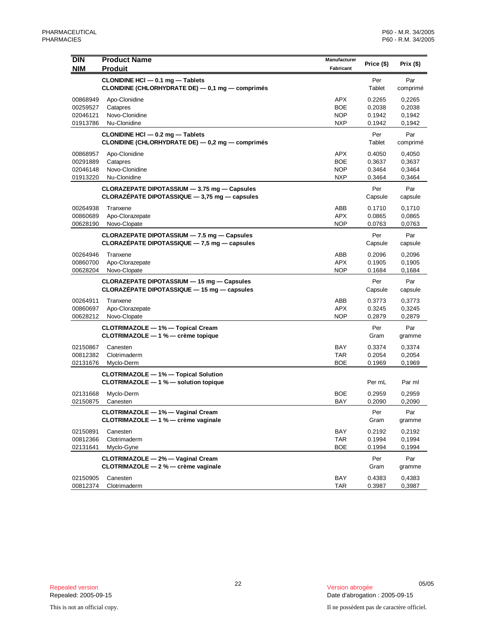| <b>DIN</b>           | <b>Product Name</b>                                                                       | Manufacturer             | Price (\$)       | Prix (\$)        |
|----------------------|-------------------------------------------------------------------------------------------|--------------------------|------------------|------------------|
| <b>NIM</b>           | <b>Produit</b>                                                                            | Fabricant                |                  |                  |
|                      | CLONIDINE HCI - 0.1 mg - Tablets                                                          |                          | Per              | Par              |
|                      | CLONIDINE (CHLORHYDRATE DE) - 0,1 mg - comprimés                                          |                          | Tablet           | comprimé         |
| 00868949             | Apo-Clonidine                                                                             | <b>APX</b>               | 0.2265           | 0,2265           |
| 00259527             | Catapres                                                                                  | <b>BOE</b>               | 0.2038           | 0,2038           |
| 02046121<br>01913786 | Novo-Clonidine<br>Nu-Clonidine                                                            | <b>NOP</b><br><b>NXP</b> | 0.1942<br>0.1942 | 0,1942<br>0,1942 |
|                      | CLONIDINE HCI - 0.2 mg - Tablets                                                          |                          | Per              | Par              |
|                      | CLONIDINE (CHLORHYDRATE DE) - 0,2 mg - comprimés                                          |                          | Tablet           | comprimé         |
| 00868957             | Apo-Clonidine                                                                             | <b>APX</b>               | 0.4050           | 0,4050           |
| 00291889             | Catapres                                                                                  | <b>BOE</b>               | 0.3637           | 0,3637           |
| 02046148             | Novo-Clonidine                                                                            | <b>NOP</b>               | 0.3464           | 0,3464           |
| 01913220             | Nu-Clonidine                                                                              | <b>NXP</b>               | 0.3464           | 0,3464           |
|                      | CLORAZEPATE DIPOTASSIUM - 3.75 mg - Capsules                                              |                          | Per              | Par              |
|                      | CLORAZÉPATE DIPOTASSIQUE $-3,75$ mg $-$ capsules                                          |                          | Capsule          | capsule          |
| 00264938             | Tranxene                                                                                  | ABB                      | 0.1710           | 0,1710           |
| 00860689             | Apo-Clorazepate                                                                           | <b>APX</b>               | 0.0865           | 0,0865           |
| 00628190             | Novo-Clopate                                                                              | <b>NOP</b>               | 0.0763           | 0,0763           |
|                      | CLORAZEPATE DIPOTASSIUM - 7.5 mg - Capsules                                               |                          | Per              | Par              |
|                      | CLORAZÉPATE DIPOTASSIQUE $-7,5$ mg $-$ capsules                                           |                          | Capsule          | capsule          |
| 00264946             | Tranxene                                                                                  | ABB                      | 0.2096           | 0,2096           |
| 00860700<br>00628204 | Apo-Clorazepate<br>Novo-Clopate                                                           | <b>APX</b><br><b>NOP</b> | 0.1905<br>0.1684 | 0,1905<br>0,1684 |
|                      |                                                                                           |                          |                  |                  |
|                      | CLORAZEPATE DIPOTASSIUM - 15 mg - Capsules<br>CLORAZÉPATE DIPOTASSIQUE - 15 mg - capsules |                          | Per<br>Capsule   | Par<br>capsule   |
| 00264911             | Tranxene                                                                                  | ABB                      | 0.3773           | 0,3773           |
| 00860697             | Apo-Clorazepate                                                                           | <b>APX</b>               | 0.3245           | 0,3245           |
| 00628212             | Novo-Clopate                                                                              | <b>NOP</b>               | 0.2879           | 0,2879           |
|                      | CLOTRIMAZOLE - 1% - Topical Cream                                                         |                          | Per              | Par              |
|                      | CLOTRIMAZOLE - 1 % - crème topique                                                        |                          | Gram             | gramme           |
| 02150867             | Canesten                                                                                  | <b>BAY</b>               | 0.3374           | 0,3374           |
| 00812382             | Clotrimaderm                                                                              | <b>TAR</b>               | 0.2054           | 0,2054           |
| 02131676             | Myclo-Derm                                                                                | <b>BOE</b>               | 0.1969           | 0,1969           |
|                      | <b>CLOTRIMAZOLE - 1% - Topical Solution</b>                                               |                          |                  |                  |
|                      | CLOTRIMAZOLE - 1 % - solution topique                                                     |                          | Per mL           | Par ml           |
| 02131668             | Myclo-Derm                                                                                | <b>BOE</b>               | 0.2959           | 0,2959           |
| 02150875             | Canesten                                                                                  | BAY                      | 0.2090           | 0,2090           |
|                      | CLOTRIMAZOLE - 1% - Vaginal Cream<br>CLOTRIMAZOLE - 1 % - crème vaginale                  |                          | Per              | Par              |
|                      |                                                                                           |                          | Gram             | gramme           |
| 02150891             | Canesten<br>Clotrimaderm                                                                  | BAY<br><b>TAR</b>        | 0.2192           | 0,2192           |
| 00812366<br>02131641 | Myclo-Gyne                                                                                | <b>BOE</b>               | 0.1994<br>0.1994 | 0,1994<br>0,1994 |
|                      | CLOTRIMAZOLE - 2% - Vaginal Cream                                                         |                          | Per              | Par              |
|                      | CLOTRIMAZOLE - 2 % - crème vaginale                                                       |                          | Gram             | gramme           |
| 02150905             | Canesten                                                                                  | BAY                      | 0.4383           | 0,4383           |
| 00812374             | Clotrimaderm                                                                              | TAR                      | 0.3987           | 0,3987           |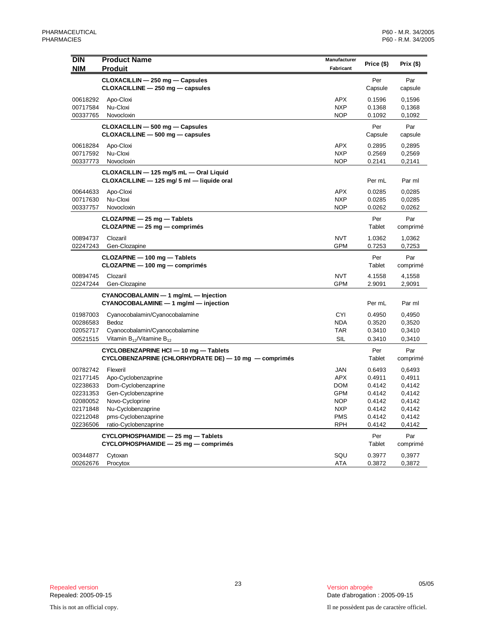| <b>DIN</b> | <b>Product Name</b>                                                                              | Manufacturer | Price (\$)     | Prix (\$)       |
|------------|--------------------------------------------------------------------------------------------------|--------------|----------------|-----------------|
| <b>NIM</b> | <b>Produit</b>                                                                                   | Fabricant    |                |                 |
|            | CLOXACILLIN - 250 mg - Capsules<br>CLOXACILLINE - 250 mg - capsules                              |              | Per<br>Capsule | Par<br>capsule  |
| 00618292   | Apo-Cloxi                                                                                        | <b>APX</b>   | 0.1596         | 0,1596          |
| 00717584   | Nu-Cloxi                                                                                         | <b>NXP</b>   | 0.1368         | 0,1368          |
| 00337765   | Novocloxin                                                                                       | <b>NOP</b>   | 0.1092         | 0,1092          |
|            | CLOXACILLIN - 500 mg - Capsules<br>CLOXACILLINE - 500 mg - capsules                              |              | Per<br>Capsule | Par<br>capsule  |
| 00618284   | Apo-Cloxi                                                                                        | APX          | 0.2895         | 0,2895          |
| 00717592   | Nu-Cloxi                                                                                         | <b>NXP</b>   | 0.2569         | 0,2569          |
| 00337773   | Novocloxin                                                                                       | <b>NOP</b>   | 0.2141         | 0,2141          |
|            | CLOXACILLIN - 125 mg/5 mL - Oral Liquid<br>CLOXACILLINE - 125 mg/ 5 ml - liquide oral            |              | Per mL         | Par ml          |
| 00644633   | Apo-Cloxi                                                                                        | <b>APX</b>   | 0.0285         | 0,0285          |
| 00717630   | Nu-Cloxi                                                                                         | <b>NXP</b>   | 0.0285         | 0,0285          |
| 00337757   | Novocloxin                                                                                       | <b>NOP</b>   | 0.0262         | 0,0262          |
|            | $CLOZAPINE - 25 mg - Tables$<br>$CLOZAPINE - 25 mg - comprimés$                                  |              | Per<br>Tablet  | Par<br>comprimé |
| 00894737   | Clozaril                                                                                         | <b>NVT</b>   | 1.0362         | 1,0362          |
| 02247243   | Gen-Clozapine                                                                                    | <b>GPM</b>   | 0.7253         | 0,7253          |
|            | CLOZAPINE - 100 mg - Tablets<br>CLOZAPINE - 100 mg - comprimés                                   |              | Per<br>Tablet  | Par<br>comprimé |
| 00894745   | Clozaril                                                                                         | <b>NVT</b>   | 4.1558         | 4,1558          |
| 02247244   | Gen-Clozapine                                                                                    | <b>GPM</b>   | 2.9091         | 2,9091          |
|            | CYANOCOBALAMIN - 1 mg/mL - Injection<br>$CYANOCOBALAMINE - 1 mg/ml - injection$                  |              | Per mL         | Par ml          |
| 01987003   | Cyanocobalamin/Cyanocobalamine                                                                   | <b>CYI</b>   | 0.4950         | 0,4950          |
| 00286583   | Bedoz                                                                                            | <b>NDA</b>   | 0.3520         | 0,3520          |
| 02052717   | Cyanocobalamin/Cyanocobalamine                                                                   | TAR          | 0.3410         | 0,3410          |
| 00521515   | Vitamin $B_{12}$ /Vitamine $B_{12}$                                                              | SIL          | 0.3410         | 0,3410          |
|            | CYCLOBENZAPRINE HCI - 10 mg - Tablets<br>$CYCLOBENZAPRINE (CHLORHYDRATE DE) - 10 mg - comprimés$ |              | Per<br>Tablet  | Par<br>comprimé |
| 00782742   | Flexeril                                                                                         | <b>JAN</b>   | 0.6493         | 0,6493          |
| 02177145   | Apo-Cyclobenzaprine                                                                              | <b>APX</b>   | 0.4911         | 0,4911          |
| 02238633   | Dom-Cyclobenzaprine                                                                              | <b>DOM</b>   | 0.4142         | 0,4142          |
| 02231353   | Gen-Cyclobenzaprine                                                                              | GPM          | 0.4142         | 0,4142          |
| 02080052   | Novo-Cycloprine                                                                                  | <b>NOP</b>   | 0.4142         | 0,4142          |
| 02171848   | Nu-Cyclobenzaprine                                                                               | <b>NXP</b>   | 0.4142         | 0,4142          |
| 02212048   | pms-Cyclobenzaprine                                                                              | <b>PMS</b>   | 0.4142         | 0,4142          |
| 02236506   | ratio-Cyclobenzaprine                                                                            | <b>RPH</b>   | 0.4142         | 0,4142          |
|            | CYCLOPHOSPHAMIDE - 25 mg - Tablets<br>CYCLOPHOSPHAMIDE - 25 mg - comprimés                       |              | Per<br>Tablet  | Par<br>comprimé |
| 00344877   | Cytoxan                                                                                          | SQU          | 0.3977         | 0,3977          |
| 00262676   | Procytox                                                                                         | <b>ATA</b>   | 0.3872         | 0,3872          |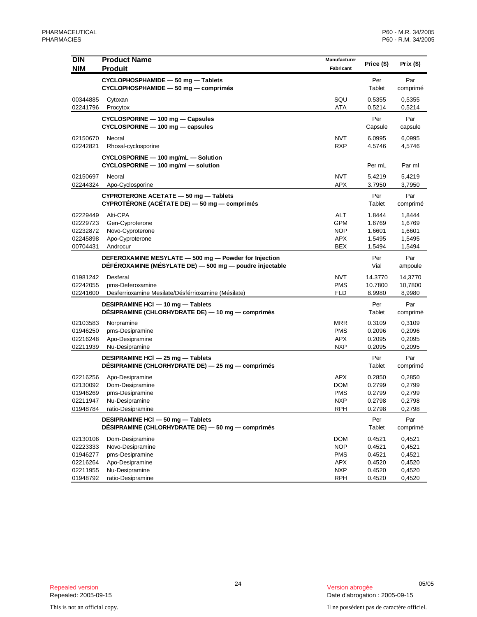| <b>DIN</b> | <b>Product Name</b>                                     | Manufacturer |               |           |
|------------|---------------------------------------------------------|--------------|---------------|-----------|
| <b>NIM</b> | <b>Produit</b>                                          | Fabricant    | Price (\$)    | Prix (\$) |
|            | CYCLOPHOSPHAMIDE - 50 mg - Tablets                      |              | Per           | Par       |
|            | CYCLOPHOSPHAMIDE - 50 mg - comprimés                    |              | Tablet        | comprimé  |
| 00344885   | Cytoxan                                                 | SQU          | 0.5355        | 0,5355    |
| 02241796   | Procytox                                                | ATA          | 0.5214        | 0,5214    |
|            | CYCLOSPORINE - 100 mg - Capsules                        |              | Per           | Par       |
|            | CYCLOSPORINE - 100 mg - capsules                        |              | Capsule       | capsule   |
| 02150670   | Neoral                                                  | <b>NVT</b>   | 6.0995        | 6,0995    |
| 02242821   | Rhoxal-cyclosporine                                     | <b>RXP</b>   | 4.5746        | 4,5746    |
|            | CYCLOSPORINE - 100 mg/mL - Solution                     |              |               |           |
|            | CYCLOSPORINE - 100 mg/ml - solution                     |              | Per mL        | Par ml    |
| 02150697   | Neoral                                                  | <b>NVT</b>   | 5.4219        | 5,4219    |
| 02244324   | Apo-Cyclosporine                                        | APX          | 3.7950        | 3,7950    |
|            | CYPROTERONE ACETATE - 50 mg - Tablets                   |              | Per           | Par       |
|            | CYPROTÉRONE (ACÉTATE DE) - 50 mg - comprimés            |              | Tablet        | comprimé  |
| 02229449   | Alti-CPA                                                | <b>ALT</b>   | 1.8444        | 1,8444    |
| 02229723   | Gen-Cyproterone                                         | <b>GPM</b>   | 1.6769        | 1,6769    |
| 02232872   | Novo-Cyproterone                                        | <b>NOP</b>   | 1.6601        | 1,6601    |
| 02245898   | Apo-Cyproterone                                         | <b>APX</b>   | 1.5495        | 1,5495    |
| 00704431   | Androcur                                                | BEX          | 1.5494        | 1,5494    |
|            | DEFEROXAMINE MESYLATE - 500 mg - Powder for Injection   |              | Per           | Par       |
|            | DÉFÉROXAMINE (MÉSYLATE DE) - 500 mg - poudre injectable |              | Vial          | ampoule   |
| 01981242   | Desferal                                                | <b>NVT</b>   | 14.3770       | 14,3770   |
| 02242055   | pms-Deferoxamine                                        | <b>PMS</b>   | 10.7800       | 10,7800   |
| 02241600   | Desferrioxamine Mesilate/Désférrioxamine (Mésilate)     | FLD          | 8.9980        | 8,9980    |
|            | DESIPRAMINE HCI - 10 mg - Tablets                       |              | Per<br>Tablet | Par       |
|            | DESIPRAMINE (CHLORHYDRATE DE) — 10 mg — comprimés       |              |               | comprimé  |
| 02103583   | Norpramine                                              | MRR          | 0.3109        | 0,3109    |
| 01946250   | pms-Desipramine                                         | <b>PMS</b>   | 0.2096        | 0,2096    |
| 02216248   | Apo-Desipramine                                         | APX          | 0.2095        | 0,2095    |
| 02211939   | Nu-Desipramine                                          | <b>NXP</b>   | 0.2095        | 0,2095    |
|            | DESIPRAMINE HCI - 25 mg - Tablets                       |              | Per           | Par       |
|            | DÉSIPRAMINE (CHLORHYDRATE DE) — 25 mg — comprimés       |              | Tablet        | comprimé  |
| 02216256   | Apo-Desipramine                                         | APX          | 0.2850        | 0,2850    |
| 02130092   | Dom-Desipramine                                         | DOM          | 0.2799        | 0,2799    |
| 01946269   | pms-Desipramine                                         | <b>PMS</b>   | 0.2799        | 0,2799    |
| 02211947   | Nu-Desipramine                                          | <b>NXP</b>   | 0.2798        | 0,2798    |
| 01948784   | ratio-Desipramine                                       | <b>RPH</b>   | 0.2798        | 0,2798    |
|            | DESIPRAMINE HCI - 50 mg - Tablets                       |              | Per           | Par       |
|            | DÉSIPRAMINE (CHLORHYDRATE DE) - 50 mg - comprimés       |              | Tablet        | comprimé  |
| 02130106   | Dom-Desipramine                                         | DOM          | 0.4521        | 0,4521    |
| 02223333   | Novo-Desipramine                                        | <b>NOP</b>   | 0.4521        | 0,4521    |
| 01946277   | pms-Desipramine                                         | <b>PMS</b>   | 0.4521        | 0,4521    |
| 02216264   | Apo-Desipramine                                         | <b>APX</b>   | 0.4520        | 0,4520    |
| 02211955   | Nu-Desipramine                                          | <b>NXP</b>   | 0.4520        | 0,4520    |
| 01948792   | ratio-Desipramine                                       | <b>RPH</b>   | 0.4520        | 0,4520    |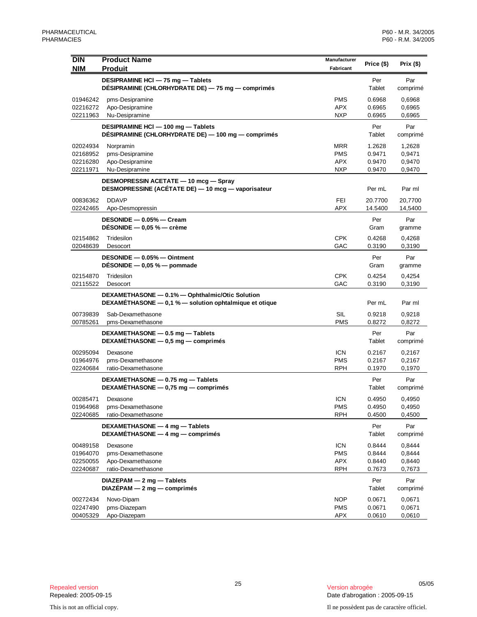| <b>DIN</b>           | <b>Product Name</b>                                                                                       | Manufacturer             | Price (\$)       | Prix $($ \$)     |
|----------------------|-----------------------------------------------------------------------------------------------------------|--------------------------|------------------|------------------|
| <b>NIM</b>           | <b>Produit</b>                                                                                            | Fabricant                |                  |                  |
|                      | DESIPRAMINE HCI - 75 mg - Tablets<br>DÉSIPRAMINE (CHLORHYDRATE DE) - 75 mg - comprimés                    |                          | Per<br>Tablet    | Par<br>comprimé  |
| 01946242             | pms-Desipramine                                                                                           | <b>PMS</b>               | 0.6968           | 0,6968           |
| 02216272             | Apo-Desipramine                                                                                           | <b>APX</b>               | 0.6965           | 0,6965           |
| 02211963             | Nu-Desipramine                                                                                            | <b>NXP</b>               | 0.6965           | 0,6965           |
|                      | DESIPRAMINE HCI - 100 mg - Tablets<br>DÉSIPRAMINE (CHLORHYDRATE DE) - 100 mg - comprimés                  |                          | Per<br>Tablet    | Par<br>comprimé  |
| 02024934             | Norpramin                                                                                                 | <b>MRR</b>               | 1.2628           | 1,2628           |
| 02168952             | pms-Desipramine                                                                                           | <b>PMS</b>               | 0.9471           | 0,9471           |
| 02216280             | Apo-Desipramine                                                                                           | <b>APX</b>               | 0.9470           | 0,9470           |
| 02211971             | Nu-Desipramine                                                                                            | <b>NXP</b>               | 0.9470           | 0,9470           |
|                      | DESMOPRESSIN ACETATE - 10 mcg - Spray<br>DESMOPRESSINE (ACÉTATE DE) - 10 mcg - vaporisateur               |                          | Per mL           | Par ml           |
| 00836362             | <b>DDAVP</b>                                                                                              | FEI                      | 20.7700          | 20,7700          |
| 02242465             | Apo-Desmopressin                                                                                          | <b>APX</b>               | 14.5400          | 14,5400          |
|                      | DESONIDE - 0.05% - Cream<br>DÉSONIDE $-$ 0,05 % $-$ crème                                                 |                          | Per<br>Gram      | Par<br>gramme    |
| 02154862             | Tridesilon                                                                                                | <b>CPK</b>               | 0.4268           | 0,4268           |
| 02048639             | Desocort                                                                                                  | GAC                      | 0.3190           | 0,3190           |
|                      | DESONIDE - 0.05% - Ointment<br>DÉSONIDE $-$ 0,05 % $-$ pommade                                            |                          | Per<br>Gram      | Par<br>gramme    |
| 02154870             | Tridesilon                                                                                                | <b>CPK</b>               | 0.4254           | 0,4254           |
| 02115522             | Desocort                                                                                                  | GAC                      | 0.3190           | 0,3190           |
|                      | DEXAMETHASONE - 0.1% - Ophthalmic/Otic Solution<br>DEXAMÉTHASONE - 0,1 % - solution ophtalmique et otique |                          | Per mL           | Par ml           |
| 00739839<br>00785261 | Sab-Dexamethasone<br>pms-Dexamethasone                                                                    | <b>SIL</b><br><b>PMS</b> | 0.9218<br>0.8272 | 0,9218<br>0,8272 |
|                      | DEXAMETHASONE - 0.5 mg - Tablets<br>DEXAMETHASONE - 0,5 mg - comprimés                                    |                          | Per<br>Tablet    | Par<br>comprimé  |
| 00295094             | Dexasone                                                                                                  | <b>ICN</b>               | 0.2167           | 0,2167           |
| 01964976             | pms-Dexamethasone                                                                                         | <b>PMS</b>               | 0.2167           | 0,2167           |
| 02240684             | ratio-Dexamethasone                                                                                       | <b>RPH</b>               | 0.1970           | 0,1970           |
|                      | DEXAMETHASONE - 0.75 mg - Tablets<br>DEXAMETHASONE - 0,75 mg - comprimés                                  |                          | Per<br>Tablet    | Par<br>comprimé  |
| 00285471             | Dexasone                                                                                                  | <b>ICN</b>               | 0.4950           | 0,4950           |
| 01964968             | pms-Dexamethasone                                                                                         | <b>PMS</b>               | 0.4950           | 0,4950           |
| 02240685             | ratio-Dexamethasone                                                                                       | <b>RPH</b>               | 0.4500           | 0,4500           |
|                      | DEXAMETHASONE - 4 mg - Tablets<br>DEXAMÉTHASONE - 4 mg - comprimés                                        |                          | Per<br>Tablet    | Par<br>comprimé  |
| 00489158             | Dexasone                                                                                                  | <b>ICN</b>               | 0.8444           | 0,8444           |
| 01964070             | pms-Dexamethasone                                                                                         | <b>PMS</b>               | 0.8444           | 0,8444           |
| 02250055             | Apo-Dexamethasone                                                                                         | <b>APX</b>               | 0.8440           | 0,8440           |
| 02240687             | ratio-Dexamethasone                                                                                       | <b>RPH</b>               | 0.7673           | 0,7673           |
|                      | DIAZEPAM - 2 mg - Tablets<br>$DIAZÉPAM - 2 mg - comprimés$                                                |                          | Per<br>Tablet    | Par<br>comprimé  |
| 00272434             | Novo-Dipam                                                                                                | <b>NOP</b>               | 0.0671           | 0,0671           |
| 02247490             | pms-Diazepam                                                                                              | <b>PMS</b>               | 0.0671           | 0,0671           |
| 00405329             | Apo-Diazepam                                                                                              | <b>APX</b>               | 0.0610           | 0,0610           |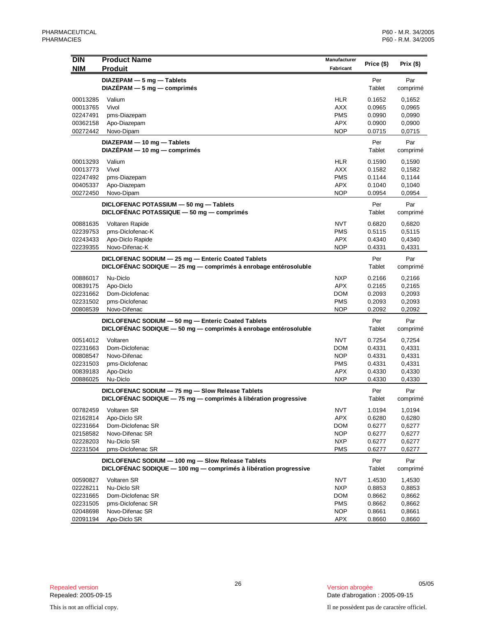| DIN        | <b>Product Name</b>                                              | <b>Manufacturer</b> | Price (\$)    | Prix (\$)       |
|------------|------------------------------------------------------------------|---------------------|---------------|-----------------|
| <b>NIM</b> | <b>Produit</b>                                                   | Fabricant           |               |                 |
|            | DIAZEPAM - 5 mg - Tablets                                        |                     | Per           | Par             |
|            | $DIAZÉPAM - 5 mg - comprimés$                                    |                     | Tablet        | comprimé        |
| 00013285   | Valium                                                           | <b>HLR</b>          | 0.1652        | 0,1652          |
| 00013765   | Vivol                                                            | <b>AXX</b>          | 0.0965        | 0,0965          |
| 02247491   | pms-Diazepam                                                     | <b>PMS</b>          | 0.0990        | 0,0990          |
| 00362158   | Apo-Diazepam                                                     | <b>APX</b>          | 0.0900        | 0,0900          |
| 00272442   | Novo-Dipam                                                       | <b>NOP</b>          | 0.0715        | 0,0715          |
|            | DIAZEPAM - 10 mg - Tablets                                       |                     |               |                 |
|            | $DIAZÉPAM - 10 mg - comprimés$                                   |                     | Per<br>Tablet | Par<br>comprimé |
|            |                                                                  |                     |               |                 |
| 00013293   | Valium                                                           | <b>HLR</b>          | 0.1590        | 0,1590          |
| 00013773   | Vivol                                                            | <b>AXX</b>          | 0.1582        | 0,1582          |
| 02247492   | pms-Diazepam                                                     | <b>PMS</b>          | 0.1144        | 0,1144          |
| 00405337   | Apo-Diazepam                                                     | <b>APX</b>          | 0.1040        | 0,1040          |
| 00272450   | Novo-Dipam                                                       | <b>NOP</b>          | 0.0954        | 0,0954          |
|            | DICLOFENAC POTASSIUM - 50 mg - Tablets                           |                     | Per           | Par             |
|            | DICLOFÉNAC POTASSIQUE - 50 mg - comprimés                        |                     | Tablet        | comprimé        |
| 00881635   | Voltaren Rapide                                                  | <b>NVT</b>          | 0.6820        | 0,6820          |
| 02239753   | pms-Diclofenac-K                                                 | <b>PMS</b>          | 0.5115        | 0,5115          |
| 02243433   | Apo-Diclo Rapide                                                 | <b>APX</b>          | 0.4340        | 0,4340          |
| 02239355   | Novo-Difenac-K                                                   | <b>NOP</b>          | 0.4331        | 0,4331          |
|            |                                                                  |                     |               |                 |
|            | DICLOFENAC SODIUM - 25 mg - Enteric Coated Tablets               |                     | Per           | Par             |
|            | DICLOFÉNAC SODIQUE - 25 mg - comprimés à enrobage entérosoluble  |                     | Tablet        | comprimé        |
| 00886017   | Nu-Diclo                                                         | <b>NXP</b>          | 0.2166        | 0,2166          |
| 00839175   | Apo-Diclo                                                        | <b>APX</b>          | 0.2165        | 0,2165          |
| 02231662   | Dom-Diclofenac                                                   | DOM                 | 0.2093        | 0,2093          |
| 02231502   | pms-Diclofenac                                                   | <b>PMS</b>          | 0.2093        | 0,2093          |
| 00808539   | Novo-Difenac                                                     | <b>NOP</b>          | 0.2092        | 0,2092          |
|            | DICLOFENAC SODIUM - 50 mg - Enteric Coated Tablets               |                     | Per           | Par             |
|            | DICLOFÉNAC SODIQUE - 50 mg - comprimés à enrobage entérosoluble  |                     | Tablet        | comprimé        |
| 00514012   | Voltaren                                                         | <b>NVT</b>          | 0.7254        | 0,7254          |
| 02231663   | Dom-Diclofenac                                                   | <b>DOM</b>          | 0.4331        | 0,4331          |
| 00808547   | Novo-Difenac                                                     | <b>NOP</b>          | 0.4331        | 0,4331          |
| 02231503   | pms-Diclofenac                                                   | <b>PMS</b>          | 0.4331        | 0,4331          |
| 00839183   | Apo-Diclo                                                        | APX                 | 0.4330        | 0,4330          |
| 00886025   | Nu-Diclo                                                         | <b>NXP</b>          | 0.4330        | 0,4330          |
|            |                                                                  |                     |               |                 |
|            | DICLOFENAC SODIUM - 75 mg - Slow Release Tablets                 |                     | Per           | Par             |
|            | DICLOFÉNAC SODIQUE - 75 mg - comprimés à libération progressive  |                     | Tablet        | comprimé        |
| 00782459   | Voltaren SR                                                      | <b>NVT</b>          | 1.0194        | 1,0194          |
| 02162814   | Apo-Diclo SR                                                     | <b>APX</b>          | 0.6280        | 0,6280          |
| 02231664   | Dom-Diclofenac SR                                                | <b>DOM</b>          | 0.6277        | 0,6277          |
| 02158582   | Novo-Difenac SR                                                  | <b>NOP</b>          | 0.6277        | 0,6277          |
| 02228203   | Nu-Diclo SR                                                      | <b>NXP</b>          | 0.6277        | 0,6277          |
| 02231504   | pms-Diclofenac SR                                                | <b>PMS</b>          | 0.6277        | 0,6277          |
|            | DICLOFENAC SODIUM - 100 mg - Slow Release Tablets                |                     | Per           | Par             |
|            | DICLOFÉNAC SODIQUE - 100 mg - comprimés à libération progressive |                     | Tablet        | comprimé        |
|            |                                                                  |                     |               |                 |
| 00590827   | Voltaren SR                                                      | <b>NVT</b>          | 1.4530        | 1,4530          |
| 02228211   | Nu-Diclo SR                                                      | <b>NXP</b>          | 0.8853        | 0,8853          |
| 02231665   | Dom-Diclofenac SR                                                | <b>DOM</b>          | 0.8662        | 0,8662          |
| 02231505   | pms-Diclofenac SR                                                | <b>PMS</b>          | 0.8662        | 0,8662          |
| 02048698   | Novo-Difenac SR                                                  | <b>NOP</b>          | 0.8661        | 0,8661          |
| 02091194   | Apo-Diclo SR                                                     | APX                 | 0.8660        | 0,8660          |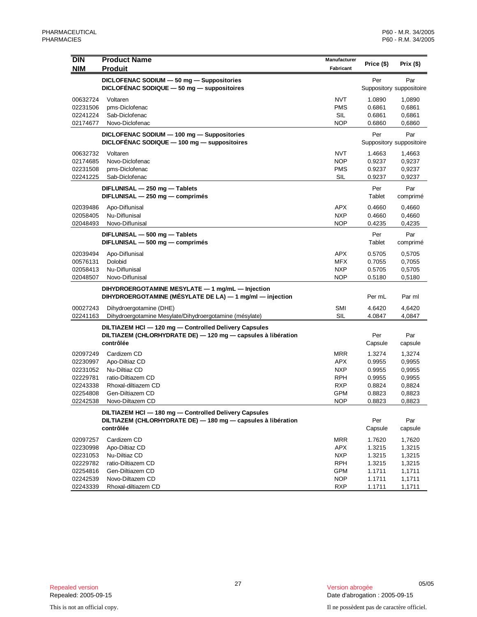| <b>DIN</b> | <b>Product Name</b>                                                                                          | Manufacturer             |               |                          |
|------------|--------------------------------------------------------------------------------------------------------------|--------------------------|---------------|--------------------------|
| <b>NIM</b> | <b>Produit</b>                                                                                               | Fabricant                | Price (\$)    | Prix (\$)                |
|            | DICLOFENAC SODIUM - 50 mg - Suppositories                                                                    |                          | Per           | Par                      |
|            | DICLOFÉNAC SODIQUE $-50$ mg $-$ suppositoires                                                                |                          |               | Suppository suppositoire |
| 00632724   | Voltaren                                                                                                     | <b>NVT</b>               | 1.0890        | 1,0890                   |
| 02231506   | pms-Diclofenac                                                                                               | <b>PMS</b>               | 0.6861        | 0,6861                   |
| 02241224   | Sab-Diclofenac                                                                                               | SIL                      | 0.6861        | 0,6861                   |
| 02174677   | Novo-Diclofenac                                                                                              | <b>NOP</b>               | 0.6860        | 0,6860                   |
|            | DICLOFENAC SODIUM - 100 mg - Suppositories                                                                   |                          | Per           | Par                      |
|            | DICLOFÉNAC SODIQUE - 100 mg - suppositoires                                                                  |                          |               | Suppository suppositoire |
| 00632732   | Voltaren                                                                                                     | <b>NVT</b>               | 1.4663        | 1,4663                   |
| 02174685   | Novo-Diclofenac                                                                                              | <b>NOP</b>               | 0.9237        | 0,9237                   |
| 02231508   | pms-Diclofenac                                                                                               | <b>PMS</b>               | 0.9237        | 0,9237                   |
| 02241225   | Sab-Diclofenac                                                                                               | <b>SIL</b>               | 0.9237        | 0,9237                   |
|            | DIFLUNISAL - 250 mg - Tablets                                                                                |                          | Per           | Par                      |
|            | DIFLUNISAL - 250 mg - comprimés                                                                              |                          | Tablet        | comprimé                 |
| 02039486   | Apo-Diflunisal                                                                                               | <b>APX</b>               | 0.4660        | 0,4660                   |
| 02058405   | Nu-Diflunisal                                                                                                | <b>NXP</b>               | 0.4660        | 0,4660                   |
| 02048493   | Novo-Diflunisal                                                                                              | <b>NOP</b>               | 0.4235        | 0,4235                   |
|            |                                                                                                              |                          |               |                          |
|            | DIFLUNISAL - 500 mg - Tablets<br>DIFLUNISAL - 500 mg - comprimés                                             |                          | Per<br>Tablet | Par<br>comprimé          |
|            |                                                                                                              |                          |               |                          |
| 02039494   | Apo-Diflunisal                                                                                               | APX                      | 0.5705        | 0,5705                   |
| 00576131   | Dolobid                                                                                                      | <b>MFX</b>               | 0.7055        | 0,7055                   |
| 02058413   | Nu-Diflunisal<br>Novo-Diflunisal                                                                             | <b>NXP</b><br><b>NOP</b> | 0.5705        | 0,5705                   |
| 02048507   |                                                                                                              |                          | 0.5180        | 0,5180                   |
|            | DIHYDROERGOTAMINE MESYLATE - 1 mg/mL - Injection<br>DIHYDROERGOTAMINE (MÉSYLATE DE LA) — 1 mg/ml — injection |                          | Per mL        | Par ml                   |
| 00027243   | Dihydroergotamine (DHE)                                                                                      | <b>SMI</b>               | 4.6420        | 4,6420                   |
| 02241163   | Dihydroergotamine Mesylate/Dihydroergotamine (mésylate)                                                      | <b>SIL</b>               | 4.0847        | 4,0847                   |
|            | DILTIAZEM HCI - 120 mg - Controlled Delivery Capsules                                                        |                          |               |                          |
|            | DILTIAZEM (CHLORHYDRATE DE) - 120 mg - capsules à libération                                                 |                          | Per           | Par                      |
|            | contrôlée                                                                                                    |                          | Capsule       | capsule                  |
| 02097249   | Cardizem CD                                                                                                  | <b>MRR</b>               | 1.3274        | 1,3274                   |
| 02230997   | Apo-Diltiaz CD                                                                                               | <b>APX</b>               | 0.9955        | 0,9955                   |
| 02231052   | Nu-Diltiaz CD                                                                                                | <b>NXP</b>               | 0.9955        | 0,9955                   |
| 02229781   | ratio-Diltiazem CD                                                                                           | <b>RPH</b>               | 0.9955        | 0,9955                   |
| 02243338   | Rhoxal-diltiazem CD                                                                                          | <b>RXP</b>               | 0.8824        | 0,8824                   |
| 02254808   | Gen-Diltiazem CD                                                                                             | GPM                      | 0.8823        | 0,8823                   |
| 02242538   | Novo-Diltazem CD                                                                                             | <b>NOP</b>               | 0.8823        | 0,8823                   |
|            | DILTIAZEM HCI - 180 mg - Controlled Delivery Capsules                                                        |                          |               |                          |
|            | DILTIAZEM (CHLORHYDRATE DE) - 180 mg - capsules à libération                                                 |                          | Per           | Par                      |
|            | contrôlée                                                                                                    |                          | Capsule       | capsule                  |
| 02097257   | Cardizem CD                                                                                                  | <b>MRR</b>               | 1.7620        | 1,7620                   |
| 02230998   | Apo-Diltiaz CD                                                                                               | <b>APX</b>               | 1.3215        | 1,3215                   |
| 02231053   | Nu-Diltiaz CD                                                                                                | <b>NXP</b>               | 1.3215        | 1,3215                   |
| 02229782   | ratio-Diltiazem CD                                                                                           | <b>RPH</b>               | 1.3215        | 1,3215                   |
| 02254816   | Gen-Diltiazem CD                                                                                             | GPM                      | 1.1711        | 1,1711                   |
| 02242539   | Novo-Diltazem CD                                                                                             | <b>NOP</b>               | 1.1711        | 1,1711                   |
| 02243339   | Rhoxal-diltiazem CD                                                                                          | <b>RXP</b>               | 1.1711        | 1,1711                   |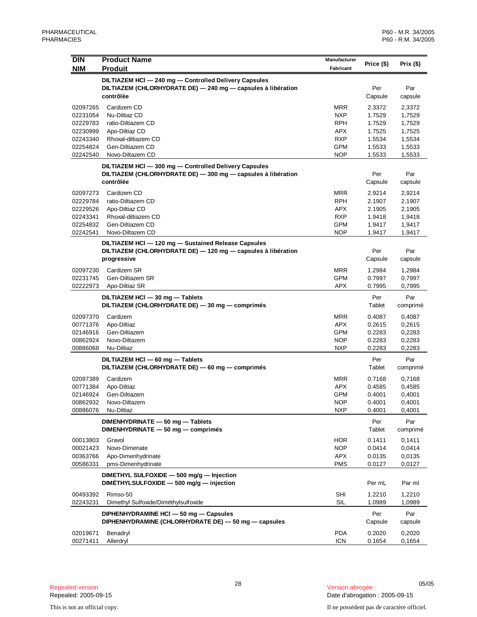| <b>DIN</b><br><b>NIM</b>                                                         | <b>Product Name</b><br><b>Produit</b>                                                                                               | Manufacturer<br>Fabricant                                                        | Price (\$)                                                         | Prix $(\$)$                                                        |
|----------------------------------------------------------------------------------|-------------------------------------------------------------------------------------------------------------------------------------|----------------------------------------------------------------------------------|--------------------------------------------------------------------|--------------------------------------------------------------------|
|                                                                                  | DILTIAZEM HCI - 240 mg - Controlled Delivery Capsules                                                                               |                                                                                  |                                                                    |                                                                    |
|                                                                                  | DILTIAZEM (CHLORHYDRATE DE) - 240 mg - capsules à libération<br>contrôlée                                                           |                                                                                  | Per<br>Capsule                                                     | Par<br>capsule                                                     |
| 02097265<br>02231054<br>02229783<br>02230999<br>02243340<br>02254824<br>02242540 | Cardizem CD<br>Nu-Diltiaz CD<br>ratio-Diltiazem CD<br>Apo-Diltiaz CD<br>Rhoxal-diltiazem CD<br>Gen-Diltiazem CD<br>Novo-Diltazem CD | <b>MRR</b><br><b>NXP</b><br>RPH<br><b>APX</b><br><b>RXP</b><br>GPM<br><b>NOP</b> | 2.3372<br>1.7529<br>1.7529<br>1.7525<br>1.5534<br>1.5533<br>1.5533 | 2,3372<br>1,7529<br>1,7529<br>1,7525<br>1,5534<br>1,5533<br>1,5533 |
|                                                                                  | DILTIAZEM HCI - 300 mg - Controlled Delivery Capsules<br>DILTIAZEM (CHLORHYDRATE DE) - 300 mg - capsules à libération<br>contrôlée  |                                                                                  | Per<br>Capsule                                                     | Par<br>capsule                                                     |
| 02097273<br>02229784<br>02229526<br>02243341<br>02254832<br>02242541             | Cardizem CD<br>ratio-Diltiazem CD<br>Apo-Diltiaz CD<br>Rhoxal-diltiazem CD<br>Gen-Diltiazem CD<br>Novo-Diltazem CD                  | <b>MRR</b><br><b>RPH</b><br><b>APX</b><br><b>RXP</b><br>GPM<br>NOP               | 2.9214<br>2.1907<br>2.1905<br>1.9418<br>1.9417<br>1.9417           | 2,9214<br>2,1907<br>2,1905<br>1,9418<br>1,9417<br>1,9417           |
|                                                                                  | DILTIAZEM HCI - 120 mg - Sustained Release Capsules<br>DILTIAZEM (CHLORHYDRATE DE) - 120 mg - capsules à libération<br>progressive  |                                                                                  | Per<br>Capsule                                                     | Par<br>capsule                                                     |
| 02097230<br>02231745<br>02222973                                                 | Cardizem SR<br>Gen-Diltiazem SR<br>Apo-Diltiaz SR                                                                                   | <b>MRR</b><br><b>GPM</b><br><b>APX</b>                                           | 1.2984<br>0.7997<br>0.7995                                         | 1,2984<br>0,7997<br>0,7995                                         |
|                                                                                  | DILTIAZEM HCI - 30 mg - Tablets<br>DILTIAZEM (CHLORHYDRATE DE) - 30 mg - comprimés                                                  |                                                                                  | Per<br>Tablet                                                      | Par<br>comprimé                                                    |
| 02097370<br>00771376<br>02146916<br>00862924<br>00886068                         | Cardizem<br>Apo-Diltiaz<br>Gen-Diltiazem<br>Novo-Diltazem<br>Nu-Diltiaz                                                             | <b>MRR</b><br><b>APX</b><br>GPM<br>NOP<br><b>NXP</b>                             | 0.4087<br>0.2615<br>0.2283<br>0.2283<br>0.2283                     | 0,4087<br>0,2615<br>0,2283<br>0,2283<br>0,2283                     |
|                                                                                  | DILTIAZEM HCI - 60 mg - Tablets<br>DILTIAZEM (CHLORHYDRATE DE) - 60 mg - comprimés                                                  |                                                                                  | Per<br>Tablet                                                      | Par<br>comprimé                                                    |
| 02097389<br>00771384<br>02146924<br>00862932<br>00886076                         | Cardizem<br>Apo-Diltiaz<br>Gen-Diltiazem<br>Novo-Diltazem<br>Nu-Diltiaz                                                             | <b>MRR</b><br><b>APX</b><br><b>GPM</b><br><b>NOP</b><br><b>NXP</b>               | 0.7168<br>0.4585<br>0.4001<br>0.4001<br>0.4001                     | 0,7168<br>0,4585<br>0,4001<br>0,4001<br>0,4001                     |
|                                                                                  | DIMENHYDRINATE - 50 mg - Tablets<br>DIMENHYDRINATE - 50 mg - comprimés                                                              |                                                                                  | Per<br>Tablet                                                      | Par<br>comprimé                                                    |
| 00013803<br>00021423<br>00363766<br>00586331                                     | Gravol<br>Novo-Dimenate<br>Apo-Dimenhydrinate<br>pms-Dimenhydrinate                                                                 | <b>HOR</b><br><b>NOP</b><br>APX<br><b>PMS</b>                                    | 0.1411<br>0.0414<br>0.0135<br>0.0127                               | 0,1411<br>0,0414<br>0,0135<br>0,0127                               |
|                                                                                  | DIMETHYL SULFOXIDE - 500 mg/g - Injection<br>DIMÉTHYLSULFOXIDE - 500 mg/g - injection                                               |                                                                                  | Per mL                                                             | Par ml                                                             |
| 00493392<br>02243231                                                             | Rimso-50<br>Dimethyl Sulfoxide/Diméthylsulfoxide                                                                                    | <b>SHI</b><br><b>SIL</b>                                                         | 1.2210<br>1.0989                                                   | 1,2210<br>1,0989                                                   |
|                                                                                  | DIPHENHYDRAMINE HCI - 50 mg - Capsules<br>DIPHENHYDRAMINE (CHLORHYDRATE DE) - 50 mg - capsules                                      |                                                                                  | Per<br>Capsule                                                     | Par<br>capsule                                                     |
| 02019671<br>00271411                                                             | Benadryl<br>Allerdryl                                                                                                               | <b>PDA</b><br><b>ICN</b>                                                         | 0.2020<br>0.1654                                                   | 0,2020<br>0,1654                                                   |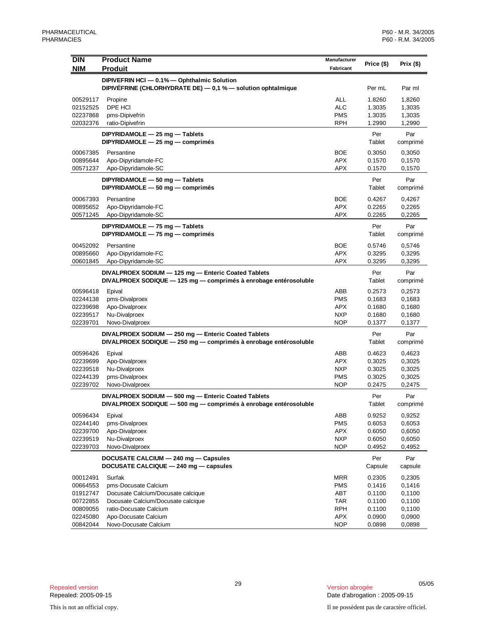| DIN                  | <b>Product Name</b>                                                                                                     | Manufacturer      |                  |                  |
|----------------------|-------------------------------------------------------------------------------------------------------------------------|-------------------|------------------|------------------|
| <b>NIM</b>           | <b>Produit</b>                                                                                                          | Fabricant         | Price (\$)       | Prix (\$)        |
|                      | DIPIVEFRIN HCI - 0.1% - Ophthalmic Solution                                                                             |                   |                  |                  |
|                      | DIPIVÉFRINE (CHLORHYDRATE DE) - 0,1 % - solution ophtalmique                                                            |                   | Per mL           | Par ml           |
| 00529117             | Propine                                                                                                                 | <b>ALL</b>        | 1.8260           | 1,8260           |
| 02152525             | DPE HCI                                                                                                                 | <b>ALC</b>        | 1.3035           | 1,3035           |
| 02237868             | pms-Dipivefrin                                                                                                          | <b>PMS</b>        | 1.3035           | 1,3035           |
| 02032376             | ratio-Dipivefrin                                                                                                        | <b>RPH</b>        | 1.2990           | 1,2990           |
|                      | DIPYRIDAMOLE - 25 mg - Tablets<br>DIPYRIDAMOLE - 25 mg - comprimés                                                      |                   | Per<br>Tablet    | Par<br>comprimé  |
| 00067385             | Persantine                                                                                                              | <b>BOE</b>        | 0.3050           | 0,3050           |
| 00895644             | Apo-Dipyridamole-FC                                                                                                     | <b>APX</b>        | 0.1570           | 0,1570           |
| 00571237             | Apo-Dipyridamole-SC                                                                                                     | <b>APX</b>        | 0.1570           | 0,1570           |
|                      | DIPYRIDAMOLE - 50 mg - Tablets                                                                                          |                   | Per              | Par              |
|                      | DIPYRIDAMOLE - 50 mg - comprimés                                                                                        |                   | Tablet           | comprimé         |
| 00067393             | Persantine                                                                                                              | <b>BOE</b>        | 0.4267           | 0,4267           |
| 00895652             | Apo-Dipyridamole-FC                                                                                                     | <b>APX</b>        | 0.2265           | 0,2265           |
| 00571245             | Apo-Dipyridamole-SC                                                                                                     | <b>APX</b>        | 0.2265           | 0,2265           |
|                      | DIPYRIDAMOLE - 75 mg - Tablets                                                                                          |                   | Per              | Par              |
|                      | DIPYRIDAMOLE - 75 mg - comprimés                                                                                        |                   | Tablet           | comprimé         |
| 00452092             | Persantine                                                                                                              | <b>BOE</b>        | 0.5746           | 0,5746           |
| 00895660             | Apo-Dipyridamole-FC                                                                                                     | <b>APX</b>        | 0.3295           | 0,3295           |
| 00601845             | Apo-Dipyridamole-SC                                                                                                     | <b>APX</b>        | 0.3295           | 0,3295           |
|                      | DIVALPROEX SODIUM - 125 mg - Enteric Coated Tablets<br>DIVALPROEX SODIQUE - 125 mg - comprimés à enrobage entérosoluble |                   | Per<br>Tablet    | Par<br>comprimé  |
|                      |                                                                                                                         |                   |                  |                  |
| 00596418<br>02244138 | Epival<br>pms-Divalproex                                                                                                | ABB<br><b>PMS</b> | 0.2573<br>0.1683 | 0,2573<br>0,1683 |
| 02239698             | Apo-Divalproex                                                                                                          | <b>APX</b>        | 0.1680           | 0,1680           |
| 02239517             | Nu-Divalproex                                                                                                           | <b>NXP</b>        | 0.1680           | 0,1680           |
| 02239701             | Novo-Divalproex                                                                                                         | <b>NOP</b>        | 0.1377           | 0,1377           |
|                      | DIVALPROEX SODIUM - 250 mg - Enteric Coated Tablets                                                                     |                   | Per              | Par              |
|                      | DIVALPROEX SODIQUE - 250 mg - comprimés à enrobage entérosoluble                                                        |                   | Tablet           | comprimé         |
| 00596426             | Epival                                                                                                                  | ABB               | 0.4623           | 0,4623           |
| 02239699             | Apo-Divalproex                                                                                                          | <b>APX</b>        | 0.3025           | 0,3025           |
| 02239518             | Nu-Divalproex                                                                                                           | <b>NXP</b>        | 0.3025           | 0,3025           |
| 02244139             | pms-Divalproex                                                                                                          | <b>PMS</b>        | 0.3025           | 0,3025           |
| 02239702             | Novo-Divalproex                                                                                                         | <b>NOP</b>        | 0.2475           | 0,2475           |
|                      | DIVALPROEX SODIUM - 500 mg - Enteric Coated Tablets<br>DIVALPROEX SODIQUE - 500 mg - comprimés à enrobage entérosoluble |                   | Per<br>Tablet    | Par<br>comprimé  |
| 00596434             | Epival                                                                                                                  | ABB               | 0.9252           | 0,9252           |
| 02244140             | pms-Divalproex                                                                                                          | <b>PMS</b>        | 0.6053           | 0,6053           |
| 02239700             | Apo-Divalproex                                                                                                          | <b>APX</b>        | 0.6050           | 0,6050           |
| 02239519             | Nu-Divalproex                                                                                                           | <b>NXP</b>        | 0.6050           | 0,6050           |
| 02239703             | Novo-Divalproex                                                                                                         | <b>NOP</b>        | 0.4952           | 0,4952           |
|                      | DOCUSATE CALCIUM - 240 mg - Capsules<br>DOCUSATE CALCIQUE - 240 mg - capsules                                           |                   | Per<br>Capsule   | Par<br>capsule   |
| 00012491             | Surfak                                                                                                                  | <b>MRR</b>        | 0.2305           | 0,2305           |
| 00664553             | pms-Docusate Calcium                                                                                                    | <b>PMS</b>        | 0.1416           | 0,1416           |
| 01912747             | Docusate Calcium/Docusate calcique                                                                                      | ABT               | 0.1100           | 0,1100           |
| 00722855             | Docusate Calcium/Docusate calcique                                                                                      | <b>TAR</b>        | 0.1100           | 0,1100           |
| 00809055<br>02245080 | ratio-Docusate Calcium<br>Apo-Docusate Calcium                                                                          | <b>RPH</b><br>APX | 0.1100<br>0.0900 | 0,1100<br>0,0900 |
| 00842044             | Novo-Docusate Calcium                                                                                                   | <b>NOP</b>        | 0.0898           | 0,0898           |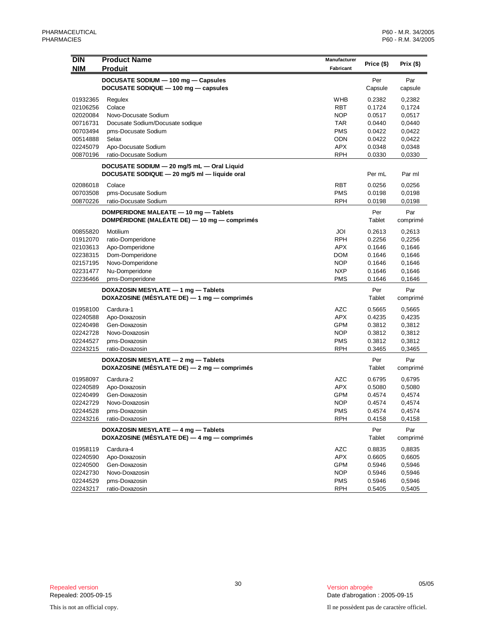|                                                        | <b>Product Name</b>                          |              |               |                 |
|--------------------------------------------------------|----------------------------------------------|--------------|---------------|-----------------|
| DIN                                                    |                                              | Manufacturer | Price (\$)    | Prix (\$)       |
| <b>NIM</b>                                             | <b>Produit</b>                               | Fabricant    |               |                 |
|                                                        | DOCUSATE SODIUM - 100 mg - Capsules          |              | Per           | Par             |
|                                                        | DOCUSATE SODIQUE - 100 mg - capsules         |              | Capsule       | capsule         |
| 01932365                                               | Regulex                                      | <b>WHB</b>   | 0.2382        | 0,2382          |
| 02106256                                               | Colace                                       | <b>RBT</b>   | 0.1724        | 0,1724          |
| 02020084                                               | Novo-Docusate Sodium                         | <b>NOP</b>   | 0.0517        | 0,0517          |
| 00716731                                               | Docusate Sodium/Docusate sodique             | TAR          | 0.0440        | 0,0440          |
| 00703494                                               | pms-Docusate Sodium                          | <b>PMS</b>   | 0.0422        | 0,0422          |
| 00514888                                               | Selax                                        | ODN          | 0.0422        | 0,0422          |
| 02245079                                               | Apo-Docusate Sodium                          | <b>APX</b>   | 0.0348        | 0,0348          |
| 00870196                                               | ratio-Docusate Sodium                        | <b>RPH</b>   | 0.0330        | 0,0330          |
|                                                        | DOCUSATE SODIUM - 20 mg/5 mL - Oral Liquid   |              |               |                 |
| DOCUSATE SODIQUE - 20 mg/5 ml - liquide oral<br>Per mL |                                              |              |               |                 |
|                                                        |                                              |              |               | Par ml          |
| 02086018                                               | Colace                                       | <b>RBT</b>   | 0.0256        | 0,0256          |
| 00703508                                               | pms-Docusate Sodium                          | <b>PMS</b>   | 0.0198        | 0,0198          |
| 00870226                                               | ratio-Docusate Sodium                        | <b>RPH</b>   | 0.0198        | 0,0198          |
|                                                        | DOMPERIDONE MALEATE - 10 mg - Tablets        |              | Per           | Par             |
|                                                        | DOMPÉRIDONE (MALÉATE DE) — 10 mg — comprimés |              | Tablet        | comprimé        |
| 00855820                                               | Motilium                                     | JOI          | 0.2613        | 0,2613          |
| 01912070                                               | ratio-Domperidone                            | <b>RPH</b>   | 0.2256        | 0,2256          |
| 02103613                                               | Apo-Domperidone                              | <b>APX</b>   | 0.1646        | 0,1646          |
| 02238315                                               | Dom-Domperidone                              | <b>DOM</b>   | 0.1646        | 0,1646          |
| 02157195                                               | Novo-Domperidone                             | <b>NOP</b>   | 0.1646        | 0,1646          |
| 02231477                                               | Nu-Domperidone                               | <b>NXP</b>   | 0.1646        | 0,1646          |
| 02236466                                               | pms-Domperidone                              | <b>PMS</b>   | 0.1646        | 0,1646          |
|                                                        | DOXAZOSIN MESYLATE - 1 mg - Tablets          |              | Per           | Par             |
|                                                        | DOXAZOSINE (MÉSYLATE DE) - 1 mg - comprimés  |              | Tablet        | comprimé        |
|                                                        |                                              |              |               |                 |
| 01958100                                               | Cardura-1                                    | <b>AZC</b>   | 0.5665        | 0,5665          |
| 02240588                                               | Apo-Doxazosin                                | <b>APX</b>   | 0.4235        | 0,4235          |
| 02240498                                               | Gen-Doxazosin                                | <b>GPM</b>   | 0.3812        | 0,3812          |
| 02242728                                               | Novo-Doxazosin                               | <b>NOP</b>   | 0.3812        | 0,3812          |
| 02244527                                               | pms-Doxazosin                                | <b>PMS</b>   | 0.3812        | 0,3812          |
| 02243215                                               | ratio-Doxazosin                              | <b>RPH</b>   | 0.3465        | 0,3465          |
|                                                        | DOXAZOSIN MESYLATE - 2 mg - Tablets          |              | Per           | Par             |
|                                                        | DOXAZOSINE (MÉSYLATE DE) — 2 mg — comprimés  |              | Tablet        | comprimé        |
| 01958097                                               | Cardura-2                                    | <b>AZC</b>   | 0.6795        | 0,6795          |
| 02240589                                               | Apo-Doxazosin                                | <b>APX</b>   | 0.5080        | 0,5080          |
| 02240499                                               | Gen-Doxazosin                                | <b>GPM</b>   | 0.4574        | 0,4574          |
| 02242729                                               | Novo-Doxazosin                               | <b>NOP</b>   | 0.4574        | 0,4574          |
| 02244528                                               | pms-Doxazosin                                | <b>PMS</b>   | 0.4574        | 0,4574          |
| 02243216                                               | ratio-Doxazosin                              | <b>RPH</b>   | 0.4158        | 0,4158          |
|                                                        | DOXAZOSIN MESYLATE - 4 mg - Tablets          |              |               |                 |
|                                                        | DOXAZOSINE (MÉSYLATE DE) - 4 mg - comprimés  |              | Per<br>Tablet | Par<br>comprimé |
| 01958119                                               | Cardura-4                                    | <b>AZC</b>   | 0.8835        | 0,8835          |
| 02240590                                               | Apo-Doxazosin                                | <b>APX</b>   | 0.6605        | 0,6605          |
| 02240500                                               | Gen-Doxazosin                                | <b>GPM</b>   | 0.5946        | 0,5946          |
| 02242730                                               | Novo-Doxazosin                               | <b>NOP</b>   | 0.5946        | 0,5946          |
| 02244529                                               | pms-Doxazosin                                | <b>PMS</b>   | 0.5946        | 0,5946          |
| 02243217                                               | ratio-Doxazosin                              | <b>RPH</b>   | 0.5405        | 0,5405          |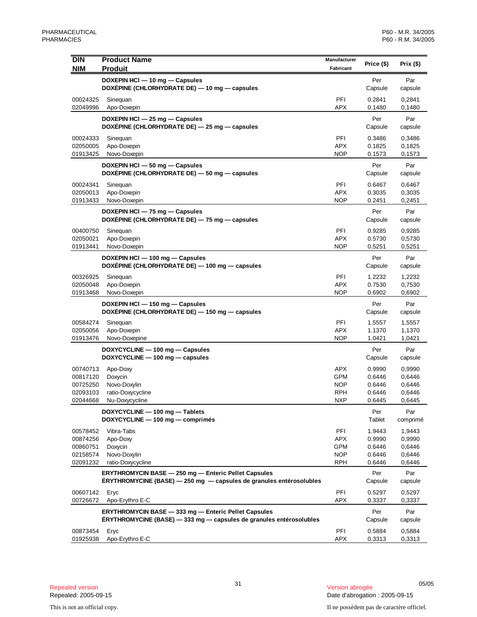| <b>DIN</b><br><b>NIM</b> | <b>Product Name</b><br><b>Produit</b>                                                                                              | Manufacturer<br>Fabricant | Price (\$)               | Prix $($ \$)             |
|--------------------------|------------------------------------------------------------------------------------------------------------------------------------|---------------------------|--------------------------|--------------------------|
|                          | DOXEPIN HCI - 10 mg - Capsules<br>DOXÉPINE (CHLORHYDRATE DE) — 10 mg — capsules                                                    |                           | Per<br>Capsule           | Par<br>capsule           |
| 00024325<br>02049996     | Sinequan<br>Apo-Doxepin                                                                                                            | PFI<br><b>APX</b>         | 0.2841<br>0.1480         | 0,2841<br>0,1480         |
|                          | DOXEPIN HCI - 25 mg - Capsules<br>DOXÉPINE (CHLORHYDRATE DE) - 25 mg - capsules                                                    |                           | Per<br>Capsule           | Par<br>capsule           |
| 00024333                 |                                                                                                                                    | PFI                       | 0.3486                   |                          |
| 02050005                 | Sinequan<br>Apo-Doxepin                                                                                                            | <b>APX</b>                | 0.1825                   | 0,3486<br>0,1825         |
| 01913425                 | Novo-Doxepin                                                                                                                       | <b>NOP</b>                | 0.1573                   | 0,1573                   |
|                          | DOXEPIN HCI - 50 mg - Capsules<br>DOXÉPINE (CHLORHYDRATE DE) - 50 mg - capsules                                                    |                           | Per<br>Capsule           | Par<br>capsule           |
| 00024341                 | Sinequan                                                                                                                           | PFI                       | 0.6467                   | 0,6467                   |
| 02050013                 | Apo-Doxepin                                                                                                                        | <b>APX</b>                | 0.3035                   | 0,3035                   |
| 01913433                 | Novo-Doxepin                                                                                                                       | <b>NOP</b>                | 0.2451                   | 0,2451                   |
|                          | DOXEPIN HCI - 75 mg - Capsules<br>DOXÉPINE (CHLORHYDRATE DE) - 75 mg - capsules                                                    |                           | Per<br>Capsule           | Par<br>capsule           |
| 00400750                 | Sinequan                                                                                                                           | <b>PFI</b>                | 0.9285                   | 0,9285                   |
| 02050021                 | Apo-Doxepin                                                                                                                        | <b>APX</b>                | 0.5730                   | 0,5730                   |
| 01913441                 | Novo-Doxepin                                                                                                                       | NOP                       | 0.5251                   | 0,5251                   |
|                          | DOXEPIN HCI - 100 mg - Capsules<br>DOXÉPINE (CHLORHYDRATE DE) - 100 mg - capsules                                                  |                           | Per<br>Capsule           | Par<br>capsule           |
| 00326925                 | Sinequan                                                                                                                           | PFI                       | 1.2232                   | 1,2232                   |
| 02050048                 | Apo-Doxepin                                                                                                                        | APX                       | 0.7530                   | 0,7530                   |
| 01913468                 | Novo-Doxepin<br>DOXEPIN HCI - 150 mg - Capsules<br>DOXÉPINE (CHLORHYDRATE DE) - 150 mg - capsules                                  | <b>NOP</b>                | 0.6902<br>Per<br>Capsule | 0,6902<br>Par<br>capsule |
| 00584274                 | Sinequan                                                                                                                           | PFI                       | 1.5557                   | 1,5557                   |
| 02050056                 | Apo-Doxepin                                                                                                                        | APX                       | 1.1370                   | 1,1370                   |
| 01913476                 | Novo-Doxepine                                                                                                                      | <b>NOP</b>                | 1.0421                   | 1,0421                   |
|                          | DOXYCYCLINE - 100 mg - Capsules<br>DOXYCYCLINE - 100 mg - capsules                                                                 |                           | Per<br>Capsule           | Par<br>capsule           |
| 00740713                 | Apo-Doxy                                                                                                                           | <b>APX</b>                | 0.9990                   | 0,9990                   |
| 00817120                 | Doxycin                                                                                                                            | GPM                       | 0.6446                   | 0,6446                   |
| 00725250                 | Novo-Doxylin                                                                                                                       | <b>NOP</b>                | 0.6446                   | 0,6446                   |
| 02093103<br>02044668     | ratio-Doxycycline<br>Nu-Doxycycline                                                                                                | <b>RPH</b><br><b>NXP</b>  | 0.6446<br>0.6445         | 0,6446<br>0,6445         |
|                          | DOXYCYCLINE - 100 mg - Tablets<br>DOXYCYCLINE - 100 mg - comprimés                                                                 |                           | Per<br>Tablet            | Par<br>comprimé          |
| 00578452                 | Vibra-Tabs                                                                                                                         | PFI                       | 1.9443                   | 1,9443                   |
| 00874256                 | Apo-Doxy                                                                                                                           | <b>APX</b>                | 0.9990                   | 0,9990                   |
| 00860751                 | Doxycin                                                                                                                            | GPM                       | 0.6446                   | 0,6446                   |
| 02158574                 | Novo-Doxylin                                                                                                                       | <b>NOP</b>                | 0.6446                   | 0,6446                   |
| 02091232                 | ratio-Doxycycline                                                                                                                  | RPH                       | 0.6446                   | 0,6446                   |
|                          | <b>ERYTHROMYCIN BASE - 250 mg - Enteric Pellet Capsules</b><br>ERYTHROMYCINE (BASE) - 250 mg - capsules de granules entérosolubles |                           | Per<br>Capsule           | Par<br>capsule           |
| 00607142<br>00726672     | Eryc<br>Apo-Erythro E-C                                                                                                            | PFI<br>APX                | 0.5297<br>0.3337         | 0,5297<br>0,3337         |
|                          | ERYTHROMYCIN BASE - 333 mg - Enteric Pellet Capsules<br>ÉRYTHROMYCINE (BASE) - 333 mg - capsules de granules entérosolubles        |                           | Per<br>Capsule           | Par<br>capsule           |
| 00873454                 | Eryc                                                                                                                               | PFI                       | 0.5884                   | 0,5884                   |
| 01925938                 | Apo-Erythro E-C                                                                                                                    | APX                       | 0.3313                   | 0,3313                   |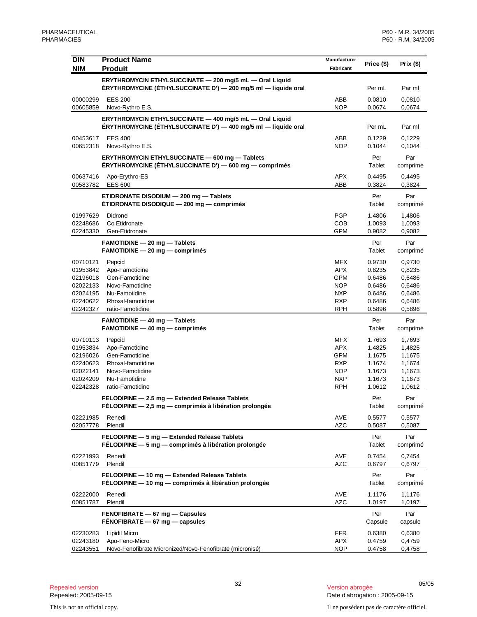| <b>DIN</b><br><b>NIM</b>                                                         | <b>Product Name</b><br><b>Produit</b>                                                                                     | Manufacturer<br>Fabricant                                                               | Price (\$)                                                         | Prix $($ \$)                                                       |
|----------------------------------------------------------------------------------|---------------------------------------------------------------------------------------------------------------------------|-----------------------------------------------------------------------------------------|--------------------------------------------------------------------|--------------------------------------------------------------------|
|                                                                                  | ERYTHROMYCIN ETHYLSUCCINATE - 200 mg/5 mL - Oral Liquid<br>ÉRYTHROMYCINE (ÉTHYLSUCCINATE D') - 200 mg/5 ml - liquide oral |                                                                                         | Per mL                                                             | Par ml                                                             |
| 00000299<br>00605859                                                             | <b>EES 200</b><br>Novo-Rythro E.S.                                                                                        | ABB<br><b>NOP</b>                                                                       | 0.0810<br>0.0674                                                   | 0.0810<br>0,0674                                                   |
|                                                                                  | ERYTHROMYCIN ETHYLSUCCINATE - 400 mg/5 mL - Oral Liquid<br>ÉRYTHROMYCINE (ÉTHYLSUCCINATE D') — 400 mg/5 ml — liquide oral |                                                                                         | Per mL                                                             | Par ml                                                             |
| 00453617<br>00652318                                                             | <b>EES 400</b><br>Novo-Rythro E.S.                                                                                        | ABB<br><b>NOP</b>                                                                       | 0.1229<br>0.1044                                                   | 0,1229<br>0,1044                                                   |
|                                                                                  | ERYTHROMYCIN ETHYLSUCCINATE - 600 mg - Tablets<br>ÉRYTHROMYCINE (ÉTHYLSUCCINATE D') — 600 mg — comprimés                  |                                                                                         | Per<br>Tablet                                                      | Par<br>comprimé                                                    |
| 00637416<br>00583782                                                             | Apo-Erythro-ES<br><b>EES 600</b>                                                                                          | <b>APX</b><br>ABB                                                                       | 0.4495<br>0.3824                                                   | 0,4495<br>0,3824                                                   |
|                                                                                  | ETIDRONATE DISODIUM - 200 mg - Tablets<br>ETIDRONATE DISODIQUE - 200 mg - comprimés                                       |                                                                                         | Per<br>Tablet                                                      | Par<br>comprimé                                                    |
| 01997629<br>02248686<br>02245330                                                 | Didronel<br>Co Etidronate<br>Gen-Etidronate                                                                               | <b>PGP</b><br>COB<br><b>GPM</b>                                                         | 1.4806<br>1.0093<br>0.9082                                         | 1,4806<br>1,0093<br>0,9082                                         |
|                                                                                  | FAMOTIDINE - 20 mg - Tablets<br>FAMOTIDINE - 20 mg - comprimés                                                            |                                                                                         | Per<br>Tablet                                                      | Par<br>comprimé                                                    |
| 00710121<br>01953842<br>02196018<br>02022133<br>02024195<br>02240622<br>02242327 | Pepcid<br>Apo-Famotidine<br>Gen-Famotidine<br>Novo-Famotidine<br>Nu-Famotidine<br>Rhoxal-famotidine<br>ratio-Famotidine   | <b>MFX</b><br><b>APX</b><br><b>GPM</b><br><b>NOP</b><br><b>NXP</b><br>RXP<br><b>RPH</b> | 0.9730<br>0.8235<br>0.6486<br>0.6486<br>0.6486<br>0.6486<br>0.5896 | 0,9730<br>0,8235<br>0,6486<br>0,6486<br>0,6486<br>0,6486<br>0,5896 |
|                                                                                  | FAMOTIDINE - 40 mg - Tablets<br>$FAMOTIDINE - 40 mg - comprimés$                                                          |                                                                                         | Per<br>Tablet                                                      | Par<br>comprimé                                                    |
| 00710113<br>01953834<br>02196026<br>02240623<br>02022141<br>02024209<br>02242328 | Pepcid<br>Apo-Famotidine<br>Gen-Famotidine<br>Rhoxal-famotidine<br>Novo-Famotidine<br>Nu-Famotidine<br>ratio-Famotidine   | <b>MFX</b><br><b>APX</b><br>GPM<br><b>RXP</b><br><b>NOP</b><br><b>NXP</b><br><b>RPH</b> | 1.7693<br>1.4825<br>1.1675<br>1.1674<br>1.1673<br>1.1673<br>1.0612 | 1,7693<br>1,4825<br>1,1675<br>1,1674<br>1,1673<br>1,1673<br>1,0612 |
|                                                                                  | FELODIPINE - 2.5 mg - Extended Release Tablets<br>FELODIPINE $-$ 2,5 mg $-$ comprimes a liberation prolongee              |                                                                                         | Per<br>lablet                                                      | Par<br>comprimé                                                    |
| 02221985<br>02057778                                                             | Renedil<br>Plendil                                                                                                        | AVE<br>AZC                                                                              | 0.5577<br>0.5087                                                   | 0,5577<br>0,5087                                                   |
|                                                                                  | FELODIPINE - 5 mg - Extended Release Tablets<br>FÉLODIPINE - 5 mg - comprimés à libération prolongée                      |                                                                                         | Per<br>Tablet                                                      | Par<br>comprimé                                                    |
| 02221993<br>00851779                                                             | Renedil<br>Plendil                                                                                                        | AVE<br><b>AZC</b>                                                                       | 0.7454<br>0.6797                                                   | 0,7454<br>0,6797                                                   |
|                                                                                  | FELODIPINE - 10 mg - Extended Release Tablets<br>FELODIPINE - 10 mg - comprimés à libération prolongée                    |                                                                                         | Per<br>Tablet                                                      | Par<br>comprimé                                                    |
| 02222000<br>00851787                                                             | Renedil<br>Plendil                                                                                                        | AVE<br><b>AZC</b>                                                                       | 1.1176<br>1.0197                                                   | 1,1176<br>1,0197                                                   |
|                                                                                  | FENOFIBRATE - 67 mg - Capsules<br>FENOFIBRATE - 67 mg - capsules                                                          |                                                                                         | Per<br>Capsule                                                     | Par<br>capsule                                                     |
| 02230283<br>02243180<br>02243551                                                 | Lipidil Micro<br>Apo-Feno-Micro<br>Novo-Fenofibrate Micronized/Novo-Fenofibrate (micronisé)                               | FFR<br><b>APX</b><br><b>NOP</b>                                                         | 0.6380<br>0.4759<br>0.4758                                         | 0,6380<br>0,4759<br>0,4758                                         |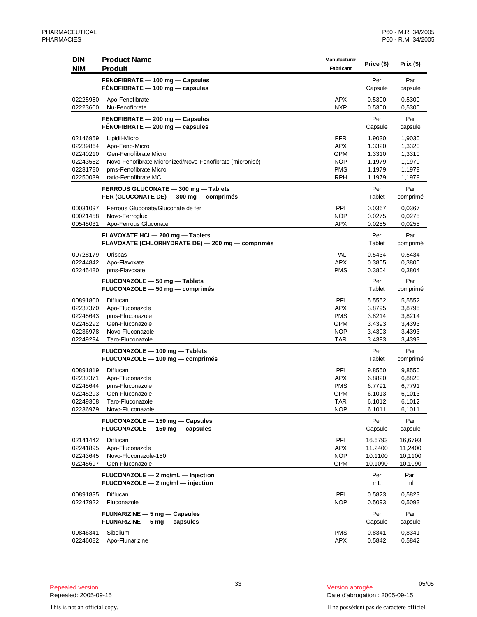| <b>DIN</b><br><b>NIM</b> | <b>Product Name</b><br><b>Produit</b>                                             | Manufacturer<br>Fabricant | Price (\$)         | Prix (\$)          |
|--------------------------|-----------------------------------------------------------------------------------|---------------------------|--------------------|--------------------|
|                          | FENOFIBRATE - 100 mg - Capsules                                                   |                           | Per                | Par                |
|                          | FENOFIBRATE - 100 mg - capsules                                                   |                           | Capsule            | capsule            |
| 02225980                 | Apo-Fenofibrate                                                                   | <b>APX</b>                | 0.5300             | 0,5300             |
| 02223600                 | Nu-Fenofibrate                                                                    | <b>NXP</b>                | 0.5300             | 0,5300             |
|                          | FENOFIBRATE - 200 mg - Capsules                                                   |                           | Per                | Par                |
|                          | FENOFIBRATE - 200 mg - capsules                                                   |                           | Capsule            | capsule            |
| 02146959                 | Lipidil-Micro                                                                     | <b>FFR</b>                | 1.9030             | 1,9030             |
| 02239864                 | Apo-Feno-Micro                                                                    | <b>APX</b>                | 1.3320             | 1,3320             |
| 02240210                 | Gen-Fenofibrate Micro                                                             | GPM                       | 1.3310             | 1,3310             |
| 02243552<br>02231780     | Novo-Fenofibrate Micronized/Novo-Fenofibrate (micronisé)<br>pms-Fenofibrate Micro | <b>NOP</b><br><b>PMS</b>  | 1.1979<br>1.1979   | 1,1979<br>1,1979   |
| 02250039                 | ratio-Fenofibrate MC                                                              | <b>RPH</b>                | 1.1979             | 1,1979             |
|                          | FERROUS GLUCONATE - 300 mg - Tablets                                              |                           | Per                | Par                |
|                          | FER (GLUCONATE DE) - 300 mg - comprimés                                           |                           | Tablet             | comprimé           |
| 00031097                 | Ferrous Gluconate/Gluconate de fer                                                | PPI                       | 0.0367             | 0,0367             |
| 00021458                 | Novo-Ferrogluc                                                                    | <b>NOP</b>                | 0.0275             | 0,0275             |
| 00545031                 | Apo-Ferrous Gluconate                                                             | <b>APX</b>                | 0.0255             | 0,0255             |
|                          | FLAVOXATE HCI - 200 mg - Tablets                                                  |                           | Per                | Par                |
|                          | FLAVOXATE (CHLORHYDRATE DE) - 200 mg - comprimés                                  |                           | Tablet             | comprimé           |
| 00728179                 | Urispas                                                                           | PAL                       | 0.5434             | 0,5434             |
| 02244842                 | Apo-Flavoxate                                                                     | <b>APX</b>                | 0.3805             | 0,3805             |
| 02245480                 | pms-Flavoxate                                                                     | <b>PMS</b>                | 0.3804             | 0,3804             |
|                          | FLUCONAZOLE - 50 mg - Tablets<br>FLUCONAZOLE - 50 mg - comprimés                  |                           | Per<br>Tablet      | Par<br>comprimé    |
| 00891800                 | Diflucan                                                                          | PFI                       | 5.5552             | 5,5552             |
| 02237370                 | Apo-Fluconazole                                                                   | <b>APX</b>                | 3.8795             | 3,8795             |
| 02245643                 | pms-Fluconazole                                                                   | <b>PMS</b>                | 3.8214             | 3,8214             |
| 02245292                 | Gen-Fluconazole                                                                   | GPM                       | 3.4393             | 3,4393             |
| 02236978<br>02249294     | Novo-Fluconazole<br>Taro-Fluconazole                                              | <b>NOP</b><br>TAR         | 3.4393<br>3.4393   | 3,4393<br>3,4393   |
|                          |                                                                                   |                           |                    |                    |
|                          | FLUCONAZOLE - 100 mg - Tablets<br>FLUCONAZOLE - 100 mg - comprimés                |                           | Per<br>Tablet      | Par<br>comprimé    |
|                          |                                                                                   |                           |                    |                    |
| 00891819<br>02237371     | Diflucan<br>Apo-Fluconazole                                                       | PFI<br><b>APX</b>         | 9.8550<br>6.8820   | 9,8550<br>6,8820   |
| 02245644                 | pms-Fluconazole                                                                   | <b>PMS</b>                | 6.7791             | 6,7791             |
| 02245293                 | Gen-Fluconazole                                                                   | GPM                       | 6.1013             | 6,1013             |
| 02249308                 | Taro-Fluconazole                                                                  | <b>TAR</b>                | 6.1012             | 6,1012             |
| 02236979                 | Novo-Fluconazole                                                                  | <b>NOP</b>                | 6.1011             | 6,1011             |
|                          | FLUCONAZOLE - 150 mg - Capsules                                                   |                           | Per                | Par                |
|                          | FLUCONAZOLE - 150 mg - capsules                                                   |                           | Capsule            | capsule            |
| 02141442                 | Diflucan                                                                          | PFI                       | 16.6793            | 16,6793            |
| 02241895                 | Apo-Fluconazole                                                                   | <b>APX</b>                | 11.2400            | 11,2400            |
| 02243645<br>02245697     | Novo-Fluconazole-150<br>Gen-Fluconazole                                           | <b>NOP</b><br>GPM         | 10.1100<br>10.1090 | 10,1100<br>10,1090 |
|                          |                                                                                   |                           |                    |                    |
|                          | FLUCONAZOLE - 2 mg/mL - Injection<br>FLUCONAZOLE - 2 mg/ml - injection            |                           | Per<br>mL          | Par<br>ml          |
| 00891835                 | Diflucan                                                                          | PFI                       | 0.5823             | 0,5823             |
| 02247922                 | Fluconazole                                                                       | <b>NOP</b>                | 0.5093             | 0,5093             |
|                          | FLUNARIZINE - 5 mg - Capsules                                                     |                           | Per                | Par                |
|                          | $FLUNARIZINE - 5 mg - capsules$                                                   |                           | Capsule            | capsule            |
| 00846341                 | Sibelium                                                                          | <b>PMS</b>                | 0.8341             | 0,8341             |
| 02246082                 | Apo-Flunarizine                                                                   | <b>APX</b>                | 0.5842             | 0,5842             |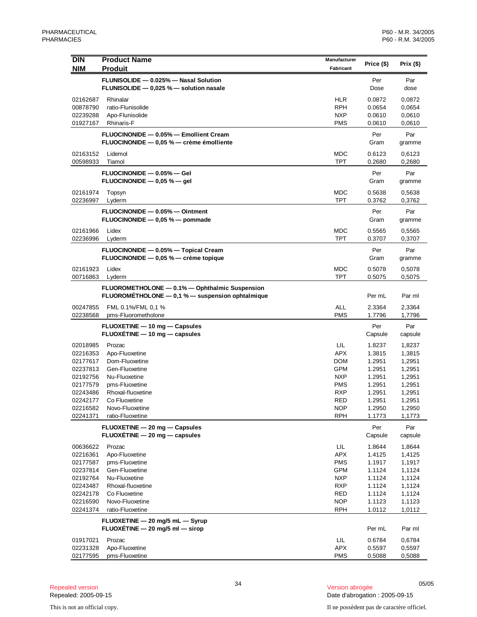| <b>DIN</b>           | <b>Product Name</b>                                                | Manufacturer             | Price (\$)       | Prix $(\$)$      |
|----------------------|--------------------------------------------------------------------|--------------------------|------------------|------------------|
| <b>NIM</b>           | <b>Produit</b>                                                     | Fabricant                |                  |                  |
|                      | FLUNISOLIDE - 0.025% - Nasal Solution                              |                          | Per              | Par              |
|                      | FLUNISOLIDE - 0,025 % - solution nasale                            |                          | Dose             | dose             |
| 02162687             | Rhinalar                                                           | <b>HLR</b>               | 0.0872           | 0,0872           |
| 00878790             | ratio-Flunisolide                                                  | <b>RPH</b>               | 0.0654           | 0,0654           |
| 02239288             | Apo-Flunisolide                                                    | <b>NXP</b>               | 0.0610           | 0,0610           |
| 01927167             | <b>Rhinaris-F</b>                                                  | <b>PMS</b>               | 0.0610           | 0,0610           |
|                      | FLUOCINONIDE - 0.05% - Emollient Cream                             |                          | Per              | Par              |
|                      | FLUOCINONIDE - 0,05 % - crème émolliente                           |                          | Gram             | gramme           |
| 02163152             | Lidemol                                                            | MDC                      | 0.6123           | 0,6123           |
| 00598933             | Tiamol                                                             | <b>TPT</b>               | 0.2680           | 0,2680           |
|                      | FLUOCINONIDE - 0.05% - Gel                                         |                          | Per              | Par              |
|                      | FLUOCINONIDE $-$ 0,05 % $-$ gel                                    |                          | Gram             | gramme           |
|                      |                                                                    |                          |                  |                  |
| 02161974<br>02236997 | Topsyn<br>Lyderm                                                   | MDC<br>TPT               | 0.5638<br>0.3762 | 0,5638<br>0,3762 |
|                      |                                                                    |                          |                  |                  |
|                      | FLUOCINONIDE - 0.05% - Ointment<br>FLUOCINONIDE - 0,05 % - pommade |                          | Per<br>Gram      | Par              |
|                      |                                                                    |                          |                  | gramme           |
| 02161966             | Lidex                                                              | MDC                      | 0.5565           | 0,5565           |
| 02236996             | Lyderm                                                             | <b>TPT</b>               | 0.3707           | 0,3707           |
|                      | FLUOCINONIDE - 0.05% - Topical Cream                               |                          | Per              | Par              |
|                      | FLUOCINONIDE - 0,05 % - crème topique                              |                          | Gram             | gramme           |
| 02161923             | Lidex                                                              | <b>MDC</b>               | 0.5078           | 0,5078           |
| 00716863             | Lyderm                                                             | <b>TPT</b>               | 0.5075           | 0,5075           |
|                      | FLUOROMETHOLONE - 0.1% - Ophthalmic Suspension                     |                          |                  |                  |
|                      | FLUOROMÉTHOLONE - 0,1 % - suspension ophtalmique                   |                          | Per mL           | Par ml           |
| 00247855             | FML 0.1%/FML 0,1 %                                                 | <b>ALL</b>               | 2.3364           | 2,3364           |
| 02238568             | pms-Fluorometholone                                                | <b>PMS</b>               | 1.7796           | 1,7796           |
|                      | FLUOXETINE - 10 mg - Capsules                                      |                          | Per              | Par              |
|                      | FLUOXETINE - 10 mg - capsules                                      |                          | Capsule          | capsule          |
| 02018985             | Prozac                                                             | LIL                      | 1.8237           | 1,8237           |
| 02216353             | Apo-Fluoxetine                                                     | APX                      | 1.3815           | 1,3815           |
| 02177617             | Dom-Fluoxetine                                                     | <b>DOM</b>               | 1.2951           | 1,2951           |
| 02237813             | Gen-Fluoxetine                                                     | <b>GPM</b>               | 1.2951           | 1,2951           |
| 02192756             | Nu-Fluoxetine                                                      | <b>NXP</b>               | 1.2951           | 1,2951           |
| 02177579<br>02243486 | pms-Fluoxetine<br>Rhoxal-fluoxetine                                | <b>PMS</b><br><b>RXP</b> | 1.2951<br>1.2951 | 1,2951           |
| 02242177             | Co Fluoxetine                                                      | RED                      | 1.2951           | 1,2951<br>1,2951 |
| 02216582             | Novo-Fluoxetine                                                    | <b>NOP</b>               | 1.2950           | 1,2950           |
| 02241371             | ratio-Fluoxetine                                                   | <b>RPH</b>               | 1.1773           | 1,1773           |
|                      | FLUOXETINE - 20 mg - Capsules                                      |                          | Per              | Par              |
|                      | $FLUOXÉTIME - 20 mg - capsules$                                    |                          | Capsule          | capsule          |
| 00636622             | Prozac                                                             | LIL                      | 1.8644           | 1,8644           |
| 02216361             | Apo-Fluoxetine                                                     | <b>APX</b>               | 1.4125           | 1,4125           |
| 02177587             | pms-Fluoxetine                                                     | <b>PMS</b>               | 1.1917           | 1,1917           |
| 02237814             | Gen-Fluoxetine                                                     | <b>GPM</b>               | 1.1124           | 1,1124           |
| 02192764             | Nu-Fluoxetine                                                      | <b>NXP</b>               | 1.1124           | 1,1124           |
| 02243487             | Rhoxal-fluoxetine                                                  | <b>RXP</b>               | 1.1124           | 1,1124           |
| 02242178             | Co Fluoxetine                                                      | RED                      | 1.1124           | 1,1124           |
| 02216590             | Novo-Fluoxetine                                                    | <b>NOP</b>               | 1.1123           | 1,1123           |
| 02241374             | ratio-Fluoxetine                                                   | <b>RPH</b>               | 1.0112           | 1,0112           |
|                      | FLUOXETINE - 20 mg/5 mL - Syrup                                    |                          |                  |                  |
|                      | FLUOXÉTINE $-$ 20 mg/5 ml $-$ sirop                                |                          | Per mL           | Par ml           |
| 01917021             | Prozac                                                             | LIL                      | 0.6784           | 0,6784           |
| 02231328             | Apo-Fluoxetine                                                     | <b>APX</b>               | 0.5597           | 0,5597           |
| 02177595             | pms-Fluoxetine                                                     | PMS                      | 0.5088           | 0,5088           |

<sup>34</sup> 05/05 Repealed version Version abrogée Date d'abrogation : 2005-09-15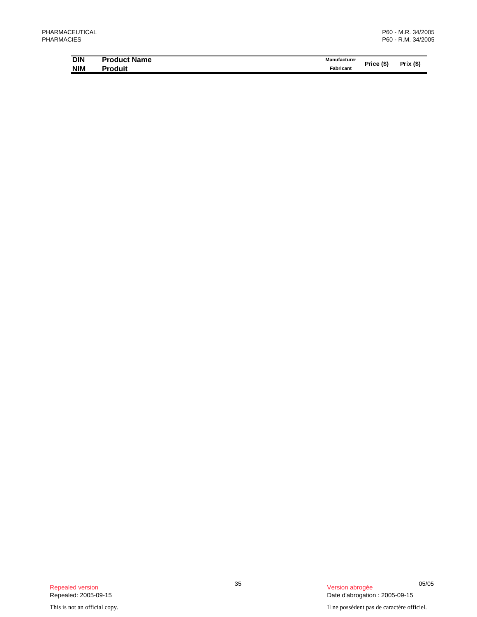| <b>DIN</b> | <b>Product Name</b> | Manufacturer | Price (\$' | (S)<br><b>Prix</b> |
|------------|---------------------|--------------|------------|--------------------|
| <b>NIM</b> | Produit             | Fabricant    |            |                    |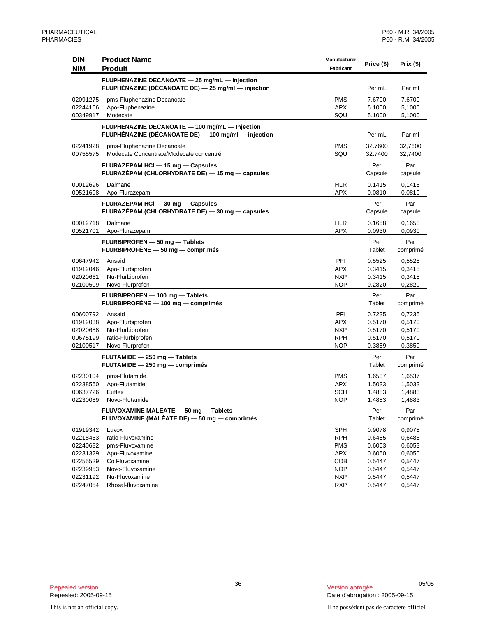| <b>DIN</b>           | <b>Product Name</b>                                                                                   | Manufacturer             |                  |                  |
|----------------------|-------------------------------------------------------------------------------------------------------|--------------------------|------------------|------------------|
| <b>NIM</b>           | <b>Produit</b>                                                                                        | Fabricant                | Price (\$)       | Prix (\$)        |
|                      | FLUPHENAZINE DECANOATE - 25 mg/mL - Injection                                                         |                          |                  |                  |
|                      | FLUPHÉNAZINE (DÉCANOATE DE) - 25 mg/ml - injection                                                    |                          | Per mL           | Par ml           |
| 02091275             | pms-Fluphenazine Decanoate                                                                            | <b>PMS</b>               | 7.6700           | 7,6700           |
| 02244166             | Apo-Fluphenazine                                                                                      | <b>APX</b>               | 5.1000           | 5,1000           |
| 00349917             | Modecate                                                                                              | SQU                      | 5.1000           | 5,1000           |
|                      | FLUPHENAZINE DECANOATE - 100 mg/mL - Injection<br>FLUPHÉNAZINE (DÉCANOATE DE) - 100 mg/ml - injection |                          | Per mL           | Par ml           |
| 02241928             | pms-Fluphenazine Decanoate                                                                            | <b>PMS</b>               | 32.7600          | 32,7600          |
| 00755575             | Modecate Concentrate/Modecate concentré                                                               | SQU                      | 32.7400          | 32,7400          |
|                      | FLURAZEPAM HCI - 15 mg - Capsules<br>FLURAZÉPAM (CHLORHYDRATE DE) - 15 mg - capsules                  |                          | Per<br>Capsule   | Par<br>capsule   |
| 00012696             | Dalmane                                                                                               | <b>HLR</b>               | 0.1415           | 0,1415           |
| 00521698             | Apo-Flurazepam                                                                                        | <b>APX</b>               | 0.0810           | 0,0810           |
|                      | FLURAZEPAM HCI - 30 mg - Capsules<br>FLURAZÉPAM (CHLORHYDRATE DE) - 30 mg - capsules                  |                          | Per<br>Capsule   | Par<br>capsule   |
| 00012718             | Dalmane                                                                                               | <b>HLR</b>               | 0.1658           | 0,1658           |
| 00521701             | Apo-Flurazepam                                                                                        | <b>APX</b>               | 0.0930           | 0,0930           |
|                      | FLURBIPROFEN - 50 mg - Tablets<br>FLURBIPROFÈNE - 50 mg - comprimés                                   |                          | Per<br>Tablet    | Par<br>comprimé  |
| 00647942             | Ansaid                                                                                                | PFI                      | 0.5525           | 0,5525           |
| 01912046             | Apo-Flurbiprofen                                                                                      | <b>APX</b>               | 0.3415           | 0,3415           |
| 02020661<br>02100509 | Nu-Flurbiprofen<br>Novo-Flurprofen                                                                    | <b>NXP</b><br><b>NOP</b> | 0.3415<br>0.2820 | 0,3415<br>0,2820 |
|                      |                                                                                                       |                          |                  |                  |
|                      | FLURBIPROFEN - 100 mg - Tablets<br>FLURBIPROFÈNE - 100 mg - comprimés                                 |                          | Per<br>Tablet    | Par<br>comprimé  |
| 00600792             | Ansaid                                                                                                | PFI                      | 0.7235           | 0,7235           |
| 01912038             | Apo-Flurbiprofen                                                                                      | <b>APX</b>               | 0.5170           | 0,5170           |
| 02020688             | Nu-Flurbiprofen                                                                                       | <b>NXP</b>               | 0.5170           | 0,5170           |
| 00675199<br>02100517 | ratio-Flurbiprofen<br>Novo-Flurprofen                                                                 | <b>RPH</b><br><b>NOP</b> | 0.5170<br>0.3859 | 0,5170<br>0,3859 |
|                      |                                                                                                       |                          |                  |                  |
|                      | FLUTAMIDE - 250 mg - Tablets<br>FLUTAMIDE - 250 mg - comprimés                                        |                          | Per<br>Tablet    | Par<br>comprimé  |
| 02230104             | pms-Flutamide                                                                                         | <b>PMS</b>               | 1.6537           | 1,6537           |
| 02238560             | Apo-Flutamide                                                                                         | <b>APX</b>               | 1.5033           | 1,5033           |
| 00637726<br>02230089 | Euflex                                                                                                | <b>SCH</b><br><b>NOP</b> | 1.4883<br>1.4883 | 1,4883<br>1.4883 |
|                      | Novo-Flutamide                                                                                        |                          |                  |                  |
|                      | FLUVOXAMINE MALEATE - 50 mg - Tablets<br>FLUVOXAMINE (MALÉATE DE) - 50 mg - comprimés                 |                          | Per<br>Tablet    | Par<br>comprimé  |
| 01919342             | Luvox                                                                                                 | <b>SPH</b>               | 0.9078           | 0,9078           |
| 02218453             | ratio-Fluvoxamine                                                                                     | <b>RPH</b>               | 0.6485           | 0,6485           |
| 02240682             | pms-Fluvoxamine                                                                                       | <b>PMS</b>               | 0.6053           | 0,6053           |
| 02231329             | Apo-Fluvoxamine                                                                                       | <b>APX</b>               | 0.6050           | 0,6050           |
| 02255529             | Co Fluvoxamine                                                                                        | <b>COB</b>               | 0.5447           | 0,5447           |
| 02239953<br>02231192 | Novo-Fluvoxamine<br>Nu-Fluvoxamine                                                                    | <b>NOP</b><br><b>NXP</b> | 0.5447<br>0.5447 | 0,5447<br>0,5447 |
| 02247054             | Rhoxal-fluvoxamine                                                                                    | RXP                      | 0.5447           | 0,5447           |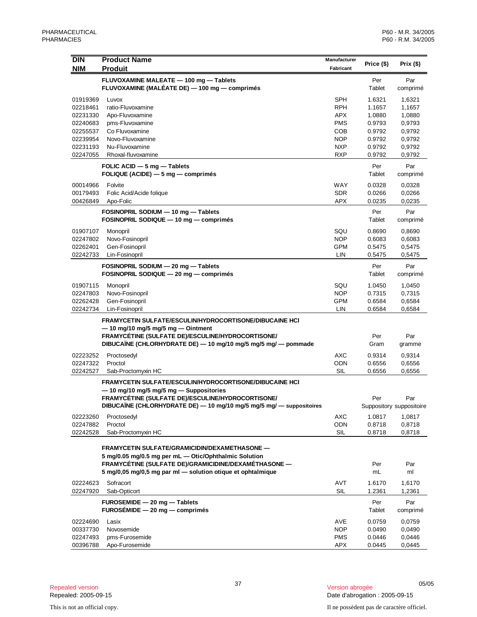| <b>DIN</b> | <b>Product Name</b>                                            | Manufacturer |            | Prix $($)$               |
|------------|----------------------------------------------------------------|--------------|------------|--------------------------|
| <b>NIM</b> | <b>Produit</b>                                                 | Fabricant    | Price (\$) |                          |
|            |                                                                |              |            |                          |
|            | FLUVOXAMINE MALEATE - 100 mg - Tablets                         |              | Per        | Par                      |
|            | FLUVOXAMINE (MALÉATE DE) — 100 mg — comprimés                  |              | Tablet     | comprimé                 |
| 01919369   | Luvox                                                          | SPH          | 1.6321     | 1,6321                   |
| 02218461   | ratio-Fluvoxamine                                              | <b>RPH</b>   | 1.1657     | 1,1657                   |
| 02231330   | Apo-Fluvoxamine                                                | <b>APX</b>   | 1.0880     | 1,0880                   |
| 02240683   | pms-Fluvoxamine                                                | <b>PMS</b>   | 0.9793     | 0,9793                   |
| 02255537   | Co Fluvoxamine                                                 | COB          | 0.9792     | 0,9792                   |
| 02239954   | Novo-Fluvoxamine                                               | NOP          | 0.9792     | 0,9792                   |
| 02231193   | Nu-Fluvoxamine                                                 | <b>NXP</b>   | 0.9792     | 0,9792                   |
| 02247055   | Rhoxal-fluvoxamine                                             | <b>RXP</b>   | 0.9792     | 0,9792                   |
|            |                                                                |              |            |                          |
|            | FOLIC ACID - 5 mg - Tablets                                    |              | Per        | Par                      |
|            | FOLIQUE (ACIDE) - 5 mg - comprimés                             |              | Tablet     | comprimé                 |
| 00014966   | Folvite                                                        | WAY          | 0.0328     | 0,0328                   |
| 00179493   | Folic Acid/Acide folique                                       | <b>SDR</b>   | 0.0266     | 0,0266                   |
| 00426849   | Apo-Folic                                                      | <b>APX</b>   | 0.0235     | 0,0235                   |
|            |                                                                |              |            |                          |
|            | FOSINOPRIL SODIUM - 10 mg - Tablets                            |              | Per        | Par                      |
|            | FOSINOPRIL SODIQUE - 10 mg - comprimés                         |              | Tablet     | comprimé                 |
| 01907107   | Monopril                                                       | SQU          | 0.8690     | 0,8690                   |
| 02247802   | Novo-Fosinopril                                                | <b>NOP</b>   | 0.6083     | 0,6083                   |
| 02262401   | Gen-Fosinopril                                                 | <b>GPM</b>   | 0.5475     | 0,5475                   |
| 02242733   | Lin-Fosinopril                                                 | LIN          | 0.5475     | 0,5475                   |
|            |                                                                |              |            |                          |
|            | FOSINOPRIL SODIUM - 20 mg - Tablets                            |              | Per        | Par                      |
|            | FOSINOPRIL SODIQUE - 20 mg - comprimés                         |              | Tablet     | comprimé                 |
| 01907115   | Monopril                                                       | SQU          | 1.0450     | 1,0450                   |
| 02247803   | Novo-Fosinopril                                                | NOP          | 0.7315     | 0,7315                   |
| 02262428   | Gen-Fosinopril                                                 | <b>GPM</b>   | 0.6584     | 0,6584                   |
| 02242734   | Lin-Fosinopril                                                 | LIN          | 0.6584     | 0,6584                   |
|            |                                                                |              |            |                          |
|            | <b>FRAMYCETIN SULFATE/ESCULIN/HYDROCORTISONE/DIBUCAINE HCI</b> |              |            |                          |
|            | $-$ 10 mg/10 mg/5 mg/5 mg $-$ Ointment                         |              |            |                          |
|            | FRAMYCÉTINE (SULFATE DE)/ESCULINE/HYDROCORTISONE/              |              | Per        | Par                      |
|            | DIBUCAÏNE (CHLORHYDRATE DE) — 10 mg/10 mg/5 mg/5 mg/ — pommade |              | Gram       | gramme                   |
| 02223252   | Proctosedyl                                                    | <b>AXC</b>   | 0.9314     | 0,9314                   |
| 02247322   | Proctol                                                        | ODN          | 0.6556     | 0,6556                   |
| 02242527   | Sab-Proctomyxin HC                                             | <b>SIL</b>   | 0.6556     | 0,6556                   |
|            |                                                                |              |            |                          |
|            | FRAMYCETIN SULFATE/ESCULIN/HYDROCORTISONE/DIBUCAINE HCI        |              |            |                          |
|            | -10 mg/10 mg/5 mg/5 mg - Suppositories                         |              |            |                          |
|            | FRAMYCÉTINE (SULFATE DE)/ESCULINE/HYDROCORTISONE/              |              | Per        | Par                      |
|            | DIBUCAÏNE (CHLORHYDRATE DE) - 10 mg/10 mg/5 mg/5 mg/           |              |            | Suppository suppositoire |
| 02223260   | Proctosedyl                                                    | AXC          | 1.0817     | 1,0817                   |
| 02247882   | Proctol                                                        | ODN          | 0.8718     | 0,8718                   |
| 02242528   | Sab-Proctomyxin HC                                             | <b>SIL</b>   | 0.8718     | 0,8718                   |
|            |                                                                |              |            |                          |
|            | <b>FRAMYCETIN SULFATE/GRAMICIDIN/DEXAMETHASONE —</b>           |              |            |                          |
|            | 5 mg/0.05 mg/0.5 mg per mL - Otic/Ophthalmic Solution          |              |            |                          |
|            | FRAMYCÉTINE (SULFATE DE)/GRAMICIDINE/DEXAMÉTHASONE -           |              | Per        | Par                      |
|            | 5 mg/0,05 mg/0,5 mg par ml - solution otique et ophtalmique    |              | mL         | ml                       |
|            |                                                                |              |            |                          |
| 02224623   | Sofracort                                                      | AVT          | 1.6170     | 1,6170                   |
| 02247920   | Sab-Opticort                                                   | <b>SIL</b>   | 1.2361     | 1,2361                   |
|            | FUROSEMIDE - 20 mg - Tablets                                   |              | Per        | Par                      |
|            | $FUROSÉMIDE - 20 mg - comprimés$                               |              | Tablet     | comprimé                 |
|            |                                                                |              |            |                          |
| 02224690   | Lasix                                                          | AVE          | 0.0759     | 0,0759                   |
| 00337730   | Novosemide                                                     | <b>NOP</b>   | 0.0490     | 0,0490                   |
| 02247493   | pms-Furosemide                                                 | <b>PMS</b>   | 0.0446     | 0,0446                   |
| 00396788   | Apo-Furosemide                                                 | APX          | 0.0445     | 0,0445                   |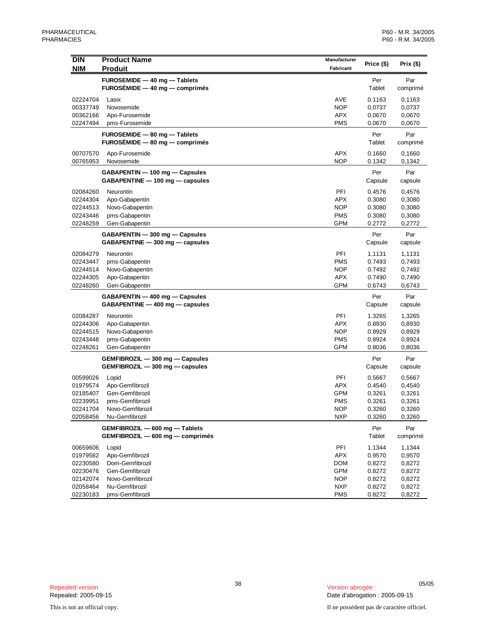| <b>DIN</b><br><b>NIM</b> | <b>Product Name</b><br><b>Produit</b>                              | Manufacturer<br>Fabricant | Price (\$)       | Prix $($ \$)     |
|--------------------------|--------------------------------------------------------------------|---------------------------|------------------|------------------|
|                          | FUROSEMIDE - 40 mg - Tablets                                       |                           | Per              | Par              |
|                          | $FUROSÉMIDE - 40 mg - comprimés$                                   |                           | Tablet           | comprimé         |
| 02224704                 | Lasix                                                              | AVE                       | 0.1163           | 0,1163           |
| 00337749                 | Novosemide                                                         | <b>NOP</b>                | 0.0737           | 0,0737           |
| 00362166                 | Apo-Furosemide                                                     | <b>APX</b>                | 0.0670           | 0,0670           |
| 02247494                 | pms-Furosemide                                                     | <b>PMS</b>                | 0.0670           | 0,0670           |
|                          | FUROSEMIDE - 80 mg - Tablets                                       |                           | Per              | Par              |
|                          | $FUROSÉMIDE - 80 mg - comprimés$                                   |                           | Tablet           | comprimé         |
| 00707570                 | Apo-Furosemide                                                     | <b>APX</b>                | 0.1660           | 0,1660           |
| 00765953                 | Novosemide                                                         | <b>NOP</b>                | 0.1342           | 0,1342           |
|                          | GABAPENTIN - 100 mg - Capsules                                     |                           | Per              | Par              |
|                          | GABAPENTINE - 100 mg - capsules                                    |                           | Capsule          | capsule          |
| 02084260                 | Neurontin                                                          | PFI                       | 0.4576           | 0,4576           |
| 02244304                 | Apo-Gabapentin                                                     | <b>APX</b>                | 0.3080           | 0,3080           |
| 02244513                 | Novo-Gabapentin                                                    | <b>NOP</b>                | 0.3080           | 0,3080           |
| 02243446                 | pms-Gabapentin                                                     | PMS                       | 0.3080           | 0,3080           |
| 02248259                 | Gen-Gabapentin                                                     | <b>GPM</b>                | 0.2772           | 0,2772           |
|                          | GABAPENTIN - 300 mg - Capsules                                     |                           | Per              | Par              |
|                          | GABAPENTINE - 300 mg - capsules                                    |                           | Capsule          | capsule          |
| 02084279                 | Neurontin                                                          | PFI                       | 1.1131           | 1,1131           |
| 02243447                 | pms-Gabapentin                                                     | PMS                       | 0.7493           | 0,7493           |
| 02244514                 | Novo-Gabapentin                                                    | NOP                       | 0.7492           | 0,7492           |
| 02244305                 | Apo-Gabapentin                                                     | APX                       | 0.7490           | 0,7490           |
| 02248260                 | Gen-Gabapentin                                                     | <b>GPM</b>                | 0.6743           | 0,6743           |
|                          | GABAPENTIN - 400 mg - Capsules                                     |                           | Per              | Par              |
|                          | GABAPENTINE - 400 mg - capsules                                    |                           | Capsule          | capsule          |
| 02084287                 | Neurontin                                                          | PFI                       | 1.3265           | 1,3265           |
| 02244306                 | Apo-Gabapentin                                                     | APX                       | 0.8930           | 0,8930           |
| 02244515                 | Novo-Gabapentin                                                    | <b>NOP</b>                | 0.8929           | 0,8929           |
| 02243448                 | pms-Gabapentin                                                     | PMS                       | 0.8924           | 0,8924           |
| 02248261                 | Gen-Gabapentin                                                     | GPM                       | 0.8036           | 0,8036           |
|                          | GEMFIBROZIL - 300 mg - Capsules                                    |                           | Per              | Par              |
|                          | GEMFIBROZIL - 300 mg - capsules                                    |                           | Capsule          | capsule          |
| 00599026                 | Lopid                                                              | PFI                       | 0.5667           | 0,5667           |
| 01979574                 | Apo-Gemfibrozil                                                    | <b>APX</b>                | 0.4540           | 0,4540           |
| 02185407                 | Gen-Gemfibrozil                                                    | <b>GPM</b>                | 0.3261           | 0,3261           |
| 02239951                 | pms-Gemfibrozil                                                    | <b>PMS</b>                | 0.3261           | 0,3261           |
| 02241704<br>02058456     | Novo-Gemfibrozil<br>Nu-Gemfibrozil                                 | <b>NOP</b><br><b>NXP</b>  | 0.3260<br>0.3260 | 0,3260<br>0,3260 |
|                          |                                                                    |                           |                  |                  |
|                          | GEMFIBROZIL - 600 mg - Tablets<br>GEMFIBROZIL - 600 mg - comprimés |                           | Per<br>Tablet    | Par<br>comprimé  |
| 00659606                 | Lopid                                                              | PFI                       | 1.1344           | 1,1344           |
| 01979582                 | Apo-Gemfibrozil                                                    | <b>APX</b>                | 0.9570           | 0,9570           |
| 02230580                 | Dom-Gemfibrozil                                                    | <b>DOM</b>                | 0.8272           | 0,8272           |
| 02230476                 | Gen-Gemfibrozil                                                    | <b>GPM</b>                | 0.8272           | 0,8272           |
| 02142074                 | Novo-Gemfibrozil                                                   | <b>NOP</b>                | 0.8272           | 0,8272           |
| 02058464                 | Nu-Gemfibrozil                                                     | <b>NXP</b>                | 0.8272           | 0,8272           |
| 02230183                 | pms-Gemfibrozil                                                    | <b>PMS</b>                | 0.8272           | 0,8272           |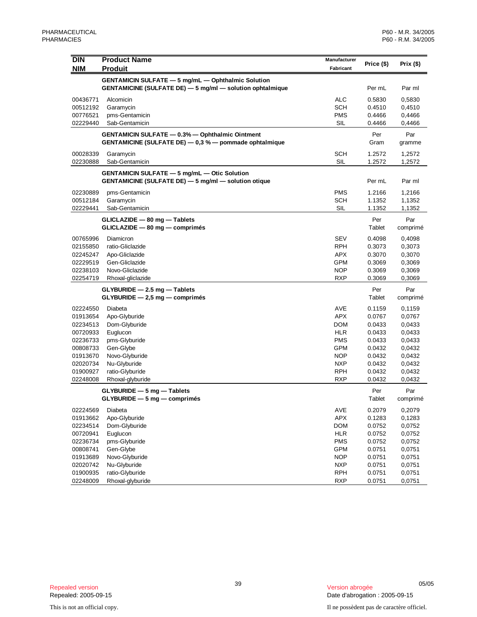| <b>NIM</b><br><b>Produit</b><br>Fabricant<br><b>GENTAMICIN SULFATE - 5 mg/mL - Ophthalmic Solution</b><br>GENTAMICINE (SULFATE DE) - 5 mg/ml - solution ophtalmique<br>Par ml<br>Per mL<br><b>ALC</b><br>00436771<br>Alcomicin<br>0.5830<br>0,5830<br><b>SCH</b><br>0.4510<br>00512192<br>Garamycin<br>0,4510<br><b>PMS</b><br>00776521<br>pms-Gentamicin<br>0.4466<br>0,4466<br>SIL<br>02229440<br>Sab-Gentamicin<br>0.4466<br>0,4466<br>GENTAMICIN SULFATE - 0.3% - Ophthalmic Ointment<br>Per<br>Par<br>GENTAMICINE (SULFATE DE) - 0.3 % - pommade ophtalmique<br>Gram<br>gramme<br><b>SCH</b><br>00028339<br>1.2572<br>Garamycin<br>1,2572<br>SIL<br>02230888<br>Sab-Gentamicin<br>1.2572<br>1,2572<br><b>GENTAMICIN SULFATE - 5 mg/mL - Otic Solution</b><br>GENTAMICINE (SULFATE DE) - 5 mg/ml - solution otique<br>Par ml<br>Per mL<br><b>PMS</b><br>02230889<br>pms-Gentamicin<br>1.2166<br>1,2166<br><b>SCH</b><br>00512184<br>Garamycin<br>1.1352<br>1,1352<br>SIL<br>02229441<br>Sab-Gentamicin<br>1.1352<br>1,1352<br>GLICLAZIDE - 80 mg - Tablets<br>Per<br>Par<br>GLICLAZIDE - 80 mg - comprimés<br>Tablet<br>comprimé<br><b>SEV</b><br>00765996<br>0.4098<br>Diamicron<br>0,4098<br><b>RPH</b><br>02155850<br>ratio-Gliclazide<br>0.3073<br>0,3073<br><b>APX</b><br>02245247<br>Apo-Gliclazide<br>0.3070<br>0,3070<br><b>GPM</b><br>02229519<br>Gen-Gliclazide<br>0.3069<br>0,3069<br>02238103<br><b>NOP</b><br>Novo-Gliclazide<br>0.3069<br>0,3069<br>02254719<br>Rhoxal-gliclazide<br><b>RXP</b><br>0.3069<br>0,3069<br>$GLYBURIDE - 2.5 mg - Tables$<br>Per<br>Par<br>$GLYBURIDE - 2,5 mg - comprimés$<br>Tablet<br>comprimé<br>AVE<br>02224550<br>Diabeta<br>0.1159<br>0,1159<br><b>APX</b><br>Apo-Glyburide<br>0.0767<br>0,0767<br>01913654<br><b>DOM</b><br>02234513<br>Dom-Glyburide<br>0.0433<br>0,0433<br><b>HLR</b><br>00720933<br>Euglucon<br>0.0433<br>0,0433<br><b>PMS</b><br>02236733<br>pms-Glyburide<br>0.0433<br>0,0433<br>00808733<br>Gen-Glybe<br>GPM<br>0.0432<br>0,0432<br>Novo-Glyburide<br><b>NOP</b><br>0.0432<br>0,0432<br>01913670<br>02020734<br>Nu-Glyburide<br><b>NXP</b><br>0.0432<br>0,0432<br><b>RPH</b><br>01900927<br>ratio-Glyburide<br>0.0432<br>0,0432<br>02248008<br>Rhoxal-glyburide<br><b>RXP</b><br>0.0432<br>0,0432<br>Per<br>Par<br>GLYBURIDE - 5 mg - Tablets<br>Tablet<br>$GLYBURIDE - 5 mg - comprim\acute{e}s$<br>comprimé<br>AVE<br>02224569<br>Diabeta<br>0.2079<br>0,2079<br>APX<br>01913662<br>Apo-Glyburide<br>0.1283<br>0,1283<br><b>DOM</b><br>02234514<br>Dom-Glyburide<br>0.0752<br>0,0752<br>00720941<br>Euglucon<br><b>HLR</b><br>0.0752<br>0,0752<br><b>PMS</b><br>pms-Glyburide<br>0.0752<br>0,0752<br>02236734<br><b>GPM</b><br>00808741<br>Gen-Glybe<br>0.0751<br>0,0751<br>Novo-Glyburide<br><b>NOP</b><br>0.0751<br>0,0751<br>01913689<br>Nu-Glyburide<br><b>NXP</b><br>0.0751<br>02020742<br>0,0751 | DIN      | <b>Product Name</b> | Manufacturer |            |              |
|-------------------------------------------------------------------------------------------------------------------------------------------------------------------------------------------------------------------------------------------------------------------------------------------------------------------------------------------------------------------------------------------------------------------------------------------------------------------------------------------------------------------------------------------------------------------------------------------------------------------------------------------------------------------------------------------------------------------------------------------------------------------------------------------------------------------------------------------------------------------------------------------------------------------------------------------------------------------------------------------------------------------------------------------------------------------------------------------------------------------------------------------------------------------------------------------------------------------------------------------------------------------------------------------------------------------------------------------------------------------------------------------------------------------------------------------------------------------------------------------------------------------------------------------------------------------------------------------------------------------------------------------------------------------------------------------------------------------------------------------------------------------------------------------------------------------------------------------------------------------------------------------------------------------------------------------------------------------------------------------------------------------------------------------------------------------------------------------------------------------------------------------------------------------------------------------------------------------------------------------------------------------------------------------------------------------------------------------------------------------------------------------------------------------------------------------------------------------------------------------------------------------------------------------------------------------------------------------------------------------------------------------------------------------------------------------------------------------------------------------------------------------------------------------------------------------------------------------------------------------------------------|----------|---------------------|--------------|------------|--------------|
|                                                                                                                                                                                                                                                                                                                                                                                                                                                                                                                                                                                                                                                                                                                                                                                                                                                                                                                                                                                                                                                                                                                                                                                                                                                                                                                                                                                                                                                                                                                                                                                                                                                                                                                                                                                                                                                                                                                                                                                                                                                                                                                                                                                                                                                                                                                                                                                                                                                                                                                                                                                                                                                                                                                                                                                                                                                                                     |          |                     |              | Price (\$) | Prix $($ \$) |
|                                                                                                                                                                                                                                                                                                                                                                                                                                                                                                                                                                                                                                                                                                                                                                                                                                                                                                                                                                                                                                                                                                                                                                                                                                                                                                                                                                                                                                                                                                                                                                                                                                                                                                                                                                                                                                                                                                                                                                                                                                                                                                                                                                                                                                                                                                                                                                                                                                                                                                                                                                                                                                                                                                                                                                                                                                                                                     |          |                     |              |            |              |
|                                                                                                                                                                                                                                                                                                                                                                                                                                                                                                                                                                                                                                                                                                                                                                                                                                                                                                                                                                                                                                                                                                                                                                                                                                                                                                                                                                                                                                                                                                                                                                                                                                                                                                                                                                                                                                                                                                                                                                                                                                                                                                                                                                                                                                                                                                                                                                                                                                                                                                                                                                                                                                                                                                                                                                                                                                                                                     |          |                     |              |            |              |
|                                                                                                                                                                                                                                                                                                                                                                                                                                                                                                                                                                                                                                                                                                                                                                                                                                                                                                                                                                                                                                                                                                                                                                                                                                                                                                                                                                                                                                                                                                                                                                                                                                                                                                                                                                                                                                                                                                                                                                                                                                                                                                                                                                                                                                                                                                                                                                                                                                                                                                                                                                                                                                                                                                                                                                                                                                                                                     |          |                     |              |            |              |
|                                                                                                                                                                                                                                                                                                                                                                                                                                                                                                                                                                                                                                                                                                                                                                                                                                                                                                                                                                                                                                                                                                                                                                                                                                                                                                                                                                                                                                                                                                                                                                                                                                                                                                                                                                                                                                                                                                                                                                                                                                                                                                                                                                                                                                                                                                                                                                                                                                                                                                                                                                                                                                                                                                                                                                                                                                                                                     |          |                     |              |            |              |
|                                                                                                                                                                                                                                                                                                                                                                                                                                                                                                                                                                                                                                                                                                                                                                                                                                                                                                                                                                                                                                                                                                                                                                                                                                                                                                                                                                                                                                                                                                                                                                                                                                                                                                                                                                                                                                                                                                                                                                                                                                                                                                                                                                                                                                                                                                                                                                                                                                                                                                                                                                                                                                                                                                                                                                                                                                                                                     |          |                     |              |            |              |
|                                                                                                                                                                                                                                                                                                                                                                                                                                                                                                                                                                                                                                                                                                                                                                                                                                                                                                                                                                                                                                                                                                                                                                                                                                                                                                                                                                                                                                                                                                                                                                                                                                                                                                                                                                                                                                                                                                                                                                                                                                                                                                                                                                                                                                                                                                                                                                                                                                                                                                                                                                                                                                                                                                                                                                                                                                                                                     |          |                     |              |            |              |
|                                                                                                                                                                                                                                                                                                                                                                                                                                                                                                                                                                                                                                                                                                                                                                                                                                                                                                                                                                                                                                                                                                                                                                                                                                                                                                                                                                                                                                                                                                                                                                                                                                                                                                                                                                                                                                                                                                                                                                                                                                                                                                                                                                                                                                                                                                                                                                                                                                                                                                                                                                                                                                                                                                                                                                                                                                                                                     |          |                     |              |            |              |
|                                                                                                                                                                                                                                                                                                                                                                                                                                                                                                                                                                                                                                                                                                                                                                                                                                                                                                                                                                                                                                                                                                                                                                                                                                                                                                                                                                                                                                                                                                                                                                                                                                                                                                                                                                                                                                                                                                                                                                                                                                                                                                                                                                                                                                                                                                                                                                                                                                                                                                                                                                                                                                                                                                                                                                                                                                                                                     |          |                     |              |            |              |
|                                                                                                                                                                                                                                                                                                                                                                                                                                                                                                                                                                                                                                                                                                                                                                                                                                                                                                                                                                                                                                                                                                                                                                                                                                                                                                                                                                                                                                                                                                                                                                                                                                                                                                                                                                                                                                                                                                                                                                                                                                                                                                                                                                                                                                                                                                                                                                                                                                                                                                                                                                                                                                                                                                                                                                                                                                                                                     |          |                     |              |            |              |
|                                                                                                                                                                                                                                                                                                                                                                                                                                                                                                                                                                                                                                                                                                                                                                                                                                                                                                                                                                                                                                                                                                                                                                                                                                                                                                                                                                                                                                                                                                                                                                                                                                                                                                                                                                                                                                                                                                                                                                                                                                                                                                                                                                                                                                                                                                                                                                                                                                                                                                                                                                                                                                                                                                                                                                                                                                                                                     |          |                     |              |            |              |
|                                                                                                                                                                                                                                                                                                                                                                                                                                                                                                                                                                                                                                                                                                                                                                                                                                                                                                                                                                                                                                                                                                                                                                                                                                                                                                                                                                                                                                                                                                                                                                                                                                                                                                                                                                                                                                                                                                                                                                                                                                                                                                                                                                                                                                                                                                                                                                                                                                                                                                                                                                                                                                                                                                                                                                                                                                                                                     |          |                     |              |            |              |
|                                                                                                                                                                                                                                                                                                                                                                                                                                                                                                                                                                                                                                                                                                                                                                                                                                                                                                                                                                                                                                                                                                                                                                                                                                                                                                                                                                                                                                                                                                                                                                                                                                                                                                                                                                                                                                                                                                                                                                                                                                                                                                                                                                                                                                                                                                                                                                                                                                                                                                                                                                                                                                                                                                                                                                                                                                                                                     |          |                     |              |            |              |
|                                                                                                                                                                                                                                                                                                                                                                                                                                                                                                                                                                                                                                                                                                                                                                                                                                                                                                                                                                                                                                                                                                                                                                                                                                                                                                                                                                                                                                                                                                                                                                                                                                                                                                                                                                                                                                                                                                                                                                                                                                                                                                                                                                                                                                                                                                                                                                                                                                                                                                                                                                                                                                                                                                                                                                                                                                                                                     |          |                     |              |            |              |
|                                                                                                                                                                                                                                                                                                                                                                                                                                                                                                                                                                                                                                                                                                                                                                                                                                                                                                                                                                                                                                                                                                                                                                                                                                                                                                                                                                                                                                                                                                                                                                                                                                                                                                                                                                                                                                                                                                                                                                                                                                                                                                                                                                                                                                                                                                                                                                                                                                                                                                                                                                                                                                                                                                                                                                                                                                                                                     |          |                     |              |            |              |
|                                                                                                                                                                                                                                                                                                                                                                                                                                                                                                                                                                                                                                                                                                                                                                                                                                                                                                                                                                                                                                                                                                                                                                                                                                                                                                                                                                                                                                                                                                                                                                                                                                                                                                                                                                                                                                                                                                                                                                                                                                                                                                                                                                                                                                                                                                                                                                                                                                                                                                                                                                                                                                                                                                                                                                                                                                                                                     |          |                     |              |            |              |
|                                                                                                                                                                                                                                                                                                                                                                                                                                                                                                                                                                                                                                                                                                                                                                                                                                                                                                                                                                                                                                                                                                                                                                                                                                                                                                                                                                                                                                                                                                                                                                                                                                                                                                                                                                                                                                                                                                                                                                                                                                                                                                                                                                                                                                                                                                                                                                                                                                                                                                                                                                                                                                                                                                                                                                                                                                                                                     |          |                     |              |            |              |
|                                                                                                                                                                                                                                                                                                                                                                                                                                                                                                                                                                                                                                                                                                                                                                                                                                                                                                                                                                                                                                                                                                                                                                                                                                                                                                                                                                                                                                                                                                                                                                                                                                                                                                                                                                                                                                                                                                                                                                                                                                                                                                                                                                                                                                                                                                                                                                                                                                                                                                                                                                                                                                                                                                                                                                                                                                                                                     |          |                     |              |            |              |
|                                                                                                                                                                                                                                                                                                                                                                                                                                                                                                                                                                                                                                                                                                                                                                                                                                                                                                                                                                                                                                                                                                                                                                                                                                                                                                                                                                                                                                                                                                                                                                                                                                                                                                                                                                                                                                                                                                                                                                                                                                                                                                                                                                                                                                                                                                                                                                                                                                                                                                                                                                                                                                                                                                                                                                                                                                                                                     |          |                     |              |            |              |
|                                                                                                                                                                                                                                                                                                                                                                                                                                                                                                                                                                                                                                                                                                                                                                                                                                                                                                                                                                                                                                                                                                                                                                                                                                                                                                                                                                                                                                                                                                                                                                                                                                                                                                                                                                                                                                                                                                                                                                                                                                                                                                                                                                                                                                                                                                                                                                                                                                                                                                                                                                                                                                                                                                                                                                                                                                                                                     |          |                     |              |            |              |
|                                                                                                                                                                                                                                                                                                                                                                                                                                                                                                                                                                                                                                                                                                                                                                                                                                                                                                                                                                                                                                                                                                                                                                                                                                                                                                                                                                                                                                                                                                                                                                                                                                                                                                                                                                                                                                                                                                                                                                                                                                                                                                                                                                                                                                                                                                                                                                                                                                                                                                                                                                                                                                                                                                                                                                                                                                                                                     |          |                     |              |            |              |
|                                                                                                                                                                                                                                                                                                                                                                                                                                                                                                                                                                                                                                                                                                                                                                                                                                                                                                                                                                                                                                                                                                                                                                                                                                                                                                                                                                                                                                                                                                                                                                                                                                                                                                                                                                                                                                                                                                                                                                                                                                                                                                                                                                                                                                                                                                                                                                                                                                                                                                                                                                                                                                                                                                                                                                                                                                                                                     |          |                     |              |            |              |
|                                                                                                                                                                                                                                                                                                                                                                                                                                                                                                                                                                                                                                                                                                                                                                                                                                                                                                                                                                                                                                                                                                                                                                                                                                                                                                                                                                                                                                                                                                                                                                                                                                                                                                                                                                                                                                                                                                                                                                                                                                                                                                                                                                                                                                                                                                                                                                                                                                                                                                                                                                                                                                                                                                                                                                                                                                                                                     |          |                     |              |            |              |
|                                                                                                                                                                                                                                                                                                                                                                                                                                                                                                                                                                                                                                                                                                                                                                                                                                                                                                                                                                                                                                                                                                                                                                                                                                                                                                                                                                                                                                                                                                                                                                                                                                                                                                                                                                                                                                                                                                                                                                                                                                                                                                                                                                                                                                                                                                                                                                                                                                                                                                                                                                                                                                                                                                                                                                                                                                                                                     |          |                     |              |            |              |
|                                                                                                                                                                                                                                                                                                                                                                                                                                                                                                                                                                                                                                                                                                                                                                                                                                                                                                                                                                                                                                                                                                                                                                                                                                                                                                                                                                                                                                                                                                                                                                                                                                                                                                                                                                                                                                                                                                                                                                                                                                                                                                                                                                                                                                                                                                                                                                                                                                                                                                                                                                                                                                                                                                                                                                                                                                                                                     |          |                     |              |            |              |
|                                                                                                                                                                                                                                                                                                                                                                                                                                                                                                                                                                                                                                                                                                                                                                                                                                                                                                                                                                                                                                                                                                                                                                                                                                                                                                                                                                                                                                                                                                                                                                                                                                                                                                                                                                                                                                                                                                                                                                                                                                                                                                                                                                                                                                                                                                                                                                                                                                                                                                                                                                                                                                                                                                                                                                                                                                                                                     |          |                     |              |            |              |
|                                                                                                                                                                                                                                                                                                                                                                                                                                                                                                                                                                                                                                                                                                                                                                                                                                                                                                                                                                                                                                                                                                                                                                                                                                                                                                                                                                                                                                                                                                                                                                                                                                                                                                                                                                                                                                                                                                                                                                                                                                                                                                                                                                                                                                                                                                                                                                                                                                                                                                                                                                                                                                                                                                                                                                                                                                                                                     |          |                     |              |            |              |
|                                                                                                                                                                                                                                                                                                                                                                                                                                                                                                                                                                                                                                                                                                                                                                                                                                                                                                                                                                                                                                                                                                                                                                                                                                                                                                                                                                                                                                                                                                                                                                                                                                                                                                                                                                                                                                                                                                                                                                                                                                                                                                                                                                                                                                                                                                                                                                                                                                                                                                                                                                                                                                                                                                                                                                                                                                                                                     |          |                     |              |            |              |
|                                                                                                                                                                                                                                                                                                                                                                                                                                                                                                                                                                                                                                                                                                                                                                                                                                                                                                                                                                                                                                                                                                                                                                                                                                                                                                                                                                                                                                                                                                                                                                                                                                                                                                                                                                                                                                                                                                                                                                                                                                                                                                                                                                                                                                                                                                                                                                                                                                                                                                                                                                                                                                                                                                                                                                                                                                                                                     |          |                     |              |            |              |
|                                                                                                                                                                                                                                                                                                                                                                                                                                                                                                                                                                                                                                                                                                                                                                                                                                                                                                                                                                                                                                                                                                                                                                                                                                                                                                                                                                                                                                                                                                                                                                                                                                                                                                                                                                                                                                                                                                                                                                                                                                                                                                                                                                                                                                                                                                                                                                                                                                                                                                                                                                                                                                                                                                                                                                                                                                                                                     |          |                     |              |            |              |
|                                                                                                                                                                                                                                                                                                                                                                                                                                                                                                                                                                                                                                                                                                                                                                                                                                                                                                                                                                                                                                                                                                                                                                                                                                                                                                                                                                                                                                                                                                                                                                                                                                                                                                                                                                                                                                                                                                                                                                                                                                                                                                                                                                                                                                                                                                                                                                                                                                                                                                                                                                                                                                                                                                                                                                                                                                                                                     |          |                     |              |            |              |
|                                                                                                                                                                                                                                                                                                                                                                                                                                                                                                                                                                                                                                                                                                                                                                                                                                                                                                                                                                                                                                                                                                                                                                                                                                                                                                                                                                                                                                                                                                                                                                                                                                                                                                                                                                                                                                                                                                                                                                                                                                                                                                                                                                                                                                                                                                                                                                                                                                                                                                                                                                                                                                                                                                                                                                                                                                                                                     |          |                     |              |            |              |
|                                                                                                                                                                                                                                                                                                                                                                                                                                                                                                                                                                                                                                                                                                                                                                                                                                                                                                                                                                                                                                                                                                                                                                                                                                                                                                                                                                                                                                                                                                                                                                                                                                                                                                                                                                                                                                                                                                                                                                                                                                                                                                                                                                                                                                                                                                                                                                                                                                                                                                                                                                                                                                                                                                                                                                                                                                                                                     |          |                     |              |            |              |
|                                                                                                                                                                                                                                                                                                                                                                                                                                                                                                                                                                                                                                                                                                                                                                                                                                                                                                                                                                                                                                                                                                                                                                                                                                                                                                                                                                                                                                                                                                                                                                                                                                                                                                                                                                                                                                                                                                                                                                                                                                                                                                                                                                                                                                                                                                                                                                                                                                                                                                                                                                                                                                                                                                                                                                                                                                                                                     |          |                     |              |            |              |
|                                                                                                                                                                                                                                                                                                                                                                                                                                                                                                                                                                                                                                                                                                                                                                                                                                                                                                                                                                                                                                                                                                                                                                                                                                                                                                                                                                                                                                                                                                                                                                                                                                                                                                                                                                                                                                                                                                                                                                                                                                                                                                                                                                                                                                                                                                                                                                                                                                                                                                                                                                                                                                                                                                                                                                                                                                                                                     |          |                     |              |            |              |
|                                                                                                                                                                                                                                                                                                                                                                                                                                                                                                                                                                                                                                                                                                                                                                                                                                                                                                                                                                                                                                                                                                                                                                                                                                                                                                                                                                                                                                                                                                                                                                                                                                                                                                                                                                                                                                                                                                                                                                                                                                                                                                                                                                                                                                                                                                                                                                                                                                                                                                                                                                                                                                                                                                                                                                                                                                                                                     |          |                     |              |            |              |
|                                                                                                                                                                                                                                                                                                                                                                                                                                                                                                                                                                                                                                                                                                                                                                                                                                                                                                                                                                                                                                                                                                                                                                                                                                                                                                                                                                                                                                                                                                                                                                                                                                                                                                                                                                                                                                                                                                                                                                                                                                                                                                                                                                                                                                                                                                                                                                                                                                                                                                                                                                                                                                                                                                                                                                                                                                                                                     |          |                     |              |            |              |
|                                                                                                                                                                                                                                                                                                                                                                                                                                                                                                                                                                                                                                                                                                                                                                                                                                                                                                                                                                                                                                                                                                                                                                                                                                                                                                                                                                                                                                                                                                                                                                                                                                                                                                                                                                                                                                                                                                                                                                                                                                                                                                                                                                                                                                                                                                                                                                                                                                                                                                                                                                                                                                                                                                                                                                                                                                                                                     |          |                     |              |            |              |
|                                                                                                                                                                                                                                                                                                                                                                                                                                                                                                                                                                                                                                                                                                                                                                                                                                                                                                                                                                                                                                                                                                                                                                                                                                                                                                                                                                                                                                                                                                                                                                                                                                                                                                                                                                                                                                                                                                                                                                                                                                                                                                                                                                                                                                                                                                                                                                                                                                                                                                                                                                                                                                                                                                                                                                                                                                                                                     |          |                     |              |            |              |
|                                                                                                                                                                                                                                                                                                                                                                                                                                                                                                                                                                                                                                                                                                                                                                                                                                                                                                                                                                                                                                                                                                                                                                                                                                                                                                                                                                                                                                                                                                                                                                                                                                                                                                                                                                                                                                                                                                                                                                                                                                                                                                                                                                                                                                                                                                                                                                                                                                                                                                                                                                                                                                                                                                                                                                                                                                                                                     |          |                     |              |            |              |
|                                                                                                                                                                                                                                                                                                                                                                                                                                                                                                                                                                                                                                                                                                                                                                                                                                                                                                                                                                                                                                                                                                                                                                                                                                                                                                                                                                                                                                                                                                                                                                                                                                                                                                                                                                                                                                                                                                                                                                                                                                                                                                                                                                                                                                                                                                                                                                                                                                                                                                                                                                                                                                                                                                                                                                                                                                                                                     |          |                     |              |            |              |
|                                                                                                                                                                                                                                                                                                                                                                                                                                                                                                                                                                                                                                                                                                                                                                                                                                                                                                                                                                                                                                                                                                                                                                                                                                                                                                                                                                                                                                                                                                                                                                                                                                                                                                                                                                                                                                                                                                                                                                                                                                                                                                                                                                                                                                                                                                                                                                                                                                                                                                                                                                                                                                                                                                                                                                                                                                                                                     |          |                     |              |            |              |
|                                                                                                                                                                                                                                                                                                                                                                                                                                                                                                                                                                                                                                                                                                                                                                                                                                                                                                                                                                                                                                                                                                                                                                                                                                                                                                                                                                                                                                                                                                                                                                                                                                                                                                                                                                                                                                                                                                                                                                                                                                                                                                                                                                                                                                                                                                                                                                                                                                                                                                                                                                                                                                                                                                                                                                                                                                                                                     |          |                     |              |            |              |
|                                                                                                                                                                                                                                                                                                                                                                                                                                                                                                                                                                                                                                                                                                                                                                                                                                                                                                                                                                                                                                                                                                                                                                                                                                                                                                                                                                                                                                                                                                                                                                                                                                                                                                                                                                                                                                                                                                                                                                                                                                                                                                                                                                                                                                                                                                                                                                                                                                                                                                                                                                                                                                                                                                                                                                                                                                                                                     |          |                     |              |            |              |
|                                                                                                                                                                                                                                                                                                                                                                                                                                                                                                                                                                                                                                                                                                                                                                                                                                                                                                                                                                                                                                                                                                                                                                                                                                                                                                                                                                                                                                                                                                                                                                                                                                                                                                                                                                                                                                                                                                                                                                                                                                                                                                                                                                                                                                                                                                                                                                                                                                                                                                                                                                                                                                                                                                                                                                                                                                                                                     |          |                     |              |            |              |
|                                                                                                                                                                                                                                                                                                                                                                                                                                                                                                                                                                                                                                                                                                                                                                                                                                                                                                                                                                                                                                                                                                                                                                                                                                                                                                                                                                                                                                                                                                                                                                                                                                                                                                                                                                                                                                                                                                                                                                                                                                                                                                                                                                                                                                                                                                                                                                                                                                                                                                                                                                                                                                                                                                                                                                                                                                                                                     | 01900935 | ratio-Glyburide     | <b>RPH</b>   | 0.0751     | 0,0751       |
| <b>RXP</b><br>02248009<br>Rhoxal-glyburide<br>0.0751<br>0,0751                                                                                                                                                                                                                                                                                                                                                                                                                                                                                                                                                                                                                                                                                                                                                                                                                                                                                                                                                                                                                                                                                                                                                                                                                                                                                                                                                                                                                                                                                                                                                                                                                                                                                                                                                                                                                                                                                                                                                                                                                                                                                                                                                                                                                                                                                                                                                                                                                                                                                                                                                                                                                                                                                                                                                                                                                      |          |                     |              |            |              |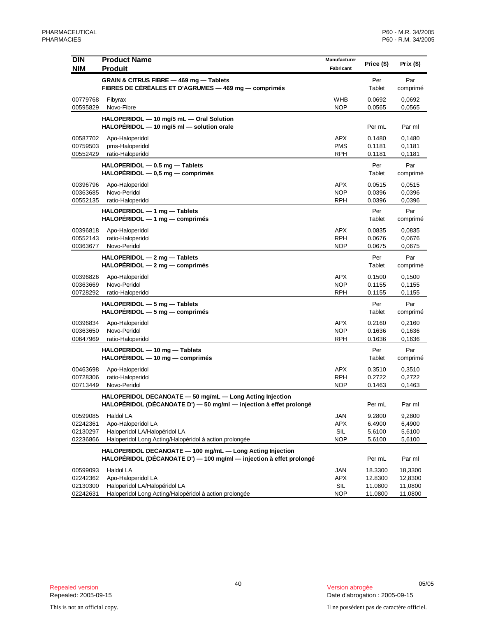| <b>DIN</b>                                   | <b>Product Name</b>                                                                                                              | Manufacturer                                  |                                          |                                          |
|----------------------------------------------|----------------------------------------------------------------------------------------------------------------------------------|-----------------------------------------------|------------------------------------------|------------------------------------------|
| <b>NIM</b>                                   | <b>Produit</b>                                                                                                                   | Fabricant                                     | Price (\$)                               | Prix (\$)                                |
|                                              | GRAIN & CITRUS FIBRE - 469 mg - Tablets<br>FIBRES DE CÉRÉALES ET D'AGRUMES — 469 mg — comprimés                                  |                                               | Per<br>Tablet                            | Par<br>comprimé                          |
| 00779768<br>00595829                         | Fibyrax<br>Novo-Fibre                                                                                                            | WHB<br><b>NOP</b>                             | 0.0692<br>0.0565                         | 0,0692<br>0,0565                         |
|                                              | HALOPERIDOL - 10 mg/5 mL - Oral Solution<br>HALOPÉRIDOL - 10 mg/5 ml - solution orale                                            |                                               | Per mL                                   | Par ml                                   |
| 00587702<br>00759503<br>00552429             | Apo-Haloperidol<br>pms-Haloperidol<br>ratio-Haloperidol                                                                          | APX<br><b>PMS</b><br>RPH                      | 0.1480<br>0.1181<br>0.1181               | 0,1480<br>0,1181<br>0,1181               |
|                                              | HALOPERIDOL - 0.5 mg - Tablets<br>$HALOPÉRIDOL - 0.5 mg - comprimés$                                                             |                                               | Per<br>Tablet                            | Par<br>comprimé                          |
| 00396796<br>00363685<br>00552135             | Apo-Haloperidol<br>Novo-Peridol<br>ratio-Haloperidol                                                                             | <b>APX</b><br><b>NOP</b><br><b>RPH</b>        | 0.0515<br>0.0396<br>0.0396               | 0,0515<br>0,0396<br>0,0396               |
|                                              | HALOPERIDOL - 1 mg - Tablets<br>$HALOPÉRIDOL - 1 mg - comprimés$                                                                 |                                               | Per<br>Tablet                            | Par<br>comprimé                          |
| 00396818<br>00552143<br>00363677             | Apo-Haloperidol<br>ratio-Haloperidol<br>Novo-Peridol                                                                             | <b>APX</b><br><b>RPH</b><br><b>NOP</b>        | 0.0835<br>0.0676<br>0.0675               | 0.0835<br>0,0676<br>0,0675               |
|                                              | HALOPERIDOL - 2 mg - Tablets<br>$HALOPÉRIDOL - 2 mg - comprimés$                                                                 |                                               | Per<br>Tablet                            | Par<br>comprimé                          |
| 00396826<br>00363669<br>00728292             | Apo-Haloperidol<br>Novo-Peridol<br>ratio-Haloperidol                                                                             | <b>APX</b><br><b>NOP</b><br><b>RPH</b>        | 0.1500<br>0.1155<br>0.1155               | 0,1500<br>0,1155<br>0,1155               |
|                                              | HALOPERIDOL - 5 mg - Tablets<br>$HALOPÉRIDOL - 5 mg - comprimés$                                                                 |                                               | Per<br>Tablet                            | Par<br>comprimé                          |
| 00396834<br>00363650<br>00647969             | Apo-Haloperidol<br>Novo-Peridol<br>ratio-Haloperidol                                                                             | <b>APX</b><br><b>NOP</b><br><b>RPH</b>        | 0.2160<br>0.1636<br>0.1636               | 0,2160<br>0,1636<br>0,1636               |
|                                              | HALOPERIDOL - 10 mg - Tablets<br>$HALOPÉRIDOL - 10 mg - comprimés$                                                               |                                               | Per<br>Tablet                            | Par<br>comprimé                          |
| 00463698<br>00728306<br>00713449             | Apo-Haloperidol<br>ratio-Haloperidol<br>Novo-Peridol                                                                             | APX<br><b>RPH</b><br><b>NOP</b>               | 0.3510<br>0.2722<br>0.1463               | 0,3510<br>0,2722<br>0,1463               |
|                                              | HALOPERIDOL DECANOATE - 50 mg/mL - Long Acting Injection<br>HALOPÉRIDOL (DÉCANOATE D') - 50 mg/ml - injection à effet prolongé   |                                               | Per mL                                   | Par ml                                   |
| 00599085<br>02242361<br>02130297<br>02236866 | Haldol LA<br>Apo-Haloperidol LA<br>Haloperidol LA/Halopéridol LA<br>Haloperidol Long Acting/Halopéridol à action prolongée       | <b>JAN</b><br><b>APX</b><br>SIL<br><b>NOP</b> | 9.2800<br>6.4900<br>5.6100<br>5.6100     | 9,2800<br>6,4900<br>5,6100<br>5,6100     |
|                                              | HALOPERIDOL DECANOATE - 100 mg/mL - Long Acting Injection<br>HALOPÉRIDOL (DÉCANOATE D') - 100 mg/ml - injection à effet prolongé |                                               | Per mL                                   | Par ml                                   |
| 00599093<br>02242362<br>02130300<br>02242631 | Haldol LA<br>Apo-Haloperidol LA<br>Haloperidol LA/Halopéridol LA<br>Haloperidol Long Acting/Halopéridol à action prolongée       | JAN<br><b>APX</b><br>SIL<br><b>NOP</b>        | 18.3300<br>12.8300<br>11.0800<br>11.0800 | 18,3300<br>12,8300<br>11,0800<br>11,0800 |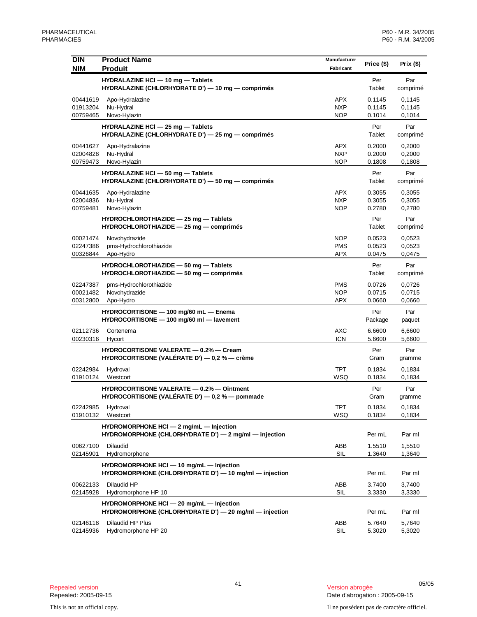| <b>DIN</b><br><b>NIM</b>         | <b>Product Name</b><br><b>Produit</b>                                                              | Manufacturer<br>Fabricant              | Price (\$)                 | Prix $($ \$)               |
|----------------------------------|----------------------------------------------------------------------------------------------------|----------------------------------------|----------------------------|----------------------------|
|                                  | HYDRALAZINE HCI - 10 mg - Tablets<br>HYDRALAZINE (CHLORHYDRATE D') - 10 mg - comprimés             |                                        | Per<br>Tablet              | Par<br>comprimé            |
| 00441619<br>01913204<br>00759465 | Apo-Hydralazine<br>Nu-Hydral<br>Novo-Hylazin                                                       | <b>APX</b><br><b>NXP</b><br><b>NOP</b> | 0.1145<br>0.1145<br>0.1014 | 0,1145<br>0,1145<br>0,1014 |
|                                  | HYDRALAZINE HCI - 25 mg - Tablets<br>HYDRALAZINE (CHLORHYDRATE D') - 25 mg - comprimés             |                                        | Per<br>Tablet              | Par<br>comprimé            |
| 00441627<br>02004828<br>00759473 | Apo-Hydralazine<br>Nu-Hydral<br>Novo-Hylazin                                                       | APX<br><b>NXP</b><br><b>NOP</b>        | 0.2000<br>0.2000<br>0.1808 | 0,2000<br>0,2000<br>0,1808 |
|                                  | HYDRALAZINE HCI - 50 mg - Tablets<br>HYDRALAZINE (CHLORHYDRATE D') - 50 mg - comprimés             |                                        | Per<br>Tablet              | Par<br>comprimé            |
| 00441635<br>02004836<br>00759481 | Apo-Hydralazine<br>Nu-Hydral<br>Novo-Hylazin                                                       | <b>APX</b><br><b>NXP</b><br><b>NOP</b> | 0.3055<br>0.3055<br>0.2780 | 0,3055<br>0,3055<br>0,2780 |
|                                  | HYDROCHLOROTHIAZIDE - 25 mg - Tablets<br>HYDROCHLOROTHIAZIDE - 25 mg - comprimés                   |                                        | Per<br>Tablet              | Par<br>comprimé            |
| 00021474<br>02247386<br>00326844 | Novohydrazide<br>pms-Hydrochlorothiazide<br>Apo-Hydro                                              | <b>NOP</b><br><b>PMS</b><br><b>APX</b> | 0.0523<br>0.0523<br>0.0475 | 0,0523<br>0,0523<br>0,0475 |
|                                  | HYDROCHLOROTHIAZIDE - 50 mg - Tablets<br>HYDROCHLOROTHIAZIDE - 50 mg - comprimés                   |                                        | Per<br>Tablet              | Par<br>comprimé            |
| 02247387<br>00021482<br>00312800 | pms-Hydrochlorothiazide<br>Novohydrazide<br>Apo-Hydro                                              | <b>PMS</b><br><b>NOP</b><br>APX        | 0.0726<br>0.0715<br>0.0660 | 0,0726<br>0,0715<br>0,0660 |
|                                  | HYDROCORTISONE - 100 mg/60 mL - Enema<br>HYDROCORTISONE - 100 mg/60 ml - lavement                  |                                        | Per<br>Package             | Par<br>paquet              |
| 02112736<br>00230316             | Cortenema<br>Hycort                                                                                | <b>AXC</b><br><b>ICN</b>               | 6.6600<br>5.6600           | 6,6600<br>5,6600           |
|                                  | HYDROCORTISONE VALERATE - 0.2% - Cream<br>HYDROCORTISONE (VALÉRATE D') — 0,2 % — crème             |                                        | Per<br>Gram                | Par<br>gramme              |
| 02242984<br>01910124             | Hydroval<br>Westcort                                                                               | TPT<br>WSQ                             | 0.1834<br>0.1834           | 0,1834<br>0,1834           |
|                                  | HYDROCORTISONE VALERATE - 0.2% - Ointment<br>HYDROCORTISONE (VALÉRATE D') — 0,2 % — pommade        |                                        | Per<br>Gram                | Par<br>gramme              |
| 02242985<br>01910132             | Hydroval<br>Westcort                                                                               | TPT<br>WSQ                             | 0.1834<br>0.1834           | 0,1834<br>0,1834           |
|                                  | $HYDROMORPHONE HCI - 2 mg/mL - Injection$<br>HYDROMORPHONE (CHLORHYDRATE D') - 2 mg/ml - injection |                                        | Per mL                     | Par ml                     |
| 00627100<br>02145901             | <b>Dilaudid</b><br>Hydromorphone                                                                   | ABB<br><b>SIL</b>                      | 1.5510<br>1.3640           | 1,5510<br>1,3640           |
|                                  | HYDROMORPHONE HCI - 10 mg/mL - Injection<br>HYDROMORPHONE (CHLORHYDRATE D') - 10 mg/ml - injection |                                        | Per mL                     | Par ml                     |
| 00622133<br>02145928             | Dilaudid HP<br>Hydromorphone HP 10                                                                 | ABB<br>SIL                             | 3.7400<br>3.3330           | 3,7400<br>3,3330           |
|                                  | HYDROMORPHONE HCI - 20 mg/mL - Injection<br>HYDROMORPHONE (CHLORHYDRATE D') - 20 mg/ml - injection |                                        | Per mL                     | Par ml                     |
| 02146118<br>02145936             | Dilaudid HP Plus<br>Hydromorphone HP 20                                                            | ABB<br><b>SIL</b>                      | 5.7640<br>5.3020           | 5,7640<br>5,3020           |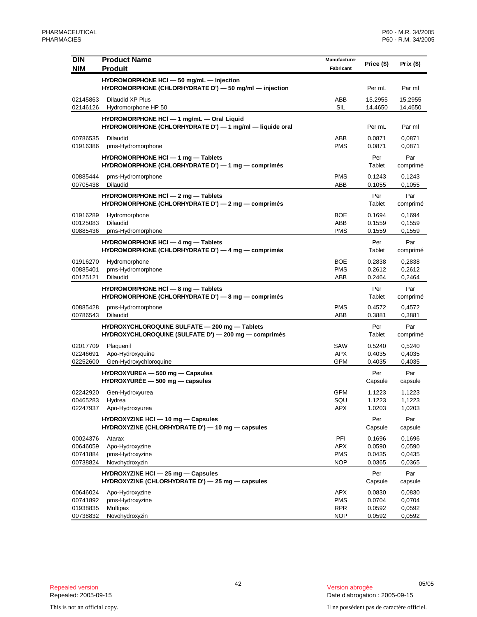| <b>DIN</b>                                   | <b>Product Name</b>                                                                                   | Manufacturer                                  | Price (\$)                           | Prix $($ \$)                         |
|----------------------------------------------|-------------------------------------------------------------------------------------------------------|-----------------------------------------------|--------------------------------------|--------------------------------------|
| <b>NIM</b>                                   | <b>Produit</b>                                                                                        | Fabricant                                     |                                      |                                      |
|                                              | HYDROMORPHONE HCI - 50 mg/mL - Injection<br>HYDROMORPHONE (CHLORHYDRATE D') - 50 mg/ml - injection    |                                               | Per mL                               | Par ml                               |
| 02145863<br>02146126                         | Dilaudid XP Plus<br>Hydromorphone HP 50                                                               | ABB<br>SIL                                    | 15.2955<br>14.4650                   | 15,2955<br>14,4650                   |
|                                              | HYDROMORPHONE HCI - 1 mg/mL - Oral Liquid<br>HYDROMORPHONE (CHLORHYDRATE D') - 1 mg/ml - liquide oral |                                               | Per mL                               | Par ml                               |
| 00786535<br>01916386                         | <b>Dilaudid</b><br>pms-Hydromorphone                                                                  | ABB<br><b>PMS</b>                             | 0.0871<br>0.0871                     | 0,0871<br>0,0871                     |
|                                              | HYDROMORPHONE HCI - 1 mg - Tablets<br>HYDROMORPHONE (CHLORHYDRATE D') $-$ 1 mg $-$ comprimés          |                                               | Per<br>Tablet                        | Par<br>comprimé                      |
| 00885444<br>00705438                         | pms-Hydromorphone<br><b>Dilaudid</b>                                                                  | PMS<br>ABB                                    | 0.1243<br>0.1055                     | 0,1243<br>0,1055                     |
|                                              | HYDROMORPHONE HCI - 2 mg - Tablets<br>HYDROMORPHONE (CHLORHYDRATE D') $-$ 2 mg $-$ comprimés          |                                               | Per<br>Tablet                        | Par<br>comprimé                      |
| 01916289<br>00125083<br>00885436             | Hydromorphone<br><b>Dilaudid</b><br>pms-Hydromorphone                                                 | BOE<br>ABB<br>PMS                             | 0.1694<br>0.1559<br>0.1559           | 0,1694<br>0,1559<br>0,1559           |
|                                              | HYDROMORPHONE HCI - 4 mg - Tablets<br>HYDROMORPHONE (CHLORHYDRATE D') $-$ 4 mg $-$ comprimés          |                                               | Per<br>Tablet                        | Par<br>comprimé                      |
| 01916270<br>00885401<br>00125121             | Hydromorphone<br>pms-Hydromorphone<br><b>Dilaudid</b>                                                 | <b>BOE</b><br><b>PMS</b><br>ABB               | 0.2838<br>0.2612<br>0.2464           | 0,2838<br>0,2612<br>0,2464           |
|                                              | HYDROMORPHONE HCI - 8 mg - Tablets<br>HYDROMORPHONE (CHLORHYDRATE D') - 8 mg - comprimés              |                                               | Per<br>Tablet                        | Par<br>comprimé                      |
| 00885428<br>00786543                         | pms-Hydromorphone<br>Dilaudid                                                                         | <b>PMS</b><br>ABB                             | 0.4572<br>0.3881                     | 0,4572<br>0,3881                     |
|                                              | HYDROXYCHLOROQUINE SULFATE - 200 mg - Tablets<br>HYDROXYCHLOROQUINE (SULFATE D') - 200 mg - comprimés |                                               | Per<br>Tablet                        | Par<br>comprimé                      |
| 02017709<br>02246691<br>02252600             | Plaquenil<br>Apo-Hydroxyquine<br>Gen-Hydroxychloroquine                                               | SAW<br><b>APX</b><br><b>GPM</b>               | 0.5240<br>0.4035<br>0.4035           | 0,5240<br>0,4035<br>0,4035           |
|                                              | HYDROXYUREA - 500 mg - Capsules<br>$HYDROXYURÉE - 500 mg - capsules$                                  |                                               | Per<br>Capsule                       | Par<br>capsule                       |
| 02242920<br>00465283<br>02247937             | Gen-Hydroxyurea<br>Hydrea<br>Apo-Hydroxyurea                                                          | <b>GPM</b><br>SQU<br>APX                      | 1.1223<br>1.1223<br>1.0203           | 1,1223<br>1,1223<br>1,0203           |
|                                              | HYDROXYZINE HCI - 10 mg - Capsules<br>HYDROXYZINE (CHLORHYDRATE D') - 10 mg - capsules                |                                               | Per<br>Capsule                       | Par<br>capsule                       |
| 00024376<br>00646059<br>00741884<br>00738824 | Atarax<br>Apo-Hydroxyzine<br>pms-Hydroxyzine<br>Novohydroxyzin                                        | PFI<br><b>APX</b><br><b>PMS</b><br><b>NOP</b> | 0.1696<br>0.0590<br>0.0435<br>0.0365 | 0,1696<br>0,0590<br>0,0435<br>0,0365 |
|                                              | HYDROXYZINE HCI - 25 mg - Capsules<br>HYDROXYZINE (CHLORHYDRATE D') - 25 mg - capsules                |                                               | Per<br>Capsule                       | Par<br>capsule                       |
| 00646024<br>00741892<br>01938835<br>00738832 | Apo-Hydroxyzine<br>pms-Hydroxyzine<br>Multipax<br>Novohydroxyzin                                      | APX<br><b>PMS</b><br><b>RPR</b><br><b>NOP</b> | 0.0830<br>0.0704<br>0.0592<br>0.0592 | 0,0830<br>0,0704<br>0,0592<br>0,0592 |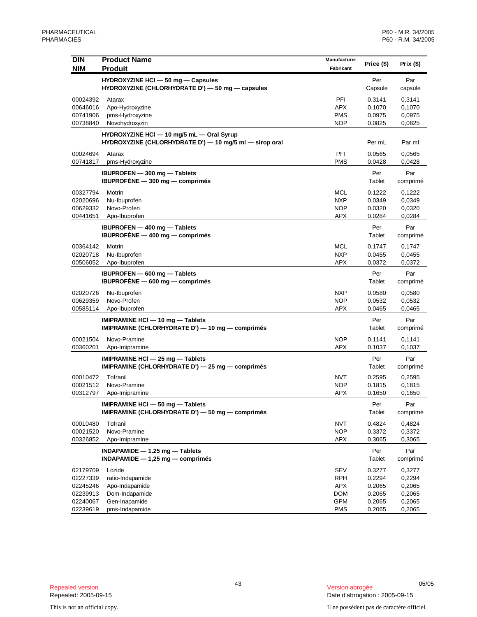| <b>NIM</b><br><b>Produit</b><br>Fabricant<br>HYDROXYZINE HCI - 50 mg - Capsules<br>Per<br>Par<br>HYDROXYZINE (CHLORHYDRATE D') - 50 mg - capsules<br>Capsule<br>capsule<br>PFI<br>00024392<br>0.3141<br>0,3141<br>Atarax<br><b>APX</b><br>0.1070<br>00646016<br>Apo-Hydroxyzine<br>0,1070<br>pms-Hydroxyzine<br><b>PMS</b><br>0.0975<br>0,0975<br>00741906<br><b>NOP</b><br>00738840<br>Novohydroxyzin<br>0.0825<br>0,0825<br>HYDROXYZINE HCI - 10 mg/5 mL - Oral Syrup<br>HYDROXYZINE (CHLORHYDRATE D') - 10 mg/5 ml - sirop oral<br>Per mL<br>Par ml<br>PFI<br>00024694<br>Atarax<br>0.0565<br>0,0565<br><b>PMS</b><br>pms-Hydroxyzine<br>0.0428<br>0,0428<br>00741817<br><b>IBUPROFEN</b> - 300 mg - Tablets<br>Per<br>Par<br>IBUPROFÈNE $-300$ mg $-$ comprimes<br>Tablet<br>comprimé<br>00327794<br>Motrin<br>MCL<br>0.1222<br>0,1222<br>02020696<br>Nu-Ibuprofen<br><b>NXP</b><br>0.0349<br>0,0349<br>00629332<br>Novo-Profen<br><b>NOP</b><br>0.0320<br>0,0320<br><b>APX</b><br>0.0284<br>00441651<br>Apo-Ibuprofen<br>0,0284<br><b>IBUPROFEN</b> - 400 mg - Tablets<br>Per<br>Par<br>IBUPROFÈNE $-$ 400 mg $-$ comprimes<br>Tablet<br>comprimé<br><b>MCL</b><br>00364142<br>0.1747<br>0,1747<br>Motrin<br><b>NXP</b><br>02020718<br>Nu-Ibuprofen<br>0.0455<br>0,0455<br><b>APX</b><br>00506052<br>Apo-Ibuprofen<br>0.0372<br>0,0372<br>IBUPROFEN - 600 mg - Tablets<br>Per<br>Par<br>IBUPROFÈNE $-$ 600 mg $-$ comprimes<br>Tablet<br>comprimé<br>02020726<br>Nu-Ibuprofen<br><b>NXP</b><br>0.0580<br>0,0580<br>Novo-Profen<br>00629359<br><b>NOP</b><br>0.0532<br>0,0532<br><b>APX</b><br>00585114<br>Apo-Ibuprofen<br>0,0465<br>0.0465<br>IMIPRAMINE HCI - 10 mg - Tablets<br>Par<br>Per<br>IMIPRAMINE (CHLORHYDRATE D') - 10 mg - comprimés<br>Tablet<br>comprimé<br>00021504<br>Novo-Pramine<br><b>NOP</b><br>0.1141<br>0,1141<br><b>APX</b><br>00360201<br>0.1037<br>0,1037<br>Apo-Imipramine<br>Per<br>IMIPRAMINE HCI - 25 mg - Tablets<br>Par<br>IMIPRAMINE (CHLORHYDRATE D') - 25 mg - comprimés<br>Tablet<br>comprimé<br>00010472<br>Tofranil<br><b>NVT</b><br>0.2595<br>0,2595<br>00021512<br>Novo-Pramine<br><b>NOP</b><br>0.1815<br>0,1815<br>00312797<br>APX<br>Apo-Imipramine<br>0.1650<br>0,1650<br>IMIPRAMINE HCI - 50 mg - Tablets<br>Per<br>Par<br>IMIPRAMINE (CHLORHYDRATE D') - 50 mg - comprimés<br>Tablet<br>comprimé<br>00010480<br>Tofranil<br>NVT<br>0.4824<br>0,4824<br><b>NOP</b><br>00021520<br>Novo-Pramine<br>0.3372<br>0,3372<br>00326852<br>APX<br>0.3065<br>0,3065<br>Apo-Imipramine<br>INDAPAMIDE - 1.25 mg - Tablets<br>Par<br>Per<br>$INDAPAMIDE - 1,25 mg - comprimés$<br>Tablet<br>comprimé<br>02179709<br>Lozide<br>SEV<br>0.3277<br>0,3277<br>0.2294<br>0,2294<br>02227339<br>ratio-Indapamide<br>RPH<br>02245246<br>Apo-Indapamide<br>APX<br>0.2065<br>0,2065<br>02239913<br>Dom-Indapamide<br><b>DOM</b><br>0.2065<br>0,2065<br><b>GPM</b><br>0.2065<br>02240067<br>Gen-Inapamide<br>0,2065<br>02239619<br>pms-Indapamide<br><b>PMS</b><br>0.2065<br>0,2065 | <b>DIN</b> | <b>Product Name</b> | Manufacturer | Price (\$) | Prix(\$) |
|---------------------------------------------------------------------------------------------------------------------------------------------------------------------------------------------------------------------------------------------------------------------------------------------------------------------------------------------------------------------------------------------------------------------------------------------------------------------------------------------------------------------------------------------------------------------------------------------------------------------------------------------------------------------------------------------------------------------------------------------------------------------------------------------------------------------------------------------------------------------------------------------------------------------------------------------------------------------------------------------------------------------------------------------------------------------------------------------------------------------------------------------------------------------------------------------------------------------------------------------------------------------------------------------------------------------------------------------------------------------------------------------------------------------------------------------------------------------------------------------------------------------------------------------------------------------------------------------------------------------------------------------------------------------------------------------------------------------------------------------------------------------------------------------------------------------------------------------------------------------------------------------------------------------------------------------------------------------------------------------------------------------------------------------------------------------------------------------------------------------------------------------------------------------------------------------------------------------------------------------------------------------------------------------------------------------------------------------------------------------------------------------------------------------------------------------------------------------------------------------------------------------------------------------------------------------------------------------------------------------------------------------------------------------------------------------------------------------------------------------------------------------------------------------------------------------------------------------------------------------------------------------------------------------------------------------------------------------------------------------------------------|------------|---------------------|--------------|------------|----------|
|                                                                                                                                                                                                                                                                                                                                                                                                                                                                                                                                                                                                                                                                                                                                                                                                                                                                                                                                                                                                                                                                                                                                                                                                                                                                                                                                                                                                                                                                                                                                                                                                                                                                                                                                                                                                                                                                                                                                                                                                                                                                                                                                                                                                                                                                                                                                                                                                                                                                                                                                                                                                                                                                                                                                                                                                                                                                                                                                                                                                               |            |                     |              |            |          |
|                                                                                                                                                                                                                                                                                                                                                                                                                                                                                                                                                                                                                                                                                                                                                                                                                                                                                                                                                                                                                                                                                                                                                                                                                                                                                                                                                                                                                                                                                                                                                                                                                                                                                                                                                                                                                                                                                                                                                                                                                                                                                                                                                                                                                                                                                                                                                                                                                                                                                                                                                                                                                                                                                                                                                                                                                                                                                                                                                                                                               |            |                     |              |            |          |
|                                                                                                                                                                                                                                                                                                                                                                                                                                                                                                                                                                                                                                                                                                                                                                                                                                                                                                                                                                                                                                                                                                                                                                                                                                                                                                                                                                                                                                                                                                                                                                                                                                                                                                                                                                                                                                                                                                                                                                                                                                                                                                                                                                                                                                                                                                                                                                                                                                                                                                                                                                                                                                                                                                                                                                                                                                                                                                                                                                                                               |            |                     |              |            |          |
|                                                                                                                                                                                                                                                                                                                                                                                                                                                                                                                                                                                                                                                                                                                                                                                                                                                                                                                                                                                                                                                                                                                                                                                                                                                                                                                                                                                                                                                                                                                                                                                                                                                                                                                                                                                                                                                                                                                                                                                                                                                                                                                                                                                                                                                                                                                                                                                                                                                                                                                                                                                                                                                                                                                                                                                                                                                                                                                                                                                                               |            |                     |              |            |          |
|                                                                                                                                                                                                                                                                                                                                                                                                                                                                                                                                                                                                                                                                                                                                                                                                                                                                                                                                                                                                                                                                                                                                                                                                                                                                                                                                                                                                                                                                                                                                                                                                                                                                                                                                                                                                                                                                                                                                                                                                                                                                                                                                                                                                                                                                                                                                                                                                                                                                                                                                                                                                                                                                                                                                                                                                                                                                                                                                                                                                               |            |                     |              |            |          |
|                                                                                                                                                                                                                                                                                                                                                                                                                                                                                                                                                                                                                                                                                                                                                                                                                                                                                                                                                                                                                                                                                                                                                                                                                                                                                                                                                                                                                                                                                                                                                                                                                                                                                                                                                                                                                                                                                                                                                                                                                                                                                                                                                                                                                                                                                                                                                                                                                                                                                                                                                                                                                                                                                                                                                                                                                                                                                                                                                                                                               |            |                     |              |            |          |
|                                                                                                                                                                                                                                                                                                                                                                                                                                                                                                                                                                                                                                                                                                                                                                                                                                                                                                                                                                                                                                                                                                                                                                                                                                                                                                                                                                                                                                                                                                                                                                                                                                                                                                                                                                                                                                                                                                                                                                                                                                                                                                                                                                                                                                                                                                                                                                                                                                                                                                                                                                                                                                                                                                                                                                                                                                                                                                                                                                                                               |            |                     |              |            |          |
|                                                                                                                                                                                                                                                                                                                                                                                                                                                                                                                                                                                                                                                                                                                                                                                                                                                                                                                                                                                                                                                                                                                                                                                                                                                                                                                                                                                                                                                                                                                                                                                                                                                                                                                                                                                                                                                                                                                                                                                                                                                                                                                                                                                                                                                                                                                                                                                                                                                                                                                                                                                                                                                                                                                                                                                                                                                                                                                                                                                                               |            |                     |              |            |          |
|                                                                                                                                                                                                                                                                                                                                                                                                                                                                                                                                                                                                                                                                                                                                                                                                                                                                                                                                                                                                                                                                                                                                                                                                                                                                                                                                                                                                                                                                                                                                                                                                                                                                                                                                                                                                                                                                                                                                                                                                                                                                                                                                                                                                                                                                                                                                                                                                                                                                                                                                                                                                                                                                                                                                                                                                                                                                                                                                                                                                               |            |                     |              |            |          |
|                                                                                                                                                                                                                                                                                                                                                                                                                                                                                                                                                                                                                                                                                                                                                                                                                                                                                                                                                                                                                                                                                                                                                                                                                                                                                                                                                                                                                                                                                                                                                                                                                                                                                                                                                                                                                                                                                                                                                                                                                                                                                                                                                                                                                                                                                                                                                                                                                                                                                                                                                                                                                                                                                                                                                                                                                                                                                                                                                                                                               |            |                     |              |            |          |
|                                                                                                                                                                                                                                                                                                                                                                                                                                                                                                                                                                                                                                                                                                                                                                                                                                                                                                                                                                                                                                                                                                                                                                                                                                                                                                                                                                                                                                                                                                                                                                                                                                                                                                                                                                                                                                                                                                                                                                                                                                                                                                                                                                                                                                                                                                                                                                                                                                                                                                                                                                                                                                                                                                                                                                                                                                                                                                                                                                                                               |            |                     |              |            |          |
|                                                                                                                                                                                                                                                                                                                                                                                                                                                                                                                                                                                                                                                                                                                                                                                                                                                                                                                                                                                                                                                                                                                                                                                                                                                                                                                                                                                                                                                                                                                                                                                                                                                                                                                                                                                                                                                                                                                                                                                                                                                                                                                                                                                                                                                                                                                                                                                                                                                                                                                                                                                                                                                                                                                                                                                                                                                                                                                                                                                                               |            |                     |              |            |          |
|                                                                                                                                                                                                                                                                                                                                                                                                                                                                                                                                                                                                                                                                                                                                                                                                                                                                                                                                                                                                                                                                                                                                                                                                                                                                                                                                                                                                                                                                                                                                                                                                                                                                                                                                                                                                                                                                                                                                                                                                                                                                                                                                                                                                                                                                                                                                                                                                                                                                                                                                                                                                                                                                                                                                                                                                                                                                                                                                                                                                               |            |                     |              |            |          |
|                                                                                                                                                                                                                                                                                                                                                                                                                                                                                                                                                                                                                                                                                                                                                                                                                                                                                                                                                                                                                                                                                                                                                                                                                                                                                                                                                                                                                                                                                                                                                                                                                                                                                                                                                                                                                                                                                                                                                                                                                                                                                                                                                                                                                                                                                                                                                                                                                                                                                                                                                                                                                                                                                                                                                                                                                                                                                                                                                                                                               |            |                     |              |            |          |
|                                                                                                                                                                                                                                                                                                                                                                                                                                                                                                                                                                                                                                                                                                                                                                                                                                                                                                                                                                                                                                                                                                                                                                                                                                                                                                                                                                                                                                                                                                                                                                                                                                                                                                                                                                                                                                                                                                                                                                                                                                                                                                                                                                                                                                                                                                                                                                                                                                                                                                                                                                                                                                                                                                                                                                                                                                                                                                                                                                                                               |            |                     |              |            |          |
|                                                                                                                                                                                                                                                                                                                                                                                                                                                                                                                                                                                                                                                                                                                                                                                                                                                                                                                                                                                                                                                                                                                                                                                                                                                                                                                                                                                                                                                                                                                                                                                                                                                                                                                                                                                                                                                                                                                                                                                                                                                                                                                                                                                                                                                                                                                                                                                                                                                                                                                                                                                                                                                                                                                                                                                                                                                                                                                                                                                                               |            |                     |              |            |          |
|                                                                                                                                                                                                                                                                                                                                                                                                                                                                                                                                                                                                                                                                                                                                                                                                                                                                                                                                                                                                                                                                                                                                                                                                                                                                                                                                                                                                                                                                                                                                                                                                                                                                                                                                                                                                                                                                                                                                                                                                                                                                                                                                                                                                                                                                                                                                                                                                                                                                                                                                                                                                                                                                                                                                                                                                                                                                                                                                                                                                               |            |                     |              |            |          |
|                                                                                                                                                                                                                                                                                                                                                                                                                                                                                                                                                                                                                                                                                                                                                                                                                                                                                                                                                                                                                                                                                                                                                                                                                                                                                                                                                                                                                                                                                                                                                                                                                                                                                                                                                                                                                                                                                                                                                                                                                                                                                                                                                                                                                                                                                                                                                                                                                                                                                                                                                                                                                                                                                                                                                                                                                                                                                                                                                                                                               |            |                     |              |            |          |
|                                                                                                                                                                                                                                                                                                                                                                                                                                                                                                                                                                                                                                                                                                                                                                                                                                                                                                                                                                                                                                                                                                                                                                                                                                                                                                                                                                                                                                                                                                                                                                                                                                                                                                                                                                                                                                                                                                                                                                                                                                                                                                                                                                                                                                                                                                                                                                                                                                                                                                                                                                                                                                                                                                                                                                                                                                                                                                                                                                                                               |            |                     |              |            |          |
|                                                                                                                                                                                                                                                                                                                                                                                                                                                                                                                                                                                                                                                                                                                                                                                                                                                                                                                                                                                                                                                                                                                                                                                                                                                                                                                                                                                                                                                                                                                                                                                                                                                                                                                                                                                                                                                                                                                                                                                                                                                                                                                                                                                                                                                                                                                                                                                                                                                                                                                                                                                                                                                                                                                                                                                                                                                                                                                                                                                                               |            |                     |              |            |          |
|                                                                                                                                                                                                                                                                                                                                                                                                                                                                                                                                                                                                                                                                                                                                                                                                                                                                                                                                                                                                                                                                                                                                                                                                                                                                                                                                                                                                                                                                                                                                                                                                                                                                                                                                                                                                                                                                                                                                                                                                                                                                                                                                                                                                                                                                                                                                                                                                                                                                                                                                                                                                                                                                                                                                                                                                                                                                                                                                                                                                               |            |                     |              |            |          |
|                                                                                                                                                                                                                                                                                                                                                                                                                                                                                                                                                                                                                                                                                                                                                                                                                                                                                                                                                                                                                                                                                                                                                                                                                                                                                                                                                                                                                                                                                                                                                                                                                                                                                                                                                                                                                                                                                                                                                                                                                                                                                                                                                                                                                                                                                                                                                                                                                                                                                                                                                                                                                                                                                                                                                                                                                                                                                                                                                                                                               |            |                     |              |            |          |
|                                                                                                                                                                                                                                                                                                                                                                                                                                                                                                                                                                                                                                                                                                                                                                                                                                                                                                                                                                                                                                                                                                                                                                                                                                                                                                                                                                                                                                                                                                                                                                                                                                                                                                                                                                                                                                                                                                                                                                                                                                                                                                                                                                                                                                                                                                                                                                                                                                                                                                                                                                                                                                                                                                                                                                                                                                                                                                                                                                                                               |            |                     |              |            |          |
|                                                                                                                                                                                                                                                                                                                                                                                                                                                                                                                                                                                                                                                                                                                                                                                                                                                                                                                                                                                                                                                                                                                                                                                                                                                                                                                                                                                                                                                                                                                                                                                                                                                                                                                                                                                                                                                                                                                                                                                                                                                                                                                                                                                                                                                                                                                                                                                                                                                                                                                                                                                                                                                                                                                                                                                                                                                                                                                                                                                                               |            |                     |              |            |          |
|                                                                                                                                                                                                                                                                                                                                                                                                                                                                                                                                                                                                                                                                                                                                                                                                                                                                                                                                                                                                                                                                                                                                                                                                                                                                                                                                                                                                                                                                                                                                                                                                                                                                                                                                                                                                                                                                                                                                                                                                                                                                                                                                                                                                                                                                                                                                                                                                                                                                                                                                                                                                                                                                                                                                                                                                                                                                                                                                                                                                               |            |                     |              |            |          |
|                                                                                                                                                                                                                                                                                                                                                                                                                                                                                                                                                                                                                                                                                                                                                                                                                                                                                                                                                                                                                                                                                                                                                                                                                                                                                                                                                                                                                                                                                                                                                                                                                                                                                                                                                                                                                                                                                                                                                                                                                                                                                                                                                                                                                                                                                                                                                                                                                                                                                                                                                                                                                                                                                                                                                                                                                                                                                                                                                                                                               |            |                     |              |            |          |
|                                                                                                                                                                                                                                                                                                                                                                                                                                                                                                                                                                                                                                                                                                                                                                                                                                                                                                                                                                                                                                                                                                                                                                                                                                                                                                                                                                                                                                                                                                                                                                                                                                                                                                                                                                                                                                                                                                                                                                                                                                                                                                                                                                                                                                                                                                                                                                                                                                                                                                                                                                                                                                                                                                                                                                                                                                                                                                                                                                                                               |            |                     |              |            |          |
|                                                                                                                                                                                                                                                                                                                                                                                                                                                                                                                                                                                                                                                                                                                                                                                                                                                                                                                                                                                                                                                                                                                                                                                                                                                                                                                                                                                                                                                                                                                                                                                                                                                                                                                                                                                                                                                                                                                                                                                                                                                                                                                                                                                                                                                                                                                                                                                                                                                                                                                                                                                                                                                                                                                                                                                                                                                                                                                                                                                                               |            |                     |              |            |          |
|                                                                                                                                                                                                                                                                                                                                                                                                                                                                                                                                                                                                                                                                                                                                                                                                                                                                                                                                                                                                                                                                                                                                                                                                                                                                                                                                                                                                                                                                                                                                                                                                                                                                                                                                                                                                                                                                                                                                                                                                                                                                                                                                                                                                                                                                                                                                                                                                                                                                                                                                                                                                                                                                                                                                                                                                                                                                                                                                                                                                               |            |                     |              |            |          |
|                                                                                                                                                                                                                                                                                                                                                                                                                                                                                                                                                                                                                                                                                                                                                                                                                                                                                                                                                                                                                                                                                                                                                                                                                                                                                                                                                                                                                                                                                                                                                                                                                                                                                                                                                                                                                                                                                                                                                                                                                                                                                                                                                                                                                                                                                                                                                                                                                                                                                                                                                                                                                                                                                                                                                                                                                                                                                                                                                                                                               |            |                     |              |            |          |
|                                                                                                                                                                                                                                                                                                                                                                                                                                                                                                                                                                                                                                                                                                                                                                                                                                                                                                                                                                                                                                                                                                                                                                                                                                                                                                                                                                                                                                                                                                                                                                                                                                                                                                                                                                                                                                                                                                                                                                                                                                                                                                                                                                                                                                                                                                                                                                                                                                                                                                                                                                                                                                                                                                                                                                                                                                                                                                                                                                                                               |            |                     |              |            |          |
|                                                                                                                                                                                                                                                                                                                                                                                                                                                                                                                                                                                                                                                                                                                                                                                                                                                                                                                                                                                                                                                                                                                                                                                                                                                                                                                                                                                                                                                                                                                                                                                                                                                                                                                                                                                                                                                                                                                                                                                                                                                                                                                                                                                                                                                                                                                                                                                                                                                                                                                                                                                                                                                                                                                                                                                                                                                                                                                                                                                                               |            |                     |              |            |          |
|                                                                                                                                                                                                                                                                                                                                                                                                                                                                                                                                                                                                                                                                                                                                                                                                                                                                                                                                                                                                                                                                                                                                                                                                                                                                                                                                                                                                                                                                                                                                                                                                                                                                                                                                                                                                                                                                                                                                                                                                                                                                                                                                                                                                                                                                                                                                                                                                                                                                                                                                                                                                                                                                                                                                                                                                                                                                                                                                                                                                               |            |                     |              |            |          |
|                                                                                                                                                                                                                                                                                                                                                                                                                                                                                                                                                                                                                                                                                                                                                                                                                                                                                                                                                                                                                                                                                                                                                                                                                                                                                                                                                                                                                                                                                                                                                                                                                                                                                                                                                                                                                                                                                                                                                                                                                                                                                                                                                                                                                                                                                                                                                                                                                                                                                                                                                                                                                                                                                                                                                                                                                                                                                                                                                                                                               |            |                     |              |            |          |
|                                                                                                                                                                                                                                                                                                                                                                                                                                                                                                                                                                                                                                                                                                                                                                                                                                                                                                                                                                                                                                                                                                                                                                                                                                                                                                                                                                                                                                                                                                                                                                                                                                                                                                                                                                                                                                                                                                                                                                                                                                                                                                                                                                                                                                                                                                                                                                                                                                                                                                                                                                                                                                                                                                                                                                                                                                                                                                                                                                                                               |            |                     |              |            |          |
|                                                                                                                                                                                                                                                                                                                                                                                                                                                                                                                                                                                                                                                                                                                                                                                                                                                                                                                                                                                                                                                                                                                                                                                                                                                                                                                                                                                                                                                                                                                                                                                                                                                                                                                                                                                                                                                                                                                                                                                                                                                                                                                                                                                                                                                                                                                                                                                                                                                                                                                                                                                                                                                                                                                                                                                                                                                                                                                                                                                                               |            |                     |              |            |          |
|                                                                                                                                                                                                                                                                                                                                                                                                                                                                                                                                                                                                                                                                                                                                                                                                                                                                                                                                                                                                                                                                                                                                                                                                                                                                                                                                                                                                                                                                                                                                                                                                                                                                                                                                                                                                                                                                                                                                                                                                                                                                                                                                                                                                                                                                                                                                                                                                                                                                                                                                                                                                                                                                                                                                                                                                                                                                                                                                                                                                               |            |                     |              |            |          |
|                                                                                                                                                                                                                                                                                                                                                                                                                                                                                                                                                                                                                                                                                                                                                                                                                                                                                                                                                                                                                                                                                                                                                                                                                                                                                                                                                                                                                                                                                                                                                                                                                                                                                                                                                                                                                                                                                                                                                                                                                                                                                                                                                                                                                                                                                                                                                                                                                                                                                                                                                                                                                                                                                                                                                                                                                                                                                                                                                                                                               |            |                     |              |            |          |
|                                                                                                                                                                                                                                                                                                                                                                                                                                                                                                                                                                                                                                                                                                                                                                                                                                                                                                                                                                                                                                                                                                                                                                                                                                                                                                                                                                                                                                                                                                                                                                                                                                                                                                                                                                                                                                                                                                                                                                                                                                                                                                                                                                                                                                                                                                                                                                                                                                                                                                                                                                                                                                                                                                                                                                                                                                                                                                                                                                                                               |            |                     |              |            |          |
|                                                                                                                                                                                                                                                                                                                                                                                                                                                                                                                                                                                                                                                                                                                                                                                                                                                                                                                                                                                                                                                                                                                                                                                                                                                                                                                                                                                                                                                                                                                                                                                                                                                                                                                                                                                                                                                                                                                                                                                                                                                                                                                                                                                                                                                                                                                                                                                                                                                                                                                                                                                                                                                                                                                                                                                                                                                                                                                                                                                                               |            |                     |              |            |          |
|                                                                                                                                                                                                                                                                                                                                                                                                                                                                                                                                                                                                                                                                                                                                                                                                                                                                                                                                                                                                                                                                                                                                                                                                                                                                                                                                                                                                                                                                                                                                                                                                                                                                                                                                                                                                                                                                                                                                                                                                                                                                                                                                                                                                                                                                                                                                                                                                                                                                                                                                                                                                                                                                                                                                                                                                                                                                                                                                                                                                               |            |                     |              |            |          |
|                                                                                                                                                                                                                                                                                                                                                                                                                                                                                                                                                                                                                                                                                                                                                                                                                                                                                                                                                                                                                                                                                                                                                                                                                                                                                                                                                                                                                                                                                                                                                                                                                                                                                                                                                                                                                                                                                                                                                                                                                                                                                                                                                                                                                                                                                                                                                                                                                                                                                                                                                                                                                                                                                                                                                                                                                                                                                                                                                                                                               |            |                     |              |            |          |
|                                                                                                                                                                                                                                                                                                                                                                                                                                                                                                                                                                                                                                                                                                                                                                                                                                                                                                                                                                                                                                                                                                                                                                                                                                                                                                                                                                                                                                                                                                                                                                                                                                                                                                                                                                                                                                                                                                                                                                                                                                                                                                                                                                                                                                                                                                                                                                                                                                                                                                                                                                                                                                                                                                                                                                                                                                                                                                                                                                                                               |            |                     |              |            |          |
|                                                                                                                                                                                                                                                                                                                                                                                                                                                                                                                                                                                                                                                                                                                                                                                                                                                                                                                                                                                                                                                                                                                                                                                                                                                                                                                                                                                                                                                                                                                                                                                                                                                                                                                                                                                                                                                                                                                                                                                                                                                                                                                                                                                                                                                                                                                                                                                                                                                                                                                                                                                                                                                                                                                                                                                                                                                                                                                                                                                                               |            |                     |              |            |          |
|                                                                                                                                                                                                                                                                                                                                                                                                                                                                                                                                                                                                                                                                                                                                                                                                                                                                                                                                                                                                                                                                                                                                                                                                                                                                                                                                                                                                                                                                                                                                                                                                                                                                                                                                                                                                                                                                                                                                                                                                                                                                                                                                                                                                                                                                                                                                                                                                                                                                                                                                                                                                                                                                                                                                                                                                                                                                                                                                                                                                               |            |                     |              |            |          |
|                                                                                                                                                                                                                                                                                                                                                                                                                                                                                                                                                                                                                                                                                                                                                                                                                                                                                                                                                                                                                                                                                                                                                                                                                                                                                                                                                                                                                                                                                                                                                                                                                                                                                                                                                                                                                                                                                                                                                                                                                                                                                                                                                                                                                                                                                                                                                                                                                                                                                                                                                                                                                                                                                                                                                                                                                                                                                                                                                                                                               |            |                     |              |            |          |
|                                                                                                                                                                                                                                                                                                                                                                                                                                                                                                                                                                                                                                                                                                                                                                                                                                                                                                                                                                                                                                                                                                                                                                                                                                                                                                                                                                                                                                                                                                                                                                                                                                                                                                                                                                                                                                                                                                                                                                                                                                                                                                                                                                                                                                                                                                                                                                                                                                                                                                                                                                                                                                                                                                                                                                                                                                                                                                                                                                                                               |            |                     |              |            |          |
|                                                                                                                                                                                                                                                                                                                                                                                                                                                                                                                                                                                                                                                                                                                                                                                                                                                                                                                                                                                                                                                                                                                                                                                                                                                                                                                                                                                                                                                                                                                                                                                                                                                                                                                                                                                                                                                                                                                                                                                                                                                                                                                                                                                                                                                                                                                                                                                                                                                                                                                                                                                                                                                                                                                                                                                                                                                                                                                                                                                                               |            |                     |              |            |          |
|                                                                                                                                                                                                                                                                                                                                                                                                                                                                                                                                                                                                                                                                                                                                                                                                                                                                                                                                                                                                                                                                                                                                                                                                                                                                                                                                                                                                                                                                                                                                                                                                                                                                                                                                                                                                                                                                                                                                                                                                                                                                                                                                                                                                                                                                                                                                                                                                                                                                                                                                                                                                                                                                                                                                                                                                                                                                                                                                                                                                               |            |                     |              |            |          |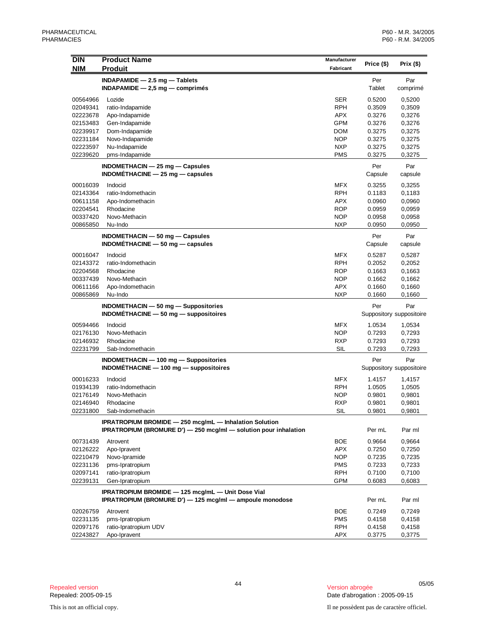| <b>DIN</b> | <b>Product Name</b>                                                             | Manufacturer | Price (\$)                      | Prix $($ \$)             |
|------------|---------------------------------------------------------------------------------|--------------|---------------------------------|--------------------------|
| <b>NIM</b> | <b>Produit</b>                                                                  | Fabricant    |                                 |                          |
|            | $INDAPAMIDE - 2.5 mg - Tables$                                                  |              | Per                             | Par                      |
|            | $INDAPAMIDE - 2,5 mg - comprimés$                                               |              | Tablet                          | comprimé                 |
| 00564966   | Lozide                                                                          | SER          | 0.5200                          | 0,5200                   |
| 02049341   | ratio-Indapamide                                                                | <b>RPH</b>   | 0.3509                          | 0,3509                   |
| 02223678   | Apo-Indapamide                                                                  | <b>APX</b>   | 0.3276                          | 0,3276                   |
| 02153483   | Gen-Indapamide                                                                  | GPM          | 0.3276                          | 0,3276                   |
| 02239917   | Dom-Indapamide                                                                  | <b>DOM</b>   | 0.3275                          | 0,3275                   |
| 02231184   | Novo-Indapamide                                                                 | <b>NOP</b>   | 0.3275                          | 0,3275                   |
| 02223597   | Nu-Indapamide                                                                   | <b>NXP</b>   | 0.3275                          | 0,3275                   |
| 02239620   | pms-Indapamide                                                                  | <b>PMS</b>   | 0.3275                          | 0,3275                   |
|            | $INDOMETHACIN - 25 mg - Capsules$                                               |              | Per                             | Par                      |
|            | $INDOMETHACINE - 25 mg - capsules$                                              |              | Capsule                         | capsule                  |
| 00016039   | Indocid                                                                         | <b>MFX</b>   | 0.3255                          | 0,3255                   |
| 02143364   | ratio-Indomethacin                                                              | <b>RPH</b>   | 0.1183                          | 0,1183                   |
| 00611158   | Apo-Indomethacin                                                                | <b>APX</b>   | 0.0960                          | 0,0960                   |
| 02204541   | Rhodacine                                                                       | <b>ROP</b>   | 0.0959                          | 0,0959                   |
| 00337420   | Novo-Methacin                                                                   | <b>NOP</b>   | 0.0958                          | 0,0958                   |
| 00865850   | Nu-Indo                                                                         | <b>NXP</b>   | 0.0950                          | 0,0950                   |
|            | <b>INDOMETHACIN - 50 mg - Capsules</b>                                          |              | Per                             | Par                      |
|            | INDOMÉTHACINE $-50$ mg $-$ capsules                                             |              | Capsule                         | capsule                  |
| 00016047   | Indocid                                                                         | MFX          | 0.5287                          | 0,5287                   |
| 02143372   | ratio-Indomethacin                                                              | <b>RPH</b>   | 0.2052                          | 0,2052                   |
| 02204568   | Rhodacine                                                                       | <b>ROP</b>   | 0.1663                          | 0,1663                   |
| 00337439   | Novo-Methacin                                                                   | <b>NOP</b>   | 0.1662                          | 0,1662                   |
| 00611166   |                                                                                 | APX          | 0.1660                          | 0,1660                   |
| 00865869   | Apo-Indomethacin<br>Nu-Indo                                                     | <b>NXP</b>   | 0.1660                          | 0,1660                   |
|            |                                                                                 |              |                                 |                          |
|            | INDOMETHACIN - 50 mg - Suppositories<br>$INDOMETHACINE - 50 mg - suppositiones$ |              | Per<br>Suppository suppositoire | Par                      |
|            |                                                                                 |              |                                 |                          |
| 00594466   | Indocid                                                                         | MFX          | 1.0534                          | 1,0534                   |
| 02176130   | Novo-Methacin                                                                   | <b>NOP</b>   | 0.7293                          | 0,7293                   |
| 02146932   | Rhodacine                                                                       | RXP          | 0.7293                          | 0,7293                   |
| 02231799   | Sab-Indomethacin                                                                | SIL          | 0.7293                          | 0,7293                   |
|            | <b>INDOMETHACIN</b> - 100 mg - Suppositories                                    |              | Per                             | Par                      |
|            | INDOMÉTHACINE $-$ 100 mg $-$ suppositoires                                      |              |                                 | Suppository suppositoire |
| 00016233   | Indocid                                                                         | <b>MFX</b>   | 1.4157                          | 1,4157                   |
| 01934139   | ratio-Indomethacin                                                              | <b>RPH</b>   | 1.0505                          | 1,0505                   |
| 02176149   | Novo-Methacin                                                                   | <b>NOP</b>   | 0.9801                          | 0,9801                   |
| 02146940   | Rhodacine                                                                       | <b>RXP</b>   | 0.9801                          | 0,9801                   |
| 02231800   | Sab-Indomethacin                                                                | SIL          | 0.9801                          | 0,9801                   |
|            | IPRATROPIUM BROMIDE - 250 mcg/mL - Inhalation Solution                          |              |                                 |                          |
|            | IPRATROPIUM (BROMURE D') - 250 mcg/ml - solution pour inhalation                |              | Per mL                          | Par ml                   |
| 00731439   | Atrovent                                                                        | BOE          | 0.9664                          | 0,9664                   |
|            |                                                                                 |              |                                 |                          |
| 02126222   | Apo-Ipravent                                                                    | APX          | 0.7250                          | 0,7250                   |
| 02210479   | Novo-Ipramide                                                                   | <b>NOP</b>   | 0.7235                          | 0,7235                   |
| 02231136   | pms-Ipratropium                                                                 | <b>PMS</b>   | 0.7233                          | 0,7233                   |
| 02097141   | ratio-Ipratropium                                                               | <b>RPH</b>   | 0.7100                          | 0,7100                   |
| 02239131   | Gen-Ipratropium                                                                 | <b>GPM</b>   | 0.6083                          | 0,6083                   |
|            | IPRATROPIUM BROMIDE - 125 mcg/mL - Unit Dose Vial                               |              |                                 |                          |
|            | IPRATROPIUM (BROMURE D') - 125 mcg/ml - ampoule monodose                        |              | Per mL                          | Par ml                   |
| 02026759   | Atrovent                                                                        | BOE          | 0.7249                          | 0,7249                   |
| 02231135   | pms-Ipratropium                                                                 | <b>PMS</b>   | 0.4158                          | 0,4158                   |
| 02097176   | ratio-Ipratropium UDV                                                           | RPH          | 0.4158                          | 0,4158                   |
| 02243827   | Apo-Ipravent                                                                    | APX          | 0.3775                          | 0,3775                   |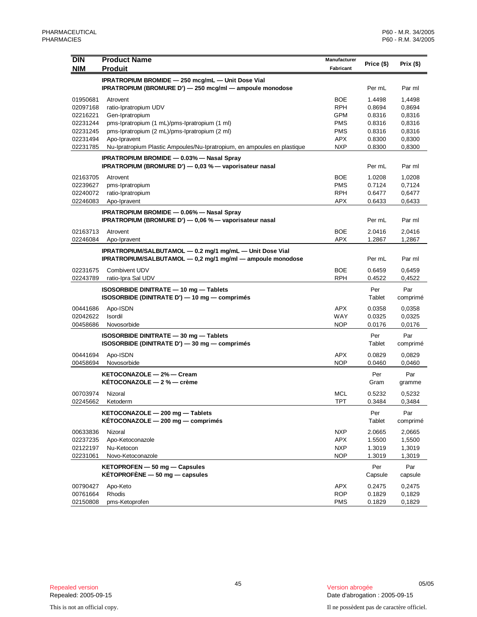| <b>DIN</b> | <b>Product Name</b>                                                                                                    | Manufacturer |               |                 |
|------------|------------------------------------------------------------------------------------------------------------------------|--------------|---------------|-----------------|
| <b>NIM</b> | <b>Produit</b>                                                                                                         | Fabricant    | Price (\$)    | Prix $($ \$)    |
|            |                                                                                                                        |              |               |                 |
|            | IPRATROPIUM BROMIDE - 250 mcg/mL - Unit Dose Vial<br>IPRATROPIUM (BROMURE D') - 250 mcg/ml - ampoule monodose          |              | Per mL        | Par ml          |
| 01950681   | Atrovent                                                                                                               | <b>BOE</b>   | 1.4498        | 1,4498          |
| 02097168   | ratio-Ipratropium UDV                                                                                                  | <b>RPH</b>   | 0.8694        | 0,8694          |
| 02216221   | Gen-Ipratropium                                                                                                        | <b>GPM</b>   | 0.8316        | 0,8316          |
| 02231244   | pms-Ipratropium (1 mL)/pms-Ipratropium (1 ml)                                                                          | <b>PMS</b>   | 0.8316        | 0,8316          |
| 02231245   | pms-Ipratropium (2 mL)/pms-Ipratropium (2 ml)                                                                          | <b>PMS</b>   | 0.8316        | 0,8316          |
| 02231494   | Apo-Ipravent                                                                                                           | <b>APX</b>   | 0.8300        | 0,8300          |
| 02231785   | Nu-Ipratropium Plastic Ampoules/Nu-Ipratropium, en ampoules en plastique                                               | <b>NXP</b>   | 0.8300        | 0,8300          |
|            | <b>IPRATROPIUM BROMIDE - 0.03% - Nasal Spray</b><br>IPRATROPIUM (BROMURE D') — 0,03 % — vaporisateur nasal             |              | Per mL        | Par ml          |
| 02163705   | Atrovent                                                                                                               | <b>BOE</b>   | 1.0208        | 1,0208          |
| 02239627   | pms-Ipratropium                                                                                                        | <b>PMS</b>   | 0.7124        | 0,7124          |
| 02240072   | ratio-Ipratropium                                                                                                      | <b>RPH</b>   | 0.6477        | 0,6477          |
| 02246083   | Apo-Ipravent                                                                                                           | APX          | 0.6433        | 0,6433          |
|            | <b>IPRATROPIUM BROMIDE - 0.06% - Nasal Spray</b>                                                                       |              |               |                 |
|            | IPRATROPIUM (BROMURE D') - 0,06 % - vaporisateur nasal                                                                 |              | Per mL        | Par ml          |
| 02163713   | Atrovent                                                                                                               | <b>BOE</b>   | 2.0416        | 2,0416          |
| 02246084   | Apo-Ipravent                                                                                                           | APX          | 1.2867        | 1,2867          |
|            | IPRATROPIUM/SALBUTAMOL - 0.2 mg/1 mg/mL - Unit Dose Vial<br>IPRATROPIUM/SALBUTAMOL - 0,2 mg/1 mg/ml - ampoule monodose |              | Per mL        | Par ml          |
| 02231675   | Combivent UDV                                                                                                          | <b>BOE</b>   | 0.6459        | 0,6459          |
| 02243789   | ratio-Ipra Sal UDV                                                                                                     | <b>RPH</b>   | 0.4522        | 0,4522          |
|            | <b>ISOSORBIDE DINITRATE - 10 mg - Tablets</b>                                                                          |              | Per           | Par             |
|            | ISOSORBIDE (DINITRATE D') — 10 mg — comprimés                                                                          |              | Tablet        | comprimé        |
| 00441686   | Apo-ISDN                                                                                                               | <b>APX</b>   | 0.0358        | 0,0358          |
| 02042622   | Isordil                                                                                                                | WAY          | 0.0325        | 0,0325          |
| 00458686   | Novosorbide                                                                                                            | <b>NOP</b>   | 0.0176        | 0,0176          |
|            |                                                                                                                        |              |               |                 |
|            | <b>ISOSORBIDE DINITRATE - 30 mg - Tablets</b><br>ISOSORBIDE (DINITRATE D') — 30 mg — comprimés                         |              | Per<br>Tablet | Par<br>comprimé |
|            |                                                                                                                        |              |               |                 |
| 00441694   | Apo-ISDN                                                                                                               | <b>APX</b>   | 0.0829        | 0,0829          |
| 00458694   | Novosorbide                                                                                                            | <b>NOP</b>   | 0.0460        | 0,0460          |
|            | KETOCONAZOLE - 2% - Cream                                                                                              |              | Per           | Par             |
|            | KÉTOCONAZOLE - 2 % - crème                                                                                             |              | Gram          | gramme          |
| 00703974   | Nizoral                                                                                                                | MCL          | 0.5232        | 0,5232          |
| 02245662   | Ketoderm                                                                                                               | TPT          | 0.3484        | 0,3484          |
|            | KETOCONAZOLE - 200 mg - Tablets                                                                                        |              | Per           | Par             |
|            | KETOCONAZOLE - 200 mg - comprimés                                                                                      |              | Tablet        | comprimé        |
| 00633836   | Nizoral                                                                                                                | <b>NXP</b>   | 2.0665        | 2,0665          |
| 02237235   | Apo-Ketoconazole                                                                                                       | <b>APX</b>   | 1.5500        | 1,5500          |
| 02122197   | Nu-Ketocon                                                                                                             | <b>NXP</b>   | 1.3019        | 1,3019          |
| 02231061   | Novo-Ketoconazole                                                                                                      | <b>NOP</b>   | 1.3019        | 1,3019          |
|            | $KETOPROFEN - 50 mg - Capsules$                                                                                        |              | Per           | Par             |
|            | KÉTOPROFÈNE $-50$ mg $-$ capsules                                                                                      |              | Capsule       | capsule         |
| 00790427   | Apo-Keto                                                                                                               | <b>APX</b>   | 0.2475        | 0,2475          |
| 00761664   | Rhodis                                                                                                                 | <b>ROP</b>   | 0.1829        | 0,1829          |
| 02150808   | pms-Ketoprofen                                                                                                         | <b>PMS</b>   | 0.1829        | 0,1829          |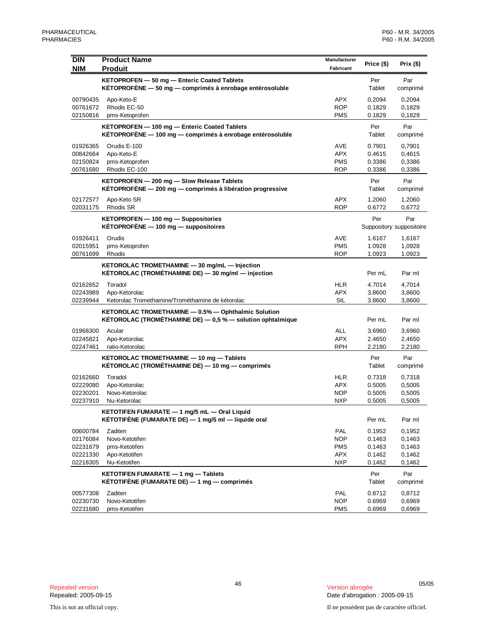| <b>DIN</b> | <b>Product Name</b>                                           | Manufacturer | Price (\$) | Prix $($)$               |
|------------|---------------------------------------------------------------|--------------|------------|--------------------------|
| <b>NIM</b> | <b>Produit</b>                                                | Fabricant    |            |                          |
|            | KETOPROFEN - 50 mg - Enteric Coated Tablets                   |              | Per        | Par                      |
|            | KÉTOPROFÈNE $-50$ mg $-$ comprimés à enrobage entérosoluble   |              | Tablet     | comprimé                 |
| 00790435   | Apo-Keto-E                                                    | APX          | 0.2094     | 0,2094                   |
| 00761672   | Rhodis EC-50                                                  | <b>ROP</b>   | 0.1829     | 0,1829                   |
| 02150816   | pms-Ketoprofen                                                | <b>PMS</b>   | 0.1829     | 0,1829                   |
|            | KETOPROFEN - 100 mg - Enteric Coated Tablets                  |              | Per        | Par                      |
|            | KÉTOPROFÈNE - 100 mg - comprimés à enrobage entérosoluble     |              | Tablet     | comprimé                 |
| 01926365   | Orudis E-100                                                  | AVE          | 0.7901     | 0,7901                   |
| 00842664   | Apo-Keto-E                                                    | APX          | 0.4615     | 0,4615                   |
| 02150824   | pms-Ketoprofen                                                | <b>PMS</b>   | 0.3386     | 0,3386                   |
| 00761680   | Rhodis EC-100                                                 | <b>ROP</b>   | 0.3386     | 0,3386                   |
|            | KETOPROFEN - 200 mg - Slow Release Tablets                    |              | Per        | Par                      |
|            | KÉTOPROFÈNE - 200 mg - comprimés à libération progressive     |              | Tablet     | comprimé                 |
| 02172577   | Apo-Keto SR                                                   | <b>APX</b>   | 1.2060     | 1,2060                   |
| 02031175   | Rhodis SR                                                     | <b>ROP</b>   | 0.6772     | 0,6772                   |
|            | KETOPROFEN - 100 mg - Suppositories                           |              | Per        | Par                      |
|            | $KÉTOPROFÈNE - 100$ mg $-$ suppositoires                      |              |            | Suppository suppositoire |
| 01926411   | Orudis                                                        | AVE          | 1.6167     | 1,6167                   |
| 02015951   | pms-Ketoprofen                                                | <b>PMS</b>   | 1.0928     | 1,0928                   |
| 00761699   | Rhodis                                                        | <b>ROP</b>   | 1.0923     | 1,0923                   |
|            | KETOROLAC TROMETHAMINE - 30 mg/mL - Injection                 |              |            |                          |
|            | KÉTOROLAC (TROMÉTHAMINE DE) - 30 mg/ml - injection            |              | Per mL     | Par ml                   |
| 02162652   | Toradol                                                       | HLR          | 4.7014     | 4,7014                   |
| 02243989   | Apo-Ketorolac                                                 | <b>APX</b>   | 3.8600     | 3,8600                   |
| 02239944   | Ketorolac Tromethamine/Trométhamine de kétorolac              | <b>SIL</b>   | 3.8600     | 3,8600                   |
|            | KETOROLAC TROMETHAMINE - 0.5% - Ophthalmic Solution           |              |            |                          |
|            | KÉTOROLAC (TROMÉTHAMINE DE) $-0.5$ % $-$ solution ophtalmique |              | Per mL     | Par ml                   |
| 01968300   | Acular                                                        | <b>ALL</b>   | 3.6960     | 3,6960                   |
| 02245821   | Apo-Ketorolac                                                 | <b>APX</b>   | 2.4650     | 2,4650                   |
| 02247461   | ratio-Ketorolac                                               | RPH          | 2.2180     | 2,2180                   |
|            | KETOROLAC TROMETHAMINE - 10 mg - Tablets                      |              | Per        | Par                      |
|            | KÉTOROLAC (TROMÉTHAMINE DE) - 10 mg - comprimés               |              | Tablet     | comprimé                 |
| 02162660   | Toradol                                                       | <b>HLR</b>   | 0.7318     | 0,7318                   |
| 02229080   | Apo-Ketorolac                                                 | APX          | 0.5005     | 0,5005                   |
| 02230201   | Novo-Ketorolac                                                | <b>NOP</b>   | 0.5005     | 0,5005                   |
| 02237910   | Nu-Ketorolac                                                  | <b>NXP</b>   | 0.5005     | 0,5005                   |
|            | KETOTIFEN FUMARATE - 1 mg/5 mL - Oral Liquid                  |              |            |                          |
|            | KÉTOTIFÈNE (FUMARATE DE) — 1 mg/5 ml — liquide oral           |              | Per mL     | Par ml                   |
| 00600784   | Zaditen                                                       | PAL          | 0.1952     | 0.1952                   |
| 02176084   | Novo-Ketotifen                                                | <b>NOP</b>   | 0.1463     | 0,1463                   |
| 02231679   | pms-Ketotifen                                                 | <b>PMS</b>   | 0.1463     | 0,1463                   |
| 02221330   | Apo-Ketotifen                                                 | APX          | 0.1462     | 0,1462                   |
| 02218305   | Nu-Ketotifen                                                  | <b>NXP</b>   | 0.1462     | 0,1462                   |
|            | KETOTIFEN FUMARATE - 1 mg - Tablets                           |              | Per        | Par                      |
|            | KÉTOTIFÈNE (FUMARATE DE) $-1$ mg $-$ comprimés                |              | Tablet     | comprimé                 |
| 00577308   | Zaditen                                                       | <b>PAL</b>   | 0.8712     | 0,8712                   |
| 02230730   | Novo-Ketotifen                                                | <b>NOP</b>   | 0.6969     | 0,6969                   |
| 02231680   | pms-Ketotifen                                                 | <b>PMS</b>   | 0.6969     | 0,6969                   |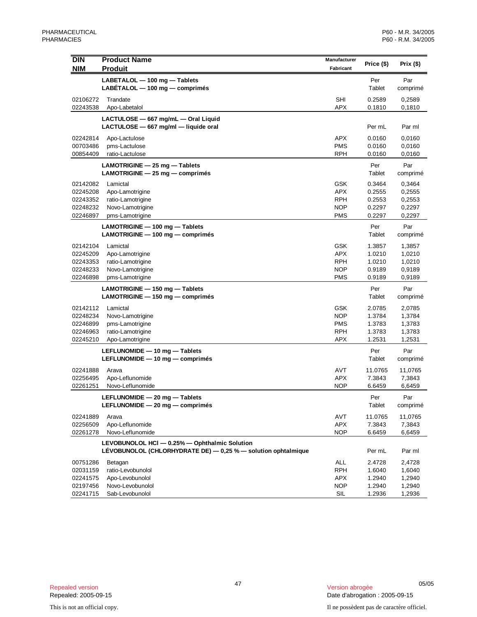| <b>DIN</b>           | <b>Product Name</b>                                                                                            | Manufacturer             |                  |                  |
|----------------------|----------------------------------------------------------------------------------------------------------------|--------------------------|------------------|------------------|
| <b>NIM</b>           | <b>Produit</b>                                                                                                 | Fabricant                | Price (\$)       | Prix $($ \$)     |
|                      | LABETALOL - 100 mg - Tablets                                                                                   |                          | Per              | Par              |
|                      | LABÉTALOL $-$ 100 mg $-$ comprimés                                                                             |                          | Tablet           | comprimé         |
| 02106272             | Trandate                                                                                                       | SHI                      | 0.2589           | 0,2589           |
| 02243538             | Apo-Labetalol                                                                                                  | <b>APX</b>               | 0.1810           | 0,1810           |
|                      | LACTULOSE - 667 mg/mL - Oral Liquid                                                                            |                          |                  |                  |
|                      | LACTULOSE - 667 mg/ml - liquide oral                                                                           |                          | Per mL           | Par ml           |
| 02242814             | Apo-Lactulose                                                                                                  | <b>APX</b>               | 0.0160           | 0,0160           |
| 00703486             | pms-Lactulose                                                                                                  | <b>PMS</b>               | 0.0160           | 0,0160           |
| 00854409             | ratio-Lactulose                                                                                                | <b>RPH</b>               | 0.0160           | 0,0160           |
|                      | $LAMOTRIGINE - 25 mg - Tables$                                                                                 |                          | Per              | Par              |
|                      | $LAMOTRIGINE - 25 mg - comprimés$                                                                              |                          | Tablet           | comprimé         |
| 02142082             | Lamictal                                                                                                       | GSK                      | 0.3464           | 0,3464           |
| 02245208             | Apo-Lamotrigine                                                                                                | <b>APX</b>               | 0.2555           | 0,2555           |
| 02243352<br>02248232 | ratio-Lamotrigine<br>Novo-Lamotrigine                                                                          | <b>RPH</b><br><b>NOP</b> | 0.2553<br>0.2297 | 0,2553<br>0,2297 |
| 02246897             | pms-Lamotrigine                                                                                                | <b>PMS</b>               | 0.2297           | 0,2297           |
|                      | LAMOTRIGINE - 100 mg - Tablets                                                                                 |                          | Per              | Par              |
|                      | LAMOTRIGINE - 100 mg - comprimés                                                                               |                          | Tablet           | comprimé         |
| 02142104             | Lamictal                                                                                                       | GSK                      | 1.3857           | 1,3857           |
| 02245209             | Apo-Lamotrigine                                                                                                | <b>APX</b>               | 1.0210           | 1,0210           |
| 02243353             | ratio-Lamotrigine                                                                                              | <b>RPH</b>               | 1.0210           | 1,0210           |
| 02248233             | Novo-Lamotrigine                                                                                               | <b>NOP</b>               | 0.9189           | 0,9189           |
| 02246898             | pms-Lamotrigine                                                                                                | <b>PMS</b>               | 0.9189           | 0,9189           |
|                      | LAMOTRIGINE - 150 mg - Tablets                                                                                 |                          | Per              | Par              |
|                      | LAMOTRIGINE - 150 mg - comprimés                                                                               |                          | Tablet           | comprimé         |
| 02142112             | Lamictal                                                                                                       | GSK                      | 2.0785           | 2,0785           |
| 02248234             | Novo-Lamotrigine                                                                                               | <b>NOP</b>               | 1.3784           | 1,3784           |
| 02246899             | pms-Lamotrigine                                                                                                | <b>PMS</b>               | 1.3783           | 1,3783           |
| 02246963             | ratio-Lamotrigine                                                                                              | <b>RPH</b>               | 1.3783           | 1,3783           |
| 02245210             | Apo-Lamotrigine                                                                                                | <b>APX</b>               | 1.2531           | 1,2531           |
|                      | LEFLUNOMIDE - 10 mg - Tablets                                                                                  |                          | Per              | Par              |
|                      | LEFLUNOMIDE - 10 mg - comprimés                                                                                |                          | Tablet           | comprimé         |
| 02241888             | Arava                                                                                                          | AVT                      | 11.0765          | 11,0765          |
| 02256495             | Apo-Leflunomide                                                                                                | <b>APX</b>               | 7.3843           | 7,3843           |
| 02261251             | Novo-Leflunomide                                                                                               | <b>NOP</b>               | 6.6459           | 6,6459           |
|                      | LEFLUNOMIDE - 20 mg - Tablets                                                                                  |                          | Per              | Par              |
|                      | LEFLUNOMIDE - 20 mg - comprimés                                                                                |                          | Tablet           | comprimé         |
| 02241889             | Arava                                                                                                          | AVT                      | 11.0765          | 11,0765          |
| 02256509             | Apo-Leflunomide                                                                                                | APX                      | 7.3843           | 7,3843           |
| 02261278             | Novo-Leflunomide                                                                                               | <b>NOP</b>               | 6.6459           | 6,6459           |
|                      | LEVOBUNOLOL HCI - 0.25% - Ophthalmic Solution<br>LÉVOBUNOLOL (CHLORHYDRATE DE) - 0,25 % - solution ophtalmique |                          | Per mL           | Par ml           |
|                      |                                                                                                                | <b>ALL</b>               |                  |                  |
| 00751286<br>02031159 | Betagan<br>ratio-Levobunolol                                                                                   | <b>RPH</b>               | 2.4728<br>1.6040 | 2,4728<br>1,6040 |
| 02241575             | Apo-Levobunolol                                                                                                | APX                      | 1.2940           | 1,2940           |
| 02197456             | Novo-Levobunolol                                                                                               | <b>NOP</b>               | 1.2940           | 1,2940           |
| 02241715             | Sab-Levobunolol                                                                                                | SIL                      | 1.2936           | 1,2936           |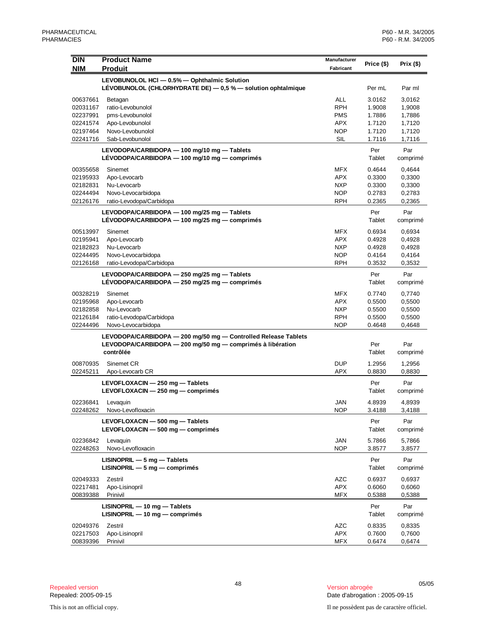| <b>DIN</b>           | <b>Product Name</b>                                             | Manufacturer             | Price (\$)       | Prix $($ \$)     |
|----------------------|-----------------------------------------------------------------|--------------------------|------------------|------------------|
| <b>NIM</b>           | <b>Produit</b>                                                  | Fabricant                |                  |                  |
|                      | LEVOBUNOLOL HCI - 0.5% - Ophthalmic Solution                    |                          |                  |                  |
|                      | LÉVOBUNOLOL (CHLORHYDRATE DE) - 0,5 % - solution ophtalmique    |                          | Per mL           | Par ml           |
| 00637661             | Betagan                                                         | <b>ALL</b>               | 3.0162           | 3,0162           |
| 02031167             | ratio-Levobunolol                                               | <b>RPH</b>               | 1.9008           | 1,9008           |
| 02237991             | pms-Levobunolol                                                 | <b>PMS</b>               | 1.7886           | 1,7886           |
| 02241574             | Apo-Levobunolol                                                 | <b>APX</b>               | 1.7120           | 1,7120           |
| 02197464             | Novo-Levobunolol                                                | <b>NOP</b>               | 1.7120           | 1,7120           |
| 02241716             | Sab-Levobunolol                                                 | <b>SIL</b>               | 1.7116           | 1,7116           |
|                      | LEVODOPA/CARBIDOPA - 100 mg/10 mg - Tablets                     |                          | Per              | Par              |
|                      | LEVODOPA/CARBIDOPA - 100 mg/10 mg - comprimés                   |                          | Tablet           | comprimé         |
|                      |                                                                 |                          |                  |                  |
| 00355658             | Sinemet                                                         | <b>MFX</b><br><b>APX</b> | 0.4644           | 0,4644           |
| 02195933<br>02182831 | Apo-Levocarb<br>Nu-Levocarb                                     | <b>NXP</b>               | 0.3300<br>0.3300 | 0,3300<br>0,3300 |
| 02244494             | Novo-Levocarbidopa                                              | <b>NOP</b>               | 0.2783           | 0,2783           |
| 02126176             | ratio-Levodopa/Carbidopa                                        | <b>RPH</b>               | 0.2365           | 0,2365           |
|                      |                                                                 |                          |                  |                  |
|                      | LEVODOPA/CARBIDOPA - 100 mg/25 mg - Tablets                     |                          | Per              | Par              |
|                      | LEVODOPA/CARBIDOPA - 100 mg/25 mg - comprimés                   |                          | Tablet           | comprimé         |
| 00513997             | Sinemet                                                         | <b>MFX</b>               | 0.6934           | 0,6934           |
| 02195941             | Apo-Levocarb                                                    | <b>APX</b>               | 0.4928           | 0,4928           |
| 02182823             | Nu-Levocarb                                                     | <b>NXP</b>               | 0.4928           | 0,4928           |
| 02244495             | Novo-Levocarbidopa                                              | <b>NOP</b>               | 0.4164           | 0,4164           |
| 02126168             | ratio-Levodopa/Carbidopa                                        | <b>RPH</b>               | 0.3532           | 0,3532           |
|                      | LEVODOPA/CARBIDOPA - 250 mg/25 mg - Tablets                     |                          | Per              | Par              |
|                      | LEVODOPA/CARBIDOPA - 250 mg/25 mg - comprimés                   |                          | Tablet           | comprimé         |
| 00328219             | Sinemet                                                         | <b>MFX</b>               | 0.7740           | 0,7740           |
| 02195968             | Apo-Levocarb                                                    | <b>APX</b>               | 0.5500           | 0,5500           |
| 02182858             | Nu-Levocarb                                                     | <b>NXP</b>               | 0.5500           | 0,5500           |
| 02126184             | ratio-Levodopa/Carbidopa                                        | <b>RPH</b>               | 0.5500           | 0,5500           |
| 02244496             | Novo-Levocarbidopa                                              | <b>NOP</b>               | 0.4648           | 0,4648           |
|                      | LEVODOPA/CARBIDOPA - 200 mg/50 mg - Controlled Release Tablets  |                          |                  |                  |
|                      | LEVODOPA/CARBIDOPA - 200 mg/50 mg - comprimés à libération      |                          | Per              | Par              |
|                      | contrôlée                                                       |                          | Tablet           | comprimé         |
| 00870935             | Sinemet CR                                                      | <b>DUP</b>               | 1.2956           | 1,2956           |
| 02245211             | Apo-Levocarb CR                                                 | <b>APX</b>               | 0.8830           | 0,8830           |
|                      |                                                                 |                          |                  |                  |
|                      | LEVOFLOXACIN - 250 mg - Tablets                                 |                          | Per<br>Tablet    | Par              |
|                      | LEVOFLOXACIN - 250 mg - comprimés                               |                          |                  | comprimé         |
| 02236841             | Levaguin                                                        | <b>JAN</b>               | 4.8939           | 4,8939           |
| 02248262             | Novo-Levofloxacin                                               | <b>NOP</b>               | 3.4188           | 3,4188           |
|                      | LEVOFLOXACIN - 500 mg - Tablets                                 |                          | Per              | Par              |
|                      | LEVOFLOXACIN - 500 mg - comprimés                               |                          | Tablet           | comprimé         |
| 02236842             | Levaquin                                                        | JAN                      | 5.7866           | 5,7866           |
| 02248263             | Novo-Levofloxacin                                               | NOP                      | 3.8577           | 3,8577           |
|                      |                                                                 |                          | Per              |                  |
|                      | $LISINOPRIL - 5 mg - Tables$<br>$LISINOPRIL - 5 mg - comprimés$ |                          | Tablet           | Par<br>comprimé  |
|                      |                                                                 |                          |                  |                  |
| 02049333             | Zestril                                                         | <b>AZC</b>               | 0.6937           | 0,6937           |
| 02217481             | Apo-Lisinopril                                                  | <b>APX</b>               | 0.6060           | 0,6060           |
| 00839388             | Prinivil                                                        | <b>MFX</b>               | 0.5388           | 0,5388           |
|                      | $LISINOPRIL - 10 mg - Tables$                                   |                          | Per              | Par              |
|                      | $LISINOPRIL - 10 mg - comprimés$                                |                          | Tablet           | comprimé         |
| 02049376             | Zestril                                                         | AZC                      | 0.8335           | 0,8335           |
| 02217503             | Apo-Lisinopril                                                  | APX                      | 0.7600           | 0,7600           |
| 00839396             | Prinivil                                                        | <b>MFX</b>               | 0.6474           | 0,6474           |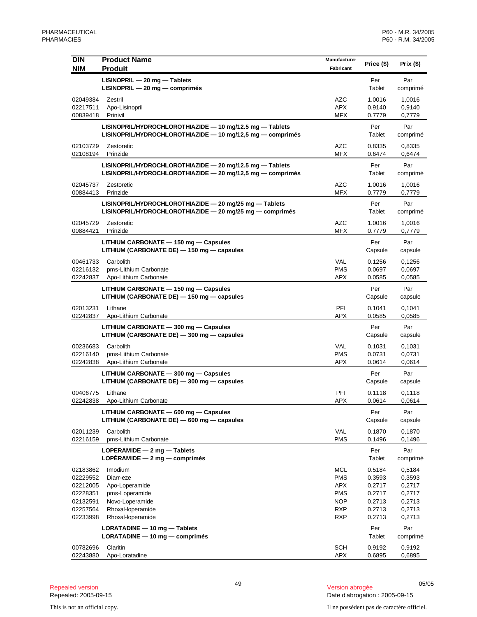| <b>DIN</b><br><b>NIM</b> | <b>Product Name</b><br><b>Produit</b>                                                                                      | Manufacturer<br>Fabricant | Price (\$)       | Prix $($ \$)     |
|--------------------------|----------------------------------------------------------------------------------------------------------------------------|---------------------------|------------------|------------------|
|                          | LISINOPRIL - 20 mg - Tablets<br>LISINOPRIL - 20 mg - comprimés                                                             |                           | Per<br>Tablet    | Par<br>comprimé  |
| 02049384                 | Zestril                                                                                                                    | <b>AZC</b>                | 1.0016           | 1,0016           |
| 02217511                 | Apo-Lisinopril                                                                                                             | <b>APX</b>                | 0.9140           | 0,9140           |
| 00839418                 | Prinivil                                                                                                                   | <b>MFX</b>                | 0.7779           | 0,7779           |
|                          | LISINOPRIL/HYDROCHLOROTHIAZIDE $-$ 10 mg/12.5 mg $-$ Tablets<br>LISINOPRIL/HYDROCHLOROTHIAZIDE - 10 mg/12,5 mg - comprimés |                           | Per<br>Tablet    | Par<br>comprimé  |
| 02103729<br>02108194     | Zestoretic<br>Prinzide                                                                                                     | <b>AZC</b><br><b>MFX</b>  | 0.8335<br>0.6474 | 0,8335<br>0,6474 |
|                          | LISINOPRIL/HYDROCHLOROTHIAZIDE - 20 mg/12.5 mg - Tablets<br>LISINOPRIL/HYDROCHLOROTHIAZIDE $-$ 20 mg/12,5 mg $-$ comprimes |                           | Per<br>Tablet    | Par<br>comprimé  |
| 02045737                 | Zestoretic                                                                                                                 | AZC                       | 1.0016           | 1,0016           |
| 00884413                 | Prinzide                                                                                                                   | <b>MFX</b>                | 0.7779           | 0,7779           |
|                          | LISINOPRIL/HYDROCHLOROTHIAZIDE - 20 mg/25 mg - Tablets<br>LISINOPRIL/HYDROCHLOROTHIAZIDE $-$ 20 mg/25 mg $-$ comprimes     |                           | Per<br>Tablet    | Par<br>comprimé  |
| 02045729                 | Zestoretic                                                                                                                 | <b>AZC</b>                | 1.0016           | 1,0016           |
| 00884421                 | Prinzide                                                                                                                   | <b>MFX</b>                | 0.7779           | 0,7779           |
|                          | LITHIUM CARBONATE - 150 mg - Capsules<br>LITHIUM (CARBONATE DE) - 150 mg - capsules                                        |                           | Per<br>Capsule   | Par<br>capsule   |
| 00461733                 | Carbolith                                                                                                                  | <b>VAL</b>                | 0.1256           | 0,1256           |
| 02216132                 | pms-Lithium Carbonate                                                                                                      | <b>PMS</b>                | 0.0697           | 0,0697           |
| 02242837                 | Apo-Lithium Carbonate                                                                                                      | <b>APX</b>                | 0.0585           | 0,0585           |
|                          | LITHIUM CARBONATE - 150 mg - Capsules<br>LITHIUM (CARBONATE DE) - 150 mg - capsules                                        |                           | Per<br>Capsule   | Par<br>capsule   |
| 02013231<br>02242837     | Lithane<br>Apo-Lithium Carbonate                                                                                           | PFI<br><b>APX</b>         | 0.1041<br>0.0585 | 0,1041<br>0,0585 |
|                          | LITHIUM CARBONATE - 300 mg - Capsules<br>LITHIUM (CARBONATE DE) - 300 mg - capsules                                        |                           | Per<br>Capsule   | Par<br>capsule   |
| 00236683                 | Carbolith                                                                                                                  | <b>VAL</b>                | 0.1031           | 0,1031           |
| 02216140                 | pms-Lithium Carbonate                                                                                                      | <b>PMS</b>                | 0.0731           | 0,0731           |
| 02242838                 | Apo-Lithium Carbonate                                                                                                      | APX                       | 0.0614           | 0,0614           |
|                          | LITHIUM CARBONATE - 300 mg - Capsules<br>LITHIUM (CARBONATE DE) - 300 mg - capsules                                        |                           | Per<br>Capsule   | Par<br>capsule   |
| 00406775                 | Lithane                                                                                                                    | PFI                       | 0.1118           | 0,1118           |
| 02242838                 | Apo-Lithium Carbonate                                                                                                      | <b>APX</b>                | 0.0614           | 0,0614           |
|                          | LITHIUM CARBONATE - 600 mg - Capsules<br>LITHIUM (CARBONATE DE) - 600 mg - capsules                                        |                           | Per<br>Capsule   | Par<br>capsule   |
| 02011239                 | Carbolith                                                                                                                  | <b>VAL</b>                | 0.1870           | 0,1870           |
| 02216159                 | pms-Lithium Carbonate                                                                                                      | <b>PMS</b>                | 0.1496           | 0,1496           |
|                          | LOPERAMIDE - 2 mg - Tablets<br>LOPÉRAMIDE $-2$ mg $-$ comprimes                                                            |                           | Per<br>Tablet    | Par<br>comprimé  |
| 02183862                 | Imodium                                                                                                                    | <b>MCL</b>                | 0.5184           | 0,5184           |
| 02229552                 | Diarr-eze                                                                                                                  | <b>PMS</b>                | 0.3593           | 0,3593           |
| 02212005                 | Apo-Loperamide                                                                                                             | <b>APX</b>                | 0.2717           | 0,2717           |
| 02228351<br>02132591     | pms-Loperamide<br>Novo-Loperamide                                                                                          | <b>PMS</b><br><b>NOP</b>  | 0.2717<br>0.2713 | 0,2717<br>0,2713 |
| 02257564                 | Rhoxal-loperamide                                                                                                          | <b>RXP</b>                | 0.2713           | 0,2713           |
| 02233998                 | Rhoxal-loperamide                                                                                                          | <b>RXP</b>                | 0.2713           | 0,2713           |
|                          | $LORATADINE - 10 mg - Tables$<br>$LORATADINE - 10 mg - comprimés$                                                          |                           | Per<br>Tablet    | Par<br>comprimé  |
| 00782696                 | Claritin                                                                                                                   | <b>SCH</b>                | 0.9192           | 0,9192           |
| 02243880                 | Apo-Loratadine                                                                                                             | APX                       | 0.6895           | 0,6895           |

<sup>49</sup> 05/05 Repealed version Version abrogée Date d'abrogation : 2005-09-15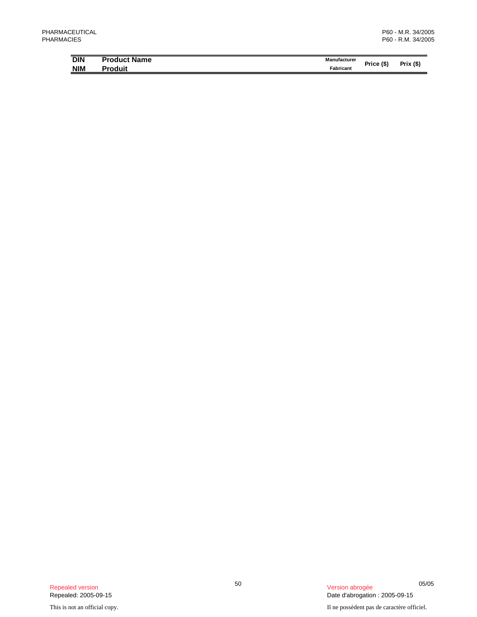| <b>DIN</b> | <b>Product Name</b> | Manufacturer |            |             |
|------------|---------------------|--------------|------------|-------------|
| <b>NIM</b> | Produit             | Fabricant    | Price (\$' | (S)<br>Prix |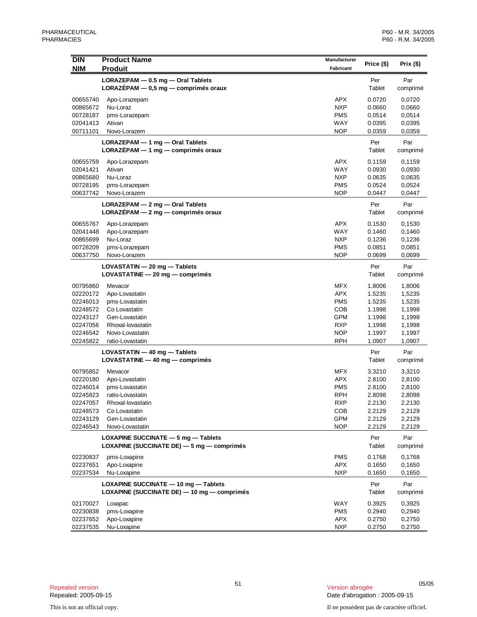| <b>DIN</b>           | <b>Product Name</b>                                                       | Manufacturer             |                  |                  |
|----------------------|---------------------------------------------------------------------------|--------------------------|------------------|------------------|
| <b>NIM</b>           | <b>Produit</b>                                                            | Fabricant                | Price (\$)       | Prix $($)$       |
|                      |                                                                           |                          |                  |                  |
|                      | LORAZEPAM - 0.5 mg - Oral Tablets<br>LORAZEPAM - 0,5 mg - comprimés oraux |                          | Per<br>Tablet    | Par<br>comprimé  |
|                      |                                                                           |                          |                  |                  |
| 00655740<br>00865672 | Apo-Lorazepam<br>Nu-Loraz                                                 | <b>APX</b><br><b>NXP</b> | 0.0720<br>0.0660 | 0,0720           |
| 00728187             | pms-Lorazepam                                                             | <b>PMS</b>               | 0.0514           | 0,0660<br>0,0514 |
| 02041413             | Ativan                                                                    | WAY                      | 0.0395           | 0,0395           |
| 00711101             | Novo-Lorazem                                                              | <b>NOP</b>               | 0.0359           | 0,0359           |
|                      | LORAZEPAM - 1 mg - Oral Tablets                                           |                          | Per              | Par              |
|                      | LORAZEPAM - 1 mg - comprimés oraux                                        |                          | Tablet           | comprimé         |
|                      |                                                                           |                          |                  |                  |
| 00655759<br>02041421 | Apo-Lorazepam<br>Ativan                                                   | <b>APX</b><br>WAY        | 0.1159<br>0.0930 | 0,1159<br>0,0930 |
| 00865680             | Nu-Loraz                                                                  | <b>NXP</b>               | 0.0635           | 0,0635           |
| 00728195             | pms-Lorazepam                                                             | <b>PMS</b>               | 0.0524           | 0,0524           |
| 00637742             | Novo-Lorazem                                                              | <b>NOP</b>               | 0.0447           | 0,0447           |
|                      | LORAZEPAM - 2 mg - Oral Tablets                                           |                          | Per              | Par              |
|                      | $LORAZÉPAM - 2 mg - comprimés oraux$                                      |                          | Tablet           | comprimé         |
|                      |                                                                           |                          |                  |                  |
| 00655767             | Apo-Lorazepam                                                             | <b>APX</b>               | 0.1530           | 0,1530           |
| 02041448<br>00865699 | Apo-Lorazepam<br>Nu-Loraz                                                 | WAY<br><b>NXP</b>        | 0.1460<br>0.1236 | 0,1460<br>0,1236 |
| 00728209             | pms-Lorazepam                                                             | <b>PMS</b>               | 0.0851           | 0,0851           |
| 00637750             | Novo-Lorazem                                                              | <b>NOP</b>               | 0.0699           | 0,0699           |
|                      |                                                                           |                          |                  |                  |
|                      | $LOVASTATIN - 20 mg - Tables$<br>LOVASTATINE - 20 mg - comprimés          |                          | Per<br>Tablet    | Par<br>comprimé  |
|                      |                                                                           |                          |                  |                  |
| 00795860             | Mevacor                                                                   | <b>MFX</b>               | 1.8006           | 1,8006           |
| 02220172             | Apo-Lovastatin                                                            | <b>APX</b>               | 1.5235           | 1,5235           |
| 02246013             | pms-Lovastatin                                                            | <b>PMS</b>               | 1.5235           | 1,5235           |
| 02248572<br>02243127 | Co Lovastatin<br>Gen-Lovastatin                                           | COB<br>GPM               | 1.1998<br>1.1998 | 1,1998<br>1,1998 |
| 02247056             | Rhoxal-lovastatin                                                         | <b>RXP</b>               | 1.1998           | 1,1998           |
| 02246542             | Novo-Lovastatin                                                           | <b>NOP</b>               | 1.1997           | 1,1997           |
| 02245822             | ratio-Lovastatin                                                          | <b>RPH</b>               | 1.0907           | 1,0907           |
|                      | $LOVASTATIN - 40 mg - Tables$                                             |                          | Per              | Par              |
|                      | $LOVASTATINE - 40 mg - comprimés$                                         |                          | Tablet           | comprimé         |
| 00795852             | Mevacor                                                                   | <b>MFX</b>               | 3.3210           | 3,3210           |
| 02220180             | Apo-Lovastatin                                                            | <b>APX</b>               | 2.8100           | 2,8100           |
| 02246014             | pms-Lovastatin                                                            | <b>PMS</b>               | 2.8100           | 2,8100           |
| 02245823             | ratio-Lovastatin                                                          | <b>RPH</b>               | 2.8098           | 2,8098           |
| 02247057             | Rhoxal-lovastatin                                                         | RXP                      | 2.2130           | 2,2130           |
| 02248573             | Co Lovastatin                                                             | COB                      | 2.2129           | 2,2129           |
| 02243129             | Gen-Lovastatin                                                            | <b>GPM</b>               | 2.2129           | 2,2129           |
| 02246543             | Novo-Lovastatin                                                           | <b>NOP</b>               | 2.2129           | 2,2129           |
|                      | LOXAPINE SUCCINATE $-5$ mg $-$ Tablets                                    |                          | Per              | Par              |
|                      | LOXAPINE (SUCCINATE DE) - 5 mg - comprimés                                |                          | Tablet           | comprimé         |
| 02230837             | pms-Loxapine                                                              | <b>PMS</b>               | 0.1768           | 0,1768           |
| 02237651             | Apo-Loxapine                                                              | APX                      | 0.1650           | 0,1650           |
| 02237534             | Nu-Loxapine                                                               | <b>NXP</b>               | 0.1650           | 0,1650           |
|                      | LOXAPINE SUCCINATE - 10 mg - Tablets                                      |                          | Per              | Par              |
|                      | LOXAPINE (SUCCINATE DE) - 10 mg - comprimés                               |                          | Tablet           | comprimé         |
|                      |                                                                           |                          |                  |                  |
| 02170027<br>02230838 | Loxapac<br>pms-Loxapine                                                   | WAY<br><b>PMS</b>        | 0.3925<br>0.2940 | 0,3925<br>0,2940 |
| 02237652             | Apo-Loxapine                                                              | <b>APX</b>               | 0.2750           | 0,2750           |
| 02237535             | Nu-Loxapine                                                               | <b>NXP</b>               | 0.2750           | 0,2750           |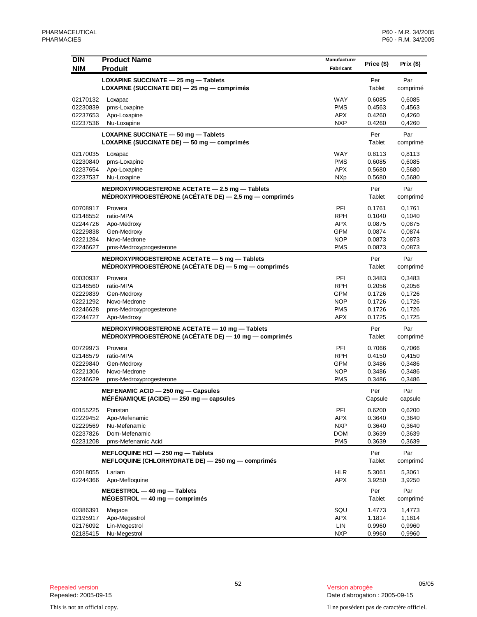| <b>DIN</b>           | <b>Product Name</b>                                      | <b>Manufacturer</b>      | Price (\$)       | Prix(\$)         |
|----------------------|----------------------------------------------------------|--------------------------|------------------|------------------|
| <b>NIM</b>           | <b>Produit</b>                                           | Fabricant                |                  |                  |
|                      | LOXAPINE SUCCINATE - 25 mg - Tablets                     |                          | Per              | Par              |
|                      | LOXAPINE (SUCCINATE DE) - 25 mg - comprimés              |                          | Tablet           | comprimé         |
|                      |                                                          |                          |                  |                  |
| 02170132             | Loxapac                                                  | WAY                      | 0.6085           | 0,6085           |
| 02230839             | pms-Loxapine                                             | <b>PMS</b>               | 0.4563           | 0,4563           |
| 02237653             | Apo-Loxapine                                             | <b>APX</b><br><b>NXP</b> | 0.4260           | 0,4260           |
| 02237536             | Nu-Loxapine                                              |                          | 0.4260           | 0,4260           |
|                      | LOXAPINE SUCCINATE - 50 mg - Tablets                     |                          | Per              | Par              |
|                      | LOXAPINE (SUCCINATE DE) - 50 mg - comprimés              |                          | Tablet           | comprimé         |
| 02170035             | Loxapac                                                  | WAY                      | 0.8113           | 0,8113           |
| 02230840             | pms-Loxapine                                             | <b>PMS</b>               | 0.6085           | 0,6085           |
| 02237654             | Apo-Loxapine                                             | <b>APX</b>               | 0.5680           | 0,5680           |
| 02237537             | Nu-Loxapine                                              | <b>NXp</b>               | 0.5680           | 0,5680           |
|                      | MEDROXYPROGESTERONE ACETATE - 2.5 mg - Tablets           |                          | Per              | Par              |
|                      | MÉDROXYPROGESTÉRONE (ACÉTATE DE) $-2.5$ mg $-$ comprimés |                          | Tablet           | comprimé         |
| 00708917             | Provera                                                  | PFI                      | 0.1761           | 0,1761           |
| 02148552             | ratio-MPA                                                | <b>RPH</b>               | 0.1040           | 0,1040           |
| 02244726             | Apo-Medroxy                                              | APX                      | 0.0875           | 0,0875           |
| 02229838             | Gen-Medroxy                                              | <b>GPM</b>               | 0.0874           | 0,0874           |
| 02221284             | Novo-Medrone                                             | <b>NOP</b>               | 0.0873           | 0,0873           |
| 02246627             | pms-Medroxyprogesterone                                  | <b>PMS</b>               | 0.0873           | 0,0873           |
|                      | MEDROXYPROGESTERONE ACETATE - 5 mg - Tablets             |                          | Per              | Par              |
|                      | MÉDROXYPROGESTÉRONE (ACÉTATE DE) - 5 mg - comprimés      |                          | Tablet           | comprimé         |
| 00030937             | Provera                                                  | PFI                      | 0.3483           | 0,3483           |
| 02148560             | ratio-MPA                                                | RPH                      | 0.2056           | 0,2056           |
| 02229839             | Gen-Medroxy                                              | <b>GPM</b>               | 0.1726           | 0,1726           |
| 02221292             | Novo-Medrone                                             | <b>NOP</b>               | 0.1726           | 0,1726           |
| 02246628             | pms-Medroxyprogesterone                                  | <b>PMS</b>               | 0.1726           | 0,1726           |
| 02244727             | Apo-Medroxy                                              | APX                      | 0.1725           | 0,1725           |
|                      | MEDROXYPROGESTERONE ACETATE - 10 mg - Tablets            |                          | Per              | Par              |
|                      | MÉDROXYPROGESTÉRONE (ACÉTATE DE) — 10 mg — comprimés     |                          | Tablet           | comprimé         |
|                      |                                                          |                          |                  |                  |
| 00729973             | Provera                                                  | PFI                      | 0.7066           | 0,7066           |
| 02148579             | ratio-MPA                                                | RPH                      | 0.4150           | 0,4150           |
| 02229840             | Gen-Medroxy                                              | <b>GPM</b>               | 0.3486           | 0,3486           |
| 02221306<br>02246629 | Novo-Medrone                                             | <b>NOP</b>               | 0.3486           | 0,3486           |
|                      | pms-Medroxyprogesterone                                  | <b>PMS</b>               | 0.3486           | 0,3486           |
|                      | MEFENAMIC ACID $-$ 250 mg $-$ Capsules                   |                          | Per              | Par              |
|                      | MÉFÉNAMIQUE (ACIDE) $-250$ mg $-$ capsules               |                          | Capsule          | capsule          |
| 00155225             | Ponstan                                                  | PFI                      | 0.6200           | 0,6200           |
| 02229452             | Apo-Mefenamic                                            | APX                      | 0.3640           | 0,3640           |
| 02229569             | Nu-Mefenamic                                             | <b>NXP</b>               | 0.3640           | 0,3640           |
| 02237826             | Dom-Mefenamic                                            | <b>DOM</b>               | 0.3639           | 0,3639           |
| 02231208             | pms-Mefenamic Acid                                       | <b>PMS</b>               | 0.3639           | 0,3639           |
|                      | MEFLOQUINE HCI - 250 mg - Tablets                        |                          | Per              | Par              |
|                      | MEFLOQUINE (CHLORHYDRATE DE) - 250 mg - comprimés        |                          | Tablet           | comprimé         |
| 02018055             | Lariam                                                   | <b>HLR</b>               | 5.3061           | 5,3061           |
| 02244366             | Apo-Mefloquine                                           | <b>APX</b>               | 3.9250           | 3,9250           |
|                      | MEGESTROL - 40 mg - Tablets                              |                          | Per              | Par              |
|                      | $MEGESTROL - 40 mg - comprimés$                          |                          | Tablet           | comprimé         |
|                      |                                                          |                          |                  |                  |
| 00386391             | Megace                                                   | SQU                      | 1.4773           | 1,4773           |
| 02195917<br>02176092 | Apo-Megestrol<br>Lin-Megestrol                           | <b>APX</b><br>LIN        | 1.1814<br>0.9960 | 1,1814<br>0,9960 |
| 02185415             | Nu-Megestrol                                             | <b>NXP</b>               | 0.9960           | 0,9960           |
|                      |                                                          |                          |                  |                  |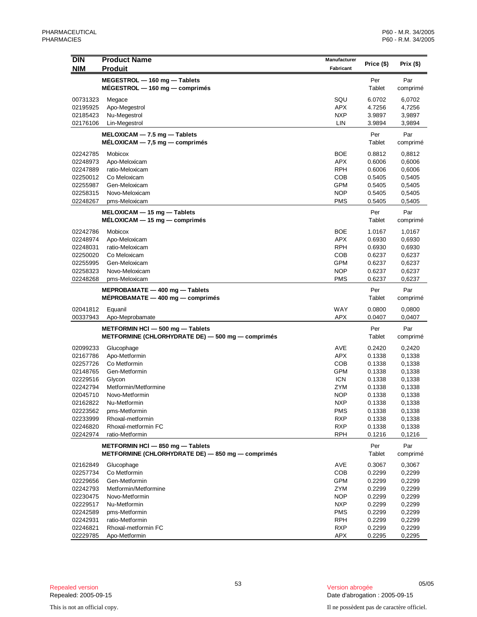|            |                                                                   | <b>Manufacturer</b> |               |                 |
|------------|-------------------------------------------------------------------|---------------------|---------------|-----------------|
| <b>DIN</b> | <b>Product Name</b>                                               |                     | Price (\$)    | Prix $($ \$)    |
| <b>NIM</b> | <b>Produit</b>                                                    | Fabricant           |               |                 |
|            | $MEGESTROL - 160 mg - Tables$                                     |                     | Per           | Par             |
|            | $MÉGESTROL - 160 mg - comprimés$                                  |                     | Tablet        | comprimé        |
| 00731323   | Megace                                                            | SQU                 | 6.0702        | 6,0702          |
| 02195925   | Apo-Megestrol                                                     | <b>APX</b>          | 4.7256        | 4,7256          |
| 02185423   | Nu-Megestrol                                                      | <b>NXP</b>          | 3.9897        | 3,9897          |
| 02176106   | Lin-Megestrol                                                     | LIN                 | 3.9894        | 3,9894          |
|            |                                                                   |                     |               |                 |
|            | $MELOXICAM - 7.5 mg - Tables$<br>$MELOXICAM - 7,5 mg - comprimés$ |                     | Per<br>Tablet | Par<br>comprimé |
|            |                                                                   |                     |               |                 |
| 02242785   | Mobicox                                                           | <b>BOE</b>          | 0.8812        | 0,8812          |
| 02248973   | Apo-Meloxicam                                                     | <b>APX</b>          | 0.6006        | 0,6006          |
| 02247889   | ratio-Meloxicam                                                   | <b>RPH</b>          | 0.6006        | 0,6006          |
| 02250012   | Co Meloxicam                                                      | <b>COB</b>          | 0.5405        | 0,5405          |
| 02255987   | Gen-Meloxicam                                                     | <b>GPM</b>          | 0.5405        | 0,5405          |
| 02258315   | Novo-Meloxicam                                                    | <b>NOP</b>          | 0.5405        | 0,5405          |
| 02248267   | pms-Meloxicam                                                     | <b>PMS</b>          | 0.5405        | 0,5405          |
|            | $MELOXICAM - 15 mg - Tables$                                      |                     | Per           | Par             |
|            | $MELOXICAM - 15 mg - comprimés$                                   |                     | Tablet        | comprimé        |
| 02242786   | Mobicox                                                           | <b>BOE</b>          | 1.0167        | 1,0167          |
| 02248974   | Apo-Meloxicam                                                     | <b>APX</b>          | 0.6930        | 0,6930          |
| 02248031   | ratio-Meloxicam                                                   | <b>RPH</b>          | 0.6930        | 0,6930          |
| 02250020   | Co Meloxicam                                                      | <b>COB</b>          | 0.6237        | 0,6237          |
| 02255995   | Gen-Meloxicam                                                     | GPM                 | 0.6237        | 0,6237          |
| 02258323   | Novo-Meloxicam                                                    | <b>NOP</b>          | 0.6237        | 0,6237          |
| 02248268   | pms-Meloxicam                                                     | <b>PMS</b>          | 0.6237        | 0,6237          |
|            | MEPROBAMATE $-$ 400 mg $-$ Tablets                                |                     | Per           | Par             |
|            | $MEPROBAMATE - 400 mg - comprising$                               |                     | Tablet        |                 |
|            |                                                                   |                     |               | comprimé        |
| 02041812   | Equanil                                                           | WAY                 | 0.0800        | 0,0800          |
| 00337943   | Apo-Meprobamate                                                   | <b>APX</b>          | 0.0407        | 0,0407          |
|            | METFORMIN HCI - 500 mg - Tablets                                  |                     | Per           | Par             |
|            | METFORMINE (CHLORHYDRATE DE) - 500 mg - comprimés                 |                     | Tablet        | comprimé        |
| 02099233   | Glucophage                                                        | AVE                 | 0.2420        | 0,2420          |
| 02167786   | Apo-Metformin                                                     | <b>APX</b>          | 0.1338        | 0,1338          |
| 02257726   | Co Metformin                                                      | <b>COB</b>          | 0.1338        | 0,1338          |
| 02148765   | Gen-Metformin                                                     | <b>GPM</b>          | 0.1338        | 0,1338          |
| 02229516   | Glycon                                                            | <b>ICN</b>          | 0.1338        | 0,1338          |
| 02242794   | Metformin/Metformine                                              | ZYM                 | 0.1338        | 0,1338          |
| 02045710   | Novo-Metformin                                                    | <b>NOP</b>          | 0.1338        | 0,1338          |
| 02162822   | Nu-Metformin                                                      | <b>NXP</b>          | 0.1338        | 0,1338          |
| 02223562   | pms-Metformin                                                     | <b>PMS</b>          | 0.1338        | 0,1338          |
| 02233999   | Rhoxal-metformin                                                  | <b>RXP</b>          | 0.1338        | 0,1338          |
| 02246820   | Rhoxal-metformin FC                                               | <b>RXP</b>          | 0.1338        | 0,1338          |
| 02242974   | ratio-Metformin                                                   | <b>RPH</b>          | 0.1216        | 0,1216          |
|            | METFORMIN HCI - 850 mg - Tablets                                  |                     | Per           | Par             |
|            | METFORMINE (CHLORHYDRATE DE) - 850 mg - comprimés                 |                     | Tablet        |                 |
|            |                                                                   |                     |               | comprimé        |
| 02162849   | Glucophage                                                        | AVE                 | 0.3067        | 0,3067          |
| 02257734   | Co Metformin                                                      | COB                 | 0.2299        | 0,2299          |
| 02229656   | Gen-Metformin                                                     | <b>GPM</b>          | 0.2299        | 0,2299          |
| 02242793   | Metformin/Metformine                                              | ZYM                 | 0.2299        | 0,2299          |
| 02230475   | Novo-Metformin                                                    | <b>NOP</b>          | 0.2299        | 0,2299          |
| 02229517   | Nu-Metformin                                                      | <b>NXP</b>          | 0.2299        | 0,2299          |
| 02242589   | pms-Metformin                                                     | <b>PMS</b>          | 0.2299        | 0,2299          |
| 02242931   | ratio-Metformin                                                   | <b>RPH</b>          | 0.2299        | 0,2299          |
| 02246821   | Rhoxal-metformin FC                                               | <b>RXP</b>          | 0.2299        | 0,2299          |
| 02229785   | Apo-Metformin                                                     | APX                 | 0.2295        | 0,2295          |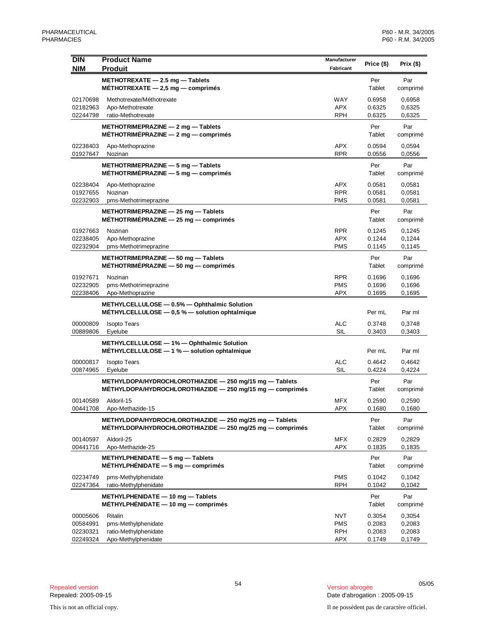| <b>DIN</b>           | <b>Product Name</b>                                                                                                    | Manufacturer      | Price (\$)       | Prix (\$)        |
|----------------------|------------------------------------------------------------------------------------------------------------------------|-------------------|------------------|------------------|
| <b>NIM</b>           | <b>Produit</b>                                                                                                         | Fabricant         |                  |                  |
|                      | METHOTREXATE - 2.5 mg - Tablets<br>MÉTHOTREXATE $-$ 2,5 mg $-$ comprimés                                               |                   | Per<br>Tablet    | Par<br>comprimé  |
| 02170698             | Methotrexate/Méthotrexate                                                                                              | <b>WAY</b>        | 0.6958           | 0,6958           |
| 02182963             | Apo-Methotrexate                                                                                                       | APX               | 0.6325           | 0,6325           |
| 02244798             | ratio-Methotrexate                                                                                                     | RPH               | 0.6325           | 0,6325           |
|                      | METHOTRIMEPRAZINE $-$ 2 mg $-$ Tablets<br>MÉTHOTRIMÉPRAZINE $-2$ mg $-$ comprimés                                      |                   | Per<br>Tablet    | Par<br>comprimé  |
| 02238403<br>01927647 | Apo-Methoprazine<br>Nozinan                                                                                            | <b>APX</b><br>RPR | 0.0594<br>0.0556 | 0,0594<br>0,0556 |
|                      | METHOTRIMEPRAZINE $-5$ mg $-$ Tablets<br>MÉTHOTRIMÉPRAZINE - 5 mg - comprimés                                          |                   | Per<br>Tablet    | Par<br>comprimé  |
| 02238404             | Apo-Methoprazine                                                                                                       | APX               | 0.0581           | 0,0581           |
| 01927655             | Nozinan                                                                                                                | <b>RPR</b>        | 0.0581           | 0,0581           |
| 02232903             | pms-Methotrimeprazine                                                                                                  | <b>PMS</b>        | 0.0581           | 0,0581           |
|                      | METHOTRIMEPRAZINE - 25 mg - Tablets<br>$MÉTHOTRIMÉPRAZINE - 25 mg - comprimés$                                         |                   | Per<br>Tablet    | Par<br>comprimé  |
| 01927663             | Nozinan                                                                                                                | RPR               | 0.1245           | 0,1245           |
| 02238405             | Apo-Methoprazine                                                                                                       | APX               | 0.1244           | 0,1244           |
| 02232904             | pms-Methotrimeprazine                                                                                                  | <b>PMS</b>        | 0.1145           | 0,1145           |
|                      | METHOTRIMEPRAZINE - 50 mg - Tablets<br>MÉTHOTRIMÉPRAZINE $-50$ mg $-$ comprimés                                        |                   | Per<br>Tablet    | Par<br>comprimé  |
| 01927671             | Nozinan                                                                                                                | <b>RPR</b>        | 0.1696           | 0,1696           |
| 02232905             | pms-Methotrimeprazine                                                                                                  | <b>PMS</b>        | 0.1696           | 0,1696           |
| 02238406             | Apo-Methoprazine                                                                                                       | APX               | 0.1695           | 0,1695           |
|                      | METHYLCELLULOSE - 0.5% - Ophthalmic Solution<br>MÉTHYLCELLULOSE - 0,5 % - solution ophtalmique                         |                   | Per mL           | Par ml           |
| 00000809             | <b>Isopto Tears</b>                                                                                                    | <b>ALC</b>        | 0.3748           | 0,3748           |
| 00889806             | Eyelube                                                                                                                | SIL               | 0.3403           | 0,3403           |
|                      | METHYLCELLULOSE - 1% - Ophthalmic Solution<br>MÉTHYLCELLULOSE - 1 % - solution ophtalmique                             |                   | Per mL           | Par ml           |
| 00000817             | <b>Isopto Tears</b>                                                                                                    | <b>ALC</b>        | 0.4642           | 0,4642           |
| 00874965             | Eyelube                                                                                                                | <b>SIL</b>        | 0.4224           | 0,4224           |
|                      | METHYLDOPA/HYDROCHLOROTHIAZIDE - 250 mg/15 mg - Tablets<br>$METHYLDOPA/HYDROCHLOROTHIAZIDE - 250 mg/15 mg - comprimés$ |                   | Per<br>Tablet    | Par<br>comprimé  |
| 00140589             | Aldoril-15                                                                                                             | MFX               | 0.2590           | 0,2590           |
| 00441708             | Apo-Methazide-15                                                                                                       | <b>APX</b>        | 0.1680           | 0,1680           |
|                      | METHYLDOPA/HYDROCHLOROTHIAZIDE - 250 mg/25 mg - Tablets<br>$METHYLDOPA/HYDROCHLOROTHIAZIDE - 250 mg/25 mg - comprimés$ |                   | Per<br>Tablet    | Par<br>comprimé  |
| 00140597             | Aldoril-25                                                                                                             | MFX               | 0.2829           | 0,2829           |
| 00441716             | Apo-Methazide-25                                                                                                       | <b>APX</b>        | 0.1835           | 0,1835           |
|                      | METHYLPHENIDATE - 5 mg - Tablets<br>$MÉTHYLPHÉNIDATE - 5 mg - comprimés$                                               |                   | Per<br>Tablet    | Par<br>comprimé  |
| 02234749             | pms-Methylphenidate                                                                                                    | <b>PMS</b>        | 0.1042           | 0,1042           |
| 02247364             | ratio-Methylphenidate                                                                                                  | <b>RPH</b>        | 0.1042           | 0,1042           |
|                      | METHYLPHENIDATE - 10 mg - Tablets<br>MÉTHYLPHÉNIDATE $-$ 10 mg $-$ comprimés                                           |                   | Per<br>Tablet    | Par<br>comprimé  |
| 00005606             | Ritalin                                                                                                                | <b>NVT</b>        | 0.3054           | 0,3054           |
| 00584991             | pms-Methylphenidate                                                                                                    | <b>PMS</b>        | 0.2083           | 0,2083           |
| 02230321             | ratio-Methylphenidate                                                                                                  | RPH               | 0.2083           | 0,2083           |
| 02249324             | Apo-Methylphenidate                                                                                                    | <b>APX</b>        | 0.1749           | 0,1749           |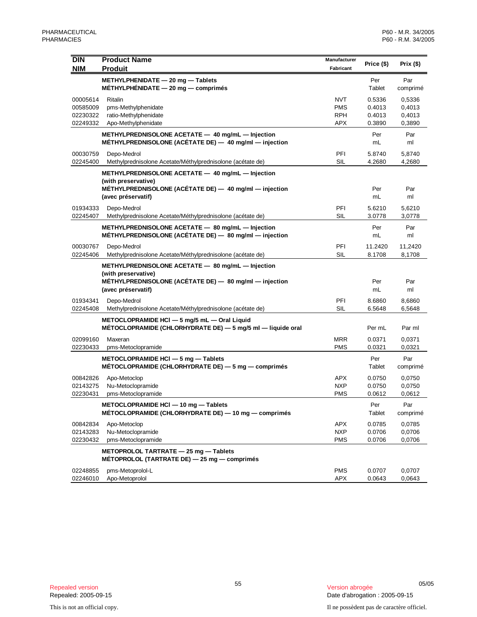| <b>DIN</b><br><b>NIM</b>                     | <b>Product Name</b><br><b>Produit</b>                                                                                                                    | Manufacturer<br>Fabricant                            | Price (\$)                           | Prix(\$)                             |
|----------------------------------------------|----------------------------------------------------------------------------------------------------------------------------------------------------------|------------------------------------------------------|--------------------------------------|--------------------------------------|
|                                              | METHYLPHENIDATE - 20 mg - Tablets<br>MÉTHYLPHÉNIDATE $-20$ mg $-$ comprimés                                                                              |                                                      | Per<br>Tablet                        | Par<br>comprimé                      |
| 00005614<br>00585009<br>02230322<br>02249332 | Ritalin<br>pms-Methylphenidate<br>ratio-Methylphenidate<br>Apo-Methylphenidate                                                                           | <b>NVT</b><br><b>PMS</b><br><b>RPH</b><br><b>APX</b> | 0.5336<br>0.4013<br>0.4013<br>0.3890 | 0,5336<br>0,4013<br>0,4013<br>0,3890 |
|                                              | METHYLPREDNISOLONE ACETATE - 40 mg/mL - Injection<br>MÉTHYLPREDNISOLONE (ACÉTATE DE) - 40 mg/ml - injection                                              |                                                      | Per<br>mL                            | Par<br>ml                            |
| 00030759<br>02245400                         | Depo-Medrol<br>Methylprednisolone Acetate/Méthylprednisolone (acétate de)                                                                                | PFI<br>SIL                                           | 5.8740<br>4.2680                     | 5.8740<br>4,2680                     |
|                                              | METHYLPREDNISOLONE ACETATE - 40 mg/mL - Injection<br>(with preservative)<br>MÉTHYLPREDNISOLONE (ACÉTATE DE) — 40 mg/ml — injection<br>(avec préservatif) |                                                      | Per<br>mL                            | Par<br>ml                            |
| 01934333<br>02245407                         | Depo-Medrol<br>Methylprednisolone Acetate/Méthylprednisolone (acétate de)                                                                                | PFI<br>SIL                                           | 5.6210<br>3.0778                     | 5,6210<br>3,0778                     |
|                                              | METHYLPREDNISOLONE ACETATE - 80 mg/mL - Injection<br>MÉTHYLPREDNISOLONE (ACÉTATE DE) - 80 mg/ml - injection                                              |                                                      | Per<br>mL                            | Par<br>ml                            |
| 00030767<br>02245406                         | Depo-Medrol<br>Methylprednisolone Acetate/Méthylprednisolone (acétate de)                                                                                | PFI<br>SIL                                           | 11.2420<br>8.1708                    | 11,2420<br>8,1708                    |
|                                              | METHYLPREDNISOLONE ACETATE - 80 mg/mL - Injection<br>(with preservative)<br>MÉTHYLPREDNISOLONE (ACÉTATE DE) - 80 mg/ml - injection<br>(avec préservatif) |                                                      | Per<br>mL                            | Par<br>ml                            |
| 01934341<br>02245408                         | Depo-Medrol<br>Methylprednisolone Acetate/Méthylprednisolone (acétate de)                                                                                | PFI<br>SIL                                           | 8.6860<br>6.5648                     | 8,6860<br>6,5648                     |
|                                              | METOCLOPRAMIDE HCI - 5 mg/5 mL - Oral Liquid<br>MÉTOCLOPRAMIDE (CHLORHYDRATE DE) - 5 mg/5 ml - liquide oral                                              |                                                      | Per mL                               | Par ml                               |
| 02099160<br>02230433                         | Maxeran<br>pms-Metoclopramide                                                                                                                            | <b>MRR</b><br><b>PMS</b>                             | 0.0371<br>0.0321                     | 0,0371<br>0,0321                     |
|                                              | METOCLOPRAMIDE HCI $-5$ mg $-$ Tablets<br>MÉTOCLOPRAMIDE (CHLORHYDRATE DE) $-5$ mg $-$ comprimes                                                         |                                                      | Per<br>Tablet                        | Par<br>comprimé                      |
| 00842826<br>02143275<br>02230431             | Apo-Metoclop<br>Nu-Metoclopramide<br>pms-Metoclopramide                                                                                                  | <b>APX</b><br><b>NXP</b><br><b>PMS</b>               | 0.0750<br>0.0750<br>0.0612           | 0,0750<br>0,0750<br>0,0612           |
|                                              | METOCLOPRAMIDE HCI - 10 mg - Tablets<br>MÉTOCLOPRAMIDE (CHLORHYDRATE DE) — 10 mg — comprimés                                                             |                                                      | Per<br>Tablet                        | Par<br>comprimé                      |
| 00842834<br>02143283<br>02230432             | Apo-Metoclop<br>Nu-Metoclopramide<br>pms-Metoclopramide                                                                                                  | <b>APX</b><br><b>NXP</b><br><b>PMS</b>               | 0.0785<br>0.0706<br>0.0706           | 0,0785<br>0,0706<br>0,0706           |
|                                              | METOPROLOL TARTRATE - 25 mg - Tablets<br>MÉTOPROLOL (TARTRATE DE) $-$ 25 mg $-$ comprimés                                                                |                                                      |                                      |                                      |
| 02248855<br>02246010                         | pms-Metoprolol-L<br>Apo-Metoprolol                                                                                                                       | <b>PMS</b><br>APX                                    | 0.0707<br>0.0643                     | 0.0707<br>0,0643                     |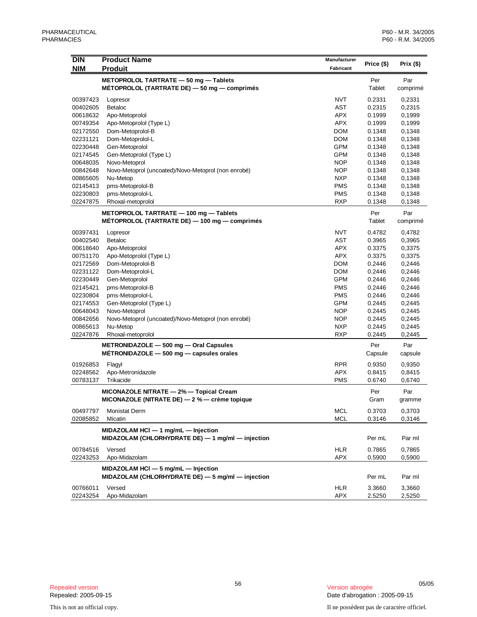| DIN<br><b>NIM</b>    | <b>Product Name</b><br><b>Produit</b>                                                        | Manufacturer<br>Fabricant | Price (\$)       | Prix (\$)        |
|----------------------|----------------------------------------------------------------------------------------------|---------------------------|------------------|------------------|
|                      |                                                                                              |                           |                  |                  |
|                      | METOPROLOL TARTRATE - 50 mg - Tablets<br>METOPROLOL (TARTRATE DE) - 50 mg - comprimés        |                           | Per<br>Tablet    | Par<br>comprimé  |
| 00397423             | Lopresor                                                                                     | <b>NVT</b>                | 0.2331           | 0,2331           |
| 00402605             | <b>Betaloc</b>                                                                               | <b>AST</b>                | 0.2315           | 0,2315           |
| 00618632             | Apo-Metoprolol                                                                               | <b>APX</b>                | 0.1999           | 0,1999           |
| 00749354             | Apo-Metoprolol (Type L)                                                                      | <b>APX</b>                | 0.1999           | 0,1999           |
| 02172550             | Dom-Metoprolol-B                                                                             | <b>DOM</b>                | 0.1348           | 0,1348           |
| 02231121             | Dom-Metoprolol-L                                                                             | <b>DOM</b>                | 0.1348           | 0,1348           |
| 02230448             | Gen-Metoprolol                                                                               | <b>GPM</b>                | 0.1348           | 0,1348           |
| 02174545             | Gen-Metoprolol (Type L)                                                                      | <b>GPM</b>                | 0.1348           | 0,1348           |
| 00648035             | Novo-Metoprol                                                                                | <b>NOP</b>                | 0.1348           | 0,1348           |
| 00842648             | Novo-Metoprol (uncoated)/Novo-Metoprol (non enrobé)                                          | <b>NOP</b>                | 0.1348           | 0,1348           |
| 00865605             | Nu-Metop                                                                                     | <b>NXP</b>                | 0.1348           | 0,1348           |
| 02145413             | pms-Metoprolol-B                                                                             | <b>PMS</b>                | 0.1348           | 0,1348           |
| 02230803             | pms-Metoprolol-L                                                                             | <b>PMS</b>                | 0.1348           | 0,1348           |
| 02247875             | Rhoxal-metoprolol                                                                            | <b>RXP</b>                | 0.1348           | 0,1348           |
|                      | METOPROLOL TARTRATE - 100 mg - Tablets                                                       |                           | Per              | Par              |
|                      | MÉTOPROLOL (TARTRATE DE) — 100 mg — comprimés                                                |                           | Tablet           | comprimé         |
| 00397431             | Lopresor                                                                                     | <b>NVT</b>                | 0.4782           | 0,4782           |
| 00402540             | <b>Betaloc</b>                                                                               | <b>AST</b>                | 0.3965           | 0,3965           |
| 00618640             | Apo-Metoprolol                                                                               | <b>APX</b>                | 0.3375           | 0,3375           |
| 00751170             | Apo-Metoprolol (Type L)                                                                      | <b>APX</b>                | 0.3375           | 0,3375           |
| 02172569             | Dom-Metoprolol-B                                                                             | <b>DOM</b>                | 0.2446           | 0,2446           |
| 02231122             | Dom-Metoprolol-L                                                                             | <b>DOM</b>                | 0.2446           | 0,2446           |
| 02230449             | Gen-Metoprolol                                                                               | <b>GPM</b>                | 0.2446           | 0,2446           |
| 02145421             | pms-Metoprolol-B                                                                             | <b>PMS</b>                | 0.2446           | 0,2446           |
| 02230804             | pms-Metoprolol-L                                                                             | <b>PMS</b>                | 0.2446           | 0,2446           |
| 02174553             | Gen-Metoprolol (Type L)                                                                      | <b>GPM</b>                | 0.2445           | 0,2445           |
| 00648043             | Novo-Metoprol                                                                                | <b>NOP</b>                | 0.2445           | 0,2445           |
| 00842656             | Novo-Metoprol (uncoated)/Novo-Metoprol (non enrobé)                                          | <b>NOP</b>                | 0.2445           | 0,2445           |
| 00865613             | Nu-Metop                                                                                     | <b>NXP</b>                | 0.2445           | 0,2445           |
| 02247876             | Rhoxal-metoprolol                                                                            | <b>RXP</b>                | 0.2445           | 0,2445           |
|                      | METRONIDAZOLE - 500 mg - Oral Capsules                                                       |                           | Per              | Par              |
|                      | $METRONIDAZOLE - 500 mg - capsules orales$                                                   |                           | Capsule          | capsule          |
| 01926853             | Flagyl                                                                                       | <b>RPR</b>                | 0.9350           | 0,9350           |
| 02248562             | Apo-Metronidazole                                                                            | <b>APX</b>                | 0.8415           | 0,8415           |
| 00783137             | Trikacide                                                                                    | <b>PMS</b>                | 0.6740           | 0,6740           |
|                      | MICONAZOLE NITRATE - 2% - Topical Cream                                                      |                           | Per              | Par              |
|                      | MICONAZOLE (NITRATE DE) $-2$ % $-$ crème topique                                             |                           | Gram             | gramme           |
| 00497797             | <b>Monistat Derm</b>                                                                         | <b>MCL</b>                | 0.3703           | 0,3703           |
| 02085852             | Micatin                                                                                      | <b>MCL</b>                | 0.3146           | 0,3146           |
|                      | MIDAZOLAM HCI - 1 mg/mL - Injection<br>MIDAZOLAM (CHLORHYDRATE DE) $-$ 1 mg/ml $-$ injection |                           | Per mL           | Par ml           |
| 00784516             | Versed                                                                                       | <b>HLR</b>                | 0.7865           | 0,7865           |
| 02243253             | Apo-Midazolam                                                                                | APX                       | 0.5900           | 0,5900           |
|                      | MIDAZOLAM HCI - 5 mg/mL - Injection                                                          |                           |                  |                  |
|                      | MIDAZOLAM (CHLORHYDRATE DE) - 5 mg/ml - injection                                            |                           | Per mL           | Par ml           |
| 00766011<br>02243254 | Versed<br>Apo-Midazolam                                                                      | <b>HLR</b><br>APX         | 3.3660<br>2.5250 | 3,3660<br>2,5250 |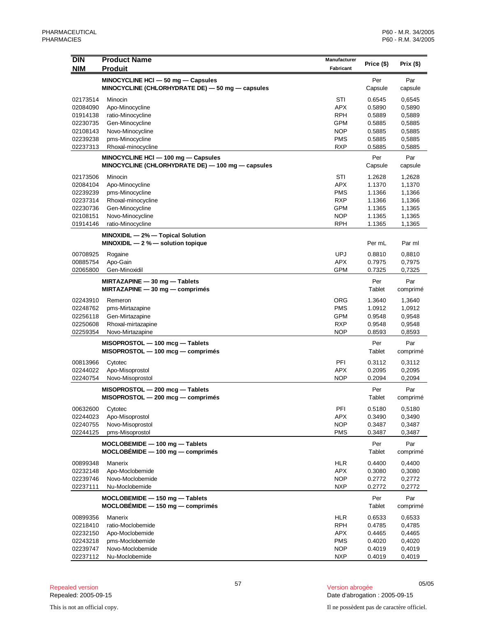| <b>DIN</b><br><b>NIM</b> | <b>Product Name</b><br><b>Produit</b>                                                    | Manufacturer<br>Fabricant | Price (\$)       | Prix $($ \$)     |
|--------------------------|------------------------------------------------------------------------------------------|---------------------------|------------------|------------------|
|                          |                                                                                          |                           |                  |                  |
|                          | MINOCYCLINE HCI - 50 mg - Capsules                                                       |                           | Per              | Par              |
|                          | MINOCYCLINE (CHLORHYDRATE DE) - 50 mg - capsules                                         |                           | Capsule          | capsule          |
| 02173514                 | Minocin                                                                                  | STI                       | 0.6545           | 0,6545           |
| 02084090                 | Apo-Minocycline                                                                          | <b>APX</b>                | 0.5890           | 0,5890           |
| 01914138                 | ratio-Minocycline                                                                        | <b>RPH</b>                | 0.5889           | 0,5889           |
| 02230735                 | Gen-Minocycline                                                                          | <b>GPM</b>                | 0.5885           | 0,5885           |
| 02108143<br>02239238     | Novo-Minocycline<br>pms-Minocycline                                                      | <b>NOP</b><br><b>PMS</b>  | 0.5885<br>0.5885 | 0,5885<br>0,5885 |
| 02237313                 | Rhoxal-minocycline                                                                       | <b>RXP</b>                | 0.5885           | 0,5885           |
|                          |                                                                                          |                           |                  |                  |
|                          | MINOCYCLINE HCI - 100 mg - Capsules<br>MINOCYCLINE (CHLORHYDRATE DE) — 100 mg — capsules |                           | Per<br>Capsule   | Par<br>capsule   |
|                          |                                                                                          |                           |                  |                  |
| 02173506                 | Minocin                                                                                  | STI                       | 1.2628           | 1,2628           |
| 02084104                 | Apo-Minocycline                                                                          | <b>APX</b>                | 1.1370           | 1,1370           |
| 02239239                 | pms-Minocycline                                                                          | <b>PMS</b>                | 1.1366           | 1,1366           |
| 02237314<br>02230736     | Rhoxal-minocycline<br>Gen-Minocycline                                                    | <b>RXP</b><br><b>GPM</b>  | 1.1366<br>1.1365 | 1,1366<br>1,1365 |
| 02108151                 | Novo-Minocycline                                                                         | <b>NOP</b>                | 1.1365           | 1,1365           |
| 01914146                 | ratio-Minocycline                                                                        | <b>RPH</b>                | 1.1365           | 1,1365           |
|                          |                                                                                          |                           |                  |                  |
|                          | MINOXIDIL - 2% - Topical Solution<br>MINOXIDIL $-2$ % $-$ solution topique               |                           | Per mL           | Par ml           |
|                          |                                                                                          |                           |                  |                  |
| 00708925                 | Rogaine                                                                                  | <b>UPJ</b>                | 0.8810           | 0,8810           |
| 00885754                 | Apo-Gain                                                                                 | <b>APX</b>                | 0.7975           | 0,7975           |
| 02065800                 | Gen-Minoxidil                                                                            | GPM                       | 0.7325           | 0,7325           |
|                          | MIRTAZAPINE - 30 mg - Tablets                                                            |                           | Per              | Par              |
|                          | $MIRTAZAPINE - 30 mg - comprimés$                                                        |                           | Tablet           | comprimé         |
| 02243910                 | Remeron                                                                                  | ORG                       | 1.3640           | 1,3640           |
| 02248762                 | pms-Mirtazapine                                                                          | <b>PMS</b>                | 1.0912           | 1,0912           |
| 02256118                 | Gen-Mirtazapine                                                                          | <b>GPM</b>                | 0.9548           | 0,9548           |
| 02250608                 | Rhoxal-mirtazapine                                                                       | <b>RXP</b>                | 0.9548           | 0,9548           |
| 02259354                 | Novo-Mirtazapine                                                                         | <b>NOP</b>                | 0.8593           | 0,8593           |
|                          | MISOPROSTOL - 100 mcg - Tablets                                                          |                           | Per              | Par              |
|                          | MISOPROSTOL - 100 mcg - comprimés                                                        |                           | Tablet           | comprimé         |
|                          |                                                                                          | PFI                       | 0.3112           |                  |
| 00813966<br>02244022     | Cytotec<br>Apo-Misoprostol                                                               | <b>APX</b>                | 0.2095           | 0,3112<br>0,2095 |
| 02240754                 | Novo-Misoprostol                                                                         | <b>NOP</b>                | 0.2094           | 0,2094           |
|                          |                                                                                          |                           |                  |                  |
|                          | MISOPROSTOL - 200 mcg - Tablets<br>$MISOPROSTOL - 200~mg - comprimés$                    |                           | Per<br>Tablet    | Par<br>comprimé  |
|                          |                                                                                          |                           |                  |                  |
| 00632600                 | Cytotec                                                                                  | PFI                       | 0.5180           | 0,5180           |
| 02244023                 | Apo-Misoprostol                                                                          | <b>APX</b>                | 0.3490           | 0,3490           |
| 02240755                 | Novo-Misoprostol                                                                         | <b>NOP</b>                | 0.3487           | 0,3487           |
| 02244125                 | pms-Misoprostol                                                                          | <b>PMS</b>                | 0.3487           | 0,3487           |
|                          | MOCLOBEMIDE - 100 mg - Tablets                                                           |                           | Per              | Par              |
|                          | $MOCLOBÉMIDE - 100 mg - comprimés$                                                       |                           | Tablet           | comprimé         |
| 00899348                 | Manerix                                                                                  | <b>HLR</b>                | 0.4400           | 0,4400           |
| 02232148                 | Apo-Moclobemide                                                                          | <b>APX</b>                | 0.3080           | 0,3080           |
| 02239746                 | Novo-Moclobemide                                                                         | <b>NOP</b>                | 0.2772           | 0,2772           |
| 02237111                 | Nu-Moclobemide                                                                           | <b>NXP</b>                | 0.2772           | 0,2772           |
|                          | MOCLOBEMIDE - 150 mg - Tablets                                                           |                           | Per              | Par              |
|                          | $MOCLOBEMIDE - 150 mg - comprimés$                                                       |                           | Tablet           | comprimé         |
|                          |                                                                                          |                           |                  |                  |
| 00899356                 | Manerix                                                                                  | HLR                       | 0.6533           | 0,6533           |
| 02218410                 | ratio-Moclobemide                                                                        | <b>RPH</b>                | 0.4785           | 0,4785           |
| 02232150                 | Apo-Moclobemide                                                                          | <b>APX</b><br><b>PMS</b>  | 0.4465           | 0,4465           |
| 02243218<br>02239747     | pms-Moclobemide<br>Novo-Moclobemide                                                      | <b>NOP</b>                | 0.4020<br>0.4019 | 0,4020<br>0,4019 |
| 02237112                 | Nu-Moclobemide                                                                           | <b>NXP</b>                | 0.4019           | 0,4019           |
|                          |                                                                                          |                           |                  |                  |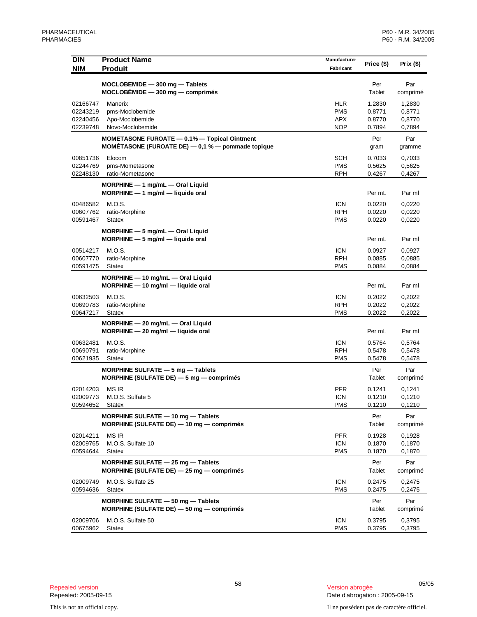| <b>DIN</b>           | <b>Product Name</b>                                                                                   | Manufacturer | Price (\$)       | Prix $($ \$)     |
|----------------------|-------------------------------------------------------------------------------------------------------|--------------|------------------|------------------|
| <b>NIM</b>           | <b>Produit</b>                                                                                        | Fabricant    |                  |                  |
|                      | MOCLOBEMIDE - 300 mg - Tablets                                                                        |              | Per              | Par              |
|                      | $MOCLOBÉMIDE - 300 mg - comprimés$                                                                    |              | Tablet           | comprimé         |
| 02166747             | Manerix                                                                                               | <b>HLR</b>   | 1.2830           | 1,2830           |
| 02243219             | pms-Moclobemide                                                                                       | <b>PMS</b>   | 0.8771           | 0,8771           |
| 02240456             | Apo-Moclobemide                                                                                       | APX          | 0.8770           | 0,8770           |
| 02239748             | Novo-Moclobemide                                                                                      | <b>NOP</b>   | 0.7894           | 0,7894           |
|                      | MOMETASONE FUROATE - 0.1% - Topical Ointment<br>MOMÉTASONE (FUROATE DE) $-$ 0,1 % $-$ pommade topique |              | Per<br>gram      | Par<br>gramme    |
| 00851736             | Elocom                                                                                                | SCH          | 0.7033           | 0,7033           |
| 02244769             | pms-Mometasone                                                                                        | <b>PMS</b>   | 0.5625           | 0,5625           |
| 02248130             | ratio-Mometasone                                                                                      | RPH          | 0.4267           | 0,4267           |
|                      | MORPHINE - 1 mg/mL - Oral Liquid                                                                      |              |                  |                  |
|                      | $MORPHINE - 1$ mg/ml $-$ liquide oral                                                                 |              | Per mL           | Par ml           |
| 00486582             | M.O.S.                                                                                                | <b>ICN</b>   | 0.0220           | 0,0220           |
| 00607762             | ratio-Morphine                                                                                        | RPH          | 0.0220           | 0,0220           |
| 00591467             | Statex                                                                                                | PMS          | 0.0220           | 0,0220           |
|                      | MORPHINE - 5 mg/mL - Oral Liquid<br>$MORPHINE - 5$ mg/ml $-$ liquide oral                             |              | Per mL           | Par ml           |
| 00514217             | M.O.S.                                                                                                | <b>ICN</b>   | 0.0927           | 0,0927           |
| 00607770             | ratio-Morphine                                                                                        | <b>RPH</b>   | 0.0885           | 0,0885           |
| 00591475             | Statex                                                                                                | PMS          | 0.0884           | 0,0884           |
|                      | MORPHINE - 10 mg/mL - Oral Liquid<br>$MORPHINE - 10$ mg/ml $-$ liquide oral                           |              | Per mL           | Par ml           |
|                      |                                                                                                       | <b>ICN</b>   |                  |                  |
| 00632503<br>00690783 | M.O.S.<br>ratio-Morphine                                                                              | <b>RPH</b>   | 0.2022<br>0.2022 | 0,2022<br>0,2022 |
| 00647217             | Statex                                                                                                | PMS          | 0.2022           | 0,2022           |
|                      | MORPHINE - 20 mg/mL - Oral Liquid                                                                     |              |                  |                  |
|                      | $MORPHINE - 20$ mg/ml $-$ liquide oral                                                                |              | Per mL           | Par ml           |
| 00632481             | M.O.S.                                                                                                | <b>ICN</b>   | 0.5764           | 0,5764           |
| 00690791             | ratio-Morphine                                                                                        | <b>RPH</b>   | 0.5478           | 0,5478           |
| 00621935             | <b>Statex</b>                                                                                         | PMS          | 0.5478           | 0,5478           |
|                      | MORPHINE SULFATE $-5$ mg $-$ Tablets                                                                  |              | Per              | Par              |
|                      | MORPHINE (SULFATE DE) $-5$ mg $-$ comprimés                                                           |              | Tablet           | comprimé         |
| 02014203             | MS IR                                                                                                 | <b>PFR</b>   | 0.1241           | 0,1241           |
| 02009773             | M.O.S. Sulfate 5                                                                                      | <b>ICN</b>   | 0.1210           | 0,1210           |
| 00594652             | Statex                                                                                                | <b>PMS</b>   | 0.1210           | 0,1210           |
|                      | MORPHINE SULFATE - 10 mg - Tablets<br>MORPHINE (SULFATE DE) - 10 mg - comprimés                       |              | Per<br>Tablet    | Par<br>comprimé  |
| 02014211             | MS IR                                                                                                 | <b>PFR</b>   | 0.1928           | 0,1928           |
| 02009765             | M.O.S. Sulfate 10                                                                                     | <b>ICN</b>   | 0.1870           | 0,1870           |
| 00594644             | <b>Statex</b>                                                                                         | <b>PMS</b>   | 0.1870           | 0,1870           |
|                      | MORPHINE SULFATE $-$ 25 mg $-$ Tablets<br>MORPHINE (SULFATE DE) - 25 mg - comprimés                   |              | Per<br>Tablet    | Par<br>comprimé  |
| 02009749             | M.O.S. Sulfate 25                                                                                     | <b>ICN</b>   | 0.2475           | 0,2475           |
| 00594636             | <b>Statex</b>                                                                                         | PMS          | 0.2475           | 0,2475           |
|                      | MORPHINE SULFATE - 50 mg - Tablets                                                                    |              | Per              | Par              |
|                      | MORPHINE (SULFATE DE) - 50 mg - comprimés                                                             |              | Tablet           | comprimé         |
| 02009706             | M.O.S. Sulfate 50                                                                                     | <b>ICN</b>   | 0.3795           | 0,3795           |
| 00675962             | Statex                                                                                                | <b>PMS</b>   | 0.3795           | 0,3795           |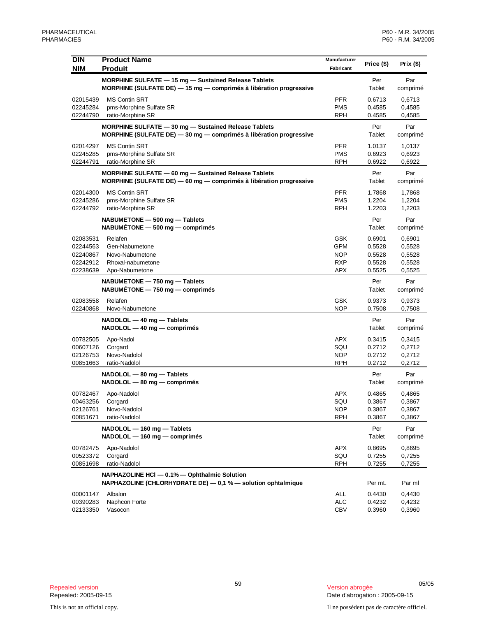| <b>DIN</b>           | <b>Product Name</b>                                                                                                            | Manufacturer             | Price (\$)       | Prix (\$)        |
|----------------------|--------------------------------------------------------------------------------------------------------------------------------|--------------------------|------------------|------------------|
| <b>NIM</b>           | <b>Produit</b>                                                                                                                 | Fabricant                |                  |                  |
|                      | MORPHINE SULFATE - 15 mg - Sustained Release Tablets<br>MORPHINE (SULFATE DE) $-$ 15 mg $-$ comprimés à libération progressive |                          | Per<br>Tablet    | Par<br>comprimé  |
| 02015439             | <b>MS Contin SRT</b>                                                                                                           | <b>PFR</b>               | 0.6713           | 0,6713           |
| 02245284<br>02244790 | pms-Morphine Sulfate SR<br>ratio-Morphine SR                                                                                   | <b>PMS</b><br><b>RPH</b> | 0.4585<br>0.4585 | 0,4585<br>0,4585 |
|                      | MORPHINE SULFATE - 30 mg - Sustained Release Tablets                                                                           |                          | Per              | Par              |
|                      | MORPHINE (SULFATE DE) - 30 mg - comprimés à libération progressive                                                             |                          | Tablet           | comprimé         |
| 02014297             | <b>MS Contin SRT</b>                                                                                                           | <b>PFR</b>               | 1.0137           | 1,0137           |
| 02245285<br>02244791 | pms-Morphine Sulfate SR<br>ratio-Morphine SR                                                                                   | <b>PMS</b><br><b>RPH</b> | 0.6923<br>0.6922 | 0,6923<br>0,6922 |
|                      | MORPHINE SULFATE - 60 mg - Sustained Release Tablets                                                                           |                          | Per              | Par              |
|                      | MORPHINE (SULFATE DE) $-$ 60 mg $-$ comprimés à libération progressive                                                         |                          | Tablet           | comprimé         |
| 02014300             | <b>MS Contin SRT</b>                                                                                                           | <b>PFR</b>               | 1.7868           | 1,7868           |
| 02245286<br>02244792 | pms-Morphine Sulfate SR<br>ratio-Morphine SR                                                                                   | <b>PMS</b><br><b>RPH</b> | 1.2204<br>1.2203 | 1,2204<br>1,2203 |
|                      |                                                                                                                                |                          |                  |                  |
|                      | NABUMETONE - 500 mg - Tablets<br>$NABUMETONE - 500 mg - comprimés$                                                             |                          | Per<br>Tablet    | Par<br>comprimé  |
| 02083531             | Relafen                                                                                                                        | <b>GSK</b>               | 0.6901           | 0,6901           |
| 02244563             | Gen-Nabumetone                                                                                                                 | <b>GPM</b>               | 0.5528           | 0,5528           |
| 02240867             | Novo-Nabumetone                                                                                                                | <b>NOP</b>               | 0.5528           | 0,5528           |
| 02242912<br>02238639 | Rhoxal-nabumetone<br>Apo-Nabumetone                                                                                            | <b>RXP</b><br>APX        | 0.5528<br>0.5525 | 0,5528<br>0,5525 |
|                      |                                                                                                                                |                          |                  |                  |
|                      | NABUMETONE - 750 mg - Tablets<br>$NABUMETONE - 750 mg - comprimés$                                                             |                          | Per<br>Tablet    | Par<br>comprimé  |
| 02083558             | Relafen                                                                                                                        | <b>GSK</b>               | 0.9373           | 0,9373           |
| 02240868             | Novo-Nabumetone                                                                                                                | <b>NOP</b>               | 0.7508           | 0,7508           |
|                      | NADOLOL - 40 mg - Tablets<br>$NADOLOL - 40 mg - comprimés$                                                                     |                          | Per<br>Tablet    | Par<br>comprimé  |
| 00782505             | Apo-Nadol                                                                                                                      | <b>APX</b>               | 0.3415           | 0,3415           |
| 00607126             | Corgard                                                                                                                        | SQU                      | 0.2712           | 0,2712           |
| 02126753             | Novo-Nadolol                                                                                                                   | <b>NOP</b>               | 0.2712           | 0,2712           |
| 00851663             | ratio-Nadolol                                                                                                                  | <b>RPH</b>               | 0.2712           | 0,2712           |
|                      | NADOLOL - 80 mg - Tablets<br>$NADOLOL$ $-$ 80 mg $-$ comprimés                                                                 |                          | Per<br>Tablet    | Par<br>comprimé  |
| 00782467             | Apo-Nadolol                                                                                                                    | APX                      | 0.4865           | 0,4865           |
| 00463256             | Corgard                                                                                                                        | SQU                      | 0.3867           | 0,3867           |
| 02126761             | Novo-Nadolol                                                                                                                   | <b>NOP</b>               | 0.3867           | 0,3867           |
| 00851671             | ratio-Nadolol                                                                                                                  | <b>RPH</b>               | 0.3867           | 0,3867           |
|                      | NADOLOL - 160 mg - Tablets                                                                                                     |                          | Per              | Par              |
|                      | NADOLOL - 160 mg - comprimés                                                                                                   |                          | Tablet           | comprimé         |
| 00782475             | Apo-Nadolol                                                                                                                    | <b>APX</b>               | 0.8695           | 0,8695           |
| 00523372             | Corgard                                                                                                                        | SQU                      | 0.7255           | 0,7255           |
| 00851698             | ratio-Nadolol                                                                                                                  | <b>RPH</b>               | 0.7255           | 0,7255           |
|                      | NAPHAZOLINE HCI - 0.1% - Ophthalmic Solution<br>NAPHAZOLINE (CHLORHYDRATE DE) - 0.1 % - solution ophtalmique                   |                          | Per mL           | Par ml           |
| 00001147             | Albalon                                                                                                                        | ALL                      | 0.4430           | 0,4430           |
| 00390283             | Naphcon Forte                                                                                                                  | <b>ALC</b>               | 0.4232           | 0,4232           |
| 02133350             | Vasocon                                                                                                                        | <b>CBV</b>               | 0.3960           | 0,3960           |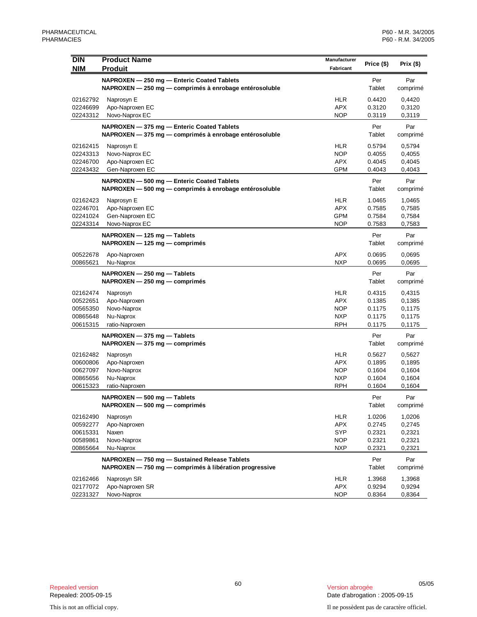| <b>DIN</b>           | <b>Product Name</b>                                    | Manufacturer |                  |                  |
|----------------------|--------------------------------------------------------|--------------|------------------|------------------|
| <b>NIM</b>           | <b>Produit</b>                                         | Fabricant    | Price (\$)       | Prix $($)$       |
|                      | NAPROXEN - 250 mg - Enteric Coated Tablets             |              | Per              | Par              |
|                      | NAPROXEN - 250 mg - comprimés à enrobage entérosoluble |              | Tablet           | comprimé         |
|                      |                                                        |              |                  |                  |
| 02162792<br>02246699 | Naprosyn E<br>Apo-Naproxen EC                          | HLR<br>APX   | 0.4420<br>0.3120 | 0,4420<br>0,3120 |
| 02243312             | Novo-Naprox EC                                         | <b>NOP</b>   | 0.3119           | 0,3119           |
|                      |                                                        |              |                  |                  |
|                      | NAPROXEN - 375 mg - Enteric Coated Tablets             |              | Per<br>Tablet    | Par              |
|                      | NAPROXEN - 375 mg - comprimés à enrobage entérosoluble |              |                  | comprimé         |
| 02162415             | Naprosyn E                                             | HLR          | 0.5794           | 0,5794           |
| 02243313             | Novo-Naprox EC                                         | <b>NOP</b>   | 0.4055           | 0,4055           |
| 02246700             | Apo-Naproxen EC                                        | APX          | 0.4045           | 0,4045           |
| 02243432             | Gen-Naproxen EC                                        | <b>GPM</b>   | 0.4043           | 0,4043           |
|                      | NAPROXEN - 500 mg - Enteric Coated Tablets             |              | Per              | Par              |
|                      | NAPROXEN - 500 mg - comprimés à enrobage entérosoluble |              | Tablet           | comprimé         |
| 02162423             | Naprosyn E                                             | HLR          | 1.0465           | 1,0465           |
| 02246701             | Apo-Naproxen EC                                        | APX          | 0.7585           | 0,7585           |
| 02241024             | Gen-Naproxen EC                                        | <b>GPM</b>   | 0.7584           | 0,7584           |
| 02243314             | Novo-Naprox EC                                         | <b>NOP</b>   | 0.7583           | 0,7583           |
|                      | $NAPROXEN - 125 mg - Tables$                           |              | Per              | Par              |
|                      | $NAPROXEN - 125 mg - comprimés$                        |              | Tablet           | comprimé         |
| 00522678             | Apo-Naproxen                                           | <b>APX</b>   | 0.0695           | 0,0695           |
| 00865621             | Nu-Naprox                                              | <b>NXP</b>   | 0.0695           | 0,0695           |
|                      |                                                        |              |                  |                  |
|                      | $NAPROXEN - 250 mg - Tables$                           |              | Per<br>Tablet    | Par              |
|                      | $NAPROXEN - 250 mg - comprimés$                        |              |                  | comprimé         |
| 02162474             | Naprosyn                                               | <b>HLR</b>   | 0.4315           | 0,4315           |
| 00522651             | Apo-Naproxen                                           | APX          | 0.1385           | 0,1385           |
| 00565350             | Novo-Naprox                                            | <b>NOP</b>   | 0.1175           | 0,1175           |
| 00865648             | Nu-Naprox                                              | <b>NXP</b>   | 0.1175           | 0,1175           |
| 00615315             | ratio-Naproxen                                         | RPH          | 0.1175           | 0,1175           |
|                      | $NAPROXEN - 375 mg - Tables$                           |              | Per              | Par              |
|                      | $NAPROXEN - 375 mg - comprimés$                        |              | Tablet           | comprimé         |
| 02162482             | Naprosyn                                               | HLR          | 0.5627           | 0,5627           |
| 00600806             | Apo-Naproxen                                           | APX          | 0.1895           | 0,1895           |
| 00627097             | Novo-Naprox                                            | <b>NOP</b>   | 0.1604           | 0,1604           |
| 00865656             | Nu-Naprox                                              | <b>NXP</b>   | 0.1604           | 0,1604           |
| 00615323             | ratio-Naproxen                                         | <b>RPH</b>   | 0.1604           | 0,1604           |
|                      | NAPROXEN - 500 mg - Tablets                            |              | Per              | Par              |
|                      | NAPROXEN — 500 mg — comprimés                          |              | lablet           | comprimé         |
| 02162490             | Naprosyn                                               | <b>HLR</b>   | 1.0206           | 1,0206           |
| 00592277             | Apo-Naproxen                                           | <b>APX</b>   | 0.2745           | 0,2745           |
| 00615331             | Naxen                                                  | <b>SYP</b>   | 0.2321           | 0,2321           |
| 00589861             | Novo-Naprox                                            | NOP          | 0.2321           | 0,2321           |
| 00865664             | Nu-Naprox                                              | <b>NXP</b>   | 0.2321           | 0,2321           |
|                      | NAPROXEN - 750 mg - Sustained Release Tablets          |              | Per              | Par              |
|                      | NAPROXEN - 750 mg - comprimés à libération progressive |              | Tablet           | comprimé         |
|                      |                                                        |              |                  |                  |
| 02162466             | Naprosyn SR                                            | HLR          | 1.3968           | 1,3968           |
| 02177072             | Apo-Naproxen SR                                        | APX          | 0.9294           | 0,9294           |
| 02231327             | Novo-Naprox                                            | <b>NOP</b>   | 0.8364           | 0,8364           |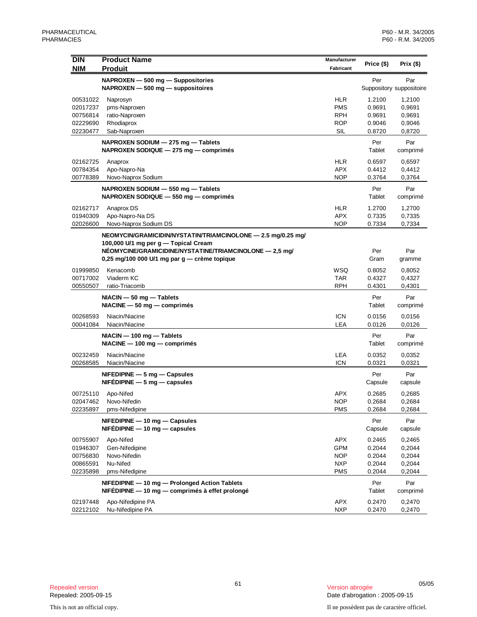| <b>DIN</b> | <b>Product Name</b>                                                                                     | Manufacturer | Price (\$)     | Prix $($ \$)                    |
|------------|---------------------------------------------------------------------------------------------------------|--------------|----------------|---------------------------------|
| <b>NIM</b> | <b>Produit</b>                                                                                          | Fabricant    |                |                                 |
|            | NAPROXEN - 500 mg - Suppositories<br>$NAPROXEN - 500 mg - 250 mg$                                       |              | Per            | Par<br>Suppository suppositoire |
| 00531022   | Naprosyn                                                                                                | HLR          | 1.2100         | 1,2100                          |
| 02017237   | pms-Naproxen                                                                                            | <b>PMS</b>   | 0.9691         | 0,9691                          |
| 00756814   | ratio-Naproxen                                                                                          | <b>RPH</b>   | 0.9691         | 0,9691                          |
| 02229690   | Rhodiaprox                                                                                              | <b>ROP</b>   | 0.9046         | 0,9046                          |
| 02230477   | Sab-Naproxen                                                                                            | <b>SIL</b>   | 0.8720         | 0,8720                          |
|            | NAPROXEN SODIUM - 275 mg - Tablets<br>NAPROXEN SODIQUE - 275 mg - comprimés                             |              | Per<br>Tablet  | Par<br>comprimé                 |
| 02162725   | Anaprox                                                                                                 | HLR          | 0.6597         | 0,6597                          |
| 00784354   | Apo-Napro-Na                                                                                            | <b>APX</b>   | 0.4412         | 0,4412                          |
| 00778389   | Novo-Naprox Sodium                                                                                      | <b>NOP</b>   | 0.3764         | 0,3764                          |
|            | NAPROXEN SODIUM - 550 mg - Tablets<br>NAPROXEN SODIQUE - 550 mg - comprimés                             |              | Per<br>Tablet  | Par<br>comprimé                 |
| 02162717   | Anaprox DS                                                                                              | <b>HLR</b>   | 1.2700         | 1,2700                          |
| 01940309   | Apo-Napro-Na DS                                                                                         | <b>APX</b>   | 0.7335         | 0,7335                          |
| 02026600   | Novo-Naprox Sodium DS                                                                                   | <b>NOP</b>   | 0.7334         | 0,7334                          |
|            | NEOMYCIN/GRAMICIDIN/NYSTATIN/TRIAMCINOLONE - 2.5 mg/0.25 mg/<br>100,000 U/1 mg per g - Topical Cream    |              |                |                                 |
|            | NÉOMYCINE/GRAMICIDINE/NYSTATINE/TRIAMCINOLONE - 2,5 mg/<br>0,25 mg/100 000 U/1 mg par g - crème topique |              | Per<br>Gram    | Par<br>gramme                   |
| 01999850   | Kenacomb                                                                                                | WSQ          | 0.8052         | 0,8052                          |
| 00717002   | Viaderm KC                                                                                              | <b>TAR</b>   | 0.4327         | 0,4327                          |
| 00550507   | ratio-Triacomb                                                                                          | <b>RPH</b>   | 0.4301         | 0,4301                          |
|            | $NACIN - 50 mg - Tables$<br>$NACINE - 50 mg - comprimés$                                                |              | Per<br>Tablet  | Par<br>comprimé                 |
| 00268593   | Niacin/Niacine                                                                                          | <b>ICN</b>   | 0.0156         | 0,0156                          |
| 00041084   | Niacin/Niacine                                                                                          | LEA          | 0.0126         | 0,0126                          |
|            | $NACIN - 100 mg - Tables$<br>$NIACINE - 100 mg - comprimés$                                             |              | Per<br>Tablet  | Par<br>comprimé                 |
| 00232459   | Niacin/Niacine                                                                                          | LEA          | 0.0352         | 0,0352                          |
| 00268585   | Niacin/Niacine                                                                                          | <b>ICN</b>   | 0.0321         | 0,0321                          |
|            | $N$ FEDIPINE $-5$ mg $-$ Capsules<br>$N$ FEDIPINE $-5$ mg $-$ capsules                                  |              | Per<br>Capsule | Par<br>capsule                  |
| 00725110   | Apo-Nifed                                                                                               | <b>APX</b>   | 0.2685         | 0,2685                          |
| 02047462   | Novo-Nifedin                                                                                            | <b>NOP</b>   | 0.2684         | 0,2684                          |
| 02235897   | pms-Nifedipine                                                                                          | <b>PMS</b>   | 0.2684         | 0,2684                          |
|            | NIFEDIPINE - 10 mg - Capsules<br>$NIFÉDIPINE - 10 mg - capsules$                                        |              | Per<br>Capsule | Par<br>capsule                  |
| 00755907   | Apo-Nifed                                                                                               | <b>APX</b>   | 0.2465         | 0,2465                          |
| 01946307   | Gen-Nifedipine                                                                                          | <b>GPM</b>   | 0.2044         | 0,2044                          |
| 00756830   | Novo-Nifedin                                                                                            | <b>NOP</b>   | 0.2044         | 0,2044                          |
| 00865591   | Nu-Nifed                                                                                                | <b>NXP</b>   | 0.2044         | 0,2044                          |
| 02235898   | pms-Nifedipine                                                                                          | <b>PMS</b>   | 0.2044         | 0,2044                          |
|            | NIFEDIPINE - 10 mg - Prolonged Action Tablets<br>$NIFÉDIPINE - 10 mg - comprimés à effet prolongé$      |              | Per<br>Tablet  | Par<br>comprimé                 |
| 02197448   | Apo-Nifedipine PA                                                                                       | <b>APX</b>   | 0.2470         | 0,2470                          |
| 02212102   | Nu-Nifedipine PA                                                                                        | <b>NXP</b>   | 0.2470         | 0,2470                          |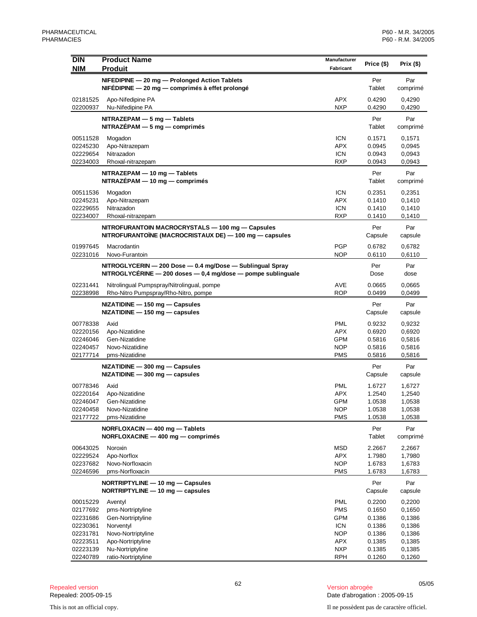| <b>DIN</b><br><b>NIM</b> | <b>Product Name</b><br><b>Produit</b>                                                                                           | Manufacturer<br>Fabricant | Price (\$)       | Prix $($)$       |
|--------------------------|---------------------------------------------------------------------------------------------------------------------------------|---------------------------|------------------|------------------|
|                          | NIFEDIPINE - 20 mg - Prolonged Action Tablets<br>NIFÉDIPINE - 20 mg - comprimés à effet prolongé                                |                           | Per<br>Tablet    | Par<br>comprimé  |
| 02181525<br>02200937     | Apo-Nifedipine PA<br>Nu-Nifedipine PA                                                                                           | APX<br><b>NXP</b>         | 0.4290<br>0.4290 | 0,4290<br>0,4290 |
|                          | NITRAZEPAM - 5 mg - Tablets<br>$NITRAZEPAM - 5 mg - comprimés$                                                                  |                           | Per<br>Tablet    | Par<br>comprimé  |
| 00511528                 | Mogadon                                                                                                                         | <b>ICN</b>                | 0.1571           | 0,1571           |
| 02245230                 | Apo-Nitrazepam                                                                                                                  | <b>APX</b>                | 0.0945           | 0,0945           |
| 02229654                 | Nitrazadon                                                                                                                      | <b>ICN</b>                | 0.0943           | 0,0943           |
| 02234003                 | Rhoxal-nitrazepam                                                                                                               | <b>RXP</b>                | 0.0943           | 0,0943           |
|                          | NITRAZEPAM - 10 mg - Tablets<br>$NITRAZÉPAM - 10 mg - comprimés$                                                                |                           | Per<br>Tablet    | Par<br>comprimé  |
| 00511536                 | Mogadon                                                                                                                         | <b>ICN</b>                | 0.2351           | 0,2351           |
| 02245231                 | Apo-Nitrazepam                                                                                                                  | <b>APX</b>                | 0.1410           | 0,1410           |
| 02229655                 | Nitrazadon                                                                                                                      | <b>ICN</b>                | 0.1410           | 0,1410           |
| 02234007                 | Rhoxal-nitrazepam                                                                                                               | <b>RXP</b>                | 0.1410           | 0,1410           |
|                          | NITROFURANTOIN MACROCRYSTALS - 100 mg - Capsules<br>NITROFURANTOÏNE (MACROCRISTAUX DE) — 100 mg — capsules                      |                           | Per<br>Capsule   | Par<br>capsule   |
| 01997645                 | Macrodantin                                                                                                                     | PGP                       | 0.6782           | 0,6782           |
| 02231016                 | Novo-Furantoin                                                                                                                  | NOP                       | 0.6110           | 0,6110           |
|                          | NITROGLYCERIN - 200 Dose - 0.4 mg/Dose - Sublingual Spray<br>NITROGLYCÉRINE $-$ 200 doses $-$ 0.4 mg/dose $-$ pompe sublinguale |                           | Per<br>Dose      | Par<br>dose      |
| 02231441                 | Nitrolingual Pumpspray/Nitrolingual, pompe                                                                                      | AVE                       | 0.0665           | 0,0665           |
| 02238998                 | Rho-Nitro Pumpspray/Rho-Nitro, pompe                                                                                            | <b>ROP</b>                | 0.0499           | 0,0499           |
|                          | NIZATIDINE - 150 mg - Capsules<br>$NIZATIDINE - 150 mg - capsules$                                                              |                           | Per<br>Capsule   | Par<br>capsule   |
| 00778338                 | Axid                                                                                                                            | <b>PML</b>                | 0.9232           | 0,9232           |
| 02220156                 | Apo-Nizatidine                                                                                                                  | <b>APX</b>                | 0.6920           | 0,6920           |
| 02246046                 | Gen-Nizatidine                                                                                                                  | <b>GPM</b>                | 0.5816           | 0,5816           |
| 02240457                 | Novo-Nizatidine                                                                                                                 | <b>NOP</b>                | 0.5816           | 0,5816           |
| 02177714                 | pms-Nizatidine                                                                                                                  | <b>PMS</b>                | 0.5816           | 0,5816           |
|                          | $NIZATIDINE - 300 mg - Capsules$<br>$NIZATIDINE - 300 mg - capsules$                                                            |                           | Per<br>Capsule   | Par<br>capsule   |
| 00778346                 | Axid                                                                                                                            | <b>PML</b>                | 1.6727           | 1,6727           |
| 02220164                 | Apo-Nizatidine                                                                                                                  | <b>APX</b>                | 1.2540           | 1,2540           |
| 02246047                 | Gen-Nizatidine                                                                                                                  | <b>GPM</b>                | 1.0538           | 1,0538           |
| 02240458<br>02177722     | Novo-Nizatidine<br>pms-Nizatidine                                                                                               | <b>NOP</b><br>PMS         | 1.0538<br>1.0538 | 1,0538<br>1,0538 |
|                          |                                                                                                                                 |                           |                  |                  |
|                          | NORFLOXACIN - 400 mg - Tablets<br>NORFLOXACINE - 400 mg - comprimés                                                             |                           | Per<br>Tablet    | Par<br>comprimé  |
| 00643025                 | Noroxin                                                                                                                         | MSD                       | 2.2667           | 2,2667           |
| 02229524                 | Apo-Norflox                                                                                                                     | APX                       | 1.7980           | 1,7980           |
| 02237682<br>02246596     | Novo-Norfloxacin<br>pms-Norfloxacin                                                                                             | <b>NOP</b><br>PMS         | 1.6783<br>1.6783 | 1,6783<br>1,6783 |
|                          |                                                                                                                                 |                           |                  |                  |
|                          | NORTRIPTYLINE - 10 mg - Capsules<br>NORTRIPTYLINE - 10 mg - capsules                                                            |                           | Per<br>Capsule   | Par<br>capsule   |
| 00015229                 | Aventyl                                                                                                                         | PML                       | 0.2200           | 0,2200           |
| 02177692                 | pms-Nortriptyline                                                                                                               | PMS                       | 0.1650           | 0,1650           |
| 02231686                 | Gen-Nortriptyline                                                                                                               | GPM                       | 0.1386           | 0,1386           |
| 02230361<br>02231781     | Norventyl<br>Novo-Nortriptyline                                                                                                 | <b>ICN</b><br><b>NOP</b>  | 0.1386<br>0.1386 | 0,1386<br>0,1386 |
| 02223511                 | Apo-Nortriptyline                                                                                                               | APX                       | 0.1385           | 0,1385           |
| 02223139                 | Nu-Nortriptyline                                                                                                                | <b>NXP</b>                | 0.1385           | 0,1385           |
| 02240789                 | ratio-Nortriptyline                                                                                                             | <b>RPH</b>                | 0.1260           | 0,1260           |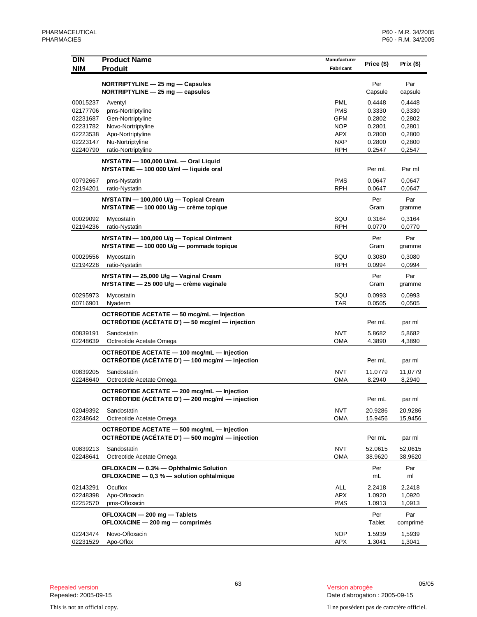| <b>DIN</b>           | <b>Product Name</b>                                             | Manufacturer      | Price (\$)       | Prix $(\$)$      |
|----------------------|-----------------------------------------------------------------|-------------------|------------------|------------------|
| <b>NIM</b>           | <b>Produit</b>                                                  | Fabricant         |                  |                  |
|                      | NORTRIPTYLINE - 25 mg - Capsules                                |                   | Per              | Par              |
|                      | NORTRIPTYLINE $-$ 25 mg $-$ capsules                            |                   | Capsule          | capsule          |
| 00015237             | Aventyl                                                         | <b>PML</b>        | 0.4448           | 0,4448           |
| 02177706             | pms-Nortriptyline                                               | <b>PMS</b>        | 0.3330           | 0,3330           |
| 02231687             | Gen-Nortriptyline                                               | <b>GPM</b>        | 0.2802           | 0,2802           |
| 02231782             | Novo-Nortriptyline                                              | <b>NOP</b>        | 0.2801           | 0,2801           |
| 02223538             | Apo-Nortriptyline                                               | APX<br><b>NXP</b> | 0.2800<br>0.2800 | 0,2800           |
| 02223147<br>02240790 | Nu-Nortriptyline<br>ratio-Nortriptyline                         | RPH               | 0.2547           | 0,2800<br>0,2547 |
|                      | NYSTATIN - 100,000 U/mL - Oral Liquid                           |                   |                  |                  |
|                      | NYSTATINE - 100 000 U/ml - liquide oral                         |                   | Per mL           | Par ml           |
| 00792667             |                                                                 | <b>PMS</b>        | 0.0647           | 0,0647           |
| 02194201             | pms-Nystatin<br>ratio-Nystatin                                  | <b>RPH</b>        | 0.0647           | 0,0647           |
|                      | NYSTATIN - 100,000 U/g - Topical Cream                          |                   | Per              | Par              |
|                      | NYSTATINE - 100 000 U/g - crème topique                         |                   | Gram             | gramme           |
| 00029092             | Mycostatin                                                      | SQU               | 0.3164           | 0,3164           |
| 02194236             | ratio-Nystatin                                                  | <b>RPH</b>        | 0.0770           | 0,0770           |
|                      | NYSTATIN - 100,000 U/g - Topical Ointment                       |                   | Per              | Par              |
|                      | NYSTATINE - 100 000 U/g - pommade topique                       |                   | Gram             | gramme           |
| 00029556             | Mycostatin                                                      | SQU               | 0.3080           | 0,3080           |
| 02194228             | ratio-Nystatin                                                  | RPH               | 0.0994           | 0,0994           |
|                      | NYSTATIN - 25,000 U/g - Vaginal Cream                           |                   | Per              | Par              |
|                      | NYSTATINE - 25 000 U/g - crème vaginale                         |                   | Gram             | gramme           |
| 00295973             | Mycostatin                                                      | SQU               | 0.0993           | 0,0993           |
| 00716901             | Nyaderm                                                         | TAR               | 0.0505           | 0,0505           |
|                      | OCTREOTIDE ACETATE - 50 mcg/mL - Injection                      |                   |                  |                  |
|                      | OCTRÉOTIDE (ACÉTATE D') - 50 mcg/ml - injection                 |                   | Per mL           | par ml           |
| 00839191             | Sandostatin                                                     | <b>NVT</b>        | 5.8682           | 5,8682           |
| 02248639             | Octreotide Acetate Omega                                        | OMA               | 4.3890           | 4,3890           |
|                      | OCTREOTIDE ACETATE - 100 mcg/mL - Injection                     |                   |                  |                  |
|                      | OCTRÉOTIDE (ACÉTATE D') - 100 mcg/ml - injection                |                   | Per mL           | par ml           |
| 00839205             | Sandostatin                                                     | <b>NVT</b>        | 11.0779          | 11,0779          |
| 02248640             | Octreotide Acetate Omega                                        | OMA               | 8.2940           | 8,2940           |
|                      | OCTREOTIDE ACETATE - 200 mcg/mL - Injection                     |                   |                  |                  |
|                      | OCTRÉOTIDE (ACÉTATE D') - 200 mcg/ml - injection                |                   | Per mL           | par ml           |
| 02049392             | Sandostatin                                                     | <b>NVT</b>        | 20.9286          | 20,9286          |
| 02248642             | Octreotide Acetate Omega                                        | <b>OMA</b>        | 15.9456          | 15,9456          |
|                      | OCTREOTIDE ACETATE - 500 mcg/mL - Injection                     |                   |                  |                  |
|                      | OCTRÉOTIDE (ACÉTATE D') - 500 mcg/ml - injection                |                   | Per mL           | par ml           |
| 00839213             | Sandostatin                                                     | <b>NVT</b>        | 52.0615          | 52,0615          |
| 02248641             | Octreotide Acetate Omega                                        | OMA               | 38.9620          | 38,9620          |
|                      | OFLOXACIN - 0.3% - Ophthalmic Solution                          |                   | Per              | Par              |
|                      | OFLOXACINE $-$ 0,3 % $-$ solution ophtalmique                   |                   | mL               | ml               |
| 02143291             | Ocuflox                                                         | <b>ALL</b>        | 2.2418           | 2,2418           |
| 02248398<br>02252570 | Apo-Ofloxacin<br>pms-Ofloxacin                                  | <b>APX</b><br>PMS | 1.0920<br>1.0913 | 1,0920<br>1,0913 |
|                      |                                                                 |                   |                  |                  |
|                      | OFLOXACIN - 200 mg - Tablets<br>OFLOXACINE - 200 mg - comprimés |                   | Per<br>Tablet    | Par<br>comprimé  |
|                      |                                                                 |                   |                  |                  |
| 02243474<br>02231529 | Novo-Ofloxacin<br>Apo-Oflox                                     | <b>NOP</b><br>APX | 1.5939<br>1.3041 | 1,5939<br>1,3041 |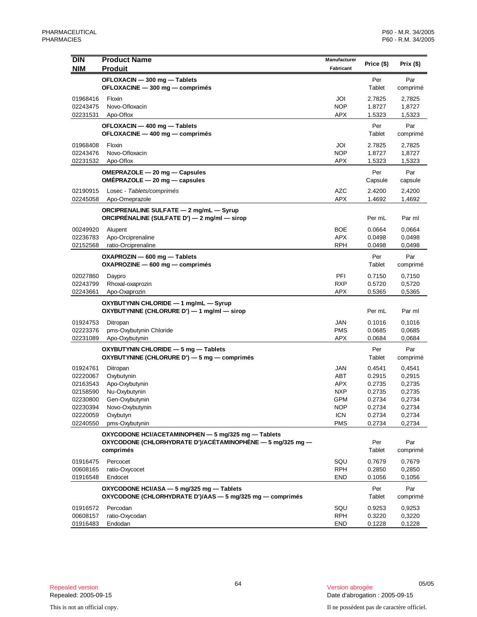| <b>DIN</b><br><b>NIM</b>                                                                     | <b>Product Name</b><br><b>Produit</b>                                                                                             | Manufacturer<br>Fabricant                                                        | Price (\$)                                                                   | Prix $($)$                                                                   |
|----------------------------------------------------------------------------------------------|-----------------------------------------------------------------------------------------------------------------------------------|----------------------------------------------------------------------------------|------------------------------------------------------------------------------|------------------------------------------------------------------------------|
|                                                                                              | OFLOXACIN - 300 mg - Tablets<br>OFLOXACINE - 300 mg - comprimés                                                                   |                                                                                  | Per<br>Tablet                                                                | Par<br>comprimé                                                              |
| 01968416<br>02243475<br>02231531                                                             | Floxin<br>Novo-Ofloxacin<br>Apo-Oflox                                                                                             | JOI<br><b>NOP</b><br><b>APX</b>                                                  | 2.7825<br>1.8727<br>1.5323                                                   | 2,7825<br>1,8727<br>1,5323                                                   |
|                                                                                              | OFLOXACIN - 400 mg - Tablets<br>OFLOXACINE - 400 mg - comprimés                                                                   |                                                                                  | Per<br>Tablet                                                                | Par<br>comprimé                                                              |
| 01968408<br>02243476<br>02231532                                                             | Floxin<br>Novo-Ofloxacin<br>Apo-Oflox                                                                                             | JOI<br><b>NOP</b><br>APX                                                         | 2.7825<br>1.8727<br>1.5323                                                   | 2,7825<br>1,8727<br>1,5323                                                   |
|                                                                                              | OMEPRAZOLE - 20 mg - Capsules<br>$OMEPRAZOLE - 20 mg - capsules$                                                                  |                                                                                  | Per<br>Capsule                                                               | Par<br>capsule                                                               |
| 02190915<br>02245058                                                                         | Losec - Tablets/comprimés<br>Apo-Omeprazole                                                                                       | AZC<br><b>APX</b>                                                                | 2.4200<br>1.4692                                                             | 2,4200<br>1,4692                                                             |
|                                                                                              | ORCIPRENALINE SULFATE - 2 mg/mL - Syrup<br>ORCIPRÉNALINE (SULFATE D') - 2 mg/ml - sirop                                           |                                                                                  | Per mL                                                                       | Par ml                                                                       |
| 00249920<br>02236783<br>02152568                                                             | Alupent<br>Apo-Orciprenaline<br>ratio-Orciprenaline                                                                               | BOE<br><b>APX</b><br>RPH                                                         | 0.0664<br>0.0498<br>0.0498                                                   | 0,0664<br>0,0498<br>0,0498                                                   |
|                                                                                              | OXAPROZIN - 600 mg - Tablets<br>$OXAPROZINE - 600 mg - comprimés$                                                                 |                                                                                  | Per<br>Tablet                                                                | Par<br>comprimé                                                              |
| 02027860<br>02243799<br>02243661                                                             | Daypro<br>Rhoxal-oxaprozin<br>Apo-Oxaprozin                                                                                       | PFI<br><b>RXP</b><br>APX                                                         | 0.7150<br>0.5720<br>0.5365                                                   | 0,7150<br>0,5720<br>0,5365                                                   |
|                                                                                              | OXYBUTYNIN CHLORIDE - 1 mg/mL - Syrup<br>OXYBUTYNINE (CHLORURE D') - 1 mg/ml - sirop                                              |                                                                                  | Per mL                                                                       | Par ml                                                                       |
| 01924753<br>02223376<br>02231089                                                             | Ditropan<br>pms-Oxybutynin Chloride<br>Apo-Oxybutynin                                                                             | <b>JAN</b><br><b>PMS</b><br><b>APX</b>                                           | 0.1016<br>0.0685<br>0.0684                                                   | 0,1016<br>0,0685<br>0,0684                                                   |
|                                                                                              | OXYBUTYNIN CHLORIDE - 5 mg - Tablets<br>OXYBUTYNINE (CHLORURE D') - 5 mg - comprimés                                              |                                                                                  | Per<br>Tablet                                                                | Par<br>comprimé                                                              |
| 01924761<br>02220067<br>02163543<br>02158590<br>02230800<br>02230394<br>02220059<br>02240550 | Ditropan<br>Oxybutynin<br>Apo-Oxybutynin<br>Nu-Oxybutynin<br>Gen-Oxybutynin<br>Novo-Oxybutynin<br>Oxybutyn<br>pms-Oxybutynin      | JAN<br>ABT<br>APX<br><b>NXP</b><br><b>GPM</b><br>NOP<br><b>ICN</b><br><b>PMS</b> | 0.4541<br>0.2915<br>0.2735<br>0.2735<br>0.2734<br>0.2734<br>0.2734<br>0.2734 | 0,4541<br>0,2915<br>0,2735<br>0,2735<br>0,2734<br>0,2734<br>0,2734<br>0,2734 |
|                                                                                              | OXYCODONE HCI/ACETAMINOPHEN - 5 mg/325 mg - Tablets<br>OXYCODONE (CHLORHYDRATE D')/ACÉTAMINOPHÈNE $-5$ mg/325 mg $-$<br>comprimés |                                                                                  | Per<br>Tablet                                                                | Par<br>comprimé                                                              |
| 01916475<br>00608165<br>01916548                                                             | Percocet<br>ratio-Oxycocet<br>Endocet                                                                                             | SQU<br>RPH<br>END                                                                | 0.7679<br>0.2850<br>0.1056                                                   | 0,7679<br>0,2850<br>0,1056                                                   |
|                                                                                              | OXYCODONE HCI/ASA - 5 mg/325 mg - Tablets<br>OXYCODONE (CHLORHYDRATE D')/AAS - 5 mg/325 mg - comprimés                            |                                                                                  | Per<br>Tablet                                                                | Par<br>comprimé                                                              |
| 01916572<br>00608157<br>01916483                                                             | Percodan<br>ratio-Oxycodan<br>Endodan                                                                                             | SQU<br><b>RPH</b><br><b>END</b>                                                  | 0.9253<br>0.3220<br>0.1228                                                   | 0,9253<br>0,3220<br>0,1228                                                   |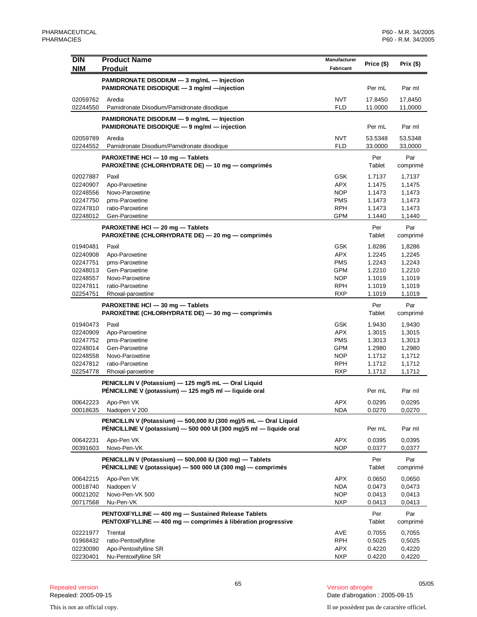| <b>DIN</b><br><b>NIM</b> | <b>Product Name</b><br><b>Produit</b>                                                                                                    | Manufacturer<br>Fabricant | Price (\$) | Prix $($ \$) |
|--------------------------|------------------------------------------------------------------------------------------------------------------------------------------|---------------------------|------------|--------------|
|                          |                                                                                                                                          |                           |            |              |
|                          | PAMIDRONATE DISODIUM - 3 mg/mL - Injection                                                                                               |                           |            |              |
|                          | PAMIDRONATE DISODIQUE - 3 mg/ml - injection                                                                                              |                           | Per mL     | Par ml       |
| 02059762                 | Aredia                                                                                                                                   | <b>NVT</b>                | 17.8450    | 17,8450      |
| 02244550                 | Pamidronate Disodium/Pamidronate disodique                                                                                               | <b>FLD</b>                | 11.0000    | 11,0000      |
|                          | PAMIDRONATE DISODIUM - 9 mg/mL - Injection                                                                                               |                           |            |              |
|                          | PAMIDRONATE DISODIQUE - 9 mg/ml - injection                                                                                              |                           | Per mL     | Par ml       |
| 02059789                 | Aredia                                                                                                                                   | NVT                       | 53.5348    | 53,5348      |
| 02244552                 | Pamidronate Disodium/Pamidronate disodique                                                                                               | <b>FLD</b>                | 33.0000    | 33,0000      |
|                          | PAROXETINE HCI - 10 mg - Tablets                                                                                                         |                           | Per        | Par          |
|                          | PAROXÉTINE (CHLORHYDRATE DE) — 10 mg — comprimés                                                                                         |                           | Tablet     | comprimé     |
| 02027887                 | Paxil                                                                                                                                    | <b>GSK</b>                | 1.7137     | 1,7137       |
| 02240907                 | Apo-Paroxetine                                                                                                                           | <b>APX</b>                | 1.1475     | 1,1475       |
| 02248556                 | Novo-Paroxetine                                                                                                                          | <b>NOP</b>                | 1.1473     | 1,1473       |
| 02247750                 | pms-Paroxetine                                                                                                                           | <b>PMS</b>                | 1.1473     | 1,1473       |
| 02247810                 | ratio-Paroxetine                                                                                                                         | <b>RPH</b>                | 1.1473     | 1,1473       |
| 02248012                 | Gen-Paroxetine                                                                                                                           | <b>GPM</b>                | 1.1440     | 1,1440       |
|                          | PAROXETINE HCI - 20 mg - Tablets                                                                                                         |                           | Per        | Par          |
|                          | PAROXÉTINE (CHLORHYDRATE DE) - 20 mg - comprimés                                                                                         |                           | Tablet     | comprimé     |
| 01940481                 | Paxil                                                                                                                                    | <b>GSK</b>                | 1.8286     | 1,8286       |
| 02240908                 | Apo-Paroxetine                                                                                                                           | <b>APX</b>                | 1.2245     | 1,2245       |
| 02247751                 | pms-Paroxetine                                                                                                                           | <b>PMS</b>                | 1.2243     | 1,2243       |
| 02248013                 | Gen-Paroxetine                                                                                                                           | GPM                       | 1.2210     | 1,2210       |
| 02248557                 | Novo-Paroxetine                                                                                                                          | <b>NOP</b>                | 1.1019     | 1,1019       |
| 02247811                 | ratio-Paroxetine                                                                                                                         | <b>RPH</b>                | 1.1019     | 1,1019       |
| 02254751                 | Rhoxal-paroxetine                                                                                                                        | <b>RXP</b>                | 1.1019     | 1,1019       |
|                          | PAROXETINE HCI - 30 mg - Tablets                                                                                                         |                           | Per        | Par          |
|                          | PAROXÉTINE (CHLORHYDRATE DE) — 30 mg — comprimés                                                                                         |                           | Tablet     | comprimé     |
| 01940473                 | Paxil                                                                                                                                    | <b>GSK</b>                | 1.9430     | 1,9430       |
| 02240909                 | Apo-Paroxetine                                                                                                                           | <b>APX</b>                | 1.3015     | 1,3015       |
| 02247752                 | pms-Paroxetine                                                                                                                           | <b>PMS</b>                | 1.3013     | 1,3013       |
| 02248014                 | Gen-Paroxetine                                                                                                                           | GPM                       | 1.2980     | 1,2980       |
| 02248558                 | Novo-Paroxetine                                                                                                                          | <b>NOP</b>                | 1.1712     | 1,1712       |
| 02247812                 | ratio-Paroxetine                                                                                                                         | <b>RPH</b>                | 1.1712     | 1,1712       |
| 02254778                 | Rhoxal-paroxetine                                                                                                                        | RXP                       | 1.1712     | 1,1712       |
|                          | PENICILLIN V (Potassium) - 125 mg/5 mL - Oral Liquid                                                                                     |                           |            |              |
|                          | PÉNICILLINE V (potassium) - 125 mg/5 ml - liquide oral                                                                                   |                           | Per mL     | Par ml       |
| 00642223                 | Apo-Pen VK                                                                                                                               | APX                       | 0.0295     | 0,0295       |
| 00018635                 | Nadopen V 200                                                                                                                            | <b>NDA</b>                | 0.0270     | 0,0270       |
|                          |                                                                                                                                          |                           |            |              |
|                          | PENICILLIN V (Potassium) - 500,000 IU (300 mg)/5 mL - Oral Liquid<br>PÉNICILLINE V (potassium) - 500 000 UI (300 mg)/5 ml - liquide oral |                           | Per mL     | Par ml       |
|                          |                                                                                                                                          |                           |            |              |
| 00642231                 | Apo-Pen VK                                                                                                                               | <b>APX</b>                | 0.0395     | 0,0395       |
| 00391603                 | Novo-Pen-VK                                                                                                                              | <b>NOP</b>                | 0.0377     | 0,0377       |
|                          | PENICILLIN V (Potassium) - 500,000 IU (300 mg) - Tablets                                                                                 |                           | Per        | Par          |
|                          | PÉNICILLINE V (potassique) — 500 000 UI (300 mg) — comprimés                                                                             |                           | Tablet     | comprimé     |
| 00642215                 | Apo-Pen VK                                                                                                                               | APX                       | 0.0650     | 0,0650       |
| 00018740                 | Nadopen V                                                                                                                                | <b>NDA</b>                | 0.0473     | 0,0473       |
| 00021202                 | Novo-Pen-VK 500                                                                                                                          | <b>NOP</b>                | 0.0413     | 0,0413       |
| 00717568                 | Nu-Pen-VK                                                                                                                                | <b>NXP</b>                | 0.0413     | 0,0413       |
|                          | PENTOXIFYLLINE - 400 mg - Sustained Release Tablets                                                                                      |                           | Per        | Par          |
|                          | PENTOXIFYLLINE - 400 mg - comprimés à libération progressive                                                                             |                           | Tablet     | comprimé     |
| 02221977                 | Trental                                                                                                                                  | AVE                       | 0.7055     | 0,7055       |
| 01968432                 | ratio-Pentoxifylline                                                                                                                     | <b>RPH</b>                | 0.5025     | 0,5025       |
| 02230090                 | Apo-Pentoxifylline SR                                                                                                                    | APX                       | 0.4220     | 0,4220       |
| 02230401                 | Nu-Pentoxifylline SR                                                                                                                     | NXP                       | 0.4220     | 0,4220       |

<sup>65</sup> 05/05 Repealed version Version abrogée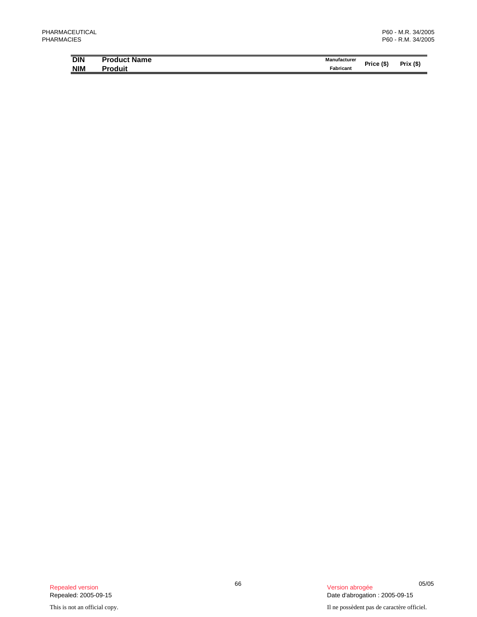| <b>DIN</b> | <b>Product Name</b> | Manufacturer |            |                    |
|------------|---------------------|--------------|------------|--------------------|
| <b>NIM</b> | Produit             | Fabricant    | Price (\$' | (S)<br><b>Prix</b> |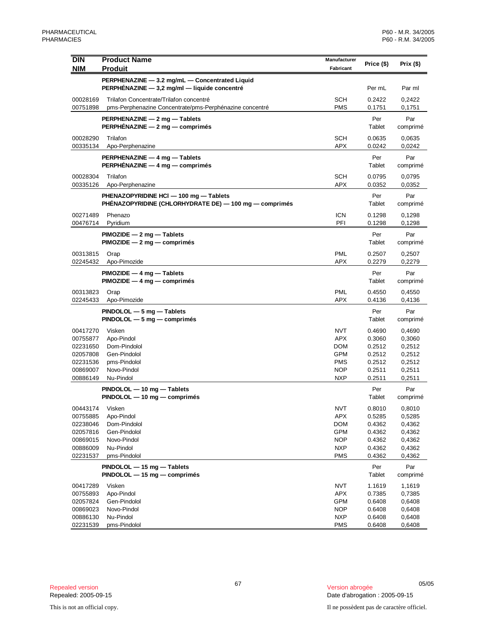| <b>DIN</b><br><b>NIM</b>                                                         | <b>Product Name</b><br><b>Produit</b>                                                              | Manufacturer<br>Fabricant                                                                      | Price (\$)                                                         | Prix $($ \$)                                                       |
|----------------------------------------------------------------------------------|----------------------------------------------------------------------------------------------------|------------------------------------------------------------------------------------------------|--------------------------------------------------------------------|--------------------------------------------------------------------|
|                                                                                  | PERPHENAZINE - 3.2 mg/mL - Concentrated Liquid                                                     |                                                                                                |                                                                    |                                                                    |
|                                                                                  | PERPHÉNAZINE - 3,2 mg/ml - liquide concentré                                                       |                                                                                                | Per mL                                                             | Par ml                                                             |
| 00028169<br>00751898                                                             | Trilafon Concentrate/Trilafon concentré<br>pms-Perphenazine Concentrate/pms-Perphénazine concentré | <b>SCH</b><br><b>PMS</b>                                                                       | 0.2422<br>0.1751                                                   | 0,2422<br>0,1751                                                   |
|                                                                                  | PERPHENAZINE - 2 mg - Tablets<br>PERPHENAZINE - 2 mg - comprimés                                   |                                                                                                | Per<br>Tablet                                                      | Par<br>comprimé                                                    |
| 00028290<br>00335134                                                             | Trilafon<br>Apo-Perphenazine                                                                       | <b>SCH</b><br><b>APX</b>                                                                       | 0.0635<br>0.0242                                                   | 0,0635<br>0,0242                                                   |
|                                                                                  | PERPHENAZINE - 4 mg - Tablets<br>PERPHÉNAZINE - 4 mg - comprimés                                   |                                                                                                | Per<br>Tablet                                                      | Par<br>comprimé                                                    |
| 00028304<br>00335126                                                             | Trilafon<br>Apo-Perphenazine                                                                       | <b>SCH</b><br><b>APX</b>                                                                       | 0.0795<br>0.0352                                                   | 0,0795<br>0,0352                                                   |
|                                                                                  | PHENAZOPYRIDINE HCI - 100 mg - Tablets<br>PHÉNAZOPYRIDINE (CHLORHYDRATE DE) — 100 mg — comprimés   |                                                                                                | Per<br>Tablet                                                      | Par<br>comprimé                                                    |
| 00271489<br>00476714                                                             | Phenazo<br>Pyridium                                                                                | <b>ICN</b><br>PFI                                                                              | 0.1298<br>0.1298                                                   | 0,1298<br>0.1298                                                   |
|                                                                                  | $PIMOZIDE - 2 mg - Tables$<br>$PIMOZIDE - 2 mg - comprimés$                                        |                                                                                                | Per<br>Tablet                                                      | Par<br>comprimé                                                    |
| 00313815<br>02245432                                                             | Orap<br>Apo-Pimozide                                                                               | <b>PML</b><br><b>APX</b>                                                                       | 0.2507<br>0.2279                                                   | 0,2507<br>0,2279                                                   |
|                                                                                  | $PIMOZIDE - 4 mg - Tables$<br>$PIMOZIDE - 4 mg - comprimés$                                        |                                                                                                | Per<br>Tablet                                                      | Par<br>comprimé                                                    |
| 00313823<br>02245433                                                             | Orap<br>Apo-Pimozide                                                                               | <b>PML</b><br><b>APX</b>                                                                       | 0.4550<br>0.4136                                                   | 0,4550<br>0,4136                                                   |
|                                                                                  | PINDOLOL - 5 mg - Tablets<br>$PINDOLOL - 5 mg - comprimés$                                         |                                                                                                | Per<br>Tablet                                                      | Par<br>comprimé                                                    |
| 00417270<br>00755877<br>02231650<br>02057808<br>02231536<br>00869007<br>00886149 | Visken<br>Apo-Pindol<br>Dom-Pindolol<br>Gen-Pindolol<br>pms-Pindolol<br>Novo-Pindol<br>Nu-Pindol   | <b>NVT</b><br><b>APX</b><br><b>DOM</b><br><b>GPM</b><br><b>PMS</b><br><b>NOP</b><br><b>NXP</b> | 0.4690<br>0.3060<br>0.2512<br>0.2512<br>0.2512<br>0.2511<br>0.2511 | 0,4690<br>0,3060<br>0,2512<br>0,2512<br>0,2512<br>0,2511<br>0,2511 |
|                                                                                  | PINDOLOL - 10 mg - Tablets<br>PINDOLOL - 10 mg - comprimés                                         |                                                                                                | Per<br>Tablet                                                      | Par<br>comprimé                                                    |
| 00443174<br>00755885<br>02238046<br>02057816<br>00869015<br>00886009<br>02231537 | Visken<br>Apo-Pindol<br>Dom-Pindolol<br>Gen-Pindolol<br>Novo-Pindol<br>Nu-Pindol<br>pms-Pindolol   | <b>NVT</b><br><b>APX</b><br><b>DOM</b><br>GPM<br><b>NOP</b><br><b>NXP</b><br><b>PMS</b>        | 0.8010<br>0.5285<br>0.4362<br>0.4362<br>0.4362<br>0.4362<br>0.4362 | 0,8010<br>0,5285<br>0,4362<br>0,4362<br>0,4362<br>0,4362<br>0,4362 |
|                                                                                  | PINDOLOL - 15 mg - Tablets<br>PINDOLOL - 15 mg - comprimés                                         |                                                                                                | Per<br>Tablet                                                      | Par<br>comprimé                                                    |
| 00417289<br>00755893<br>02057824<br>00869023<br>00886130<br>02231539             | Visken<br>Apo-Pindol<br>Gen-Pindolol<br>Novo-Pindol<br>Nu-Pindol<br>pms-Pindolol                   | NVT<br><b>APX</b><br><b>GPM</b><br><b>NOP</b><br><b>NXP</b><br><b>PMS</b>                      | 1.1619<br>0.7385<br>0.6408<br>0.6408<br>0.6408<br>0.6408           | 1,1619<br>0,7385<br>0,6408<br>0,6408<br>0,6408<br>0,6408           |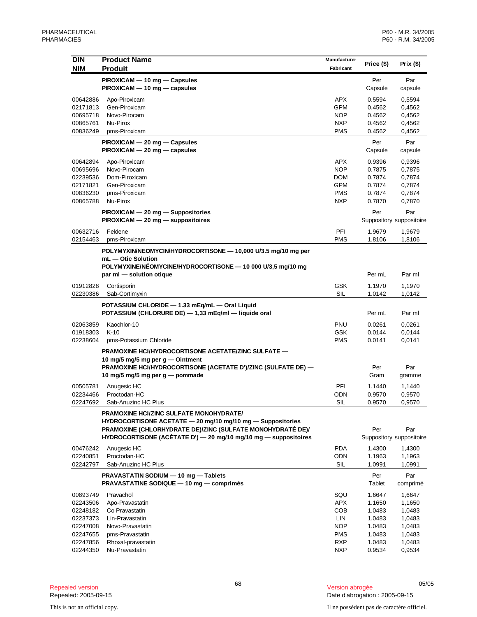| <b>DIN</b>           | <b>Product Name</b>                                                 | Manufacturer             | Price (\$)       | Prix $(\$)$              |
|----------------------|---------------------------------------------------------------------|--------------------------|------------------|--------------------------|
| <b>NIM</b>           | <b>Produit</b>                                                      | Fabricant                |                  |                          |
|                      | PIROXICAM - 10 mg - Capsules                                        |                          | Per              | Par                      |
|                      | $PIROXICAM - 10 mg - capsules$                                      |                          | Capsule          | capsule                  |
| 00642886             | Apo-Piroxicam                                                       | <b>APX</b>               | 0.5594           | 0,5594                   |
| 02171813             | Gen-Piroxicam                                                       | <b>GPM</b>               | 0.4562           | 0,4562                   |
| 00695718             | Novo-Pirocam                                                        | <b>NOP</b>               | 0.4562           | 0,4562                   |
| 00865761<br>00836249 | Nu-Pirox<br>pms-Piroxicam                                           | <b>NXP</b><br><b>PMS</b> | 0.4562<br>0.4562 | 0,4562<br>0,4562         |
|                      |                                                                     |                          |                  |                          |
|                      | PIROXICAM - 20 mg - Capsules<br>$PIROXICAM - 20 mg - capsules$      |                          | Per<br>Capsule   | Par                      |
|                      |                                                                     |                          |                  | capsule                  |
| 00642894             | Apo-Piroxicam                                                       | APX                      | 0.9396           | 0,9396                   |
| 00695696<br>02239536 | Novo-Pirocam<br>Dom-Piroxicam                                       | <b>NOP</b><br><b>DOM</b> | 0.7875<br>0.7874 | 0,7875<br>0,7874         |
| 02171821             | Gen-Piroxicam                                                       | GPM                      | 0.7874           | 0,7874                   |
| 00836230             | pms-Piroxicam                                                       | <b>PMS</b>               | 0.7874           | 0,7874                   |
| 00865788             | Nu-Pirox                                                            | <b>NXP</b>               | 0.7870           | 0,7870                   |
|                      | PIROXICAM - 20 mg - Suppositories                                   |                          | Per              | Par                      |
|                      | $PIROXICAM - 20 mg - $ suppositoires                                |                          |                  | Suppository suppositoire |
| 00632716             | Feldene                                                             | PFI                      | 1.9679           | 1,9679                   |
| 02154463             | pms-Piroxicam                                                       | <b>PMS</b>               | 1.8106           | 1,8106                   |
|                      | POLYMYXIN/NEOMYCIN/HYDROCORTISONE - 10,000 U/3.5 mg/10 mg per       |                          |                  |                          |
|                      | mL - Otic Solution                                                  |                          |                  |                          |
|                      | POLYMYXINE/NÉOMYCINE/HYDROCORTISONE - 10 000 U/3,5 mg/10 mg         |                          |                  |                          |
|                      | par ml - solution otique                                            |                          | Per mL           | Par ml                   |
| 01912828             | Cortisporin                                                         | <b>GSK</b>               | 1.1970           | 1,1970                   |
| 02230386             | Sab-Cortimyxin                                                      | <b>SIL</b>               | 1.0142           | 1,0142                   |
|                      | POTASSIUM CHLORIDE - 1.33 mEg/mL - Oral Liquid                      |                          |                  |                          |
|                      | POTASSIUM (CHLORURE DE) - 1,33 mEq/ml - liquide oral                |                          | Per mL           | Par ml                   |
| 02063859             | Kaochlor-10                                                         | PNU                      | 0.0261           | 0,0261                   |
| 01918303             | $K-10$                                                              | <b>GSK</b>               | 0.0144           | 0,0144                   |
| 02238604             | pms-Potassium Chloride                                              | <b>PMS</b>               | 0.0141           | 0,0141                   |
|                      | PRAMOXINE HCI/HYDROCORTISONE ACETATE/ZINC SULFATE -                 |                          |                  |                          |
|                      | 10 mg/5 mg/5 mg per $g$ — Ointment                                  |                          |                  |                          |
|                      | PRAMOXINE HCI/HYDROCORTISONE (ACETATE D')/ZINC (SULFATE DE) -       |                          | Per              | Par                      |
|                      | 10 mg/5 mg/5 mg per g - pommade                                     |                          | Gram             | gramme                   |
| 00505781             | Anugesic HC                                                         | PFI                      | 1.1440           | 1,1440                   |
| 02234466             | Proctodan-HC                                                        | <b>ODN</b>               | 0.9570           | 0,9570                   |
| 02247692             | Sab-Anuzinc HC Plus                                                 | SIL                      | 0.9570           | 0,9570                   |
|                      | <b>PRAMOXINE HCI/ZINC SULFATE MONOHYDRATE/</b>                      |                          |                  |                          |
|                      | HYDROCORTISONE ACETATE - 20 mg/10 mg/10 mg - Suppositories          |                          |                  |                          |
|                      | PRAMOXINE (CHLORHYDRATE DE)/ZINC (SULFATE MONOHYDRATÉ DE)/          |                          | Per              | Par                      |
|                      | HYDROCORTISONE (ACÉTATE D') $-$ 20 mg/10 mg/10 mg $-$ suppositoires |                          |                  | Suppository suppositoire |
| 00476242             | Anugesic HC                                                         | <b>PDA</b>               | 1.4300           | 1,4300                   |
| 02240851             | Proctodan-HC                                                        | ODN                      | 1.1963           | 1,1963                   |
| 02242797             | Sab-Anuzinc HC Plus                                                 | SIL                      | 1.0991           | 1,0991                   |
|                      | PRAVASTATIN SODIUM - 10 mg - Tablets                                |                          | Per              | Par                      |
|                      | PRAVASTATINE SODIQUE - 10 mg - comprimés                            |                          | Tablet           | comprimé                 |
| 00893749             | Pravachol                                                           | SQU                      | 1.6647           | 1,6647                   |
| 02243506             | Apo-Pravastatin                                                     | APX                      | 1.1650           | 1,1650                   |
| 02248182             | Co Pravastatin                                                      | COB                      | 1.0483           | 1,0483                   |
| 02237373             | Lin-Pravastatin                                                     | LIN                      | 1.0483           | 1,0483                   |
| 02247008<br>02247655 | Novo-Pravastatin<br>pms-Pravastatin                                 | <b>NOP</b><br><b>PMS</b> | 1.0483<br>1.0483 | 1,0483<br>1,0483         |
| 02247856             | Rhoxal-pravastatin                                                  | <b>RXP</b>               | 1.0483           | 1,0483                   |
| 02244350             | Nu-Pravastatin                                                      | <b>NXP</b>               | 0.9534           | 0,9534                   |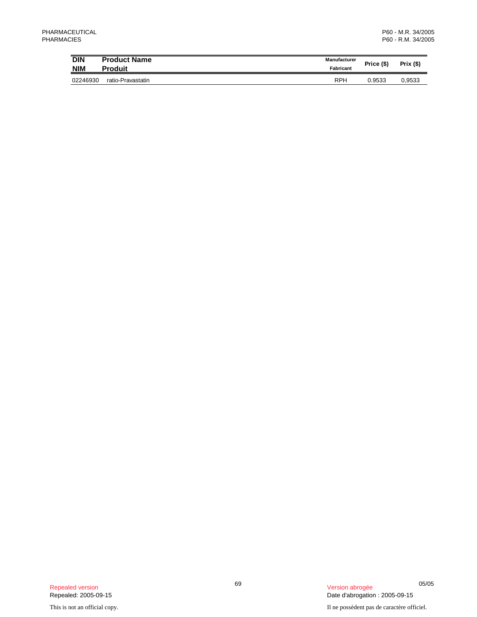| <b>DIN</b><br><b>NIM</b> | <b>Product Name</b><br><b>Produit</b> | Manufacturer<br>Fabricant | Price (\$) | Prix $($ \$) |
|--------------------------|---------------------------------------|---------------------------|------------|--------------|
| 02246930                 | ratio-Pravastatin                     | <b>RPH</b>                | 0.9533     | 0.9533       |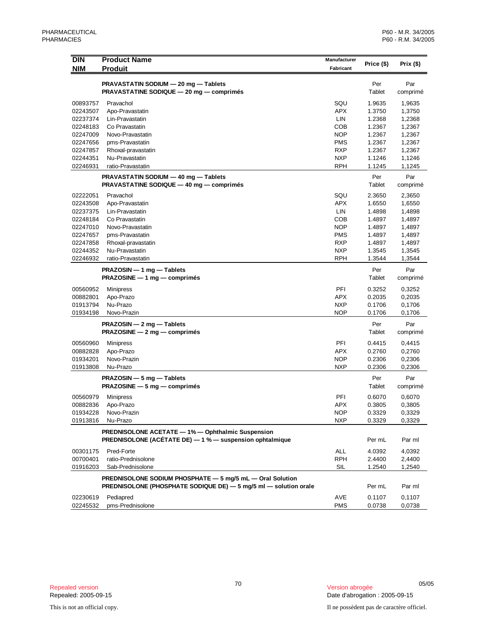| <b>DIN</b><br><b>NIM</b>                                    | <b>Product Name</b><br><b>Produit</b>                                                                                         | <b>Manufacturer</b><br>Fabricant | Price (\$)       | Prix $($ \$)     |
|-------------------------------------------------------------|-------------------------------------------------------------------------------------------------------------------------------|----------------------------------|------------------|------------------|
|                                                             | PRAVASTATIN SODIUM - 20 mg - Tablets<br>PRAVASTATINE SODIQUE - 20 mg - comprimés                                              |                                  | Per<br>Tablet    | Par<br>comprimé  |
| 00893757                                                    | Pravachol                                                                                                                     | SQU                              | 1.9635           | 1,9635           |
| 02243507                                                    | Apo-Pravastatin                                                                                                               | <b>APX</b>                       | 1.3750           | 1,3750           |
| 02237374                                                    | Lin-Pravastatin                                                                                                               | LIN                              | 1.2368           | 1,2368           |
| 02248183                                                    | Co Pravastatin                                                                                                                | COB                              | 1.2367           | 1,2367           |
| 02247009                                                    | Novo-Pravastatin                                                                                                              | <b>NOP</b>                       | 1.2367           | 1,2367           |
| 02247656                                                    | pms-Pravastatin                                                                                                               | <b>PMS</b>                       | 1.2367           | 1,2367           |
| 02247857                                                    | Rhoxal-pravastatin                                                                                                            | <b>RXP</b>                       | 1.2367           | 1,2367           |
| 02244351                                                    | Nu-Pravastatin                                                                                                                | <b>NXP</b>                       | 1.1246           | 1,1246           |
| 02246931                                                    | ratio-Pravastatin                                                                                                             | <b>RPH</b>                       | 1.1245           | 1,1245           |
|                                                             | PRAVASTATIN SODIUM - 40 mg - Tablets<br>PRAVASTATINE SODIQUE - 40 mg - comprimés                                              |                                  | Per<br>Tablet    | Par<br>comprimé  |
| 02222051                                                    | Pravachol                                                                                                                     | SQU                              | 2.3650           | 2,3650           |
| 02243508                                                    | Apo-Pravastatin                                                                                                               | <b>APX</b>                       | 1.6550           | 1,6550           |
| 02237375                                                    | Lin-Pravastatin                                                                                                               | LIN                              | 1.4898           | 1,4898           |
| 02248184                                                    | Co Pravastatin                                                                                                                | <b>COB</b>                       | 1.4897           | 1,4897           |
| 02247010                                                    | Novo-Pravastatin                                                                                                              | <b>NOP</b>                       | 1.4897           | 1,4897           |
| 02247657                                                    | pms-Pravastatin                                                                                                               | <b>PMS</b>                       | 1.4897           | 1,4897           |
| 02247858                                                    | Rhoxal-pravastatin                                                                                                            | <b>RXP</b>                       | 1.4897           | 1,4897           |
| 02244352                                                    | Nu-Pravastatin                                                                                                                | <b>NXP</b>                       | 1.3545           | 1,3545           |
| 02246932                                                    | ratio-Pravastatin                                                                                                             | <b>RPH</b>                       | 1.3544           | 1,3544           |
| PRAZOSIN - 1 mg - Tablets<br>$PRAZOSINE - 1 mg - comprimés$ |                                                                                                                               |                                  | Per<br>Tablet    | Par<br>comprimé  |
|                                                             |                                                                                                                               |                                  |                  |                  |
| 00560952<br>00882801                                        | Minipress                                                                                                                     | PFI<br>APX                       | 0.3252<br>0.2035 | 0,3252           |
| 01913794                                                    | Apo-Prazo<br>Nu-Prazo                                                                                                         | <b>NXP</b>                       | 0.1706           | 0,2035<br>0,1706 |
| 01934198                                                    | Novo-Prazin                                                                                                                   | <b>NOP</b>                       | 0.1706           | 0,1706           |
|                                                             |                                                                                                                               |                                  |                  |                  |
|                                                             | PRAZOSIN - 2 mg - Tablets<br>$PRAZOSINE - 2 mg - comprimés$                                                                   |                                  | Per<br>Tablet    | Par<br>comprimé  |
| 00560960                                                    | Minipress                                                                                                                     | PFI                              | 0.4415           | 0,4415           |
| 00882828                                                    | Apo-Prazo                                                                                                                     | <b>APX</b>                       | 0.2760           | 0,2760           |
| 01934201                                                    | Novo-Prazin                                                                                                                   | <b>NOP</b>                       | 0.2306           | 0,2306           |
| 01913808                                                    | Nu-Prazo                                                                                                                      | <b>NXP</b>                       | 0.2306           | 0,2306           |
|                                                             | PRAZOSIN - 5 mg - Tablets<br>$PRAZOSINE - 5 mg - comprimés$                                                                   |                                  | Per<br>Tablet    | Par<br>comprimé  |
| 00560979                                                    | Minipress                                                                                                                     | PFI                              | 0.6070           | 0,6070           |
| 00882836                                                    | Apo-Prazo                                                                                                                     | <b>APX</b>                       | 0.3805           | 0,3805           |
| 01934228                                                    | Novo-Prazin                                                                                                                   | <b>NOP</b>                       | 0.3329           | 0,3329           |
| 01913816                                                    | Nu-Prazo                                                                                                                      | <b>NXP</b>                       | 0.3329           | 0,3329           |
|                                                             | <b>PREDNISOLONE ACETATE - 1% - Ophthalmic Suspension</b><br>PREDNISOLONE (ACÉTATE DE) - 1 % - suspension ophtalmique          |                                  | Per mL           | Par ml           |
|                                                             |                                                                                                                               |                                  |                  |                  |
| 00301175                                                    | Pred-Forte                                                                                                                    | <b>ALL</b>                       | 4.0392           | 4,0392           |
| 00700401                                                    | ratio-Prednisolone                                                                                                            | <b>RPH</b>                       | 2.4400           | 2,4400           |
| 01916203                                                    | Sab-Prednisolone                                                                                                              | <b>SIL</b>                       | 1.2540           | 1,2540           |
|                                                             | PREDNISOLONE SODIUM PHOSPHATE - 5 mg/5 mL - Oral Solution<br>PREDNISOLONE (PHOSPHATE SODIQUE DE) - 5 mg/5 ml - solution orale |                                  | Per mL           | Par ml           |
| 02230619<br>02245532                                        | Pediapred<br>pms-Prednisolone                                                                                                 | AVE<br><b>PMS</b>                | 0.1107<br>0.0738 | 0,1107<br>0,0738 |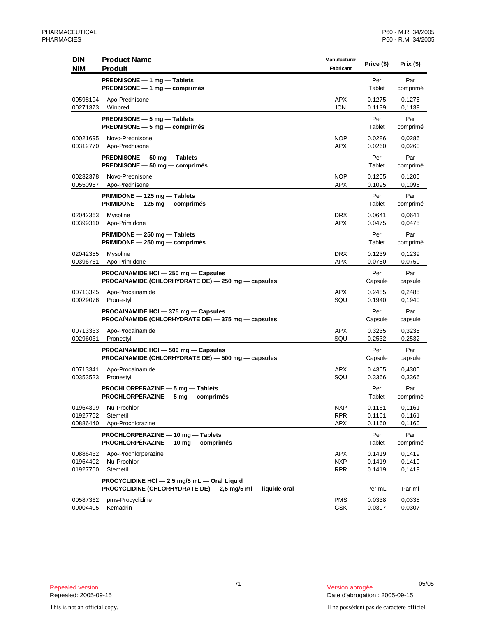| <b>DIN</b><br><b>NIM</b>         | <b>Product Name</b><br><b>Produit</b>                                                                       | Manufacturer<br>Fabricant       | Price (\$)                 | Prix $($ \$)               |
|----------------------------------|-------------------------------------------------------------------------------------------------------------|---------------------------------|----------------------------|----------------------------|
|                                  | PREDNISONE - 1 mg - Tablets<br>PREDNISONE - 1 mg - comprimés                                                |                                 | Per<br>Tablet              | Par<br>comprimé            |
| 00598194<br>00271373             | Apo-Prednisone<br>Winpred                                                                                   | <b>APX</b><br><b>ICN</b>        | 0.1275<br>0.1139           | 0,1275<br>0,1139           |
|                                  | PREDNISONE - 5 mg - Tablets<br><b>PREDNISONE</b> $-5$ mg $-$ comprimes                                      |                                 | Per<br>Tablet              | Par<br>comprimé            |
| 00021695<br>00312770             | Novo-Prednisone<br>Apo-Prednisone                                                                           | <b>NOP</b><br>APX               | 0.0286<br>0.0260           | 0,0286<br>0,0260           |
|                                  | PREDNISONE - 50 mg - Tablets<br>PREDNISONE - 50 mg - comprimés                                              |                                 | Per<br>Tablet              | Par<br>comprimé            |
| 00232378<br>00550957             | Novo-Prednisone<br>Apo-Prednisone                                                                           | <b>NOP</b><br>APX               | 0.1205<br>0.1095           | 0,1205<br>0,1095           |
|                                  | PRIMIDONE - 125 mg - Tablets<br>PRIMIDONE - 125 mg - comprimés                                              |                                 | Per<br>Tablet              | Par<br>comprimé            |
| 02042363<br>00399310             | Mysoline<br>Apo-Primidone                                                                                   | <b>DRX</b><br>APX               | 0.0641<br>0.0475           | 0.0641<br>0,0475           |
|                                  | PRIMIDONE - 250 mg - Tablets<br>$PRIMIDONE - 250 mg - comprimés$                                            |                                 | Per<br>Tablet              | Par<br>comprimé            |
| 02042355<br>00396761             | Mysoline<br>Apo-Primidone                                                                                   | <b>DRX</b><br>APX               | 0.1239<br>0.0750           | 0,1239<br>0,0750           |
|                                  | PROCAINAMIDE HCI - 250 mg - Capsules<br>PROCAÏNAMIDE (CHLORHYDRATE DE) — 250 mg — capsules                  |                                 | Per<br>Capsule             | Par<br>capsule             |
| 00713325<br>00029076             | Apo-Procainamide<br>Pronestyl                                                                               | APX<br>SQU                      | 0.2485<br>0.1940           | 0,2485<br>0,1940           |
|                                  | PROCAINAMIDE HCI - 375 mg - Capsules<br>PROCAÏNAMIDE (CHLORHYDRATE DE) - 375 mg - capsules                  |                                 | Per<br>Capsule             | Par<br>capsule             |
| 00713333<br>00296031             | Apo-Procainamide<br>Pronestyl                                                                               | <b>APX</b><br>SQU               | 0.3235<br>0.2532           | 0,3235<br>0,2532           |
|                                  | PROCAINAMIDE HCI - 500 mg - Capsules<br>PROCAÏNAMIDE (CHLORHYDRATE DE) — 500 mg — capsules                  |                                 | Per<br>Capsule             | Par<br>capsule             |
| 00713341<br>00353523             | Apo-Procainamide<br>Pronestyl                                                                               | <b>APX</b><br>SQU               | 0.4305<br>0.3366           | 0,4305<br>0,3366           |
|                                  | PROCHLORPERAZINE - 5 mg - Tablets<br>PROCHLORPÉRAZINE - 5 mg - comprimés                                    |                                 | Per<br>Tablet              | Par<br>comprimé            |
| 01964399<br>01927752<br>00886440 | Nu-Prochlor<br>Stemetil<br>Apo-Prochlorazine                                                                | <b>NXP</b><br>RPR<br>APX        | 0.1161<br>0.1161<br>0.1160 | 0,1161<br>0,1161<br>0,1160 |
|                                  | PROCHLORPERAZINE - 10 mg - Tablets<br>PROCHLORPÉRAZINE - 10 mg - comprimés                                  |                                 | Per<br>Tablet              | Par<br>comprimé            |
| 00886432<br>01964402<br>01927760 | Apo-Prochlorperazine<br>Nu-Prochlor<br>Stemetil                                                             | APX<br><b>NXP</b><br><b>RPR</b> | 0.1419<br>0.1419<br>0.1419 | 0,1419<br>0,1419<br>0,1419 |
|                                  | PROCYCLIDINE HCI - 2.5 mg/5 mL - Oral Liquid<br>PROCYCLIDINE (CHLORHYDRATE DE) - 2,5 mg/5 ml - liquide oral |                                 | Per mL                     | Par ml                     |
| 00587362<br>00004405             | pms-Procyclidine<br>Kemadrin                                                                                | <b>PMS</b><br><b>GSK</b>        | 0.0338<br>0.0307           | 0,0338<br>0,0307           |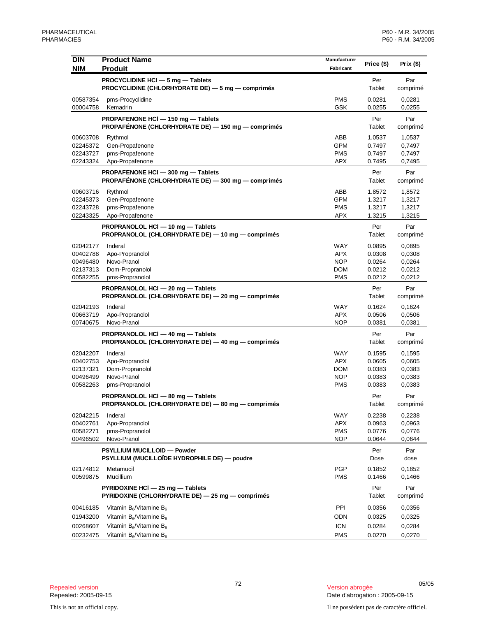| <b>DIN</b>           | <b>Product Name</b>                                                                    | <b>Manufacturer</b>      | Price (\$)       | Prix $($)$       |
|----------------------|----------------------------------------------------------------------------------------|--------------------------|------------------|------------------|
| <b>NIM</b>           | <b>Produit</b>                                                                         | Fabricant                |                  |                  |
|                      | PROCYCLIDINE HCI - 5 mg - Tablets                                                      |                          | Per              | Par              |
|                      | PROCYCLIDINE (CHLORHYDRATE DE) - 5 mg - comprimés                                      |                          | Tablet           | comprimé         |
| 00587354             | pms-Procyclidine                                                                       | <b>PMS</b>               | 0.0281           | 0,0281           |
| 00004758             | Kemadrin                                                                               | GSK                      | 0.0255           | 0,0255           |
|                      | PROPAFENONE HCl - 150 mg - Tablets                                                     |                          | Per              | Par              |
|                      | PROPAFÉNONE (CHLORHYDRATE DE) - 150 mg - comprimés                                     |                          | Tablet           | comprimé         |
| 00603708             | Rythmol                                                                                | ABB                      | 1.0537           | 1,0537           |
| 02245372             | Gen-Propafenone                                                                        | GPM                      | 0.7497           | 0,7497           |
| 02243727             | pms-Propafenone                                                                        | <b>PMS</b>               | 0.7497           | 0,7497           |
| 02243324             | Apo-Propafenone                                                                        | <b>APX</b>               | 0.7495           | 0,7495           |
|                      | PROPAFENONE HCI - 300 mg - Tablets                                                     |                          | Per              | Par              |
|                      | PROPAFÉNONE (CHLORHYDRATE DE) - 300 mg - comprimés                                     |                          | Tablet           | comprimé         |
| 00603716             | Rythmol                                                                                | ABB                      | 1.8572           | 1,8572           |
| 02245373<br>02243728 | Gen-Propafenone                                                                        | <b>GPM</b><br><b>PMS</b> | 1.3217<br>1.3217 | 1,3217<br>1,3217 |
| 02243325             | pms-Propafenone<br>Apo-Propafenone                                                     | APX                      | 1.3215           | 1,3215           |
|                      |                                                                                        |                          |                  |                  |
|                      | PROPRANOLOL HCI - 10 mg - Tablets<br>PROPRANOLOL (CHLORHYDRATE DE) - 10 mg - comprimés |                          | Per<br>Tablet    | Par<br>comprimé  |
|                      |                                                                                        |                          |                  |                  |
| 02042177             | Inderal                                                                                | WAY                      | 0.0895           | 0,0895           |
| 00402788<br>00496480 | Apo-Propranolol<br>Novo-Pranol                                                         | <b>APX</b><br><b>NOP</b> | 0.0308<br>0.0264 | 0,0308<br>0,0264 |
| 02137313             | Dom-Propranolol                                                                        | <b>DOM</b>               | 0.0212           | 0,0212           |
| 00582255             | pms-Propranolol                                                                        | <b>PMS</b>               | 0.0212           | 0,0212           |
|                      | PROPRANOLOL HCI - 20 mg - Tablets                                                      |                          | Per              | Par              |
|                      | PROPRANOLOL (CHLORHYDRATE DE) - 20 mg - comprimés                                      |                          | Tablet           | comprimé         |
| 02042193             | Inderal                                                                                | <b>WAY</b>               | 0.1624           | 0,1624           |
| 00663719             | Apo-Propranolol                                                                        | <b>APX</b>               | 0.0506           | 0,0506           |
| 00740675             | Novo-Pranol                                                                            | <b>NOP</b>               | 0.0381           | 0,0381           |
|                      | PROPRANOLOL HCI - 40 mg - Tablets                                                      |                          | Per              | Par              |
|                      | PROPRANOLOL (CHLORHYDRATE DE) — 40 mg — comprimés                                      |                          | Tablet           | comprimé         |
| 02042207             | Inderal                                                                                | WAY                      | 0.1595           | 0,1595           |
| 00402753             | Apo-Propranolol                                                                        | <b>APX</b>               | 0.0605           | 0,0605           |
| 02137321             | Dom-Propranolol                                                                        | <b>DOM</b>               | 0.0383           | 0,0383           |
| 00496499             | Novo-Pranol                                                                            | <b>NOP</b>               | 0.0383           | 0,0383           |
| 00582263             | pms-Propranolol                                                                        | <b>PMS</b>               | 0.0383           | 0,0383           |
|                      | PROPRANOLOL HCI - 80 mg - Tablets                                                      |                          | Per              | Par              |
|                      | PROPRANOLOL (CHLORHYDRATE DE) - 80 mg - comprimés                                      |                          | Tablet           | comprimé         |
| 02042215             | Inderal                                                                                | WAY                      | 0.2238           | 0,2238           |
| 00402761             | Apo-Propranolol                                                                        | <b>APX</b>               | 0.0963           | 0,0963           |
| 00582271             | pms-Propranolol                                                                        | <b>PMS</b>               | 0.0776           | 0,0776           |
| 00496502             | Novo-Pranol                                                                            | <b>NOP</b>               | 0.0644           | 0,0644           |
|                      | PSYLLIUM MUCILLOID - Powder                                                            |                          | Per              | Par              |
|                      | PSYLLIUM (MUCILLOÏDE HYDROPHILE DE) — poudre                                           |                          | Dose             | dose             |
| 02174812             | Metamucil                                                                              | <b>PGP</b>               | 0.1852           | 0,1852           |
| 00599875             | Mucillium                                                                              | <b>PMS</b>               | 0.1466           | 0,1466           |
|                      | PYRIDOXINE HCI - 25 mg - Tablets                                                       |                          | Per              | Par              |
|                      | PYRIDOXINE (CHLORHYDRATE DE) - 25 mg - comprimés                                       |                          | Tablet           | comprimé         |
| 00416185             | Vitamin $B_6$ /Vitamine $B_6$                                                          | PPI                      | 0.0356           | 0,0356           |
| 01943200             | Vitamin $B_6/V$ itamine $B_6$                                                          | ODN                      | 0.0325           | 0,0325           |
| 00268607             | Vitamin $B_6/V$ itamine $B_6$                                                          | <b>ICN</b>               | 0.0284           | 0,0284           |
| 00232475             | Vitamin $B_6/V$ itamine $B_6$                                                          | <b>PMS</b>               | 0.0270           | 0,0270           |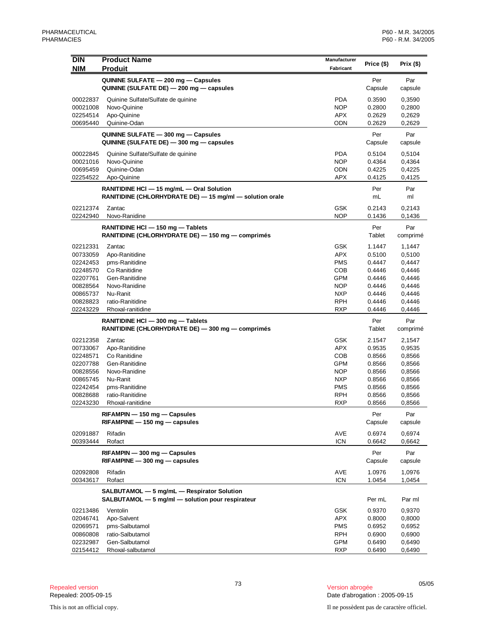| <b>DIN</b>           | <b>Product Name</b>                                                                                   | Manufacturer             | Price (\$)       | Prix (\$)        |
|----------------------|-------------------------------------------------------------------------------------------------------|--------------------------|------------------|------------------|
| <b>NIM</b>           | <b>Produit</b>                                                                                        | Fabricant                |                  |                  |
|                      | QUININE SULFATE - 200 mg - Capsules<br>QUININE (SULFATE DE) - 200 mg - capsules                       |                          | Per<br>Capsule   | Par<br>capsule   |
| 00022837             | Quinine Sulfate/Sulfate de quinine                                                                    | <b>PDA</b>               | 0.3590           | 0,3590           |
| 00021008             | Novo-Quinine                                                                                          | <b>NOP</b>               | 0.2800           | 0,2800           |
| 02254514             | Apo-Quinine                                                                                           | APX                      | 0.2629           | 0,2629           |
| 00695440             | Quinine-Odan                                                                                          | <b>ODN</b>               | 0.2629           | 0,2629           |
|                      | QUININE SULFATE - 300 mg - Capsules<br>QUININE (SULFATE DE) - 300 mg - capsules                       |                          | Per<br>Capsule   | Par<br>capsule   |
| 00022845             | Quinine Sulfate/Sulfate de quinine                                                                    | <b>PDA</b>               | 0.5104           | 0,5104           |
| 00021016             | Novo-Quinine                                                                                          | <b>NOP</b>               | 0.4364           | 0,4364           |
| 00695459             | Quinine-Odan                                                                                          | ODN                      | 0.4225           | 0,4225           |
| 02254522             | Apo-Quinine                                                                                           | <b>APX</b>               | 0.4125           | 0,4125           |
|                      | RANITIDINE HCI - 15 mg/mL - Oral Solution<br>RANITIDINE (CHLORHYDRATE DE) - 15 mg/ml - solution orale |                          | Per<br>mL        | Par<br>ml        |
| 02212374             | Zantac                                                                                                | <b>GSK</b>               | 0.2143           | 0,2143           |
| 02242940             | Novo-Ranidine                                                                                         | <b>NOP</b>               | 0.1436           | 0,1436           |
|                      | RANITIDINE HCI - 150 mg - Tablets<br>RANITIDINE (CHLORHYDRATE DE) - 150 mg - comprimés                |                          | Per<br>Tablet    | Par<br>comprimé  |
| 02212331             | Zantac                                                                                                | <b>GSK</b>               | 1.1447           | 1,1447           |
| 00733059             | Apo-Ranitidine                                                                                        | <b>APX</b>               | 0.5100           | 0,5100           |
| 02242453             | pms-Ranitidine                                                                                        | <b>PMS</b>               | 0.4447           | 0,4447           |
| 02248570             | Co Ranitidine                                                                                         | COB                      | 0.4446           | 0,4446           |
| 02207761             | Gen-Ranitidine                                                                                        | GPM                      | 0.4446           | 0,4446           |
| 00828564             | Novo-Ranidine                                                                                         | <b>NOP</b>               | 0.4446           | 0,4446           |
| 00865737<br>00828823 | Nu-Ranit<br>ratio-Ranitidine                                                                          | <b>NXP</b><br><b>RPH</b> | 0.4446<br>0.4446 | 0,4446           |
| 02243229             | Rhoxal-ranitidine                                                                                     | <b>RXP</b>               | 0.4446           | 0,4446<br>0,4446 |
|                      | RANITIDINE HCI - 300 mg - Tablets                                                                     |                          | Per              | Par              |
|                      | RANITIDINE (CHLORHYDRATE DE) - 300 mg - comprimés                                                     |                          | Tablet           | comprimé         |
| 02212358             | Zantac                                                                                                | <b>GSK</b>               | 2.1547           | 2,1547           |
| 00733067             | Apo-Ranitidine                                                                                        | <b>APX</b>               | 0.9535           | 0,9535           |
| 02248571             | Co Ranitidine                                                                                         | <b>COB</b>               | 0.8566           | 0,8566           |
| 02207788             | Gen-Ranitidine                                                                                        | <b>GPM</b>               | 0.8566           | 0,8566           |
| 00828556             | Novo-Ranidine                                                                                         | <b>NOP</b>               | 0.8566           | 0,8566           |
| 00865745             | Nu-Ranit                                                                                              | <b>NXP</b>               | 0.8566           | 0,8566           |
| 02242454<br>00828688 | pms-Ranitidine<br>ratio-Ranitidine                                                                    | <b>PMS</b><br><b>RPH</b> | 0.8566<br>0.8566 | 0,8566<br>0,8566 |
| 02243230             | Rhoxal-ranitidine                                                                                     | <b>RXP</b>               | 0.8566           | 0,8566           |
|                      | RIFAMPIN - 150 mg - Capsules                                                                          |                          | Per              | Par              |
|                      | $RIFAMPINE - 150$ mg $-$ capsules                                                                     |                          | Capsule          | capsule          |
| 02091887<br>00393444 | Rifadin<br>Rofact                                                                                     | AVE<br><b>ICN</b>        | 0.6974<br>0.6642 | 0,6974<br>0,6642 |
|                      | RIFAMPIN - 300 mg - Capsules<br>$RIFAMPINE - 300$ mg $-$ capsules                                     |                          | Per<br>Capsule   | Par<br>capsule   |
| 02092808             | Rifadin                                                                                               | AVE                      | 1.0976           | 1,0976           |
| 00343617             | Rofact                                                                                                | <b>ICN</b>               | 1.0454           | 1,0454           |
|                      | SALBUTAMOL - 5 mg/mL - Respirator Solution<br>SALBUTAMOL - 5 mg/ml - solution pour respirateur        |                          | Per mL           | Par ml           |
| 02213486             | Ventolin                                                                                              | <b>GSK</b>               | 0.9370           | 0,9370           |
| 02046741             | Apo-Salvent                                                                                           | APX                      | 0.8000           | 0,8000           |
| 02069571             | pms-Salbutamol                                                                                        | <b>PMS</b>               | 0.6952           | 0,6952           |
| 00860808             | ratio-Salbutamol                                                                                      | <b>RPH</b>               | 0.6900           | 0,6900           |
| 02232987             | Gen-Salbutamol                                                                                        | <b>GPM</b>               | 0.6490           | 0,6490           |
| 02154412             | Rhoxal-salbutamol                                                                                     | <b>RXP</b>               | 0.6490           | 0,6490           |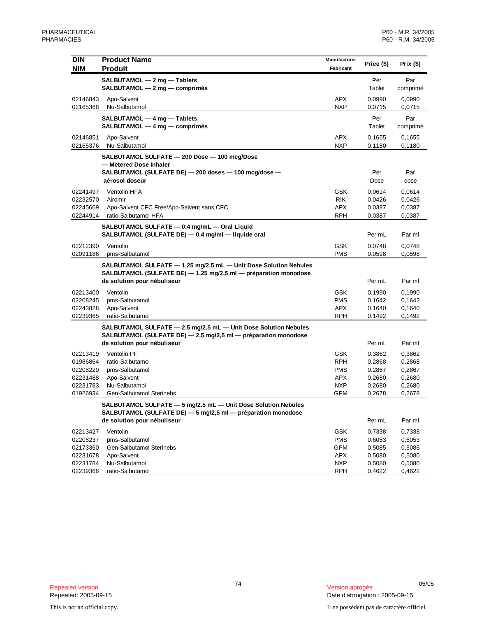| <b>DIN</b>           | <b>Product Name</b>                                                                                                                 | Manufacturer             | Price (\$)       | Prix(\$)         |
|----------------------|-------------------------------------------------------------------------------------------------------------------------------------|--------------------------|------------------|------------------|
| <b>NIM</b>           | <b>Produit</b>                                                                                                                      | Fabricant                |                  |                  |
|                      | SALBUTAMOL - 2 mg - Tablets                                                                                                         |                          | Per              | Par              |
|                      | SALBUTAMOL - 2 mg - comprimés                                                                                                       |                          | Tablet           | comprimé         |
| 02146843             | Apo-Salvent                                                                                                                         | APX                      | 0.0990           | 0,0990           |
| 02165368             | Nu-Salbutamol                                                                                                                       | <b>NXP</b>               | 0.0715           | 0,0715           |
|                      | SALBUTAMOL - 4 mg - Tablets                                                                                                         |                          | Per              | Par              |
|                      | SALBUTAMOL - 4 mg - comprimés                                                                                                       |                          | Tablet           | comprimé         |
| 02146851             | Apo-Salvent                                                                                                                         | APX                      | 0.1655           | 0,1655           |
| 02165376             | Nu-Salbutamol                                                                                                                       | <b>NXP</b>               | 0.1180           | 0,1180           |
|                      | SALBUTAMOL SULFATE - 200 Dose - 100 mcg/Dose                                                                                        |                          |                  |                  |
|                      | — Metered Dose Inhaler                                                                                                              |                          |                  |                  |
|                      | SALBUTAMOL (SULFATE DE) - 200 doses - 100 mcg/dose -                                                                                |                          | Per              | Par              |
|                      | aérosol doseur                                                                                                                      |                          | Dose             | dose             |
| 02241497             | Ventolin HFA                                                                                                                        | GSK                      | 0.0614           | 0,0614           |
| 02232570             | Airomir                                                                                                                             | <b>RIK</b>               | 0.0426           | 0,0426           |
| 02245669<br>02244914 | Apo-Salvent CFC Free/Apo-Salvent sans CFC<br>ratio-Salbutamol HFA                                                                   | APX<br><b>RPH</b>        | 0.0387<br>0.0387 | 0,0387<br>0,0387 |
|                      |                                                                                                                                     |                          |                  |                  |
|                      | SALBUTAMOL SULFATE - 0.4 mg/mL - Oral Liquid<br>SALBUTAMOL (SULFATE DE) - 0,4 mg/ml - liquide oral                                  |                          | Per mL           | Par ml           |
|                      |                                                                                                                                     |                          |                  |                  |
| 02212390<br>02091186 | Ventolin<br>pms-Salbutamol                                                                                                          | <b>GSK</b><br><b>PMS</b> | 0.0748<br>0.0598 | 0,0748<br>0,0598 |
|                      |                                                                                                                                     |                          |                  |                  |
|                      | SALBUTAMOL SULFATE - 1.25 mg/2.5 mL - Unit Dose Solution Nebules<br>SALBUTAMOL (SULFATE DE) - 1,25 mg/2,5 ml - préparation monodose |                          |                  |                  |
|                      | de solution pour nébuliseur                                                                                                         |                          | Per mL           | Par ml           |
| 02213400             | Ventolin                                                                                                                            | <b>GSK</b>               | 0.1990           | 0,1990           |
| 02208245             | pms-Salbutamol                                                                                                                      | <b>PMS</b>               | 0.1642           | 0,1642           |
| 02243828             | Apo-Salvent                                                                                                                         | <b>APX</b>               | 0.1640           | 0,1640           |
| 02239365             | ratio-Salbutamol                                                                                                                    | RPH                      | 0.1492           | 0,1492           |
|                      | SALBUTAMOL SULFATE - 2.5 mg/2.5 mL - Unit Dose Solution Nebules                                                                     |                          |                  |                  |
|                      | SALBUTAMOL (SULFATE DE) - 2,5 mg/2,5 ml - préparation monodose                                                                      |                          |                  |                  |
|                      | de solution pour nébuliseur                                                                                                         |                          | Per mL           | Par ml           |
| 02213419             | Ventolin PF                                                                                                                         | <b>GSK</b>               | 0.3862           | 0,3862           |
| 01986864             | ratio-Salbutamol                                                                                                                    | <b>RPH</b>               | 0.2868           | 0,2868           |
| 02208229             | pms-Salbutamol                                                                                                                      | <b>PMS</b>               | 0.2867           | 0,2867           |
| 02231488             | Apo-Salvent                                                                                                                         | APX                      | 0.2680           | 0,2680           |
| 02231783             | Nu-Salbutamol                                                                                                                       | <b>NXP</b>               | 0.2680           | 0,2680           |
| 01926934             | Gen-Salbutamol Sterinebs                                                                                                            | <b>GPM</b>               | 0.2678           | 0,2678           |
|                      | SALBUTAMOL SULFATE - 5 mg/2.5 mL - Unit Dose Solution Nebules                                                                       |                          |                  |                  |
|                      | SALBUTAMOL (SULFATE DE) - 5 mg/2,5 ml - préparation monodose                                                                        |                          |                  |                  |
|                      | de solution pour nébuliseur                                                                                                         |                          | Per mL           | Par ml           |
| 02213427             | Ventolin                                                                                                                            | <b>GSK</b>               | 0.7338           | 0,7338           |
| 02208237             | pms-Salbutamol                                                                                                                      | <b>PMS</b>               | 0.6053           | 0,6053           |
| 02173360             | Gen-Salbutamol Sterinebs                                                                                                            | <b>GPM</b>               | 0.5085           | 0,5085           |
| 02231678             | Apo-Salvent                                                                                                                         | APX                      | 0.5080           | 0,5080           |
| 02231784             | Nu-Salbutamol                                                                                                                       | <b>NXP</b>               | 0.5080           | 0,5080           |
| 02239366             | ratio-Salbutamol                                                                                                                    | RPH                      | 0.4622           | 0,4622           |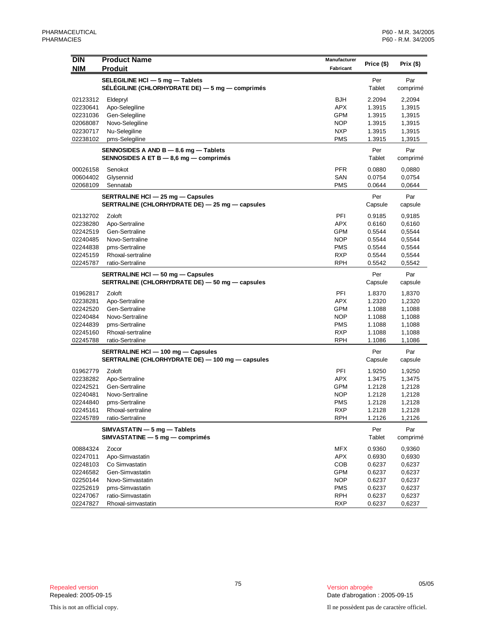| <b>DIN</b>           | <b>Product Name</b>                                                                  | Manufacturer             |                  |                  |
|----------------------|--------------------------------------------------------------------------------------|--------------------------|------------------|------------------|
| <b>NIM</b>           | <b>Produit</b>                                                                       | Fabricant                | Price (\$)       | Prix $($)$       |
|                      | SELEGILINE HCI - 5 mg - Tablets                                                      |                          | Per              | Par              |
|                      | SÉLÉGILINE (CHLORHYDRATE DE) - 5 mg - comprimés                                      |                          | Tablet           | comprimé         |
| 02123312             | Eldepryl                                                                             | BJH                      | 2.2094           | 2,2094           |
| 02230641             | Apo-Selegiline                                                                       | <b>APX</b>               | 1.3915           | 1,3915           |
| 02231036             | Gen-Selegiline                                                                       | <b>GPM</b>               | 1.3915           | 1,3915           |
| 02068087             | Novo-Selegiline                                                                      | <b>NOP</b>               | 1.3915           | 1,3915           |
| 02230717             | Nu-Selegiline                                                                        | <b>NXP</b>               | 1.3915           | 1,3915           |
| 02238102             | pms-Selegiline                                                                       | <b>PMS</b>               | 1.3915           | 1,3915           |
|                      | SENNOSIDES A AND B - 8.6 mg - Tablets                                                |                          | Per              | Par              |
|                      | SENNOSIDES A ET $B - 8.6$ mg $-$ comprimes                                           |                          | Tablet           | comprimé         |
| 00026158             | Senokot                                                                              | <b>PFR</b>               | 0.0880           | 0,0880           |
| 00604402             | Glysennid                                                                            | SAN                      | 0.0754           | 0,0754           |
| 02068109             | Sennatab                                                                             | <b>PMS</b>               | 0.0644           | 0,0644           |
|                      | SERTRALINE HCI - 25 mg - Capsules                                                    |                          | Per              | Par              |
|                      | SERTRALINE (CHLORHYDRATE DE) - 25 mg - capsules                                      |                          | Capsule          | capsule          |
| 02132702             | Zoloft                                                                               | PFI                      | 0.9185           | 0,9185           |
| 02238280             | Apo-Sertraline                                                                       | <b>APX</b>               | 0.6160           | 0,6160           |
| 02242519             | Gen-Sertraline                                                                       | GPM                      | 0.5544           | 0,5544           |
| 02240485             | Novo-Sertraline                                                                      | <b>NOP</b>               | 0.5544           | 0,5544           |
| 02244838             | pms-Sertraline                                                                       | <b>PMS</b>               | 0.5544           | 0,5544           |
| 02245159             | Rhoxal-sertraline                                                                    | <b>RXP</b>               | 0.5544           | 0,5544           |
| 02245787             | ratio-Sertraline                                                                     | <b>RPH</b>               | 0.5542           | 0,5542           |
|                      | SERTRALINE HCI - 50 mg - Capsules<br>SERTRALINE (CHLORHYDRATE DE) - 50 mg - capsules |                          | Per<br>Capsule   | Par<br>capsule   |
|                      |                                                                                      | PFI                      |                  |                  |
| 01962817<br>02238281 | Zoloft<br>Apo-Sertraline                                                             | <b>APX</b>               | 1.8370<br>1.2320 | 1,8370<br>1,2320 |
| 02242520             | Gen-Sertraline                                                                       | GPM                      | 1.1088           | 1,1088           |
| 02240484             | Novo-Sertraline                                                                      | <b>NOP</b>               | 1.1088           | 1,1088           |
| 02244839             | pms-Sertraline                                                                       | <b>PMS</b>               | 1.1088           | 1,1088           |
| 02245160             | Rhoxal-sertraline                                                                    | <b>RXP</b>               | 1.1088           | 1,1088           |
| 02245788             | ratio-Sertraline                                                                     | <b>RPH</b>               | 1.1086           | 1,1086           |
|                      | SERTRALINE HCI - 100 mg - Capsules                                                   |                          | Per              | Par              |
|                      | SERTRALINE (CHLORHYDRATE DE) - 100 mg - capsules                                     |                          | Capsule          | capsule          |
| 01962779             | Zoloft                                                                               | PFI                      | 1.9250           | 1,9250           |
| 02238282             | Apo-Sertraline                                                                       | <b>APX</b>               | 1.3475           | 1,3475           |
| 02242521             | Gen-Sertraline                                                                       | GPM                      | 1.2128           | 1,2128           |
| 02240481             | Novo-Sertraline                                                                      | <b>NOP</b>               | 1.2128           | 1,2128           |
| 02244840             | pms-Sertraline                                                                       | <b>PMS</b>               | 1.2128           | 1,2128           |
| 02245161             | Rhoxal-sertraline                                                                    | <b>RXP</b>               | 1.2128           | 1,2128           |
| 02245789             | ratio-Sertraline                                                                     | <b>RPH</b>               | 1.2126           | 1,2126           |
|                      | SIMVASTATIN - 5 mg - Tablets                                                         |                          | Per              | Par              |
|                      | $SIMVASTATINE - 5 mg - comprimés$                                                    |                          | Tablet           | comprimé         |
| 00884324             | Zocor                                                                                | <b>MFX</b>               | 0.9360           | 0,9360           |
| 02247011             | Apo-Simvastatin                                                                      | <b>APX</b>               | 0.6930           | 0,6930           |
| 02248103             | Co Simvastatin                                                                       | COB                      | 0.6237           | 0,6237           |
| 02246582             | Gen-Simvastatin                                                                      | <b>GPM</b>               | 0.6237           | 0,6237           |
| 02250144             | Novo-Simvastatin                                                                     | <b>NOP</b>               | 0.6237           | 0,6237           |
| 02252619<br>02247067 | pms-Simvastatin<br>ratio-Simvastatin                                                 | <b>PMS</b><br><b>RPH</b> | 0.6237<br>0.6237 | 0,6237<br>0,6237 |
| 02247827             | Rhoxal-simvastatin                                                                   | <b>RXP</b>               | 0.6237           | 0,6237           |
|                      |                                                                                      |                          |                  |                  |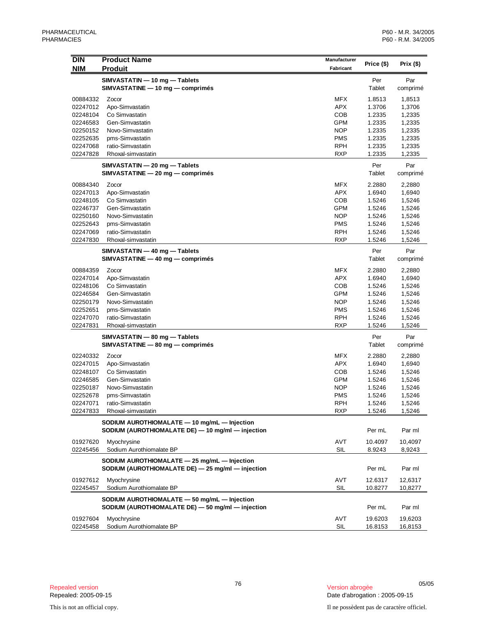| <b>DIN</b>           | <b>Product Name</b>                               | <b>Manufacturer</b> | Price (\$)       | Prix $($ \$)     |
|----------------------|---------------------------------------------------|---------------------|------------------|------------------|
| <b>NIM</b>           | <b>Produit</b>                                    | Fabricant           |                  |                  |
|                      | SIMVASTATIN - 10 mg - Tablets                     |                     | Per              | Par              |
|                      | SIMVASTATINE - 10 mg - comprimés                  |                     | Tablet           | comprimé         |
| 00884332             | Zocor                                             | <b>MFX</b>          | 1.8513           | 1,8513           |
| 02247012             | Apo-Simvastatin                                   | <b>APX</b>          | 1.3706           | 1,3706           |
| 02248104             | Co Simvastatin                                    | <b>COB</b>          | 1.2335           | 1,2335           |
| 02246583             | Gen-Simvastatin                                   | GPM                 | 1.2335           | 1,2335           |
| 02250152             | Novo-Simvastatin                                  | <b>NOP</b>          | 1.2335           | 1,2335           |
| 02252635             | pms-Simvastatin                                   | <b>PMS</b>          | 1.2335           | 1,2335           |
| 02247068             | ratio-Simvastatin                                 | <b>RPH</b>          | 1.2335           | 1,2335           |
| 02247828             | Rhoxal-simvastatin                                | <b>RXP</b>          | 1.2335           | 1,2335           |
|                      | SIMVASTATIN — 20 mg — Tablets                     |                     | Per              | Par              |
|                      | SIMVASTATINE - 20 mg - comprimés                  |                     | Tablet           | comprimé         |
| 00884340             | Zocor                                             | <b>MFX</b>          | 2.2880           | 2,2880           |
| 02247013             | Apo-Simvastatin                                   | <b>APX</b>          | 1.6940           | 1,6940           |
| 02248105             | Co Simvastatin                                    | <b>COB</b>          | 1.5246           | 1,5246           |
| 02246737             | Gen-Simvastatin                                   | <b>GPM</b>          | 1.5246           | 1,5246           |
| 02250160             | Novo-Simvastatin                                  | <b>NOP</b>          | 1.5246           | 1,5246           |
| 02252643             | pms-Simvastatin                                   | <b>PMS</b>          | 1.5246           | 1,5246           |
| 02247069             | ratio-Simvastatin                                 | <b>RPH</b>          | 1.5246           | 1,5246           |
| 02247830             | Rhoxal-simvastatin                                | <b>RXP</b>          | 1.5246           | 1,5246           |
|                      | SIMVASTATIN - 40 mg - Tablets                     |                     | Per              | Par              |
|                      | SIMVASTATINE - 40 mg - comprimés                  |                     | Tablet           | comprimé         |
| 00884359             | Zocor                                             | <b>MFX</b>          | 2.2880           | 2,2880           |
| 02247014             | Apo-Simvastatin                                   | APX                 | 1.6940           | 1,6940           |
| 02248106             | Co Simvastatin                                    | COB                 | 1.5246           | 1,5246           |
| 02246584             | Gen-Simvastatin                                   | GPM                 | 1.5246           | 1,5246           |
| 02250179             | Novo-Simvastatin                                  | <b>NOP</b>          | 1.5246           | 1,5246           |
| 02252651             | pms-Simvastatin                                   | <b>PMS</b>          | 1.5246           | 1,5246           |
| 02247070             | ratio-Simvastatin                                 | <b>RPH</b>          | 1.5246           | 1,5246           |
| 02247831             | Rhoxal-simvastatin                                | <b>RXP</b>          | 1.5246           | 1,5246           |
|                      | SIMVASTATIN - 80 mg - Tablets                     |                     | Per              | Par              |
|                      | SIMVASTATINE - 80 mg - comprimés                  |                     | Tablet           | comprimé         |
|                      |                                                   |                     |                  |                  |
| 02240332             | Zocor                                             | <b>MFX</b>          | 2.2880           | 2,2880           |
| 02247015             | Apo-Simvastatin                                   | <b>APX</b>          | 1.6940           | 1,6940           |
| 02248107             | Co Simvastatin                                    | <b>COB</b>          | 1.5246           | 1,5246           |
| 02246585             | Gen-Simvastatin<br>Novo-Simvastatin               | GPM<br><b>NOP</b>   | 1.5246           | 1,5246           |
| 02250187<br>02252678 | pms-Simvastatin                                   | <b>PMS</b>          | 1.5246<br>1.5246 | 1,5246<br>1,5246 |
| 02247071             | ratio-Simvastatin                                 | <b>RPH</b>          | 1.5246           | 1,5246           |
| 02247833             | Rhoxal-simvastatin                                | <b>RXP</b>          | 1.5246           | 1,5246           |
|                      |                                                   |                     |                  |                  |
|                      | SODIUM AUROTHIOMALATE - 10 mg/mL - Injection      |                     |                  |                  |
|                      | SODIUM (AUROTHIOMALATE DE) - 10 mg/ml - injection |                     | Per mL           | Par ml           |
| 01927620             | Myochrysine                                       | AVT                 | 10.4097          | 10,4097          |
| 02245456             | Sodium Aurothiomalate BP                          | SIL                 | 8.9243           | 8,9243           |
|                      | SODIUM AUROTHIOMALATE - 25 mg/mL - Injection      |                     |                  |                  |
|                      | SODIUM (AUROTHIOMALATE DE) - 25 mg/ml - injection |                     | Per mL           | Par ml           |
| 01927612             | Myochrysine                                       | AVT                 | 12.6317          | 12,6317          |
| 02245457             | Sodium Aurothiomalate BP                          | <b>SIL</b>          | 10.8277          | 10,8277          |
|                      |                                                   |                     |                  |                  |
|                      | SODIUM AUROTHIOMALATE - 50 mg/mL - Injection      |                     |                  |                  |
|                      | SODIUM (AUROTHIOMALATE DE) - 50 mg/ml - injection |                     | Per mL           | Par ml           |
| 01927604             | Myochrysine                                       | AVT                 | 19.6203          | 19,6203          |
| 02245458             | Sodium Aurothiomalate BP                          | <b>SIL</b>          | 16.8153          | 16,8153          |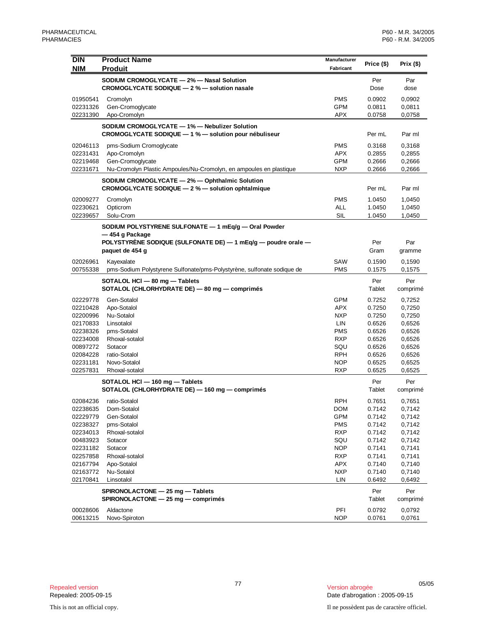| <b>DIN</b><br><b>NIM</b> | <b>Product Name</b><br><b>Produit</b>                                                                                | Manufacturer<br>Fabricant | Price (\$)       | Prix(\$)         |
|--------------------------|----------------------------------------------------------------------------------------------------------------------|---------------------------|------------------|------------------|
|                          | SODIUM CROMOGLYCATE - 2% - Nasal Solution<br>CROMOGLYCATE SODIQUE - 2 % - solution nasale                            |                           | Per<br>Dose      | Par<br>dose      |
| 01950541                 | Cromolyn                                                                                                             | <b>PMS</b>                | 0.0902           | 0,0902           |
| 02231326                 | Gen-Cromoglycate                                                                                                     | <b>GPM</b>                | 0.0811           | 0,0811           |
| 02231390                 | Apo-Cromolyn                                                                                                         | <b>APX</b>                | 0.0758           | 0,0758           |
|                          | SODIUM CROMOGLYCATE - 1% - Nebulizer Solution<br>CROMOGLYCATE SODIQUE - 1 % - solution pour nébuliseur               |                           | Per mL           | Par ml           |
| 02046113                 | pms-Sodium Cromoglycate                                                                                              | <b>PMS</b>                | 0.3168           | 0,3168           |
| 02231431                 | Apo-Cromolyn                                                                                                         | <b>APX</b>                | 0.2855           | 0,2855           |
| 02219468                 | Gen-Cromoglycate                                                                                                     | <b>GPM</b><br><b>NXP</b>  | 0.2666           | 0,2666           |
| 02231671                 | Nu-Cromolyn Plastic Ampoules/Nu-Cromolyn, en ampoules en plastique<br>SODIUM CROMOGLYCATE - 2% - Ophthalmic Solution |                           | 0.2666           | 0,2666           |
|                          | CROMOGLYCATE SODIQUE - 2 % - solution ophtalmique                                                                    |                           | Per mL           | Par ml           |
| 02009277                 | Cromolyn                                                                                                             | <b>PMS</b>                | 1.0450           | 1,0450           |
| 02230621                 | Opticrom                                                                                                             | <b>ALL</b>                | 1.0450           | 1,0450           |
| 02239657                 | Solu-Crom                                                                                                            | SIL                       | 1.0450           | 1,0450           |
|                          | SODIUM POLYSTYRENE SULFONATE - 1 mEq/g - Oral Powder<br>— 454 g Package                                              |                           |                  |                  |
|                          | POLYSTYRENE SODIQUE (SULFONATE DE) $-$ 1 mEq/g $-$ poudre orale $-$                                                  |                           | Per              | Par              |
|                          | paquet de 454 g                                                                                                      |                           | Gram             | gramme           |
| 02026961                 | Kayexalate                                                                                                           | SAW                       | 0.1590           | 0,1590           |
| 00755338                 | pms-Sodium Polystyrene Sulfonate/pms-Polystyrène, sulfonate sodique de                                               | <b>PMS</b>                | 0.1575           | 0,1575           |
|                          | SOTALOL HCI - 80 mg - Tablets<br>SOTALOL (CHLORHYDRATE DE) - 80 mg - comprimés                                       |                           | Per<br>Tablet    | Per<br>comprimé  |
| 02229778                 | Gen-Sotalol                                                                                                          | <b>GPM</b>                | 0.7252           | 0,7252           |
| 02210428                 | Apo-Sotalol                                                                                                          | APX                       | 0.7250           | 0,7250           |
| 02200996                 | Nu-Sotalol                                                                                                           | <b>NXP</b>                | 0.7250           | 0,7250           |
| 02170833<br>02238326     | Linsotalol<br>pms-Sotalol                                                                                            | LIN<br><b>PMS</b>         | 0.6526<br>0.6526 | 0,6526<br>0,6526 |
| 02234008                 | Rhoxal-sotalol                                                                                                       | <b>RXP</b>                | 0.6526           | 0,6526           |
| 00897272                 | Sotacor                                                                                                              | SQU                       | 0.6526           | 0,6526           |
| 02084228                 | ratio-Sotalol                                                                                                        | <b>RPH</b>                | 0.6526           | 0,6526           |
| 02231181                 | Novo-Sotalol                                                                                                         | <b>NOP</b>                | 0.6525           | 0,6525           |
| 02257831                 | Rhoxal-sotalol                                                                                                       | <b>RXP</b>                | 0.6525           | 0,6525           |
|                          | SOTALOL HCI - 160 mg - Tablets<br>SOTALOL (CHLORHYDRATE DE) - 160 mg - comprimés                                     |                           | Per<br>Tablet    | Per<br>comprimé  |
| 02084236                 | ratio-Sotalol                                                                                                        | <b>RPH</b>                | 0.7651           | 0,7651           |
| 02238635                 | Dom-Sotalol                                                                                                          | <b>DOM</b>                | 0.7142           | 0,7142           |
| 02229779                 | Gen-Sotalol                                                                                                          | <b>GPM</b>                | 0.7142           | 0,7142           |
| 02238327                 | pms-Sotalol                                                                                                          | <b>PMS</b><br><b>RXP</b>  | 0.7142           | 0,7142<br>0,7142 |
| 02234013<br>00483923     | Rhoxal-sotalol<br>Sotacor                                                                                            | SQU                       | 0.7142<br>0.7142 | 0,7142           |
| 02231182                 | Sotacor                                                                                                              | <b>NOP</b>                | 0.7141           | 0,7141           |
| 02257858                 | Rhoxal-sotalol                                                                                                       | <b>RXP</b>                | 0.7141           | 0,7141           |
| 02167794                 | Apo-Sotalol                                                                                                          | APX                       | 0.7140           | 0,7140           |
| 02163772                 | Nu-Sotalol                                                                                                           | <b>NXP</b>                | 0.7140           | 0,7140           |
| 02170841                 | Linsotalol                                                                                                           | LIN                       | 0.6492           | 0,6492           |
|                          | SPIRONOLACTONE - 25 mg - Tablets<br>SPIRONOLACTONE - 25 mg - comprimés                                               |                           | Per<br>Tablet    | Per<br>comprimé  |
| 00028606                 | Aldactone                                                                                                            | PFI                       | 0.0792           | 0,0792           |
| 00613215                 | Novo-Spiroton                                                                                                        | <b>NOP</b>                | 0.0761           | 0,0761           |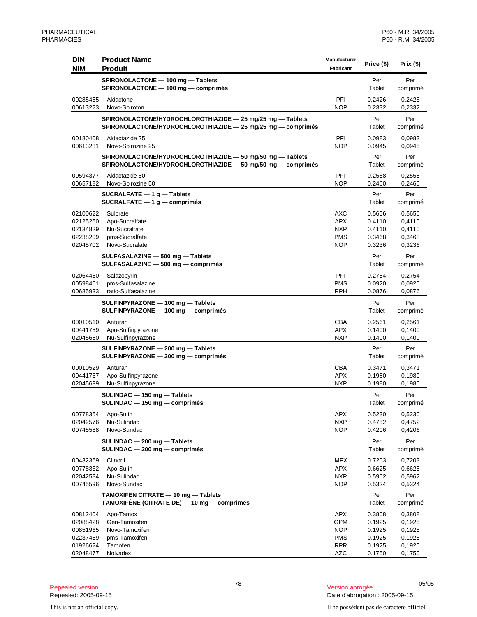| <b>DIN</b><br><b>NIM</b>                                             | <b>Product Name</b><br><b>Produit</b>                                                                                      | Manufacturer<br>Fabricant                                                 | Price (\$)                                               | Prix $($ \$)                                             |
|----------------------------------------------------------------------|----------------------------------------------------------------------------------------------------------------------------|---------------------------------------------------------------------------|----------------------------------------------------------|----------------------------------------------------------|
|                                                                      | SPIRONOLACTONE - 100 mg - Tablets<br>SPIRONOLACTONE - 100 mg - comprimés                                                   |                                                                           | Per<br>Tablet                                            | Per<br>comprimé                                          |
| 00285455<br>00613223                                                 | Aldactone<br>Novo-Spiroton                                                                                                 | PFI<br><b>NOP</b>                                                         | 0.2426<br>0.2332                                         | 0,2426<br>0,2332                                         |
|                                                                      | SPIRONOLACTONE/HYDROCHLOROTHIAZIDE - 25 mg/25 mg - Tablets<br>SPIRONOLACTONE/HYDROCHLOROTHIAZIDE - 25 mg/25 mg - comprimés |                                                                           | Per<br>Tablet                                            | Per<br>comprimé                                          |
| 00180408<br>00613231                                                 | Aldactazide 25<br>Novo-Spirozine 25                                                                                        | PFI<br><b>NOP</b>                                                         | 0.0983<br>0.0945                                         | 0,0983<br>0,0945                                         |
|                                                                      | SPIRONOLACTONE/HYDROCHLOROTHIAZIDE - 50 mg/50 mg - Tablets<br>SPIRONOLACTONE/HYDROCHLOROTHIAZIDE - 50 mg/50 mg - comprimés |                                                                           | Per<br>Tablet                                            | Per<br>comprimé                                          |
| 00594377<br>00657182                                                 | Aldactazide 50<br>Novo-Spirozine 50                                                                                        | PFI<br><b>NOP</b>                                                         | 0.2558<br>0.2460                                         | 0,2558<br>0,2460                                         |
|                                                                      | SUCRALFATE $-1$ g $-$ Tablets<br>SUCRALFATE $-1$ g $-$ comprimes                                                           |                                                                           | Per<br>Tablet                                            | Per<br>comprimé                                          |
| 02100622<br>02125250<br>02134829<br>02238209<br>02045702             | Sulcrate<br>Apo-Sucralfate<br>Nu-Sucralfate<br>pms-Sucralfate<br>Novo-Sucralate                                            | AXC<br>APX<br><b>NXP</b><br><b>PMS</b><br><b>NOP</b>                      | 0.5656<br>0.4110<br>0.4110<br>0.3468<br>0.3236           | 0,5656<br>0,4110<br>0,4110<br>0,3468<br>0,3236           |
|                                                                      | SULFASALAZINE - 500 mg - Tablets<br>SULFASALAZINE - 500 mg - comprimés                                                     |                                                                           | Per<br>Tablet                                            | Per<br>comprimé                                          |
| 02064480<br>00598461<br>00685933                                     | Salazopyrin<br>pms-Sulfasalazine<br>ratio-Sulfasalazine                                                                    | PFI<br><b>PMS</b><br><b>RPH</b>                                           | 0.2754<br>0.0920<br>0.0876                               | 0,2754<br>0,0920<br>0,0876                               |
|                                                                      | SULFINPYRAZONE - 100 mg - Tablets<br>SULFINPYRAZONE - 100 mg - comprimés                                                   |                                                                           | Per<br>Tablet                                            | Per<br>comprimé                                          |
| 00010510<br>00441759<br>02045680                                     | Anturan<br>Apo-Sulfinpyrazone<br>Nu-Sulfinpyrazone                                                                         | <b>CBA</b><br><b>APX</b><br><b>NXP</b>                                    | 0.2561<br>0.1400<br>0.1400                               | 0,2561<br>0,1400<br>0,1400                               |
|                                                                      | SULFINPYRAZONE - 200 mg - Tablets<br>SULFINPYRAZONE - 200 mg - comprimés                                                   |                                                                           | Per<br>Tablet                                            | Per<br>comprimé                                          |
| 00010529<br>00441767<br>02045699                                     | Anturan<br>Apo-Sulfinpyrazone<br>Nu-Sulfinpyrazone                                                                         | CBA<br><b>APX</b><br><b>NXP</b>                                           | 0.3471<br>0.1980<br>0.1980                               | 0,3471<br>0,1980<br>0,1980                               |
|                                                                      | SULINDAC - 150 mg - Tablets<br>SULINDAC - 150 mg - comprimés                                                               |                                                                           | Per<br>Tablet                                            | Per<br>comprimé                                          |
| 00778354<br>02042576<br>00745588                                     | Apo-Sulin<br>Nu-Sulindac<br>Novo-Sundac                                                                                    | <b>APX</b><br><b>NXP</b><br><b>NOP</b>                                    | 0.5230<br>0.4752<br>0.4206                               | 0,5230<br>0,4752<br>0,4206                               |
|                                                                      | SULINDAC - 200 mg - Tablets<br>SULINDAC - 200 mg - comprimés                                                               |                                                                           | Per<br>Tablet                                            | Per<br>comprimé                                          |
| 00432369<br>00778362<br>02042584<br>00745596                         | Clinoril<br>Apo-Sulin<br>Nu-Sulindac<br>Novo-Sundac                                                                        | MFX<br>APX<br><b>NXP</b><br><b>NOP</b>                                    | 0.7203<br>0.6625<br>0.5962<br>0.5324                     | 0,7203<br>0,6625<br>0,5962<br>0,5324                     |
|                                                                      | TAMOXIFEN CITRATE - 10 mg - Tablets<br>TAMOXIFÈNE (CITRATE DE) — 10 mg — comprimés                                         |                                                                           | Per<br>Tablet                                            | Per<br>comprimé                                          |
| 00812404<br>02088428<br>00851965<br>02237459<br>01926624<br>02048477 | Apo-Tamox<br>Gen-Tamoxifen<br>Novo-Tamoxifen<br>pms-Tamoxifen<br>Tamofen<br>Nolvadex                                       | APX<br><b>GPM</b><br><b>NOP</b><br><b>PMS</b><br><b>RPR</b><br><b>AZC</b> | 0.3808<br>0.1925<br>0.1925<br>0.1925<br>0.1925<br>0.1750 | 0,3808<br>0,1925<br>0,1925<br>0,1925<br>0,1925<br>0,1750 |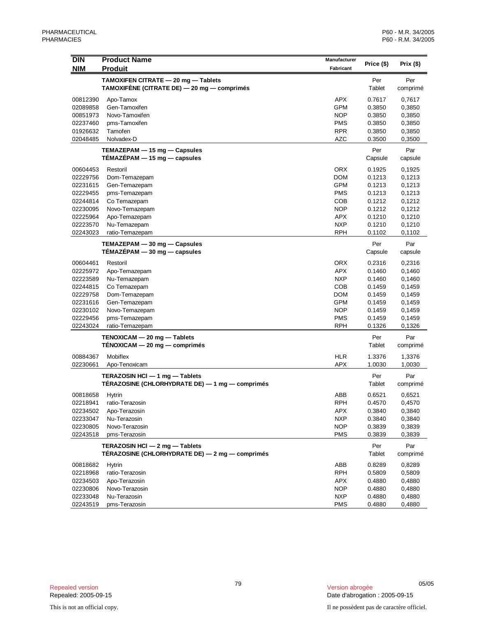| DIN                  | <b>Product Name</b>                                                               | Manufacturer             | Price (\$)       | Prix (\$)        |
|----------------------|-----------------------------------------------------------------------------------|--------------------------|------------------|------------------|
| <b>NIM</b>           | <b>Produit</b>                                                                    | Fabricant                |                  |                  |
|                      | TAMOXIFEN CITRATE - 20 mg - Tablets                                               |                          | Per              | Per              |
|                      | TAMOXIFENE (CITRATE DE) - 20 mg - comprimés                                       |                          | Tablet           | comprimé         |
| 00812390             | Apo-Tamox                                                                         | <b>APX</b>               | 0.7617           | 0,7617           |
| 02089858             | Gen-Tamoxifen                                                                     | <b>GPM</b>               | 0.3850           | 0,3850           |
| 00851973             | Novo-Tamoxifen                                                                    | <b>NOP</b>               | 0.3850           | 0,3850           |
| 02237460             | pms-Tamoxifen                                                                     | <b>PMS</b>               | 0.3850           | 0,3850           |
| 01926632             | Tamofen                                                                           | <b>RPR</b>               | 0.3850           | 0,3850           |
| 02048485             | Nolvadex-D                                                                        | AZC                      | 0.3500           | 0,3500           |
|                      | TEMAZEPAM - 15 mg - Capsules                                                      |                          | Per              | Par              |
|                      | TÉMAZÉPAM $-$ 15 mg $-$ capsules                                                  |                          | Capsule          | capsule          |
|                      |                                                                                   |                          |                  |                  |
| 00604453             | Restoril                                                                          | <b>ORX</b>               | 0.1925           | 0,1925           |
| 02229756             | Dom-Temazepam                                                                     | <b>DOM</b>               | 0.1213           | 0,1213           |
| 02231615             | Gen-Temazepam                                                                     | GPM                      | 0.1213           | 0,1213           |
| 02229455             | pms-Temazepam                                                                     | <b>PMS</b><br><b>COB</b> | 0.1213           | 0,1213           |
| 02244814<br>02230095 | Co Temazepam                                                                      | <b>NOP</b>               | 0.1212<br>0.1212 | 0,1212           |
| 02225964             | Novo-Temazepam<br>Apo-Temazepam                                                   | APX                      | 0.1210           | 0,1212<br>0,1210 |
| 02223570             | Nu-Temazepam                                                                      | <b>NXP</b>               | 0.1210           | 0,1210           |
| 02243023             | ratio-Temazepam                                                                   | <b>RPH</b>               | 0.1102           | 0,1102           |
|                      |                                                                                   |                          |                  |                  |
|                      | TEMAZEPAM - 30 mg - Capsules                                                      |                          | Per              | Par              |
|                      | $TÉMAZÉPAM - 30 mg - capsules$                                                    |                          | Capsule          | capsule          |
| 00604461             | Restoril                                                                          | <b>ORX</b>               | 0.2316           | 0,2316           |
| 02225972             | Apo-Temazepam                                                                     | <b>APX</b>               | 0.1460           | 0,1460           |
| 02223589             | Nu-Temazepam                                                                      | <b>NXP</b>               | 0.1460           | 0,1460           |
| 02244815             | Co Temazepam                                                                      | <b>COB</b>               | 0.1459           | 0,1459           |
| 02229758             | Dom-Temazepam                                                                     | <b>DOM</b>               | 0.1459           | 0,1459           |
| 02231616             | Gen-Temazepam                                                                     | GPM                      | 0.1459           | 0,1459           |
| 02230102             | Novo-Temazepam                                                                    | <b>NOP</b>               | 0.1459           | 0,1459           |
| 02229456             | pms-Temazepam                                                                     | <b>PMS</b>               | 0.1459           | 0,1459           |
| 02243024             | ratio-Temazepam                                                                   | <b>RPH</b>               | 0.1326           | 0,1326           |
|                      | TENOXICAM - 20 mg - Tablets                                                       |                          | Per              | Par              |
|                      | $TÉNOXICAM - 20 mg - comprimés$                                                   |                          | Tablet           | comprimé         |
| 00884367             | Mobiflex                                                                          | <b>HLR</b>               | 1.3376           | 1,3376           |
| 02230661             | Apo-Tenoxicam                                                                     | <b>APX</b>               | 1.0030           | 1,0030           |
|                      |                                                                                   |                          |                  |                  |
|                      | TERAZOSIN HCI - 1 mg - Tablets<br>TÉRAZOSINE (CHLORHYDRATE DE) — 1 mg — comprimés |                          | Per<br>Tablet    | Par<br>comprimé  |
|                      |                                                                                   |                          |                  |                  |
| 00818658             | Hytrin                                                                            | ABB                      | 0.6521           | 0,6521           |
| 02218941             | ratio-Terazosin                                                                   | RPH                      | 0.4570           | 0,4570           |
| 02234502             | Apo-Terazosin                                                                     | <b>APX</b>               | 0.3840           | 0,3840           |
| 02233047             | Nu-Terazosin                                                                      | <b>NXP</b>               | 0.3840           | 0,3840           |
| 02230805             | Novo-Terazosin                                                                    | <b>NOP</b>               | 0.3839           | 0,3839           |
| 02243518             | pms-Terazosin                                                                     | <b>PMS</b>               | 0.3839           | 0,3839           |
|                      | TERAZOSIN HCI - 2 mg - Tablets                                                    |                          | Per              | Par              |
|                      | TÉRAZOSINE (CHLORHYDRATE DE) — 2 mg — comprimés                                   |                          | Tablet           | comprimé         |
| 00818682             | Hytrin                                                                            | ABB                      | 0.8289           | 0,8289           |
| 02218968             | ratio-Terazosin                                                                   | <b>RPH</b>               | 0.5809           | 0,5809           |
| 02234503             | Apo-Terazosin                                                                     | <b>APX</b>               | 0.4880           | 0,4880           |
| 02230806             | Novo-Terazosin                                                                    | <b>NOP</b>               | 0.4880           | 0,4880           |
| 02233048             | Nu-Terazosin                                                                      | <b>NXP</b>               | 0.4880           | 0,4880           |
| 02243519             | pms-Terazosin                                                                     | <b>PMS</b>               | 0.4880           | 0,4880           |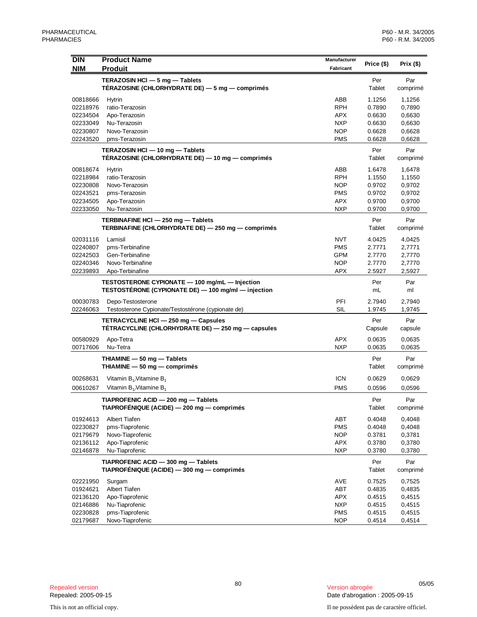| <b>DIN</b>           | <b>Product Name</b>                                                                      | Manufacturer             | Price (\$)       | Prix $($ \$)     |
|----------------------|------------------------------------------------------------------------------------------|--------------------------|------------------|------------------|
| <b>NIM</b>           | <b>Produit</b>                                                                           | Fabricant                |                  |                  |
|                      | TERAZOSIN HCI - 5 mg - Tablets                                                           |                          | Per              | Par              |
|                      | TÉRAZOSINE (CHLORHYDRATE DE) — 5 mg — comprimés                                          |                          | Tablet           | comprimé         |
| 00818666             | Hytrin                                                                                   | ABB                      | 1.1256           | 1,1256           |
| 02218976             | ratio-Terazosin                                                                          | RPH                      | 0.7890           | 0,7890           |
| 02234504             | Apo-Terazosin                                                                            | <b>APX</b>               | 0.6630           | 0,6630           |
| 02233049             | Nu-Terazosin                                                                             | <b>NXP</b>               | 0.6630           | 0,6630           |
| 02230807             | Novo-Terazosin                                                                           | <b>NOP</b>               | 0.6628           | 0,6628           |
| 02243520             | pms-Terazosin                                                                            | <b>PMS</b>               | 0.6628           | 0,6628           |
|                      | TERAZOSIN HCI - 10 mg - Tablets<br>TÉRAZOSINE (CHLORHYDRATE DE) — 10 mg — comprimés      |                          | Per<br>Tablet    | Par<br>comprimé  |
|                      |                                                                                          |                          |                  |                  |
| 00818674             | Hytrin                                                                                   | ABB                      | 1.6478           | 1,6478           |
| 02218984             | ratio-Terazosin                                                                          | RPH                      | 1.1550           | 1,1550           |
| 02230808             | Novo-Terazosin                                                                           | <b>NOP</b>               | 0.9702           | 0,9702           |
| 02243521             | pms-Terazosin                                                                            | <b>PMS</b>               | 0.9702           | 0,9702           |
| 02234505<br>02233050 | Apo-Terazosin<br>Nu-Terazosin                                                            | APX<br><b>NXP</b>        | 0.9700<br>0.9700 | 0,9700           |
|                      |                                                                                          |                          |                  | 0,9700           |
|                      | TERBINAFINE HCI - 250 mg - Tablets<br>TERBINAFINE (CHLORHYDRATE DE) - 250 mg - comprimés |                          | Per<br>Tablet    | Par              |
|                      |                                                                                          |                          |                  | comprimé         |
| 02031116             | Lamisil                                                                                  | <b>NVT</b>               | 4.0425           | 4,0425           |
| 02240807             | pms-Terbinafine                                                                          | <b>PMS</b>               | 2.7771           | 2,7771           |
| 02242503             | Gen-Terbinafine                                                                          | <b>GPM</b>               | 2.7770           | 2,7770           |
| 02240346             | Novo-Terbinafine                                                                         | <b>NOP</b>               | 2.7770           | 2,7770           |
| 02239893             | Apo-Terbinafine                                                                          | APX                      | 2.5927           | 2,5927           |
|                      | TESTOSTERONE CYPIONATE - 100 mg/mL - Injection                                           |                          | Per              | Par              |
|                      | TESTOSTÉRONE (CYPIONATE DE) — 100 mg/ml — injection                                      |                          | mL               | ml               |
| 00030783             | Depo-Testosterone                                                                        | PFI                      | 2.7940           | 2,7940           |
| 02246063             | Testosterone Cypionate/Testostérone (cypionate de)                                       | SIL                      | 1.9745           | 1,9745           |
|                      | TETRACYCLINE HCI - 250 mg - Capsules                                                     |                          | Per              | Par              |
|                      | TÉTRACYCLINE (CHLORHYDRATE DE) - 250 mg - capsules                                       |                          | Capsule          | capsule          |
| 00580929             | Apo-Tetra                                                                                | <b>APX</b>               | 0.0635           | 0,0635           |
| 00717606             | Nu-Tetra                                                                                 | <b>NXP</b>               | 0.0635           | 0,0635           |
|                      | THIAMINE - 50 mg - Tablets                                                               |                          | Per              | Par              |
|                      | THIAMINE $-50$ mg $-$ comprimes                                                          |                          | Tablet           | comprimé         |
| 00268631             | Vitamin $B_1$ Vitamine $B_1$                                                             | <b>ICN</b>               | 0.0629           | 0,0629           |
| 00610267             | Vitamin $B_{1}/V$ itamine $B_{1}$                                                        | <b>PMS</b>               | 0.0596           | 0,0596           |
|                      |                                                                                          |                          |                  |                  |
|                      | TIAPROFENIC ACID - 200 mg - Tablets<br>TIAPROFÉNIQUE (ACIDE) - 200 mg - comprimés        |                          | Per<br>Tablet    | Par<br>comprimé  |
|                      |                                                                                          |                          |                  |                  |
| 01924613             | <b>Albert Tiafen</b>                                                                     | ABT                      | 0.4048           | 0,4048           |
| 02230827             | pms-Tiaprofenic                                                                          | <b>PMS</b>               | 0.4048           | 0,4048           |
| 02179679             | Novo-Tiaprofenic<br>Apo-Tiaprofenic                                                      | <b>NOP</b>               | 0.3781           | 0,3781           |
| 02136112<br>02146878 | Nu-Tiaprofenic                                                                           | <b>APX</b><br><b>NXP</b> | 0.3780<br>0.3780 | 0,3780<br>0,3780 |
|                      |                                                                                          |                          |                  |                  |
|                      | TIAPROFENIC ACID - 300 mg - Tablets                                                      |                          | Per              | Par              |
|                      | TIAPROFÉNIQUE (ACIDE) - 300 mg - comprimés                                               |                          | Tablet           | comprimé         |
| 02221950             | Surgam                                                                                   | AVE                      | 0.7525           | 0,7525           |
| 01924621             | Albert Tiafen                                                                            | <b>ABT</b>               | 0.4835           | 0,4835           |
| 02136120             | Apo-Tiaprofenic                                                                          | APX                      | 0.4515           | 0,4515           |
| 02146886             | Nu-Tiaprofenic                                                                           | <b>NXP</b>               | 0.4515           | 0,4515           |
| 02230828             | pms-Tiaprofenic                                                                          | <b>PMS</b><br><b>NOP</b> | 0.4515           | 0,4515           |
| 02179687             | Novo-Tiaprofenic                                                                         |                          | 0.4514           | 0,4514           |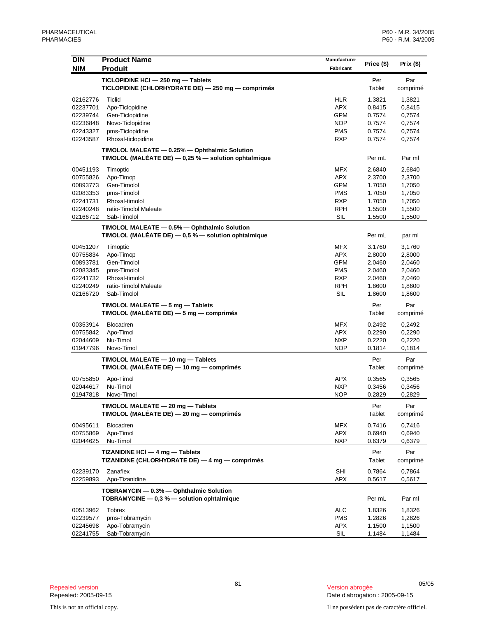| <b>NIM</b><br><b>Produit</b><br>Fabricant<br>TICLOPIDINE HCI - 250 mg - Tablets<br>Per<br>Par<br>TICLOPIDINE (CHLORHYDRATE DE) - 250 mg - comprimés<br>Tablet<br>comprimé<br><b>HLR</b><br>02162776<br>Ticlid<br>1.3821<br>1,3821<br><b>APX</b><br>02237701<br>Apo-Ticlopidine<br>0.8415<br>0,8415<br>02239744<br>Gen-Ticlopidine<br>GPM<br>0.7574<br>0,7574<br><b>NOP</b><br>02236848<br>Novo-Ticlopidine<br>0.7574<br>0,7574<br>02243327<br>pms-Ticlopidine<br><b>PMS</b><br>0.7574<br>0,7574<br>02243587<br>Rhoxal-ticlopidine<br><b>RXP</b><br>0.7574<br>0,7574<br>TIMOLOL MALEATE - 0.25% - Ophthalmic Solution<br>TIMOLOL (MALÉATE DE) - 0,25 % - solution ophtalmique<br>Per mL<br>Par ml<br><b>MFX</b><br>00451193<br>Timoptic<br>2.6840<br>2,6840<br><b>APX</b><br>00755826<br>Apo-Timop<br>2.3700<br>2,3700<br><b>GPM</b><br>00893773<br>Gen-Timolol<br>1.7050<br>1,7050<br>02083353<br>pms-Timolol<br><b>PMS</b><br>1.7050<br>1,7050<br><b>RXP</b><br>02241731<br>Rhoxal-timolol<br>1.7050<br>1,7050<br><b>RPH</b><br>02240248<br>ratio-Timolol Maleate<br>1.5500<br>1,5500<br>SIL<br>02166712<br>Sab-Timolol<br>1.5500<br>1,5500<br>TIMOLOL MALEATE - 0.5% - Ophthalmic Solution<br>TIMOLOL (MALÉATE DE) $-0.5$ % $-$ solution ophtalmique<br>Per mL<br>par ml<br><b>MFX</b><br>00451207<br>Timoptic<br>3.1760<br>3,1760<br>00755834<br>Apo-Timop<br>APX<br>2.8000<br>2,8000<br><b>GPM</b><br>00893781<br>Gen-Timolol<br>2.0460<br>2,0460<br><b>PMS</b><br>02083345<br>pms-Timolol<br>2.0460<br>2,0460<br><b>RXP</b><br>02241732<br>Rhoxal-timolol<br>2.0460<br>2,0460<br>02240249<br>ratio-Timolol Maleate<br><b>RPH</b><br>1.8600<br>1,8600<br>SIL<br>02166720<br>Sab-Timolol<br>1.8600<br>1,8600<br>TIMOLOL MALEATE - 5 mg - Tablets<br>Per<br>Par<br>TIMOLOL (MALÉATE DE) $-5$ mg $-$ comprimés<br>Tablet<br>comprimé<br>00353914<br>Blocadren<br><b>MFX</b><br>0.2492<br>0,2492<br><b>APX</b><br>00755842<br>Apo-Timol<br>0.2290<br>0,2290<br>Nu-Timol<br><b>NXP</b><br>02044609<br>0.2220<br>0,2220<br>01947796<br>Novo-Timol<br><b>NOP</b><br>0.1814<br>0,1814<br>TIMOLOL MALEATE - 10 mg - Tablets<br>Per<br>Par<br>TIMOLOL (MALÉATE DE) — 10 mg — comprimés<br>Tablet<br>comprimé<br>00755850<br>Apo-Timol<br>APX<br>0.3565<br>0,3565<br>02044617<br>Nu-Timol<br><b>NXP</b><br>0.3456<br>0,3456<br>Novo-Timol<br><b>NOP</b><br>0.2829<br>0,2829<br>01947818<br>TIMOLOL MALEATE - 20 mg - Tablets<br>Per<br>Par<br>TIMOLOL (MALÉATE DE) - 20 mg - comprimés<br>Tablet<br>comprimé<br><b>MFX</b><br>00495611<br><b>Blocadren</b><br>0.7416<br>0,7416<br><b>APX</b><br>00755869<br>Apo-Timol<br>0.6940<br>0,6940<br><b>NXP</b><br>02044625<br>Nu-Timol<br>0.6379<br>0,6379<br>TIZANIDINE HCI - 4 mg - Tablets<br>Par<br>Per<br>TIZANIDINE (CHLORHYDRATE DE) — 4 mg — comprimés<br>Tablet<br>comprimé<br>Zanaflex<br><b>SHI</b><br>02239170<br>0.7864<br>0,7864<br><b>APX</b><br>02259893<br>Apo-Tizanidine<br>0.5617<br>0,5617<br>TOBRAMYCIN - 0.3% - Ophthalmic Solution<br>TOBRAMYCINE $-$ 0,3 % $-$ solution ophtalmique<br>Per mL<br>Par ml<br><b>ALC</b><br>00513962<br><b>Tobrex</b><br>1.8326<br>1,8326<br>02239577<br>pms-Tobramycin<br><b>PMS</b><br>1.2826<br>1,2826<br><b>APX</b><br>02245698<br>Apo-Tobramycin<br>1.1500<br>1,1500 | <b>DIN</b> | <b>Product Name</b> | Manufacturer |            |              |
|------------------------------------------------------------------------------------------------------------------------------------------------------------------------------------------------------------------------------------------------------------------------------------------------------------------------------------------------------------------------------------------------------------------------------------------------------------------------------------------------------------------------------------------------------------------------------------------------------------------------------------------------------------------------------------------------------------------------------------------------------------------------------------------------------------------------------------------------------------------------------------------------------------------------------------------------------------------------------------------------------------------------------------------------------------------------------------------------------------------------------------------------------------------------------------------------------------------------------------------------------------------------------------------------------------------------------------------------------------------------------------------------------------------------------------------------------------------------------------------------------------------------------------------------------------------------------------------------------------------------------------------------------------------------------------------------------------------------------------------------------------------------------------------------------------------------------------------------------------------------------------------------------------------------------------------------------------------------------------------------------------------------------------------------------------------------------------------------------------------------------------------------------------------------------------------------------------------------------------------------------------------------------------------------------------------------------------------------------------------------------------------------------------------------------------------------------------------------------------------------------------------------------------------------------------------------------------------------------------------------------------------------------------------------------------------------------------------------------------------------------------------------------------------------------------------------------------------------------------------------------------------------------------------------------------------------------------------------------------------------------------------------------------------------------------------------------------------------------------------------------------------------------------------------------------------------------------------------------------------------------------------|------------|---------------------|--------------|------------|--------------|
|                                                                                                                                                                                                                                                                                                                                                                                                                                                                                                                                                                                                                                                                                                                                                                                                                                                                                                                                                                                                                                                                                                                                                                                                                                                                                                                                                                                                                                                                                                                                                                                                                                                                                                                                                                                                                                                                                                                                                                                                                                                                                                                                                                                                                                                                                                                                                                                                                                                                                                                                                                                                                                                                                                                                                                                                                                                                                                                                                                                                                                                                                                                                                                                                                                                                  |            |                     |              | Price (\$) | Prix $($ \$) |
|                                                                                                                                                                                                                                                                                                                                                                                                                                                                                                                                                                                                                                                                                                                                                                                                                                                                                                                                                                                                                                                                                                                                                                                                                                                                                                                                                                                                                                                                                                                                                                                                                                                                                                                                                                                                                                                                                                                                                                                                                                                                                                                                                                                                                                                                                                                                                                                                                                                                                                                                                                                                                                                                                                                                                                                                                                                                                                                                                                                                                                                                                                                                                                                                                                                                  |            |                     |              |            |              |
|                                                                                                                                                                                                                                                                                                                                                                                                                                                                                                                                                                                                                                                                                                                                                                                                                                                                                                                                                                                                                                                                                                                                                                                                                                                                                                                                                                                                                                                                                                                                                                                                                                                                                                                                                                                                                                                                                                                                                                                                                                                                                                                                                                                                                                                                                                                                                                                                                                                                                                                                                                                                                                                                                                                                                                                                                                                                                                                                                                                                                                                                                                                                                                                                                                                                  |            |                     |              |            |              |
|                                                                                                                                                                                                                                                                                                                                                                                                                                                                                                                                                                                                                                                                                                                                                                                                                                                                                                                                                                                                                                                                                                                                                                                                                                                                                                                                                                                                                                                                                                                                                                                                                                                                                                                                                                                                                                                                                                                                                                                                                                                                                                                                                                                                                                                                                                                                                                                                                                                                                                                                                                                                                                                                                                                                                                                                                                                                                                                                                                                                                                                                                                                                                                                                                                                                  |            |                     |              |            |              |
|                                                                                                                                                                                                                                                                                                                                                                                                                                                                                                                                                                                                                                                                                                                                                                                                                                                                                                                                                                                                                                                                                                                                                                                                                                                                                                                                                                                                                                                                                                                                                                                                                                                                                                                                                                                                                                                                                                                                                                                                                                                                                                                                                                                                                                                                                                                                                                                                                                                                                                                                                                                                                                                                                                                                                                                                                                                                                                                                                                                                                                                                                                                                                                                                                                                                  |            |                     |              |            |              |
|                                                                                                                                                                                                                                                                                                                                                                                                                                                                                                                                                                                                                                                                                                                                                                                                                                                                                                                                                                                                                                                                                                                                                                                                                                                                                                                                                                                                                                                                                                                                                                                                                                                                                                                                                                                                                                                                                                                                                                                                                                                                                                                                                                                                                                                                                                                                                                                                                                                                                                                                                                                                                                                                                                                                                                                                                                                                                                                                                                                                                                                                                                                                                                                                                                                                  |            |                     |              |            |              |
|                                                                                                                                                                                                                                                                                                                                                                                                                                                                                                                                                                                                                                                                                                                                                                                                                                                                                                                                                                                                                                                                                                                                                                                                                                                                                                                                                                                                                                                                                                                                                                                                                                                                                                                                                                                                                                                                                                                                                                                                                                                                                                                                                                                                                                                                                                                                                                                                                                                                                                                                                                                                                                                                                                                                                                                                                                                                                                                                                                                                                                                                                                                                                                                                                                                                  |            |                     |              |            |              |
|                                                                                                                                                                                                                                                                                                                                                                                                                                                                                                                                                                                                                                                                                                                                                                                                                                                                                                                                                                                                                                                                                                                                                                                                                                                                                                                                                                                                                                                                                                                                                                                                                                                                                                                                                                                                                                                                                                                                                                                                                                                                                                                                                                                                                                                                                                                                                                                                                                                                                                                                                                                                                                                                                                                                                                                                                                                                                                                                                                                                                                                                                                                                                                                                                                                                  |            |                     |              |            |              |
|                                                                                                                                                                                                                                                                                                                                                                                                                                                                                                                                                                                                                                                                                                                                                                                                                                                                                                                                                                                                                                                                                                                                                                                                                                                                                                                                                                                                                                                                                                                                                                                                                                                                                                                                                                                                                                                                                                                                                                                                                                                                                                                                                                                                                                                                                                                                                                                                                                                                                                                                                                                                                                                                                                                                                                                                                                                                                                                                                                                                                                                                                                                                                                                                                                                                  |            |                     |              |            |              |
|                                                                                                                                                                                                                                                                                                                                                                                                                                                                                                                                                                                                                                                                                                                                                                                                                                                                                                                                                                                                                                                                                                                                                                                                                                                                                                                                                                                                                                                                                                                                                                                                                                                                                                                                                                                                                                                                                                                                                                                                                                                                                                                                                                                                                                                                                                                                                                                                                                                                                                                                                                                                                                                                                                                                                                                                                                                                                                                                                                                                                                                                                                                                                                                                                                                                  |            |                     |              |            |              |
|                                                                                                                                                                                                                                                                                                                                                                                                                                                                                                                                                                                                                                                                                                                                                                                                                                                                                                                                                                                                                                                                                                                                                                                                                                                                                                                                                                                                                                                                                                                                                                                                                                                                                                                                                                                                                                                                                                                                                                                                                                                                                                                                                                                                                                                                                                                                                                                                                                                                                                                                                                                                                                                                                                                                                                                                                                                                                                                                                                                                                                                                                                                                                                                                                                                                  |            |                     |              |            |              |
|                                                                                                                                                                                                                                                                                                                                                                                                                                                                                                                                                                                                                                                                                                                                                                                                                                                                                                                                                                                                                                                                                                                                                                                                                                                                                                                                                                                                                                                                                                                                                                                                                                                                                                                                                                                                                                                                                                                                                                                                                                                                                                                                                                                                                                                                                                                                                                                                                                                                                                                                                                                                                                                                                                                                                                                                                                                                                                                                                                                                                                                                                                                                                                                                                                                                  |            |                     |              |            |              |
|                                                                                                                                                                                                                                                                                                                                                                                                                                                                                                                                                                                                                                                                                                                                                                                                                                                                                                                                                                                                                                                                                                                                                                                                                                                                                                                                                                                                                                                                                                                                                                                                                                                                                                                                                                                                                                                                                                                                                                                                                                                                                                                                                                                                                                                                                                                                                                                                                                                                                                                                                                                                                                                                                                                                                                                                                                                                                                                                                                                                                                                                                                                                                                                                                                                                  |            |                     |              |            |              |
|                                                                                                                                                                                                                                                                                                                                                                                                                                                                                                                                                                                                                                                                                                                                                                                                                                                                                                                                                                                                                                                                                                                                                                                                                                                                                                                                                                                                                                                                                                                                                                                                                                                                                                                                                                                                                                                                                                                                                                                                                                                                                                                                                                                                                                                                                                                                                                                                                                                                                                                                                                                                                                                                                                                                                                                                                                                                                                                                                                                                                                                                                                                                                                                                                                                                  |            |                     |              |            |              |
|                                                                                                                                                                                                                                                                                                                                                                                                                                                                                                                                                                                                                                                                                                                                                                                                                                                                                                                                                                                                                                                                                                                                                                                                                                                                                                                                                                                                                                                                                                                                                                                                                                                                                                                                                                                                                                                                                                                                                                                                                                                                                                                                                                                                                                                                                                                                                                                                                                                                                                                                                                                                                                                                                                                                                                                                                                                                                                                                                                                                                                                                                                                                                                                                                                                                  |            |                     |              |            |              |
|                                                                                                                                                                                                                                                                                                                                                                                                                                                                                                                                                                                                                                                                                                                                                                                                                                                                                                                                                                                                                                                                                                                                                                                                                                                                                                                                                                                                                                                                                                                                                                                                                                                                                                                                                                                                                                                                                                                                                                                                                                                                                                                                                                                                                                                                                                                                                                                                                                                                                                                                                                                                                                                                                                                                                                                                                                                                                                                                                                                                                                                                                                                                                                                                                                                                  |            |                     |              |            |              |
|                                                                                                                                                                                                                                                                                                                                                                                                                                                                                                                                                                                                                                                                                                                                                                                                                                                                                                                                                                                                                                                                                                                                                                                                                                                                                                                                                                                                                                                                                                                                                                                                                                                                                                                                                                                                                                                                                                                                                                                                                                                                                                                                                                                                                                                                                                                                                                                                                                                                                                                                                                                                                                                                                                                                                                                                                                                                                                                                                                                                                                                                                                                                                                                                                                                                  |            |                     |              |            |              |
|                                                                                                                                                                                                                                                                                                                                                                                                                                                                                                                                                                                                                                                                                                                                                                                                                                                                                                                                                                                                                                                                                                                                                                                                                                                                                                                                                                                                                                                                                                                                                                                                                                                                                                                                                                                                                                                                                                                                                                                                                                                                                                                                                                                                                                                                                                                                                                                                                                                                                                                                                                                                                                                                                                                                                                                                                                                                                                                                                                                                                                                                                                                                                                                                                                                                  |            |                     |              |            |              |
|                                                                                                                                                                                                                                                                                                                                                                                                                                                                                                                                                                                                                                                                                                                                                                                                                                                                                                                                                                                                                                                                                                                                                                                                                                                                                                                                                                                                                                                                                                                                                                                                                                                                                                                                                                                                                                                                                                                                                                                                                                                                                                                                                                                                                                                                                                                                                                                                                                                                                                                                                                                                                                                                                                                                                                                                                                                                                                                                                                                                                                                                                                                                                                                                                                                                  |            |                     |              |            |              |
|                                                                                                                                                                                                                                                                                                                                                                                                                                                                                                                                                                                                                                                                                                                                                                                                                                                                                                                                                                                                                                                                                                                                                                                                                                                                                                                                                                                                                                                                                                                                                                                                                                                                                                                                                                                                                                                                                                                                                                                                                                                                                                                                                                                                                                                                                                                                                                                                                                                                                                                                                                                                                                                                                                                                                                                                                                                                                                                                                                                                                                                                                                                                                                                                                                                                  |            |                     |              |            |              |
|                                                                                                                                                                                                                                                                                                                                                                                                                                                                                                                                                                                                                                                                                                                                                                                                                                                                                                                                                                                                                                                                                                                                                                                                                                                                                                                                                                                                                                                                                                                                                                                                                                                                                                                                                                                                                                                                                                                                                                                                                                                                                                                                                                                                                                                                                                                                                                                                                                                                                                                                                                                                                                                                                                                                                                                                                                                                                                                                                                                                                                                                                                                                                                                                                                                                  |            |                     |              |            |              |
|                                                                                                                                                                                                                                                                                                                                                                                                                                                                                                                                                                                                                                                                                                                                                                                                                                                                                                                                                                                                                                                                                                                                                                                                                                                                                                                                                                                                                                                                                                                                                                                                                                                                                                                                                                                                                                                                                                                                                                                                                                                                                                                                                                                                                                                                                                                                                                                                                                                                                                                                                                                                                                                                                                                                                                                                                                                                                                                                                                                                                                                                                                                                                                                                                                                                  |            |                     |              |            |              |
|                                                                                                                                                                                                                                                                                                                                                                                                                                                                                                                                                                                                                                                                                                                                                                                                                                                                                                                                                                                                                                                                                                                                                                                                                                                                                                                                                                                                                                                                                                                                                                                                                                                                                                                                                                                                                                                                                                                                                                                                                                                                                                                                                                                                                                                                                                                                                                                                                                                                                                                                                                                                                                                                                                                                                                                                                                                                                                                                                                                                                                                                                                                                                                                                                                                                  |            |                     |              |            |              |
|                                                                                                                                                                                                                                                                                                                                                                                                                                                                                                                                                                                                                                                                                                                                                                                                                                                                                                                                                                                                                                                                                                                                                                                                                                                                                                                                                                                                                                                                                                                                                                                                                                                                                                                                                                                                                                                                                                                                                                                                                                                                                                                                                                                                                                                                                                                                                                                                                                                                                                                                                                                                                                                                                                                                                                                                                                                                                                                                                                                                                                                                                                                                                                                                                                                                  |            |                     |              |            |              |
|                                                                                                                                                                                                                                                                                                                                                                                                                                                                                                                                                                                                                                                                                                                                                                                                                                                                                                                                                                                                                                                                                                                                                                                                                                                                                                                                                                                                                                                                                                                                                                                                                                                                                                                                                                                                                                                                                                                                                                                                                                                                                                                                                                                                                                                                                                                                                                                                                                                                                                                                                                                                                                                                                                                                                                                                                                                                                                                                                                                                                                                                                                                                                                                                                                                                  |            |                     |              |            |              |
|                                                                                                                                                                                                                                                                                                                                                                                                                                                                                                                                                                                                                                                                                                                                                                                                                                                                                                                                                                                                                                                                                                                                                                                                                                                                                                                                                                                                                                                                                                                                                                                                                                                                                                                                                                                                                                                                                                                                                                                                                                                                                                                                                                                                                                                                                                                                                                                                                                                                                                                                                                                                                                                                                                                                                                                                                                                                                                                                                                                                                                                                                                                                                                                                                                                                  |            |                     |              |            |              |
|                                                                                                                                                                                                                                                                                                                                                                                                                                                                                                                                                                                                                                                                                                                                                                                                                                                                                                                                                                                                                                                                                                                                                                                                                                                                                                                                                                                                                                                                                                                                                                                                                                                                                                                                                                                                                                                                                                                                                                                                                                                                                                                                                                                                                                                                                                                                                                                                                                                                                                                                                                                                                                                                                                                                                                                                                                                                                                                                                                                                                                                                                                                                                                                                                                                                  |            |                     |              |            |              |
|                                                                                                                                                                                                                                                                                                                                                                                                                                                                                                                                                                                                                                                                                                                                                                                                                                                                                                                                                                                                                                                                                                                                                                                                                                                                                                                                                                                                                                                                                                                                                                                                                                                                                                                                                                                                                                                                                                                                                                                                                                                                                                                                                                                                                                                                                                                                                                                                                                                                                                                                                                                                                                                                                                                                                                                                                                                                                                                                                                                                                                                                                                                                                                                                                                                                  |            |                     |              |            |              |
|                                                                                                                                                                                                                                                                                                                                                                                                                                                                                                                                                                                                                                                                                                                                                                                                                                                                                                                                                                                                                                                                                                                                                                                                                                                                                                                                                                                                                                                                                                                                                                                                                                                                                                                                                                                                                                                                                                                                                                                                                                                                                                                                                                                                                                                                                                                                                                                                                                                                                                                                                                                                                                                                                                                                                                                                                                                                                                                                                                                                                                                                                                                                                                                                                                                                  |            |                     |              |            |              |
|                                                                                                                                                                                                                                                                                                                                                                                                                                                                                                                                                                                                                                                                                                                                                                                                                                                                                                                                                                                                                                                                                                                                                                                                                                                                                                                                                                                                                                                                                                                                                                                                                                                                                                                                                                                                                                                                                                                                                                                                                                                                                                                                                                                                                                                                                                                                                                                                                                                                                                                                                                                                                                                                                                                                                                                                                                                                                                                                                                                                                                                                                                                                                                                                                                                                  |            |                     |              |            |              |
|                                                                                                                                                                                                                                                                                                                                                                                                                                                                                                                                                                                                                                                                                                                                                                                                                                                                                                                                                                                                                                                                                                                                                                                                                                                                                                                                                                                                                                                                                                                                                                                                                                                                                                                                                                                                                                                                                                                                                                                                                                                                                                                                                                                                                                                                                                                                                                                                                                                                                                                                                                                                                                                                                                                                                                                                                                                                                                                                                                                                                                                                                                                                                                                                                                                                  |            |                     |              |            |              |
|                                                                                                                                                                                                                                                                                                                                                                                                                                                                                                                                                                                                                                                                                                                                                                                                                                                                                                                                                                                                                                                                                                                                                                                                                                                                                                                                                                                                                                                                                                                                                                                                                                                                                                                                                                                                                                                                                                                                                                                                                                                                                                                                                                                                                                                                                                                                                                                                                                                                                                                                                                                                                                                                                                                                                                                                                                                                                                                                                                                                                                                                                                                                                                                                                                                                  |            |                     |              |            |              |
|                                                                                                                                                                                                                                                                                                                                                                                                                                                                                                                                                                                                                                                                                                                                                                                                                                                                                                                                                                                                                                                                                                                                                                                                                                                                                                                                                                                                                                                                                                                                                                                                                                                                                                                                                                                                                                                                                                                                                                                                                                                                                                                                                                                                                                                                                                                                                                                                                                                                                                                                                                                                                                                                                                                                                                                                                                                                                                                                                                                                                                                                                                                                                                                                                                                                  |            |                     |              |            |              |
|                                                                                                                                                                                                                                                                                                                                                                                                                                                                                                                                                                                                                                                                                                                                                                                                                                                                                                                                                                                                                                                                                                                                                                                                                                                                                                                                                                                                                                                                                                                                                                                                                                                                                                                                                                                                                                                                                                                                                                                                                                                                                                                                                                                                                                                                                                                                                                                                                                                                                                                                                                                                                                                                                                                                                                                                                                                                                                                                                                                                                                                                                                                                                                                                                                                                  |            |                     |              |            |              |
|                                                                                                                                                                                                                                                                                                                                                                                                                                                                                                                                                                                                                                                                                                                                                                                                                                                                                                                                                                                                                                                                                                                                                                                                                                                                                                                                                                                                                                                                                                                                                                                                                                                                                                                                                                                                                                                                                                                                                                                                                                                                                                                                                                                                                                                                                                                                                                                                                                                                                                                                                                                                                                                                                                                                                                                                                                                                                                                                                                                                                                                                                                                                                                                                                                                                  |            |                     |              |            |              |
|                                                                                                                                                                                                                                                                                                                                                                                                                                                                                                                                                                                                                                                                                                                                                                                                                                                                                                                                                                                                                                                                                                                                                                                                                                                                                                                                                                                                                                                                                                                                                                                                                                                                                                                                                                                                                                                                                                                                                                                                                                                                                                                                                                                                                                                                                                                                                                                                                                                                                                                                                                                                                                                                                                                                                                                                                                                                                                                                                                                                                                                                                                                                                                                                                                                                  |            |                     |              |            |              |
|                                                                                                                                                                                                                                                                                                                                                                                                                                                                                                                                                                                                                                                                                                                                                                                                                                                                                                                                                                                                                                                                                                                                                                                                                                                                                                                                                                                                                                                                                                                                                                                                                                                                                                                                                                                                                                                                                                                                                                                                                                                                                                                                                                                                                                                                                                                                                                                                                                                                                                                                                                                                                                                                                                                                                                                                                                                                                                                                                                                                                                                                                                                                                                                                                                                                  |            |                     |              |            |              |
|                                                                                                                                                                                                                                                                                                                                                                                                                                                                                                                                                                                                                                                                                                                                                                                                                                                                                                                                                                                                                                                                                                                                                                                                                                                                                                                                                                                                                                                                                                                                                                                                                                                                                                                                                                                                                                                                                                                                                                                                                                                                                                                                                                                                                                                                                                                                                                                                                                                                                                                                                                                                                                                                                                                                                                                                                                                                                                                                                                                                                                                                                                                                                                                                                                                                  |            |                     |              |            |              |
|                                                                                                                                                                                                                                                                                                                                                                                                                                                                                                                                                                                                                                                                                                                                                                                                                                                                                                                                                                                                                                                                                                                                                                                                                                                                                                                                                                                                                                                                                                                                                                                                                                                                                                                                                                                                                                                                                                                                                                                                                                                                                                                                                                                                                                                                                                                                                                                                                                                                                                                                                                                                                                                                                                                                                                                                                                                                                                                                                                                                                                                                                                                                                                                                                                                                  |            |                     |              |            |              |
|                                                                                                                                                                                                                                                                                                                                                                                                                                                                                                                                                                                                                                                                                                                                                                                                                                                                                                                                                                                                                                                                                                                                                                                                                                                                                                                                                                                                                                                                                                                                                                                                                                                                                                                                                                                                                                                                                                                                                                                                                                                                                                                                                                                                                                                                                                                                                                                                                                                                                                                                                                                                                                                                                                                                                                                                                                                                                                                                                                                                                                                                                                                                                                                                                                                                  |            |                     |              |            |              |
|                                                                                                                                                                                                                                                                                                                                                                                                                                                                                                                                                                                                                                                                                                                                                                                                                                                                                                                                                                                                                                                                                                                                                                                                                                                                                                                                                                                                                                                                                                                                                                                                                                                                                                                                                                                                                                                                                                                                                                                                                                                                                                                                                                                                                                                                                                                                                                                                                                                                                                                                                                                                                                                                                                                                                                                                                                                                                                                                                                                                                                                                                                                                                                                                                                                                  |            |                     |              |            |              |
|                                                                                                                                                                                                                                                                                                                                                                                                                                                                                                                                                                                                                                                                                                                                                                                                                                                                                                                                                                                                                                                                                                                                                                                                                                                                                                                                                                                                                                                                                                                                                                                                                                                                                                                                                                                                                                                                                                                                                                                                                                                                                                                                                                                                                                                                                                                                                                                                                                                                                                                                                                                                                                                                                                                                                                                                                                                                                                                                                                                                                                                                                                                                                                                                                                                                  |            |                     |              |            |              |
|                                                                                                                                                                                                                                                                                                                                                                                                                                                                                                                                                                                                                                                                                                                                                                                                                                                                                                                                                                                                                                                                                                                                                                                                                                                                                                                                                                                                                                                                                                                                                                                                                                                                                                                                                                                                                                                                                                                                                                                                                                                                                                                                                                                                                                                                                                                                                                                                                                                                                                                                                                                                                                                                                                                                                                                                                                                                                                                                                                                                                                                                                                                                                                                                                                                                  |            |                     |              |            |              |
|                                                                                                                                                                                                                                                                                                                                                                                                                                                                                                                                                                                                                                                                                                                                                                                                                                                                                                                                                                                                                                                                                                                                                                                                                                                                                                                                                                                                                                                                                                                                                                                                                                                                                                                                                                                                                                                                                                                                                                                                                                                                                                                                                                                                                                                                                                                                                                                                                                                                                                                                                                                                                                                                                                                                                                                                                                                                                                                                                                                                                                                                                                                                                                                                                                                                  |            |                     |              |            |              |
|                                                                                                                                                                                                                                                                                                                                                                                                                                                                                                                                                                                                                                                                                                                                                                                                                                                                                                                                                                                                                                                                                                                                                                                                                                                                                                                                                                                                                                                                                                                                                                                                                                                                                                                                                                                                                                                                                                                                                                                                                                                                                                                                                                                                                                                                                                                                                                                                                                                                                                                                                                                                                                                                                                                                                                                                                                                                                                                                                                                                                                                                                                                                                                                                                                                                  |            |                     |              |            |              |
|                                                                                                                                                                                                                                                                                                                                                                                                                                                                                                                                                                                                                                                                                                                                                                                                                                                                                                                                                                                                                                                                                                                                                                                                                                                                                                                                                                                                                                                                                                                                                                                                                                                                                                                                                                                                                                                                                                                                                                                                                                                                                                                                                                                                                                                                                                                                                                                                                                                                                                                                                                                                                                                                                                                                                                                                                                                                                                                                                                                                                                                                                                                                                                                                                                                                  |            |                     |              |            |              |
|                                                                                                                                                                                                                                                                                                                                                                                                                                                                                                                                                                                                                                                                                                                                                                                                                                                                                                                                                                                                                                                                                                                                                                                                                                                                                                                                                                                                                                                                                                                                                                                                                                                                                                                                                                                                                                                                                                                                                                                                                                                                                                                                                                                                                                                                                                                                                                                                                                                                                                                                                                                                                                                                                                                                                                                                                                                                                                                                                                                                                                                                                                                                                                                                                                                                  |            |                     |              |            |              |
|                                                                                                                                                                                                                                                                                                                                                                                                                                                                                                                                                                                                                                                                                                                                                                                                                                                                                                                                                                                                                                                                                                                                                                                                                                                                                                                                                                                                                                                                                                                                                                                                                                                                                                                                                                                                                                                                                                                                                                                                                                                                                                                                                                                                                                                                                                                                                                                                                                                                                                                                                                                                                                                                                                                                                                                                                                                                                                                                                                                                                                                                                                                                                                                                                                                                  |            |                     |              |            |              |
|                                                                                                                                                                                                                                                                                                                                                                                                                                                                                                                                                                                                                                                                                                                                                                                                                                                                                                                                                                                                                                                                                                                                                                                                                                                                                                                                                                                                                                                                                                                                                                                                                                                                                                                                                                                                                                                                                                                                                                                                                                                                                                                                                                                                                                                                                                                                                                                                                                                                                                                                                                                                                                                                                                                                                                                                                                                                                                                                                                                                                                                                                                                                                                                                                                                                  |            |                     |              |            |              |
|                                                                                                                                                                                                                                                                                                                                                                                                                                                                                                                                                                                                                                                                                                                                                                                                                                                                                                                                                                                                                                                                                                                                                                                                                                                                                                                                                                                                                                                                                                                                                                                                                                                                                                                                                                                                                                                                                                                                                                                                                                                                                                                                                                                                                                                                                                                                                                                                                                                                                                                                                                                                                                                                                                                                                                                                                                                                                                                                                                                                                                                                                                                                                                                                                                                                  |            |                     |              |            |              |
|                                                                                                                                                                                                                                                                                                                                                                                                                                                                                                                                                                                                                                                                                                                                                                                                                                                                                                                                                                                                                                                                                                                                                                                                                                                                                                                                                                                                                                                                                                                                                                                                                                                                                                                                                                                                                                                                                                                                                                                                                                                                                                                                                                                                                                                                                                                                                                                                                                                                                                                                                                                                                                                                                                                                                                                                                                                                                                                                                                                                                                                                                                                                                                                                                                                                  |            |                     |              |            |              |
|                                                                                                                                                                                                                                                                                                                                                                                                                                                                                                                                                                                                                                                                                                                                                                                                                                                                                                                                                                                                                                                                                                                                                                                                                                                                                                                                                                                                                                                                                                                                                                                                                                                                                                                                                                                                                                                                                                                                                                                                                                                                                                                                                                                                                                                                                                                                                                                                                                                                                                                                                                                                                                                                                                                                                                                                                                                                                                                                                                                                                                                                                                                                                                                                                                                                  |            |                     |              |            |              |
|                                                                                                                                                                                                                                                                                                                                                                                                                                                                                                                                                                                                                                                                                                                                                                                                                                                                                                                                                                                                                                                                                                                                                                                                                                                                                                                                                                                                                                                                                                                                                                                                                                                                                                                                                                                                                                                                                                                                                                                                                                                                                                                                                                                                                                                                                                                                                                                                                                                                                                                                                                                                                                                                                                                                                                                                                                                                                                                                                                                                                                                                                                                                                                                                                                                                  |            |                     |              |            |              |
|                                                                                                                                                                                                                                                                                                                                                                                                                                                                                                                                                                                                                                                                                                                                                                                                                                                                                                                                                                                                                                                                                                                                                                                                                                                                                                                                                                                                                                                                                                                                                                                                                                                                                                                                                                                                                                                                                                                                                                                                                                                                                                                                                                                                                                                                                                                                                                                                                                                                                                                                                                                                                                                                                                                                                                                                                                                                                                                                                                                                                                                                                                                                                                                                                                                                  |            |                     |              |            |              |
|                                                                                                                                                                                                                                                                                                                                                                                                                                                                                                                                                                                                                                                                                                                                                                                                                                                                                                                                                                                                                                                                                                                                                                                                                                                                                                                                                                                                                                                                                                                                                                                                                                                                                                                                                                                                                                                                                                                                                                                                                                                                                                                                                                                                                                                                                                                                                                                                                                                                                                                                                                                                                                                                                                                                                                                                                                                                                                                                                                                                                                                                                                                                                                                                                                                                  | 02241755   | Sab-Tobramycin      | SIL          | 1.1484     | 1,1484       |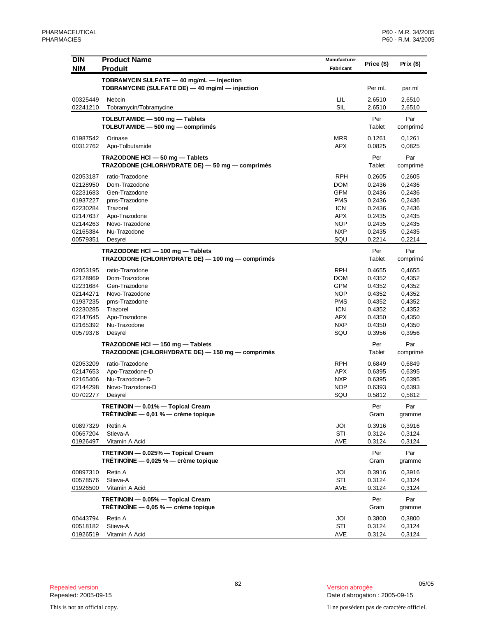| <b>DIN</b>           | <b>Product Name</b>                              | Manufacturer      | Price (\$)       | Prix $(\$)$      |
|----------------------|--------------------------------------------------|-------------------|------------------|------------------|
| <b>NIM</b>           | <b>Produit</b>                                   | Fabricant         |                  |                  |
|                      | TOBRAMYCIN SULFATE - 40 mg/mL - Injection        |                   |                  |                  |
|                      | TOBRAMYCINE (SULFATE DE) - 40 mg/ml - injection  |                   | Per mL           | par ml           |
| 00325449             | Nebcin                                           | LIL               | 2.6510           | 2,6510           |
| 02241210             | Tobramycin/Tobramycine                           | SIL               | 2.6510           | 2,6510           |
|                      | TOLBUTAMIDE - 500 mg - Tablets                   |                   | Per              | Par              |
|                      | TOLBUTAMIDE - 500 mg - comprimés                 |                   | Tablet           | comprimé         |
| 01987542             | Orinase                                          | <b>MRR</b>        | 0.1261           | 0,1261           |
| 00312762             | Apo-Tolbutamide                                  | <b>APX</b>        | 0.0825           | 0,0825           |
|                      | TRAZODONE HCI - 50 mg - Tablets                  |                   | Per              | Par              |
|                      | TRAZODONE (CHLORHYDRATE DE) - 50 mg - comprimés  |                   | Tablet           | comprimé         |
| 02053187             | ratio-Trazodone                                  | <b>RPH</b>        | 0.2605           | 0,2605           |
| 02128950             | Dom-Trazodone                                    | <b>DOM</b>        | 0.2436           | 0,2436           |
| 02231683             | Gen-Trazodone                                    | <b>GPM</b>        | 0.2436           | 0,2436           |
| 01937227             | pms-Trazodone                                    | <b>PMS</b>        | 0.2436           | 0,2436           |
| 02230284             | Trazorel                                         | <b>ICN</b>        | 0.2436           | 0,2436           |
| 02147637<br>02144263 | Apo-Trazodone<br>Novo-Trazodone                  | APX<br><b>NOP</b> | 0.2435           | 0,2435           |
| 02165384             | Nu-Trazodone                                     | <b>NXP</b>        | 0.2435<br>0.2435 | 0,2435<br>0,2435 |
| 00579351             | Desyrel                                          | SQU               | 0.2214           | 0,2214           |
|                      | TRAZODONE HCI - 100 mg - Tablets                 |                   | Per              | Par              |
|                      | TRAZODONE (CHLORHYDRATE DE) - 100 mg - comprimés |                   | Tablet           | comprimé         |
|                      |                                                  | <b>RPH</b>        |                  |                  |
| 02053195<br>02128969 | ratio-Trazodone<br>Dom-Trazodone                 | <b>DOM</b>        | 0.4655<br>0.4352 | 0,4655<br>0,4352 |
| 02231684             | Gen-Trazodone                                    | <b>GPM</b>        | 0.4352           | 0,4352           |
| 02144271             | Novo-Trazodone                                   | <b>NOP</b>        | 0.4352           | 0,4352           |
| 01937235             | pms-Trazodone                                    | <b>PMS</b>        | 0.4352           | 0,4352           |
| 02230285             | Trazorel                                         | <b>ICN</b>        | 0.4352           | 0,4352           |
| 02147645             | Apo-Trazodone                                    | APX               | 0.4350           | 0,4350           |
| 02165392             | Nu-Trazodone                                     | <b>NXP</b>        | 0.4350           | 0,4350           |
| 00579378             | Desyrel                                          | SQU               | 0.3956           | 0,3956           |
|                      | TRAZODONE HCI - 150 mg - Tablets                 |                   | Per              | Par              |
|                      | TRAZODONE (CHLORHYDRATE DE) - 150 mg - comprimés |                   | Tablet           | comprimé         |
| 02053209             | ratio-Trazodone                                  | <b>RPH</b>        | 0.6849           | 0,6849           |
| 02147653             | Apo-Trazodone-D                                  | <b>APX</b>        | 0.6395           | 0,6395           |
| 02165406             | Nu-Trazodone-D                                   | <b>NXP</b>        | 0.6395           | 0,6395           |
| 02144298<br>00702277 | Novo-Trazodone-D<br>Desyrel                      | <b>NOP</b><br>SQU | 0.6393<br>0.5812 | 0,6393<br>0,5812 |
|                      |                                                  |                   |                  |                  |
|                      | TRETINOIN — 0.01% — Topical Cream                |                   | Per              | Par              |
|                      | TRÉTINOÏNE $-$ 0,01 % $-$ crème topique          |                   | Gram             | gramme           |
| 00897329             | Retin A                                          | JOI               | 0.3916           | 0,3916           |
| 00657204             | Stieva-A                                         | STI               | 0.3124           | 0,3124           |
| 01926497             | Vitamin A Acid                                   | AVE               | 0.3124           | 0,3124           |
|                      | TRETINOIN - 0.025% - Topical Cream               |                   | Per              | Par              |
|                      | TRÉTINOÏNE $-$ 0,025 % $-$ crème topique         |                   | Gram             | gramme           |
| 00897310             | Retin A                                          | JOI               | 0.3916           | 0,3916           |
| 00578576             | Stieva-A                                         | STI               | 0.3124           | 0,3124           |
| 01926500             | Vitamin A Acid                                   | AVE               | 0.3124           | 0,3124           |
|                      | TRETINOIN - 0.05% - Topical Cream                |                   | Per              | Par              |
|                      | TRÉTINOÏNE $-$ 0,05 % $-$ crème topique          |                   | Gram             | gramme           |
| 00443794             | Retin A                                          | JOI               | 0.3800           | 0,3800           |
| 00518182             | Stieva-A                                         | STI               | 0.3124           | 0,3124           |
| 01926519             | Vitamin A Acid                                   | AVE               | 0.3124           | 0,3124           |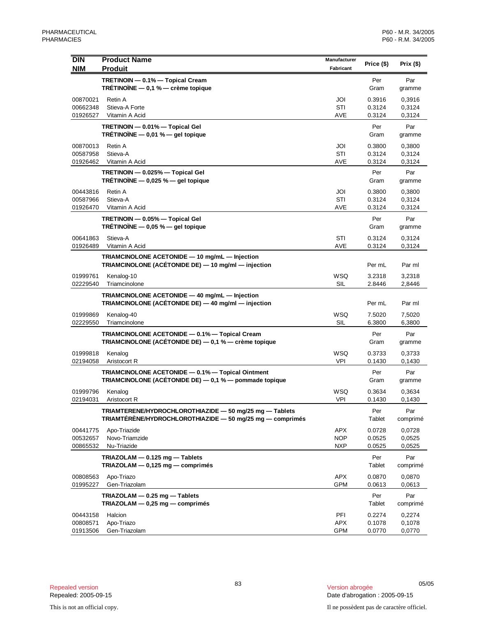| <b>DIN</b>           | <b>Product Name</b>                                                                                                  | Manufacturer             | Price (\$)       | Prix $(\$)$      |
|----------------------|----------------------------------------------------------------------------------------------------------------------|--------------------------|------------------|------------------|
| <b>NIM</b>           | <b>Produit</b>                                                                                                       | Fabricant                |                  |                  |
|                      | TRETINOIN - 0.1% - Topical Cream<br>TRÉTINOÏNE $-$ 0,1 % $-$ crème topique                                           |                          | Per<br>Gram      | Par<br>gramme    |
| 00870021             | Retin A                                                                                                              | JOI                      | 0.3916           | 0,3916           |
| 00662348             | Stieva-A Forte                                                                                                       | STI                      | 0.3124           | 0,3124           |
| 01926527             | Vitamin A Acid                                                                                                       | AVE                      | 0.3124           | 0,3124           |
|                      | TRETINOIN - 0.01% - Topical Gel<br>TRETINOINE $-$ 0,01 % $-$ gel topique                                             |                          | Per<br>Gram      | Par<br>gramme    |
| 00870013             | Retin A                                                                                                              | JOI                      | 0.3800           | 0,3800           |
| 00587958             | Stieva-A                                                                                                             | STI                      | 0.3124           | 0,3124           |
| 01926462             | Vitamin A Acid                                                                                                       | AVE                      | 0.3124           | 0,3124           |
|                      | TRETINOIN - 0.025% - Topical Gel<br>TRÉTINOÏNE $-$ 0,025 % $-$ gel topique                                           |                          | Per<br>Gram      | Par<br>gramme    |
| 00443816             | Retin A                                                                                                              | JOI                      | 0.3800           | 0,3800           |
| 00587966             | Stieva-A                                                                                                             | STI                      | 0.3124           | 0,3124           |
| 01926470             | Vitamin A Acid                                                                                                       | AVE                      | 0.3124           | 0,3124           |
|                      | TRETINOIN - 0.05% - Topical Gel<br>TRÉTINOÏNE $-$ 0,05 % $-$ gel topique                                             |                          | Per<br>Gram      | Par<br>gramme    |
| 00641863             | Stieva-A                                                                                                             | STI                      | 0.3124           | 0,3124           |
| 01926489             | Vitamin A Acid                                                                                                       | AVE                      | 0.3124           | 0,3124           |
|                      | TRIAMCINOLONE ACETONIDE - 10 mg/mL - Injection<br>TRIAMCINOLONE (ACÉTONIDE DE) - 10 mg/ml - injection                |                          | Per mL           | Par ml           |
| 01999761             | Kenalog-10                                                                                                           | <b>WSQ</b>               | 3.2318           | 3,2318           |
| 02229540             | Triamcinolone                                                                                                        | <b>SIL</b>               | 2.8446           | 2,8446           |
|                      | TRIAMCINOLONE ACETONIDE - 40 mg/mL - Injection<br>TRIAMCINOLONE (ACÉTONIDE DE) — 40 mg/ml — injection                |                          | Per mL           | Par ml           |
| 01999869             | Kenalog-40                                                                                                           | <b>WSQ</b>               | 7.5020           | 7,5020           |
| 02229550             | Triamcinolone                                                                                                        | <b>SIL</b>               | 6.3800           | 6,3800           |
|                      | TRIAMCINOLONE ACETONIDE - 0.1% - Topical Cream<br>TRIAMCINOLONE (ACÉTONIDE DE) — 0,1 % — crème topique               |                          | Per<br>Gram      | Par<br>gramme    |
| 01999818             | Kenalog                                                                                                              | WSQ                      | 0.3733           | 0,3733           |
| 02194058             | Aristocort R                                                                                                         | VPI                      | 0.1430           | 0,1430           |
|                      | TRIAMCINOLONE ACETONIDE - 0.1% - Topical Ointment<br>TRIAMCINOLONE (ACÉTONIDE DE) - 0,1 % - pommade topique          |                          | Per<br>Gram      | Par<br>gramme    |
| 01999796             | Kenalog                                                                                                              | <b>WSQ</b>               | 0.3634           | 0,3634           |
| 02194031             | Aristocort R                                                                                                         | VPI                      | 0.1430           | 0,1430           |
|                      | TRIAMTERENE/HYDROCHLOROTHIAZIDE - 50 mg/25 mg - Tablets<br>TRIAMTÉRÈNE/HYDROCHLOROTHIAZIDE - 50 mg/25 mg - comprimés |                          | Per<br>Tablet    | Par<br>comprimé  |
| 00441775             | Apo-Triazide                                                                                                         | <b>APX</b>               | 0.0728           | 0,0728           |
| 00532657             | Novo-Triamzide                                                                                                       | <b>NOP</b>               | 0.0525           | 0,0525           |
| 00865532             | Nu-Triazide                                                                                                          | <b>NXP</b>               | 0.0525           | 0,0525           |
|                      | TRIAZOLAM - 0.125 mg - Tablets<br>TRIAZOLAM - 0,125 mg - comprimés                                                   |                          | Per<br>Tablet    | Par<br>comprimé  |
| 00808563             | Apo-Triazo                                                                                                           | <b>APX</b>               | 0.0870           | 0,0870           |
| 01995227             | Gen-Triazolam                                                                                                        | <b>GPM</b>               | 0.0613           | 0,0613           |
|                      | TRIAZOLAM - 0.25 mg - Tablets                                                                                        |                          | Per              | Par              |
|                      | $TRIAZOLAM - 0,25 mg - comprimés$                                                                                    |                          | Tablet           | comprimé         |
|                      |                                                                                                                      |                          |                  |                  |
| 00443158             | Halcion                                                                                                              | PFI                      | 0.2274           | 0,2274           |
| 00808571<br>01913506 | Apo-Triazo<br>Gen-Triazolam                                                                                          | <b>APX</b><br><b>GPM</b> | 0.1078<br>0.0770 | 0,1078<br>0,0770 |
|                      |                                                                                                                      |                          |                  |                  |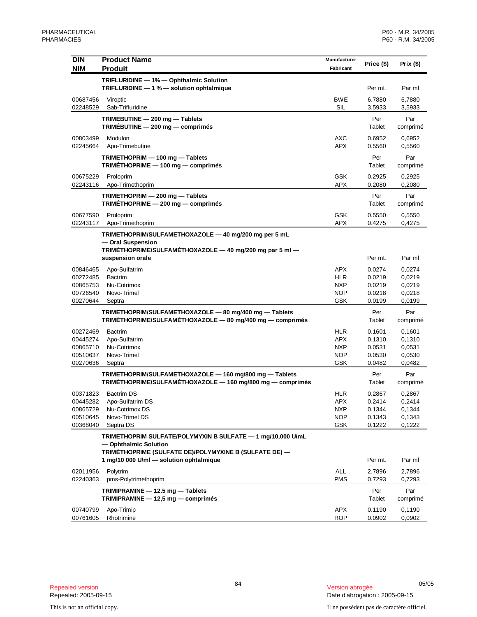| <b>DIN</b>           | <b>Product Name</b>                                                                                                                            | Manufacturer             | Price (\$)       | Prix $($ \$)     |
|----------------------|------------------------------------------------------------------------------------------------------------------------------------------------|--------------------------|------------------|------------------|
| <b>NIM</b>           | <b>Produit</b>                                                                                                                                 | Fabricant                |                  |                  |
|                      | TRIFLURIDINE - 1% - Ophthalmic Solution<br>TRIFLURIDINE - 1 % - solution ophtalmique                                                           |                          | Per mL           | Par ml           |
| 00687456<br>02248529 | Viroptic<br>Sab-Trifluridine                                                                                                                   | <b>BWE</b><br>SIL        | 6.7880<br>3.5933 | 6.7880<br>3,5933 |
|                      | TRIMEBUTINE - 200 mg - Tablets<br>TRIMÉBUTINE - 200 mg - comprimés                                                                             |                          | Per<br>Tablet    | Par<br>comprimé  |
| 00803499<br>02245664 | Modulon<br>Apo-Trimebutine                                                                                                                     | AXC<br><b>APX</b>        | 0.6952<br>0.5560 | 0,6952<br>0,5560 |
|                      | TRIMETHOPRIM - 100 mg - Tablets<br>TRIMETHOPRIME - 100 mg - comprimés                                                                          |                          | Per<br>Tablet    | Par<br>comprimé  |
| 00675229<br>02243116 | Proloprim<br>Apo-Trimethoprim                                                                                                                  | <b>GSK</b><br><b>APX</b> | 0.2925<br>0.2080 | 0,2925<br>0,2080 |
|                      | TRIMETHOPRIM - 200 mg - Tablets<br>TRIMÉTHOPRIME - 200 mg - comprimés                                                                          |                          | Per<br>Tablet    | Par<br>comprimé  |
| 00677590<br>02243117 | Proloprim<br>Apo-Trimethoprim                                                                                                                  | <b>GSK</b><br><b>APX</b> | 0.5550<br>0.4275 | 0,5550<br>0,4275 |
|                      | TRIMETHOPRIM/SULFAMETHOXAZOLE - 40 mg/200 mg per 5 mL<br>- Oral Suspension<br>TRIMÉTHOPRIME/SULFAMÉTHOXAZOLE - 40 mg/200 mg par 5 ml -         |                          |                  |                  |
|                      | suspension orale                                                                                                                               |                          | Per mL           | Par ml           |
| 00846465             | Apo-Sulfatrim                                                                                                                                  | <b>APX</b>               | 0.0274           | 0,0274           |
| 00272485<br>00865753 | <b>Bactrim</b><br>Nu-Cotrimox                                                                                                                  | HLR<br><b>NXP</b>        | 0.0219<br>0.0219 | 0,0219<br>0,0219 |
| 00726540             | Novo-Trimel                                                                                                                                    | <b>NOP</b>               | 0.0218           | 0,0218           |
| 00270644             | Septra                                                                                                                                         | GSK                      | 0.0199           | 0,0199           |
|                      | TRIMETHOPRIM/SULFAMETHOXAZOLE - 80 mg/400 mg - Tablets<br>TRIMÉTHOPRIME/SULFAMÉTHOXAZOLE - 80 mg/400 mg - comprimés                            |                          | Per<br>Tablet    | Par<br>comprimé  |
| 00272469             | <b>Bactrim</b>                                                                                                                                 | <b>HLR</b>               | 0.1601           | 0,1601           |
| 00445274             | Apo-Sulfatrim                                                                                                                                  | APX                      | 0.1310           | 0,1310           |
| 00865710<br>00510637 | Nu-Cotrimox<br>Novo-Trimel                                                                                                                     | <b>NXP</b><br><b>NOP</b> | 0.0531<br>0.0530 | 0,0531<br>0,0530 |
| 00270636             | Septra                                                                                                                                         | <b>GSK</b>               | 0.0482           | 0,0482           |
|                      | TRIMETHOPRIM/SULFAMETHOXAZOLE - 160 mg/800 mg - Tablets<br>TRIMÉTHOPRIME/SULFAMÉTHOXAZOLE - 160 mg/800 mg - comprimés                          |                          | Per<br>Tablet    | Par<br>comprimé  |
| 00371823             | <b>Bactrim DS</b>                                                                                                                              | HLR                      | 0.2867           | 0,2867           |
| 00445282             | Apo-Sulfatrim DS                                                                                                                               | APX                      | 0.2414           | 0,2414           |
| 00865729<br>00510645 | Nu-Cotrimox DS<br>Novo-Trimel DS                                                                                                               | NXP                      | 0.1344           | 0,1344<br>0,1343 |
| 00368040             | Septra DS                                                                                                                                      | <b>NOP</b><br>GSK        | 0.1343<br>0.1222 | 0,1222           |
|                      | TRIMETHOPRIM SULFATE/POLYMYXIN B SULFATE - 1 mg/10,000 U/mL<br>- Ophthalmic Solution<br>TRIMÉTHOPRIME (SULFATE DE)/POLYMYXINE B (SULFATE DE) — |                          |                  |                  |
|                      | 1 mg/10 000 U/ml - solution ophtalmique                                                                                                        |                          | Per mL           | Par ml           |
| 02011956<br>02240363 | Polytrim<br>pms-Polytrimethoprim                                                                                                               | ALL<br><b>PMS</b>        | 2.7896<br>0.7293 | 2,7896<br>0,7293 |
|                      | TRIMIPRAMINE - 12.5 mg - Tablets<br>TRIMIPRAMINE - 12,5 mg - comprimés                                                                         |                          | Per<br>Tablet    | Par<br>comprimé  |
| 00740799<br>00761605 | Apo-Trimip<br>Rhotrimine                                                                                                                       | APX<br><b>ROP</b>        | 0.1190<br>0.0902 | 0,1190<br>0,0902 |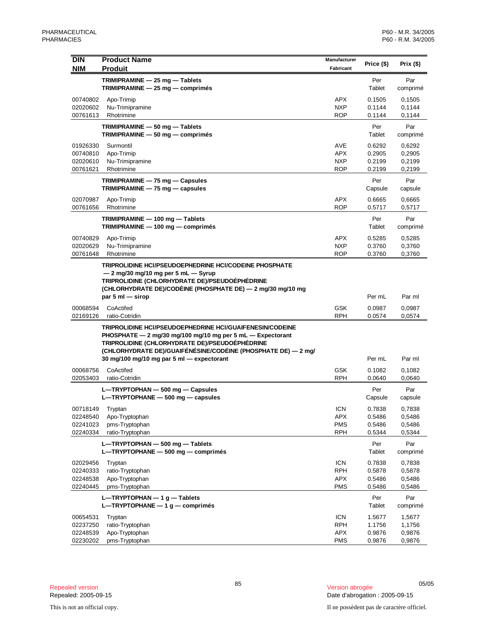| <b>DIN</b><br><b>NIM</b>                     | <b>Product Name</b><br><b>Produit</b>                                                                                                                                                                                                                                                         | Manufacturer<br>Fabricant                            | Price (\$)                           | Prix (\$)                            |
|----------------------------------------------|-----------------------------------------------------------------------------------------------------------------------------------------------------------------------------------------------------------------------------------------------------------------------------------------------|------------------------------------------------------|--------------------------------------|--------------------------------------|
|                                              | TRIMIPRAMINE - 25 mg - Tablets<br>$TRIMIPRAMINE - 25 mg - comprimés$                                                                                                                                                                                                                          |                                                      | Per<br>Tablet                        | Par<br>comprimé                      |
| 00740802<br>02020602<br>00761613             | Apo-Trimip<br>Nu-Trimipramine<br>Rhotrimine                                                                                                                                                                                                                                                   | APX<br><b>NXP</b><br><b>ROP</b>                      | 0.1505<br>0.1144<br>0.1144           | 0,1505<br>0,1144<br>0,1144           |
|                                              | TRIMIPRAMINE - 50 mg - Tablets<br>TRIMIPRAMINE - 50 mg - comprimés                                                                                                                                                                                                                            |                                                      | Per<br>Tablet                        | Par<br>comprimé                      |
| 01926330<br>00740810<br>02020610<br>00761621 | Surmontil<br>Apo-Trimip<br>Nu-Trimipramine<br>Rhotrimine                                                                                                                                                                                                                                      | <b>AVE</b><br>APX<br><b>NXP</b><br><b>ROP</b>        | 0.6292<br>0.2905<br>0.2199<br>0.2199 | 0,6292<br>0,2905<br>0,2199<br>0,2199 |
|                                              | TRIMIPRAMINE - 75 mg - Capsules<br>$TRIMIPRAMINE - 75 mg - capsules$                                                                                                                                                                                                                          |                                                      | Per<br>Capsule                       | Par<br>capsule                       |
| 02070987<br>00761656                         | Apo-Trimip<br>Rhotrimine                                                                                                                                                                                                                                                                      | <b>APX</b><br><b>ROP</b>                             | 0.6665<br>0.5717                     | 0,6665<br>0,5717                     |
|                                              | TRIMIPRAMINE - 100 mg - Tablets<br>TRIMIPRAMINE - 100 mg - comprimés                                                                                                                                                                                                                          |                                                      | Per<br>Tablet                        | Par<br>comprimé                      |
| 00740829<br>02020629<br>00761648             | Apo-Trimip<br>Nu-Trimipramine<br>Rhotrimine                                                                                                                                                                                                                                                   | APX<br><b>NXP</b><br><b>ROP</b>                      | 0.5285<br>0.3760<br>0.3760           | 0,5285<br>0,3760<br>0,3760           |
|                                              | TRIPROLIDINE HCI/PSEUDOEPHEDRINE HCI/CODEINE PHOSPHATE<br>- 2 mg/30 mg/10 mg per 5 mL - Syrup<br>TRIPROLIDINE (CHLORHYDRATE DE)/PSEUDOÉPHÉDRINE<br>(CHLORHYDRATE DE)/CODÉINE (PHOSPHATE DE) — 2 mg/30 mg/10 mg<br>par 5 ml $-$ sirop                                                          |                                                      | Per mL                               | Par ml                               |
| 00068594<br>02169126                         | CoActifed<br>ratio-Cotridin                                                                                                                                                                                                                                                                   | <b>GSK</b><br><b>RPH</b>                             | 0.0987<br>0.0574                     | 0,0987<br>0,0574                     |
|                                              | <b>TRIPROLIDINE HCI/PSEUDOEPHEDRINE HCI/GUAIFENESIN/CODEINE</b><br>PHOSPHATE - 2 mg/30 mg/100 mg/10 mg per 5 mL - Expectorant<br>TRIPROLIDINE (CHLORHYDRATE DE)/PSEUDOÉPHÉDRINE<br>(CHLORHYDRATE DE)/GUAIFÉNÉSINE/CODÉINE (PHOSPHATE DE) — 2 mg/<br>30 mg/100 mg/10 mg par 5 ml - expectorant |                                                      | Per mL                               | Par ml                               |
| 00068756<br>02053403                         | CoActifed<br>ratio-Cotridin                                                                                                                                                                                                                                                                   | <b>GSK</b><br>RPH                                    | 0.1082<br>0.0640                     | 0,1082<br>0,0640                     |
|                                              | L-TRYPTOPHAN - 500 mg - Capsules<br>$L$ —TRYPTOPHANE — 500 mg — capsules                                                                                                                                                                                                                      |                                                      | Per<br>Capsule                       | Par<br>capsule                       |
| 00718149<br>02248540<br>02241023<br>02240334 | Tryptan<br>Apo-Tryptophan<br>pms-Tryptophan<br>ratio-Tryptophan                                                                                                                                                                                                                               | <b>ICN</b><br><b>APX</b><br><b>PMS</b><br><b>RPH</b> | 0.7838<br>0.5486<br>0.5486<br>0.5344 | 0,7838<br>0,5486<br>0,5486<br>0,5344 |
|                                              | L-TRYPTOPHAN - 500 mg - Tablets<br>L-TRYPTOPHANE - 500 mg - comprimés                                                                                                                                                                                                                         |                                                      | Per<br>Tablet                        | Par<br>comprimé                      |
| 02029456<br>02240333<br>02248538<br>02240445 | Tryptan<br>ratio-Tryptophan<br>Apo-Tryptophan<br>pms-Tryptophan                                                                                                                                                                                                                               | <b>ICN</b><br><b>RPH</b><br><b>APX</b><br><b>PMS</b> | 0.7838<br>0.5878<br>0.5486<br>0.5486 | 0,7838<br>0,5878<br>0,5486<br>0,5486 |
|                                              | $L$ —TRYPTOPHAN — 1 g — Tablets<br>L-TRYPTOPHANE $-1$ g $-$ comprimés                                                                                                                                                                                                                         |                                                      | Per<br>Tablet                        | Par<br>comprimé                      |
| 00654531<br>02237250<br>02248539<br>02230202 | Tryptan<br>ratio-Tryptophan<br>Apo-Tryptophan<br>pms-Tryptophan                                                                                                                                                                                                                               | <b>ICN</b><br><b>RPH</b><br><b>APX</b><br><b>PMS</b> | 1.5677<br>1.1756<br>0.9876<br>0.9876 | 1,5677<br>1,1756<br>0,9876<br>0,9876 |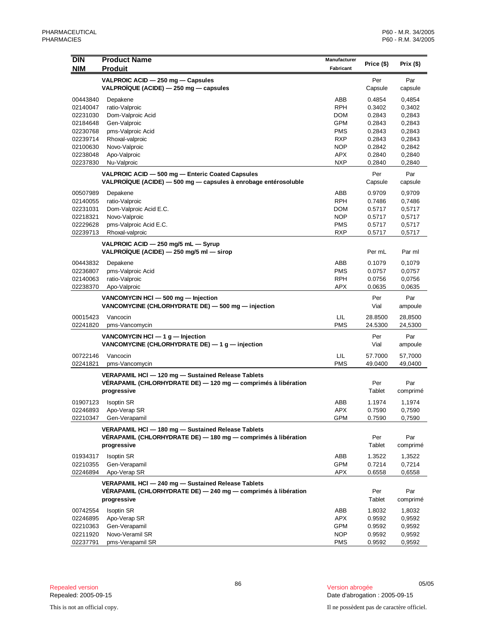| DIN        | <b>Product Name</b>                                             | Manufacturer |            |           |
|------------|-----------------------------------------------------------------|--------------|------------|-----------|
| <b>NIM</b> | <b>Produit</b>                                                  | Fabricant    | Price (\$) | Prix (\$) |
|            | VALPROIC ACID - 250 mg - Capsules                               |              | Per        | Par       |
|            | VALPROÏQUE (ACIDE) - 250 mg - capsules                          |              | Capsule    | capsule   |
| 00443840   | Depakene                                                        | ABB          | 0.4854     | 0,4854    |
| 02140047   | ratio-Valproic                                                  | <b>RPH</b>   | 0.3402     | 0,3402    |
| 02231030   | Dom-Valproic Acid                                               | <b>DOM</b>   | 0.2843     | 0,2843    |
| 02184648   | Gen-Valproic                                                    | <b>GPM</b>   | 0.2843     | 0,2843    |
| 02230768   | pms-Valproic Acid                                               | <b>PMS</b>   | 0.2843     | 0,2843    |
| 02239714   | Rhoxal-valproic                                                 | <b>RXP</b>   | 0.2843     | 0,2843    |
| 02100630   | Novo-Valproic                                                   | <b>NOP</b>   | 0.2842     | 0,2842    |
| 02238048   | Apo-Valproic                                                    | <b>APX</b>   | 0.2840     | 0,2840    |
| 02237830   | Nu-Valproic                                                     | <b>NXP</b>   | 0.2840     | 0,2840    |
|            | VALPROIC ACID - 500 mg - Enteric Coated Capsules                |              | Per        | Par       |
|            | VALPROÏQUE (ACIDE) — 500 mg — capsules à enrobage entérosoluble |              | Capsule    | capsule   |
| 00507989   | Depakene                                                        | ABB          | 0.9709     | 0,9709    |
| 02140055   | ratio-Valproic                                                  | <b>RPH</b>   | 0.7486     | 0,7486    |
| 02231031   | Dom-Valproic Acid E.C.                                          | <b>DOM</b>   | 0.5717     | 0,5717    |
| 02218321   | Novo-Valproic                                                   | <b>NOP</b>   | 0.5717     | 0,5717    |
| 02229628   | pms-Valproic Acid E.C.                                          | <b>PMS</b>   | 0.5717     | 0,5717    |
| 02239713   | Rhoxal-valproic                                                 | <b>RXP</b>   | 0.5717     | 0,5717    |
|            | VALPROIC ACID - 250 mg/5 mL - Syrup                             |              |            |           |
|            | VALPROÏQUE (ACIDE) - 250 mg/5 ml - sirop                        |              | Per mL     | Par ml    |
| 00443832   | Depakene                                                        | ABB          | 0.1079     | 0,1079    |
| 02236807   | pms-Valproic Acid                                               | <b>PMS</b>   | 0.0757     | 0,0757    |
| 02140063   | ratio-Valproic                                                  | <b>RPH</b>   | 0.0756     | 0,0756    |
| 02238370   | Apo-Valproic                                                    | <b>APX</b>   | 0.0635     | 0,0635    |
|            | VANCOMYCIN HCI - 500 mg - Injection                             |              | Per        | Par       |
|            | VANCOMYCINE (CHLORHYDRATE DE) - 500 mg - injection              |              | Vial       | ampoule   |
| 00015423   | Vancocin                                                        | LIL          | 28.8500    | 28,8500   |
| 02241820   | pms-Vancomycin                                                  | <b>PMS</b>   | 24.5300    | 24,5300   |
|            | VANCOMYCIN HCI $-1$ g $-$ Injection                             |              | Per        | Par       |
|            | VANCOMYCINE (CHLORHYDRATE DE) - 1 g - injection                 |              | Vial       | ampoule   |
| 00722146   | Vancocin                                                        | LIL          | 57.7000    | 57,7000   |
| 02241821   | pms-Vancomycin                                                  | <b>PMS</b>   | 49.0400    | 49,0400   |
|            | VERAPAMIL HCI - 120 mg - Sustained Release Tablets              |              |            |           |
|            | VERAPAMIL (CHLORHYDRATE DE) — 120 mg — comprimés à libération   |              | Per        | Par       |
|            | progressive                                                     |              | Tablet     | comprimé  |
| 01907123   | Isoptin SR                                                      | ABB          | 1.1974     | 1,1974    |
| 02246893   | Apo-Verap SR                                                    | <b>APX</b>   | 0.7590     | 0,7590    |
| 02210347   | Gen-Verapamil                                                   | <b>GPM</b>   | 0.7590     | 0,7590    |
|            | VERAPAMIL HCI - 180 mg - Sustained Release Tablets              |              |            |           |
|            | VÉRAPAMIL (CHLORHYDRATE DE) — 180 mg — comprimés à libération   |              | Per        | Par       |
|            | progressive                                                     |              | Tablet     | comprimé  |
| 01934317   | <b>Isoptin SR</b>                                               | ABB          | 1.3522     | 1,3522    |
| 02210355   | Gen-Verapamil                                                   | <b>GPM</b>   | 0.7214     | 0,7214    |
| 02246894   | Apo-Verap SR                                                    | APX          | 0.6558     | 0,6558    |
|            | VERAPAMIL HCI - 240 mg - Sustained Release Tablets              |              |            |           |
|            | VÉRAPAMIL (CHLORHYDRATE DE) - 240 mg - comprimés à libération   |              | Per        | Par       |
|            | progressive                                                     |              | Tablet     | comprimé  |
| 00742554   | <b>Isoptin SR</b>                                               | ABB          | 1.8032     | 1,8032    |
| 02246895   | Apo-Verap SR                                                    | <b>APX</b>   | 0.9592     | 0,9592    |
| 02210363   | Gen-Verapamil                                                   | <b>GPM</b>   | 0.9592     | 0,9592    |
| 02211920   | Novo-Veramil SR                                                 | NOP          | 0.9592     | 0,9592    |
| 02237791   | pms-Verapamil SR                                                | <b>PMS</b>   | 0.9592     | 0,9592    |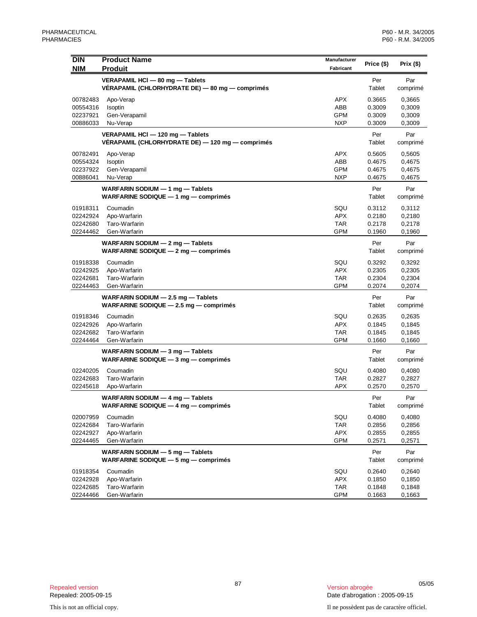| <b>DIN</b> | <b>Product Name</b>                                                                   | Manufacturer | Price (\$)            | Prix $($ \$)    |
|------------|---------------------------------------------------------------------------------------|--------------|-----------------------|-----------------|
| <b>NIM</b> | <b>Produit</b>                                                                        | Fabricant    |                       |                 |
|            | VERAPAMIL HCI - 80 mg - Tablets<br>VÉRAPAMIL (CHLORHYDRATE DE) — 80 mg — comprimés    |              | Per<br>Tablet         | Par<br>comprimé |
| 00782483   | Apo-Verap                                                                             | <b>APX</b>   | 0.3665                | 0,3665          |
| 00554316   | Isoptin                                                                               | ABB          | 0.3009                | 0,3009          |
| 02237921   | Gen-Verapamil                                                                         | <b>GPM</b>   | 0.3009                | 0,3009          |
| 00886033   | Nu-Verap                                                                              | <b>NXP</b>   | 0.3009                | 0,3009          |
|            | VERAPAMIL HCI - 120 mg - Tablets<br>VÉRAPAMIL (CHLORHYDRATE DE) — 120 mg — comprimés  |              | Per<br>Tablet         | Par<br>comprimé |
| 00782491   | Apo-Verap                                                                             | APX          | 0.5605                | 0,5605          |
| 00554324   | Isoptin                                                                               | ABB          | 0.4675                | 0,4675          |
| 02237922   | Gen-Verapamil                                                                         | <b>GPM</b>   | 0.4675                | 0,4675          |
| 00886041   | Nu-Verap                                                                              | <b>NXP</b>   | 0.4675                | 0,4675          |
|            | WARFARIN SODIUM $-1$ mg $-$ Tablets<br>WARFARINE SODIQUE - 1 mg - comprimés           |              | Per<br>Tablet         | Par<br>comprimé |
| 01918311   | Coumadin                                                                              | SQU          | 0.3112                | 0,3112          |
| 02242924   | Apo-Warfarin                                                                          | <b>APX</b>   | 0.2180                | 0,2180          |
| 02242680   | Taro-Warfarin                                                                         | TAR          | 0.2178                | 0,2178          |
| 02244462   | Gen-Warfarin                                                                          | GPM          | 0.1960                | 0,1960          |
|            | WARFARIN SODIUM $-2$ mg $-$ Tablets<br>WARFARINE SODIQUE $-2$ mg $-$ comprimes        |              | Per<br>Tablet         | Par<br>comprimé |
| 01918338   | Coumadin                                                                              | SQU          | 0.3292                | 0,3292          |
| 02242925   | Apo-Warfarin                                                                          | <b>APX</b>   | 0.2305                | 0,2305          |
| 02242681   | Taro-Warfarin                                                                         | TAR          | 0.2304                | 0,2304          |
| 02244463   | Gen-Warfarin                                                                          | GPM          | 0.2074                | 0,2074          |
|            | WARFARIN SODIUM $-$ 2.5 mg $-$ Tablets                                                |              | Per                   | Par             |
|            | WARFARINE SODIQUE $-$ 2.5 mg $-$ comprimes                                            |              | Tablet                | comprimé        |
| 01918346   | Coumadin                                                                              | SQU          | 0.2635                | 0,2635          |
| 02242926   | Apo-Warfarin                                                                          | <b>APX</b>   | 0.1845                | 0,1845          |
| 02242682   | Taro-Warfarin                                                                         | TAR          | 0.1845                | 0,1845          |
| 02244464   | Gen-Warfarin                                                                          | <b>GPM</b>   | 0.1660                | 0,1660          |
|            | WARFARIN SODIUM $-3$ mg $-$ Tablets<br>WARFARINE SODIQUE $-$ 3 mg $-$ comprimes       |              | Per<br>Tablet         | Par<br>comprimé |
| 02240205   | Coumadin                                                                              | SQU          | 0.4080                | 0,4080          |
| 02242683   | Taro-Warfarin                                                                         | <b>TAR</b>   | 0.2827                | 0,2827          |
| 02245618   | Apo-Warfarin                                                                          | APX          | 0.2570                | 0,2570          |
|            | WARFARIN SODIUM $-4$ mg $-$ Tablets<br>$\text{WART}$ ARINE SODIQUE — 4 mg — comprimes |              | Per<br><b>l</b> ablet | Par<br>comprimé |
| 02007959   | Coumadin                                                                              | SQU          | 0.4080                | 0,4080          |
| 02242684   | Taro-Warfarin                                                                         | <b>TAR</b>   | 0.2856                | 0,2856          |
| 02242927   | Apo-Warfarin                                                                          | <b>APX</b>   | 0.2855                | 0,2855          |
| 02244465   | Gen-Warfarin                                                                          | <b>GPM</b>   | 0.2571                | 0,2571          |
|            | WARFARIN SODIUM $-5$ mg $-$ Tablets<br>WARFARINE SODIQUE $-5$ mg $-$ comprimes        |              | Per<br>Tablet         | Par<br>comprimé |
| 01918354   | Coumadin                                                                              | SQU          | 0.2640                | 0,2640          |
| 02242928   | Apo-Warfarin                                                                          | <b>APX</b>   | 0.1850                | 0,1850          |
| 02242685   | Taro-Warfarin                                                                         | <b>TAR</b>   | 0.1848                | 0,1848          |
| 02244466   | Gen-Warfarin                                                                          | GPM          | 0.1663                | 0,1663          |